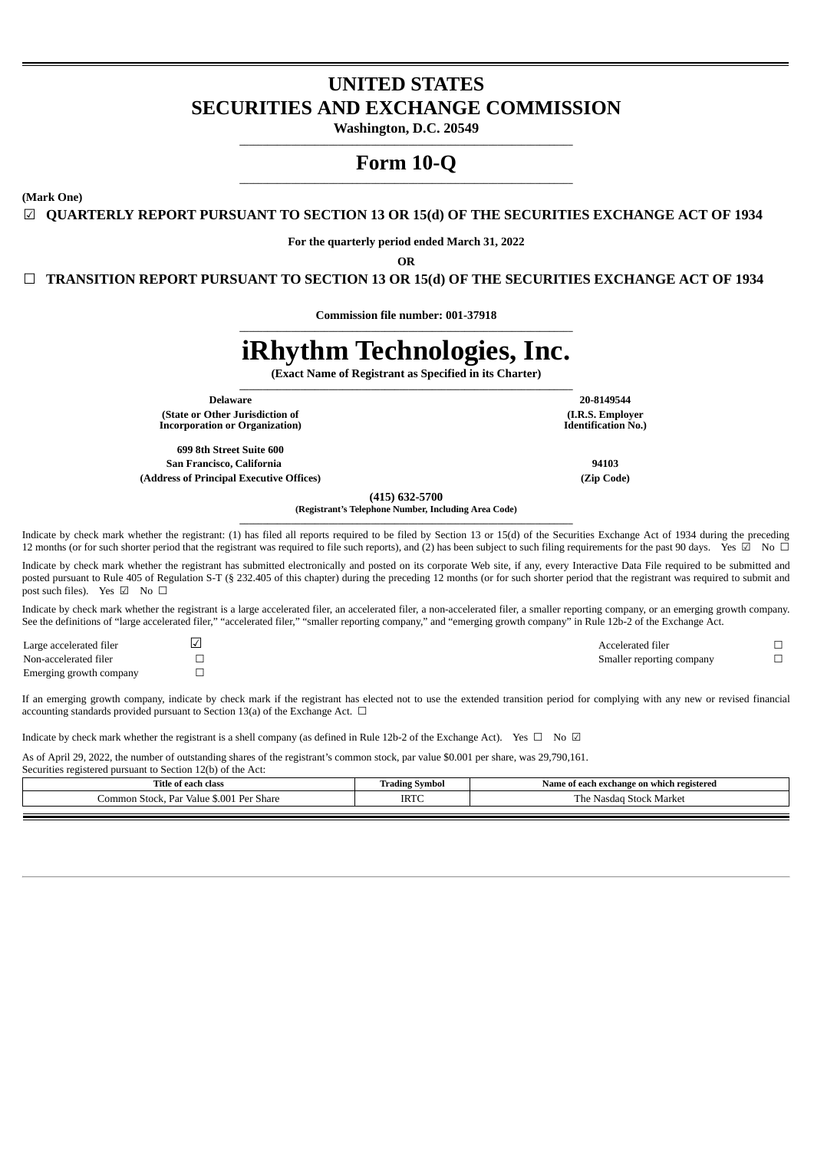## **UNITED STATES SECURITIES AND EXCHANGE COMMISSION**

**Washington, D.C. 20549 \_\_\_\_\_\_\_\_\_\_\_\_\_\_\_\_\_\_\_\_\_\_\_\_\_\_\_\_\_\_\_\_\_\_\_\_\_\_\_\_\_\_\_\_\_\_\_\_\_\_\_\_\_\_\_\_\_\_\_\_\_\_\_\_\_\_\_\_\_\_\_**

## **Form 10-Q \_\_\_\_\_\_\_\_\_\_\_\_\_\_\_\_\_\_\_\_\_\_\_\_\_\_\_\_\_\_\_\_\_\_\_\_\_\_\_\_\_\_\_\_\_\_\_\_\_\_\_\_\_\_\_\_\_\_\_\_\_\_\_\_\_\_\_\_\_\_\_**

**(Mark One)**

☑ **QUARTERLY REPORT PURSUANT TO SECTION 13 OR 15(d) OF THE SECURITIES EXCHANGE ACT OF 1934**

**For the quarterly period ended March 31, 2022**

**OR**

☐ **TRANSITION REPORT PURSUANT TO SECTION 13 OR 15(d) OF THE SECURITIES EXCHANGE ACT OF 1934**

**Commission file number: 001-37918 \_\_\_\_\_\_\_\_\_\_\_\_\_\_\_\_\_\_\_\_\_\_\_\_\_\_\_\_\_\_\_\_\_\_\_\_\_\_\_\_\_\_\_\_\_\_\_\_\_\_\_\_\_\_\_\_\_\_\_\_\_\_\_\_\_\_\_\_\_\_\_**

# **iRhythm Technologies, Inc.**

**(Exact Name of Registrant as Specified in its Charter) \_\_\_\_\_\_\_\_\_\_\_\_\_\_\_\_\_\_\_\_\_\_\_\_\_\_\_\_\_\_\_\_\_\_\_\_\_\_\_\_\_\_\_\_\_\_\_\_\_\_\_\_\_\_\_\_\_\_\_\_\_\_\_\_\_\_\_\_\_\_\_**

**Delaware 20-8149544 (State or Other Jurisdiction of Incorporation or Organization)**

**699 8th Street Suite 600 San Francisco, California 94103 (Address of Principal Executive Offices) (Zip Code)**

**(I.R.S. Employer Identification No.)**

**(415) 632-5700 (Registrant's Telephone Number, Including Area Code)**

**\_\_\_\_\_\_\_\_\_\_\_\_\_\_\_\_\_\_\_\_\_\_\_\_\_\_\_\_\_\_\_\_\_\_\_\_\_\_\_\_\_\_\_\_\_\_\_\_\_\_\_\_\_\_\_\_\_\_\_\_\_\_\_\_\_\_\_\_\_\_\_** Indicate by check mark whether the registrant: (1) has filed all reports required to be filed by Section 13 or 15(d) of the Securities Exchange Act of 1934 during the preceding 12 months (or for such shorter period that the registrant was required to file such reports), and (2) has been subject to such filing requirements for the past 90 days. Yes  $\boxdot$  No  $\Box$ 

Indicate by check mark whether the registrant has submitted electronically and posted on its corporate Web site, if any, every Interactive Data File required to be submitted and posted pursuant to Rule 405 of Regulation S-T (§ 232.405 of this chapter) during the preceding 12 months (or for such shorter period that the registrant was required to submit and post such files). Yes ☑ No □

Indicate by check mark whether the registrant is a large accelerated filer, an accelerated filer, a non-accelerated filer, a smaller reporting company, or an emerging growth company. See the definitions of "large accelerated filer," "accelerated filer," "smaller reporting company," and "emerging growth company" in Rule 12b-2 of the Exchange Act.

| Large accelerated filer | Accelerated filer         |  |
|-------------------------|---------------------------|--|
| Non-accelerated filer   | Smaller reporting company |  |
| Emerging growth company |                           |  |

If an emerging growth company, indicate by check mark if the registrant has elected not to use the extended transition period for complying with any new or revised financial accounting standards provided pursuant to Section 13(a) of the Exchange Act.  $\Box$ 

Indicate by check mark whether the registrant is a shell company (as defined in Rule 12b-2 of the Exchange Act). Yes  $\Box$  No  $\Box$ 

As of April 29, 2022, the number of outstanding shares of the registrant's common stock, par value \$0.001 per share, was 29,790,161.

| Securities registered pursuant to Section 12(b) of the Act: |                |                                           |  |  |  |  |
|-------------------------------------------------------------|----------------|-------------------------------------------|--|--|--|--|
| Title of each class                                         | Trading Symbol | Name of each exchange on which registered |  |  |  |  |
| Common Stock, Par Value \$.001 Per Share                    | <b>IRTC</b>    | The Nasdag Stock Market                   |  |  |  |  |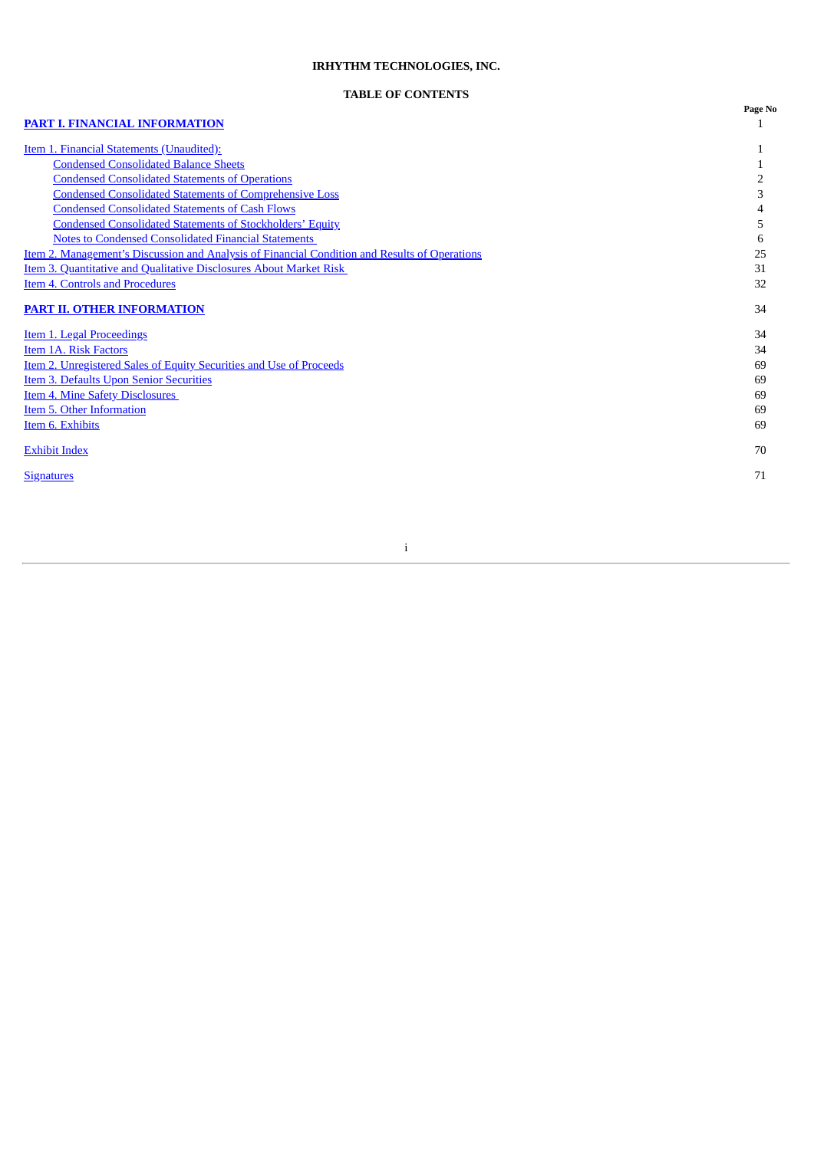## **IRHYTHM TECHNOLOGIES, INC.**

## **TABLE OF CONTENTS**

**Page No**

## **PART I. FINANCIAL [INFORMATION](#page-3-0)** [1](#page-3-0)

| Item 1. Financial Statements (Unaudited):                                                            |    |
|------------------------------------------------------------------------------------------------------|----|
| <b>Condensed Consolidated Balance Sheets</b>                                                         |    |
| <b>Condensed Consolidated Statements of Operations</b>                                               | 2  |
| <b>Condensed Consolidated Statements of Comprehensive Loss</b>                                       | 3  |
| <b>Condensed Consolidated Statements of Cash Flows</b>                                               |    |
| <b>Condensed Consolidated Statements of Stockholders' Equity</b>                                     | 5  |
| <b>Notes to Condensed Consolidated Financial Statements</b>                                          | 6  |
| <u>Item 2. Management's Discussion and Analysis of Financial Condition and Results of Operations</u> | 25 |
| Item 3. Quantitative and Qualitative Disclosures About Market Risk                                   | 31 |
| Item 4. Controls and Procedures                                                                      | 32 |
|                                                                                                      |    |
| <b>PART II. OTHER INFORMATION</b>                                                                    | 34 |
|                                                                                                      |    |
| <b>Item 1. Legal Proceedings</b>                                                                     | 34 |
| Item 1A. Risk Factors                                                                                | 34 |
| Item 2. Unregistered Sales of Equity Securities and Use of Proceeds                                  | 69 |
| <b>Item 3. Defaults Upon Senior Securities</b>                                                       | 69 |
| <b>Item 4. Mine Safety Disclosures</b>                                                               | 69 |
| Item 5. Other Information                                                                            | 69 |
| Item 6. Exhibits                                                                                     | 69 |
|                                                                                                      |    |
| <b>Exhibit Index</b>                                                                                 | 70 |
|                                                                                                      |    |
| <b>Signatures</b>                                                                                    | 71 |
|                                                                                                      |    |

i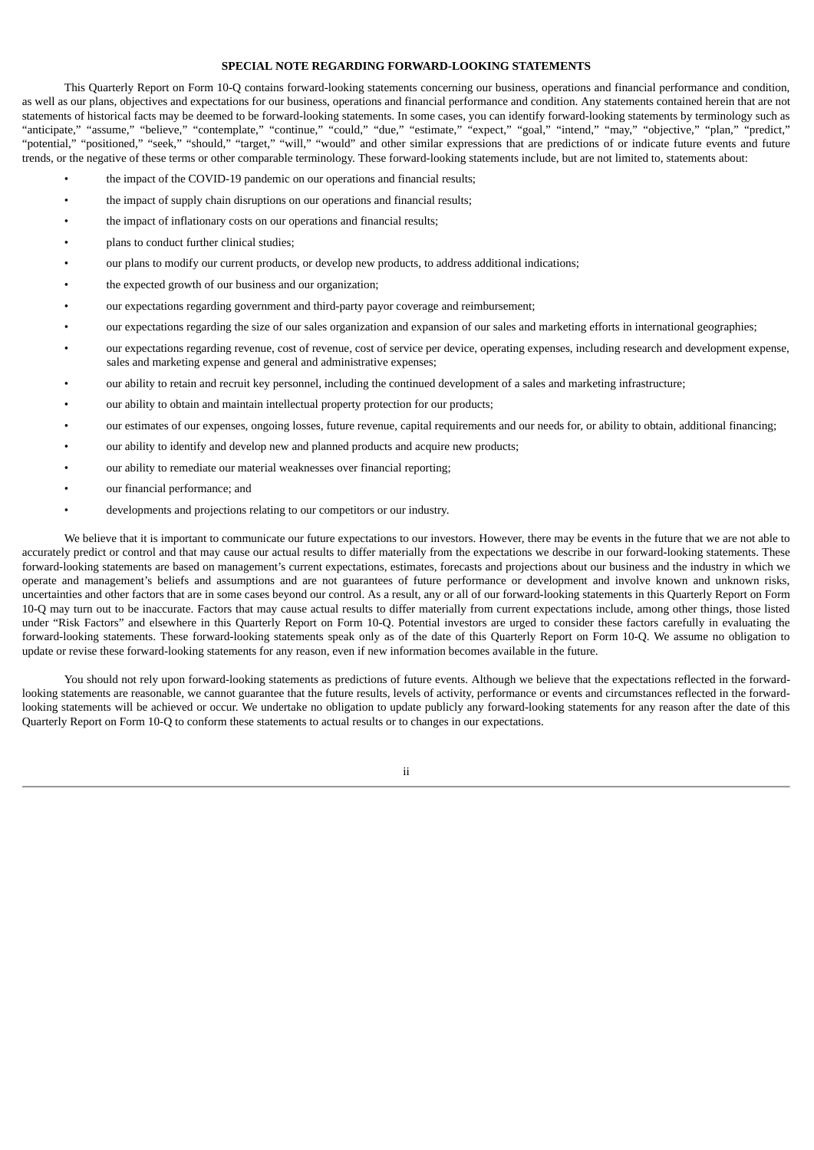## **SPECIAL NOTE REGARDING FORWARD-LOOKING STATEMENTS**

This Quarterly Report on Form 10-Q contains forward-looking statements concerning our business, operations and financial performance and condition, as well as our plans, objectives and expectations for our business, operations and financial performance and condition. Any statements contained herein that are not statements of historical facts may be deemed to be forward-looking statements. In some cases, you can identify forward-looking statements by terminology such as "anticipate," "assume," "believe," "contemplate," "continue," "could," "due," "estimate," "expect," "goal," "intend," "may," "objective," "plan," "predict," "potential," "positioned," "seek," "should," "target," "will," "would" and other similar expressions that are predictions of or indicate future events and future trends, or the negative of these terms or other comparable terminology. These forward-looking statements include, but are not limited to, statements about:

- the impact of the COVID-19 pandemic on our operations and financial results;
- the impact of supply chain disruptions on our operations and financial results;
- the impact of inflationary costs on our operations and financial results;
- plans to conduct further clinical studies;
- our plans to modify our current products, or develop new products, to address additional indications;
- the expected growth of our business and our organization;
- our expectations regarding government and third-party payor coverage and reimbursement;
- our expectations regarding the size of our sales organization and expansion of our sales and marketing efforts in international geographies;
- our expectations regarding revenue, cost of revenue, cost of service per device, operating expenses, including research and development expense, sales and marketing expense and general and administrative expenses;
- our ability to retain and recruit key personnel, including the continued development of a sales and marketing infrastructure;
- our ability to obtain and maintain intellectual property protection for our products;
- our estimates of our expenses, ongoing losses, future revenue, capital requirements and our needs for, or ability to obtain, additional financing;
- our ability to identify and develop new and planned products and acquire new products;
- our ability to remediate our material weaknesses over financial reporting;
- our financial performance; and
- developments and projections relating to our competitors or our industry.

We believe that it is important to communicate our future expectations to our investors. However, there may be events in the future that we are not able to accurately predict or control and that may cause our actual results to differ materially from the expectations we describe in our forward-looking statements. These forward-looking statements are based on management's current expectations, estimates, forecasts and projections about our business and the industry in which we operate and management's beliefs and assumptions and are not guarantees of future performance or development and involve known and unknown risks, uncertainties and other factors that are in some cases beyond our control. As a result, any or all of our forward-looking statements in this Quarterly Report on Form 10-Q may turn out to be inaccurate. Factors that may cause actual results to differ materially from current expectations include, among other things, those listed under "Risk Factors" and elsewhere in this Quarterly Report on Form 10-Q. Potential investors are urged to consider these factors carefully in evaluating the forward-looking statements. These forward-looking statements speak only as of the date of this Quarterly Report on Form 10-Q. We assume no obligation to update or revise these forward-looking statements for any reason, even if new information becomes available in the future.

You should not rely upon forward-looking statements as predictions of future events. Although we believe that the expectations reflected in the forwardlooking statements are reasonable, we cannot guarantee that the future results, levels of activity, performance or events and circumstances reflected in the forwardlooking statements will be achieved or occur. We undertake no obligation to update publicly any forward-looking statements for any reason after the date of this Quarterly Report on Form 10-Q to conform these statements to actual results or to changes in our expectations.

ii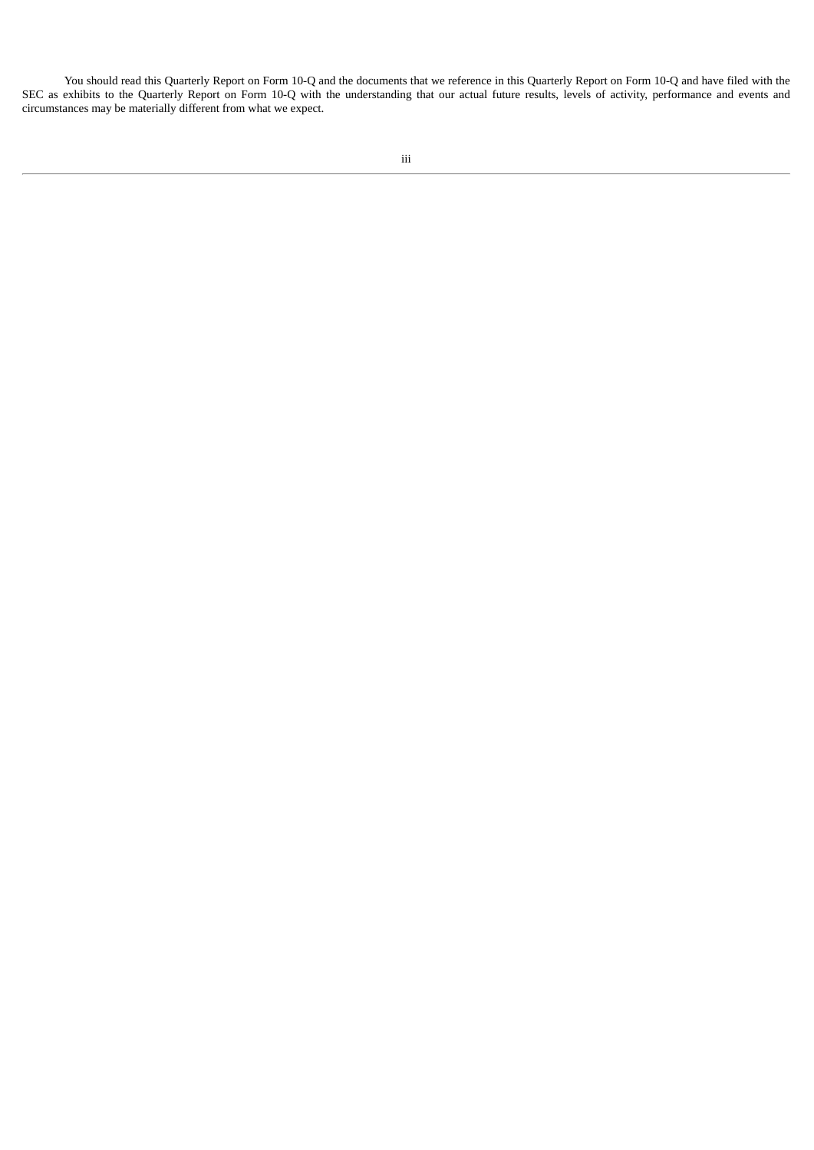<span id="page-3-0"></span>You should read this Quarterly Report on Form 10-Q and the documents that we reference in this Quarterly Report on Form 10-Q and have filed with the SEC as exhibits to the Quarterly Report on Form 10-Q with the understanding that our actual future results, levels of activity, performance and events and circumstances may be materially different from what we expect.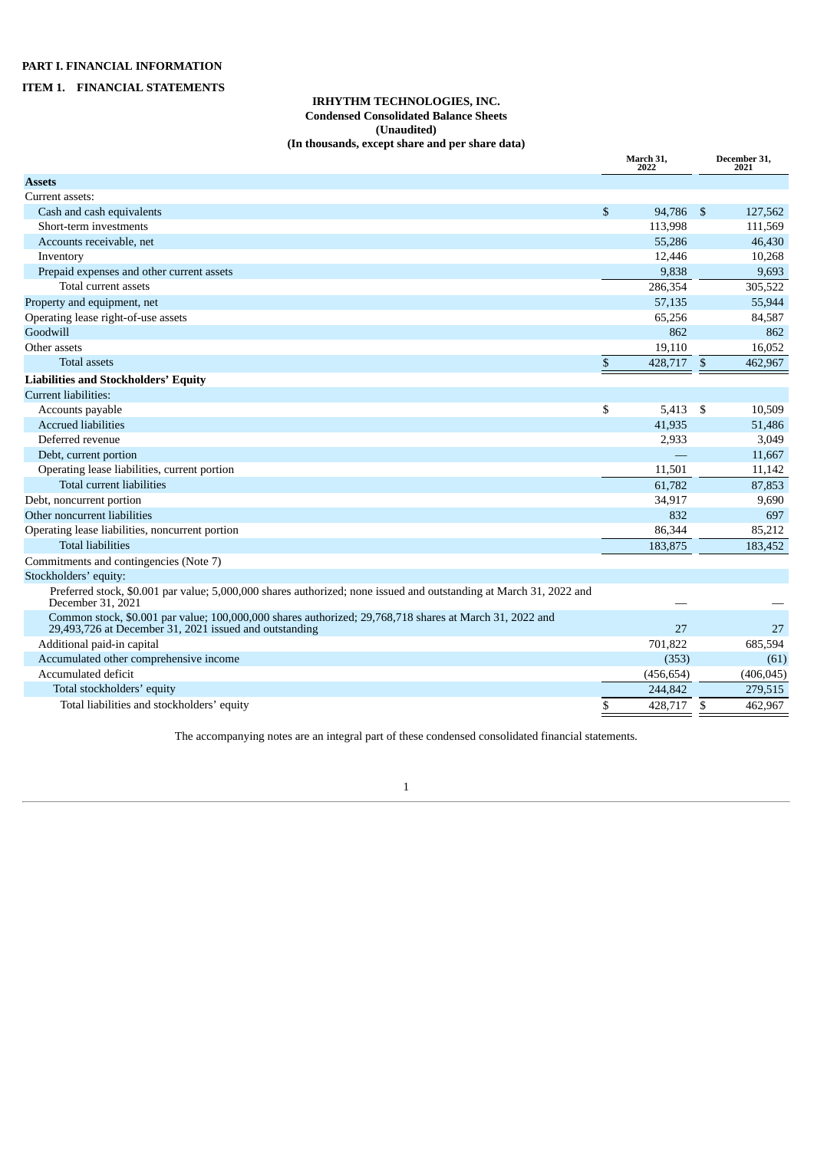## **IRHYTHM TECHNOLOGIES, INC. Condensed Consolidated Balance Sheets (Unaudited) (In thousands, except share and per share data)**

<span id="page-4-1"></span><span id="page-4-0"></span>

|                                                                                                                                                                   | March 31.<br>2022 |     | December 31.<br>2021 |
|-------------------------------------------------------------------------------------------------------------------------------------------------------------------|-------------------|-----|----------------------|
| <b>Assets</b>                                                                                                                                                     |                   |     |                      |
| Current assets:                                                                                                                                                   |                   |     |                      |
| Cash and cash equivalents                                                                                                                                         | \$<br>94,786      | \$  | 127,562              |
| Short-term investments                                                                                                                                            | 113,998           |     | 111,569              |
| Accounts receivable, net                                                                                                                                          | 55,286            |     | 46,430               |
| Inventory                                                                                                                                                         | 12,446            |     | 10,268               |
| Prepaid expenses and other current assets                                                                                                                         | 9,838             |     | 9,693                |
| Total current assets                                                                                                                                              | 286,354           |     | 305,522              |
| Property and equipment, net                                                                                                                                       | 57,135            |     | 55,944               |
| Operating lease right-of-use assets                                                                                                                               | 65,256            |     | 84,587               |
| Goodwill                                                                                                                                                          | 862               |     | 862                  |
| Other assets                                                                                                                                                      | 19,110            |     | 16,052               |
| <b>Total assets</b>                                                                                                                                               | \$<br>428,717 \$  |     | 462,967              |
| <b>Liabilities and Stockholders' Equity</b>                                                                                                                       |                   |     |                      |
| Current liabilities:                                                                                                                                              |                   |     |                      |
| Accounts payable                                                                                                                                                  | \$<br>5,413       | -\$ | 10,509               |
| <b>Accrued liabilities</b>                                                                                                                                        | 41,935            |     | 51,486               |
| Deferred revenue                                                                                                                                                  | 2,933             |     | 3,049                |
| Debt, current portion                                                                                                                                             |                   |     | 11,667               |
| Operating lease liabilities, current portion                                                                                                                      | 11,501            |     | 11,142               |
| Total current liabilities                                                                                                                                         | 61,782            |     | 87,853               |
| Debt, noncurrent portion                                                                                                                                          | 34,917            |     | 9,690                |
| Other noncurrent liabilities                                                                                                                                      | 832               |     | 697                  |
| Operating lease liabilities, noncurrent portion                                                                                                                   | 86,344            |     | 85,212               |
| <b>Total liabilities</b>                                                                                                                                          | 183.875           |     | 183,452              |
| Commitments and contingencies (Note 7)                                                                                                                            |                   |     |                      |
| Stockholders' equity:                                                                                                                                             |                   |     |                      |
| Preferred stock, \$0.001 par value; 5,000,000 shares authorized; none issued and outstanding at March 31, 2022 and<br>December 31, 2021                           |                   |     |                      |
| Common stock, \$0.001 par value; 100,000,000 shares authorized; 29,768,718 shares at March 31, 2022 and<br>29,493,726 at December 31, 2021 issued and outstanding | 27                |     | 27                   |
| Additional paid-in capital                                                                                                                                        | 701,822           |     | 685,594              |
| Accumulated other comprehensive income                                                                                                                            | (353)             |     | (61)                 |
| Accumulated deficit                                                                                                                                               | (456, 654)        |     | (406, 045)           |
| Total stockholders' equity                                                                                                                                        | 244,842           |     | 279,515              |
| Total liabilities and stockholders' equity                                                                                                                        | \$<br>428,717     | S.  | 462,967              |

<span id="page-4-2"></span>The accompanying notes are an integral part of these condensed consolidated financial statements.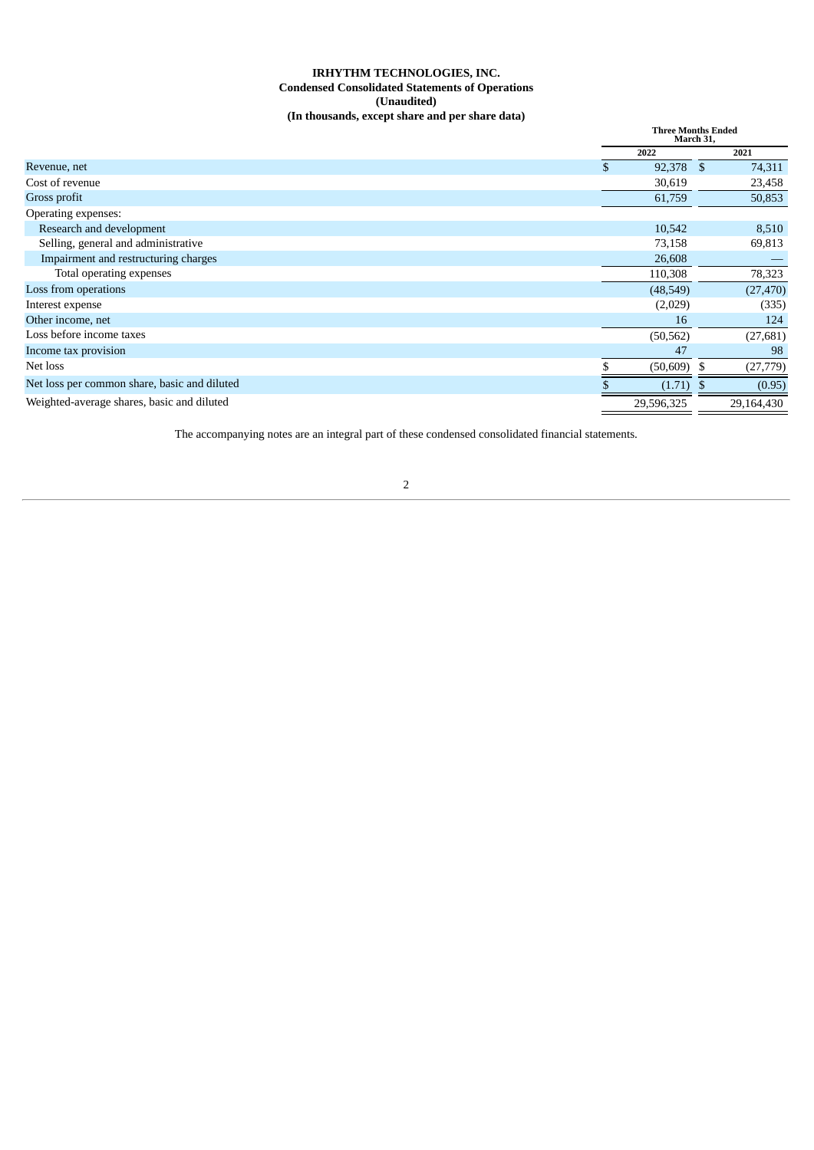## **IRHYTHM TECHNOLOGIES, INC. Condensed Consolidated Statements of Operations (Unaudited) (In thousands, except share and per share data)**

|                                              | <b>Three Months Ended</b> | March 31, |            |
|----------------------------------------------|---------------------------|-----------|------------|
|                                              | 2022                      |           | 2021       |
| Revenue, net                                 | 92,378 \$                 |           | 74,311     |
| Cost of revenue                              | 30,619                    |           | 23,458     |
| Gross profit                                 | 61,759                    |           | 50,853     |
| Operating expenses:                          |                           |           |            |
| Research and development                     | 10,542                    |           | 8,510      |
| Selling, general and administrative          | 73,158                    |           | 69,813     |
| Impairment and restructuring charges         | 26,608                    |           |            |
| Total operating expenses                     | 110,308                   |           | 78,323     |
| Loss from operations                         | (48, 549)                 |           | (27, 470)  |
| Interest expense                             | (2,029)                   |           | (335)      |
| Other income, net                            | 16                        |           | 124        |
| Loss before income taxes                     | (50, 562)                 |           | (27, 681)  |
| Income tax provision                         | 47                        |           | 98         |
| Net loss                                     | (50, 609)                 |           | (27,779)   |
| Net loss per common share, basic and diluted | (1.71)                    | -S        | (0.95)     |
| Weighted-average shares, basic and diluted   | 29,596,325                |           | 29,164,430 |

<span id="page-5-0"></span>The accompanying notes are an integral part of these condensed consolidated financial statements.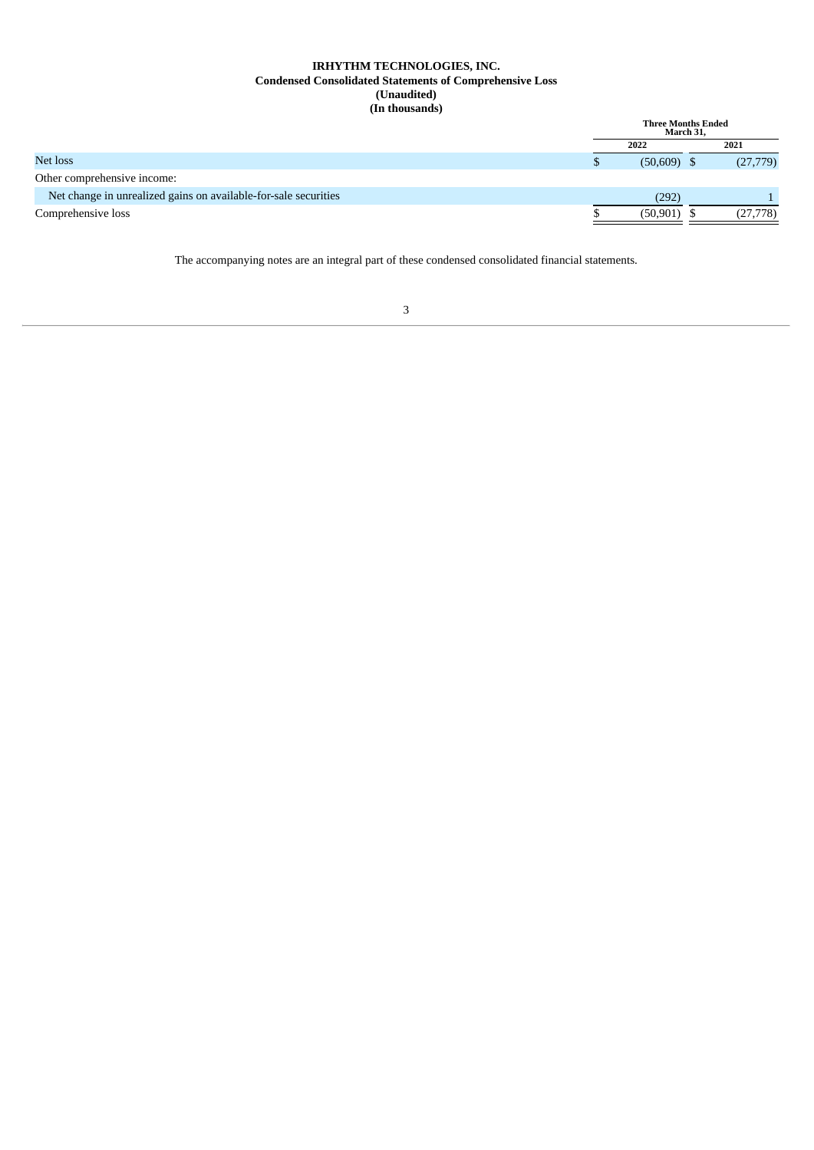## **IRHYTHM TECHNOLOGIES, INC. Condensed Consolidated Statements of Comprehensive Loss (Unaudited) (In thousands)**

| March 31.                                                                |          |
|--------------------------------------------------------------------------|----------|
| 2022                                                                     | 2021     |
| Net loss<br>$(50,609)$ \$<br>D.                                          | (27,779) |
| Other comprehensive income:                                              |          |
| Net change in unrealized gains on available-for-sale securities<br>(292) |          |
| Comprehensive loss<br>(50, 901)                                          | (27,778) |

<span id="page-6-0"></span>The accompanying notes are an integral part of these condensed consolidated financial statements.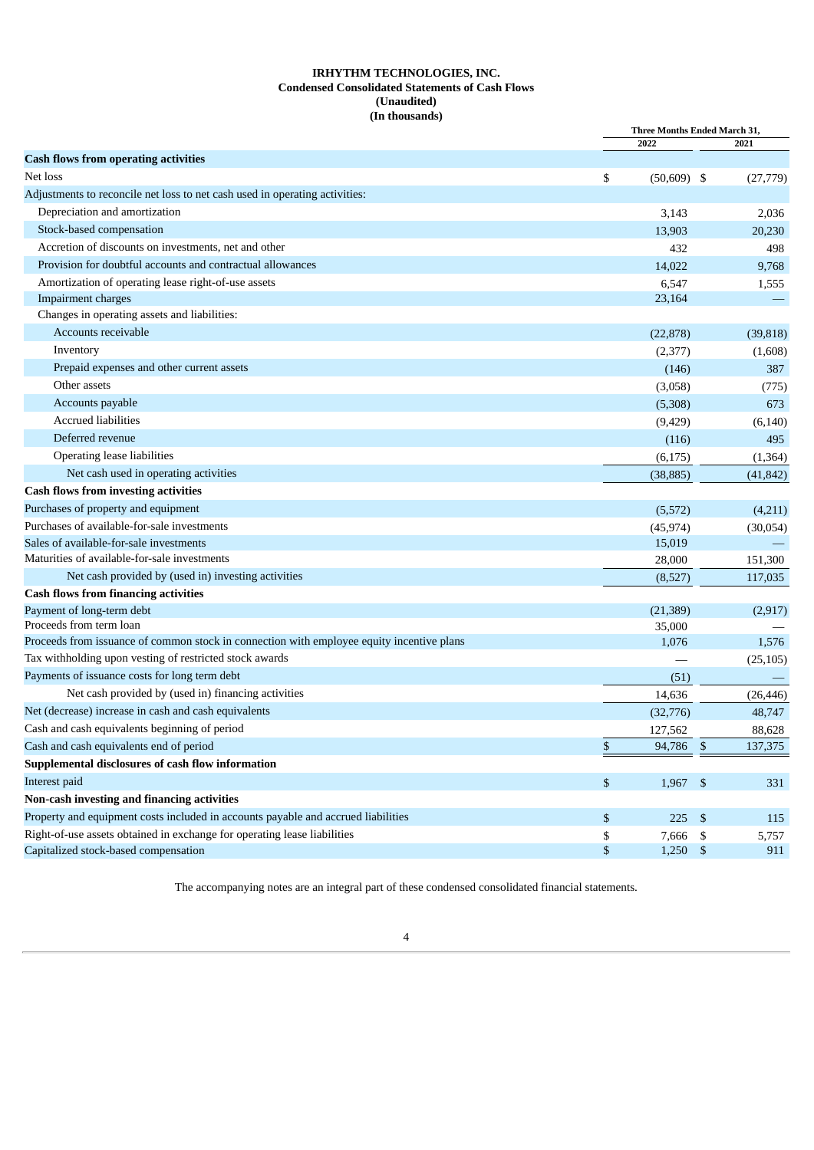## **IRHYTHM TECHNOLOGIES, INC. Condensed Consolidated Statements of Cash Flows (Unaudited) (In thousands)**

|                                                                                           | Three Months Ended March 31, |               |                           |           |  |
|-------------------------------------------------------------------------------------------|------------------------------|---------------|---------------------------|-----------|--|
|                                                                                           |                              | 2022          |                           | 2021      |  |
| <b>Cash flows from operating activities</b>                                               |                              |               |                           |           |  |
| Net loss                                                                                  | \$                           | $(50,609)$ \$ |                           | (27, 779) |  |
| Adjustments to reconcile net loss to net cash used in operating activities:               |                              |               |                           |           |  |
| Depreciation and amortization                                                             |                              | 3,143         |                           | 2,036     |  |
| Stock-based compensation                                                                  |                              | 13,903        |                           | 20,230    |  |
| Accretion of discounts on investments, net and other                                      |                              | 432           |                           | 498       |  |
| Provision for doubtful accounts and contractual allowances                                |                              | 14,022        |                           | 9,768     |  |
| Amortization of operating lease right-of-use assets                                       |                              | 6,547         |                           | 1,555     |  |
| Impairment charges                                                                        |                              | 23,164        |                           |           |  |
| Changes in operating assets and liabilities:                                              |                              |               |                           |           |  |
| Accounts receivable                                                                       |                              | (22, 878)     |                           | (39, 818) |  |
| Inventory                                                                                 |                              | (2, 377)      |                           | (1,608)   |  |
| Prepaid expenses and other current assets                                                 |                              | (146)         |                           | 387       |  |
| Other assets                                                                              |                              | (3,058)       |                           | (775)     |  |
| Accounts payable                                                                          |                              | (5,308)       |                           | 673       |  |
| <b>Accrued liabilities</b>                                                                |                              | (9,429)       |                           | (6, 140)  |  |
| Deferred revenue                                                                          |                              | (116)         |                           | 495       |  |
| Operating lease liabilities                                                               |                              | (6, 175)      |                           | (1, 364)  |  |
| Net cash used in operating activities                                                     |                              | (38, 885)     |                           | (41, 842) |  |
| <b>Cash flows from investing activities</b>                                               |                              |               |                           |           |  |
| Purchases of property and equipment                                                       |                              | (5,572)       |                           | (4,211)   |  |
| Purchases of available-for-sale investments                                               |                              | (45, 974)     |                           | (30,054)  |  |
| Sales of available-for-sale investments                                                   |                              | 15,019        |                           |           |  |
| Maturities of available-for-sale investments                                              |                              | 28,000        |                           | 151,300   |  |
| Net cash provided by (used in) investing activities                                       |                              | (8,527)       |                           | 117,035   |  |
| <b>Cash flows from financing activities</b>                                               |                              |               |                           |           |  |
| Payment of long-term debt                                                                 |                              | (21, 389)     |                           | (2, 917)  |  |
| Proceeds from term loan                                                                   |                              | 35,000        |                           |           |  |
| Proceeds from issuance of common stock in connection with employee equity incentive plans |                              | 1,076         |                           | 1,576     |  |
| Tax withholding upon vesting of restricted stock awards                                   |                              |               |                           | (25, 105) |  |
| Payments of issuance costs for long term debt                                             |                              | (51)          |                           |           |  |
| Net cash provided by (used in) financing activities                                       |                              | 14,636        |                           | (26, 446) |  |
| Net (decrease) increase in cash and cash equivalents                                      |                              | (32,776)      |                           | 48,747    |  |
| Cash and cash equivalents beginning of period                                             |                              | 127,562       |                           | 88,628    |  |
| Cash and cash equivalents end of period                                                   | \$                           | 94,786        | \$                        | 137,375   |  |
| Supplemental disclosures of cash flow information                                         |                              |               |                           |           |  |
| Interest paid                                                                             | \$                           | 1,967 \$      |                           | 331       |  |
| Non-cash investing and financing activities                                               |                              |               |                           |           |  |
| Property and equipment costs included in accounts payable and accrued liabilities         | \$                           | 225           | \$                        | 115       |  |
| Right-of-use assets obtained in exchange for operating lease liabilities                  | \$                           | 7,666         | \$                        | 5,757     |  |
| Capitalized stock-based compensation                                                      | $\mathbb{S}$                 | 1,250         | $\boldsymbol{\mathsf{S}}$ | 911       |  |

<span id="page-7-0"></span>The accompanying notes are an integral part of these condensed consolidated financial statements.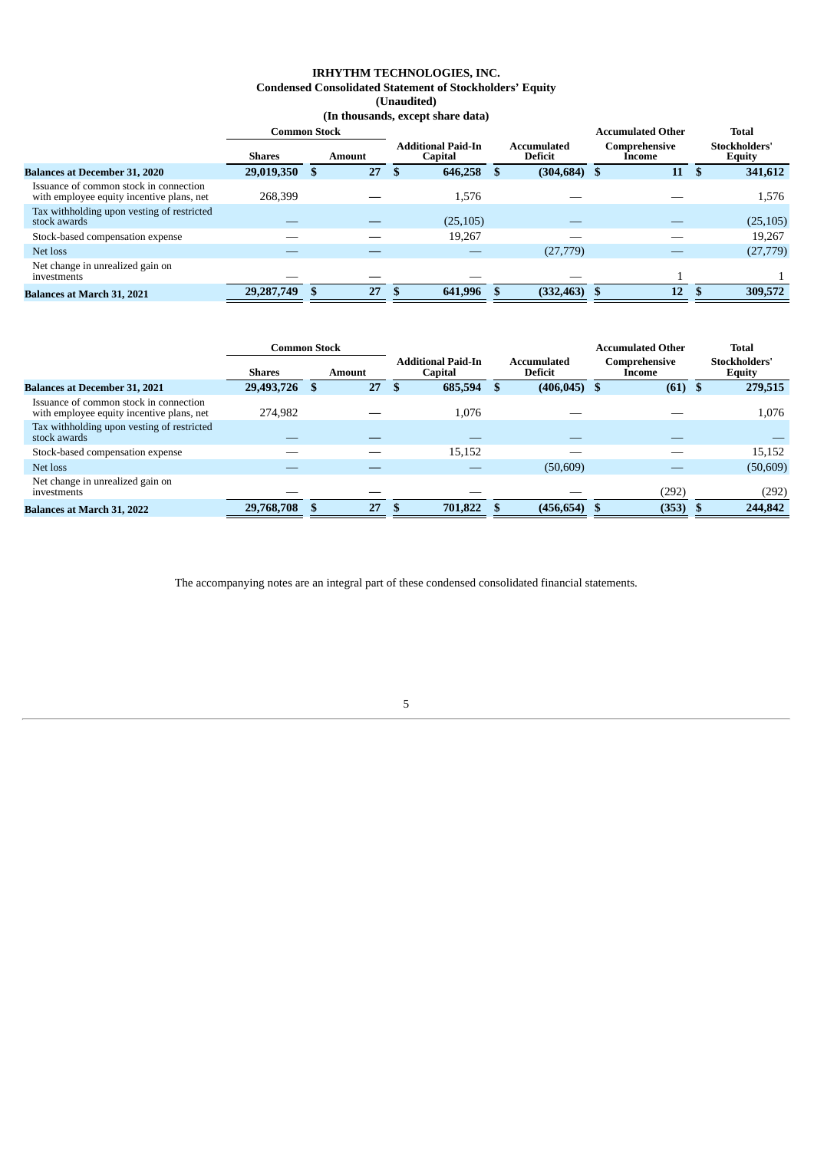## **IRHYTHM TECHNOLOGIES, INC. Condensed Consolidated Statement of Stockholders' Equity (Unaudited) (In thousands, except share data)**

|                                                                                     | <b>Common Stock</b> |   |        | <b>Additional Paid-In</b><br>Accumulated |                |  |                | <b>Accumulated Other</b><br>Comprehensive |        |  | <b>Total</b><br>Stockholders' |
|-------------------------------------------------------------------------------------|---------------------|---|--------|------------------------------------------|----------------|--|----------------|-------------------------------------------|--------|--|-------------------------------|
|                                                                                     | <b>Shares</b>       |   | Amount |                                          | <b>Capital</b> |  | <b>Deficit</b> |                                           | Income |  | <b>Equity</b>                 |
| <b>Balances at December 31, 2020</b>                                                | 29,019,350          | S | 27     | S                                        | 646,258        |  | (304, 684)     |                                           | 11     |  | 341,612                       |
| Issuance of common stock in connection<br>with employee equity incentive plans, net | 268,399             |   |        |                                          | 1,576          |  |                |                                           |        |  | 1,576                         |
| Tax withholding upon vesting of restricted<br>stock awards                          |                     |   |        |                                          | (25, 105)      |  |                |                                           |        |  | (25, 105)                     |
| Stock-based compensation expense                                                    |                     |   |        |                                          | 19,267         |  |                |                                           |        |  | 19,267                        |
| Net loss                                                                            |                     |   |        |                                          |                |  | (27, 779)      |                                           |        |  | (27, 779)                     |
| Net change in unrealized gain on<br>investments                                     |                     |   |        |                                          |                |  |                |                                           |        |  |                               |
| <b>Balances at March 31, 2021</b>                                                   | 29,287,749          |   | 27     |                                          | 641,996        |  | (332, 463)     |                                           | 12     |  | 309,572                       |
|                                                                                     |                     |   |        |                                          |                |  |                |                                           |        |  |                               |

|                                                                                     | <b>Common Stock</b> |  |        |   |                                      |  |                               |  | <b>Accumulated Other</b> | Total |                                |
|-------------------------------------------------------------------------------------|---------------------|--|--------|---|--------------------------------------|--|-------------------------------|--|--------------------------|-------|--------------------------------|
|                                                                                     | <b>Shares</b>       |  | Amount |   | <b>Additional Paid-In</b><br>Capital |  | Accumulated<br><b>Deficit</b> |  | Comprehensive<br>Income  |       | Stockholders'<br><b>Equity</b> |
| <b>Balances at December 31, 2021</b>                                                | 29,493,726          |  | 27     | S | 685,594                              |  | (406, 045)                    |  | $(61)$ \$                |       | 279,515                        |
| Issuance of common stock in connection<br>with employee equity incentive plans, net | 274,982             |  |        |   | 1,076                                |  |                               |  |                          |       | 1,076                          |
| Tax withholding upon vesting of restricted<br>stock awards                          |                     |  |        |   |                                      |  |                               |  |                          |       |                                |
| Stock-based compensation expense                                                    |                     |  |        |   | 15,152                               |  |                               |  |                          |       | 15,152                         |
| Net loss                                                                            |                     |  |        |   |                                      |  | (50,609)                      |  |                          |       | (50,609)                       |
| Net change in unrealized gain on<br>investments                                     |                     |  |        |   |                                      |  |                               |  | (292)                    |       | (292)                          |
| <b>Balances at March 31, 2022</b>                                                   | 29,768,708          |  | 27     |   | 701,822                              |  | (456, 654)                    |  | (353)                    |       | 244,842                        |

<span id="page-8-0"></span>The accompanying notes are an integral part of these condensed consolidated financial statements.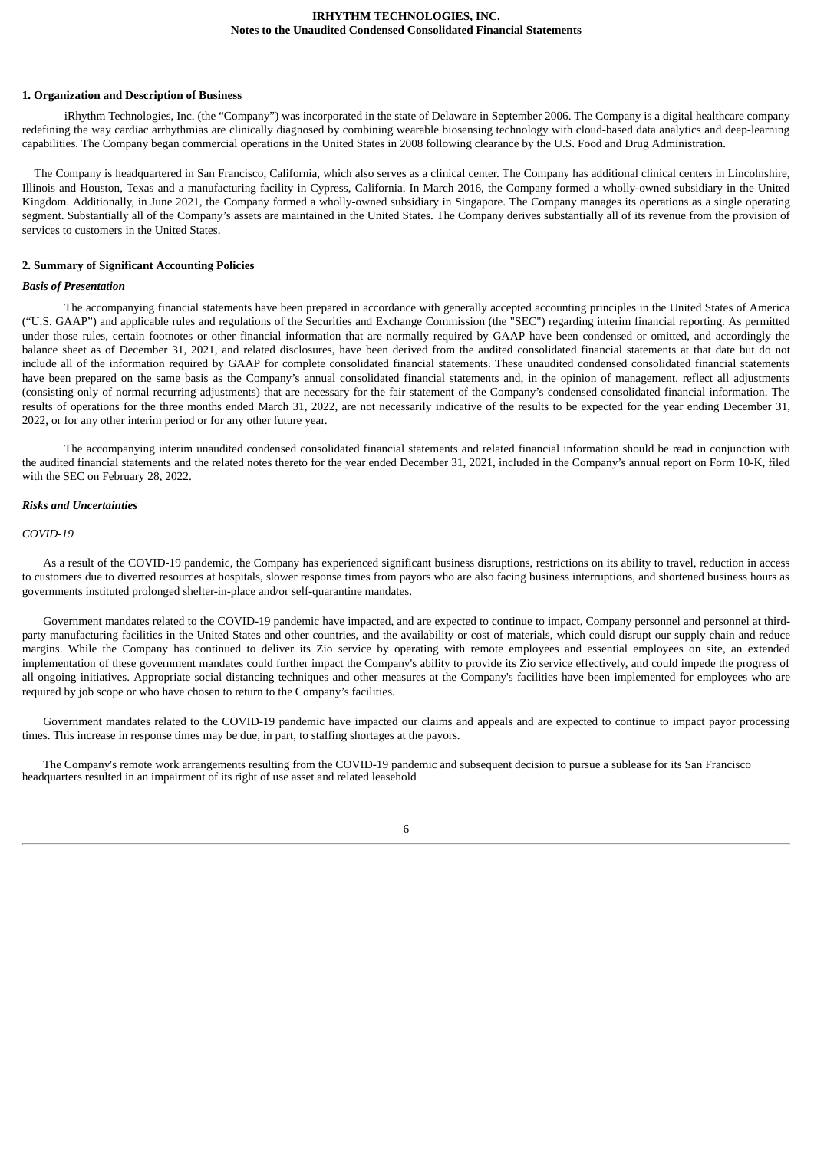#### **1. Organization and Description of Business**

iRhythm Technologies, Inc. (the "Company") was incorporated in the state of Delaware in September 2006. The Company is a digital healthcare company redefining the way cardiac arrhythmias are clinically diagnosed by combining wearable biosensing technology with cloud-based data analytics and deep-learning capabilities. The Company began commercial operations in the United States in 2008 following clearance by the U.S. Food and Drug Administration.

The Company is headquartered in San Francisco, California, which also serves as a clinical center. The Company has additional clinical centers in Lincolnshire, Illinois and Houston, Texas and a manufacturing facility in Cypress, California. In March 2016, the Company formed a wholly-owned subsidiary in the United Kingdom. Additionally, in June 2021, the Company formed a wholly-owned subsidiary in Singapore. The Company manages its operations as a single operating segment. Substantially all of the Company's assets are maintained in the United States. The Company derives substantially all of its revenue from the provision of services to customers in the United States.

## **2. Summary of Significant Accounting Policies**

#### *Basis of Presentation*

The accompanying financial statements have been prepared in accordance with generally accepted accounting principles in the United States of America ("U.S. GAAP") and applicable rules and regulations of the Securities and Exchange Commission (the "SEC") regarding interim financial reporting. As permitted under those rules, certain footnotes or other financial information that are normally required by GAAP have been condensed or omitted, and accordingly the balance sheet as of December 31, 2021, and related disclosures, have been derived from the audited consolidated financial statements at that date but do not include all of the information required by GAAP for complete consolidated financial statements. These unaudited condensed consolidated financial statements have been prepared on the same basis as the Company's annual consolidated financial statements and, in the opinion of management, reflect all adjustments (consisting only of normal recurring adjustments) that are necessary for the fair statement of the Company's condensed consolidated financial information. The results of operations for the three months ended March 31, 2022, are not necessarily indicative of the results to be expected for the year ending December 31, 2022, or for any other interim period or for any other future year.

The accompanying interim unaudited condensed consolidated financial statements and related financial information should be read in conjunction with the audited financial statements and the related notes thereto for the year ended December 31, 2021, included in the Company's annual report on Form 10-K, filed with the SEC on February 28, 2022.

## *Risks and Uncertainties*

## *COVID-19*

As a result of the COVID-19 pandemic, the Company has experienced significant business disruptions, restrictions on its ability to travel, reduction in access to customers due to diverted resources at hospitals, slower response times from payors who are also facing business interruptions, and shortened business hours as governments instituted prolonged shelter-in-place and/or self-quarantine mandates.

Government mandates related to the COVID-19 pandemic have impacted, and are expected to continue to impact, Company personnel and personnel at thirdparty manufacturing facilities in the United States and other countries, and the availability or cost of materials, which could disrupt our supply chain and reduce margins. While the Company has continued to deliver its Zio service by operating with remote employees and essential employees on site, an extended implementation of these government mandates could further impact the Company's ability to provide its Zio service effectively, and could impede the progress of all ongoing initiatives. Appropriate social distancing techniques and other measures at the Company's facilities have been implemented for employees who are required by job scope or who have chosen to return to the Company's facilities.

Government mandates related to the COVID-19 pandemic have impacted our claims and appeals and are expected to continue to impact payor processing times. This increase in response times may be due, in part, to staffing shortages at the payors.

The Company's remote work arrangements resulting from the COVID-19 pandemic and subsequent decision to pursue a sublease for its San Francisco headquarters resulted in an impairment of its right of use asset and related leasehold

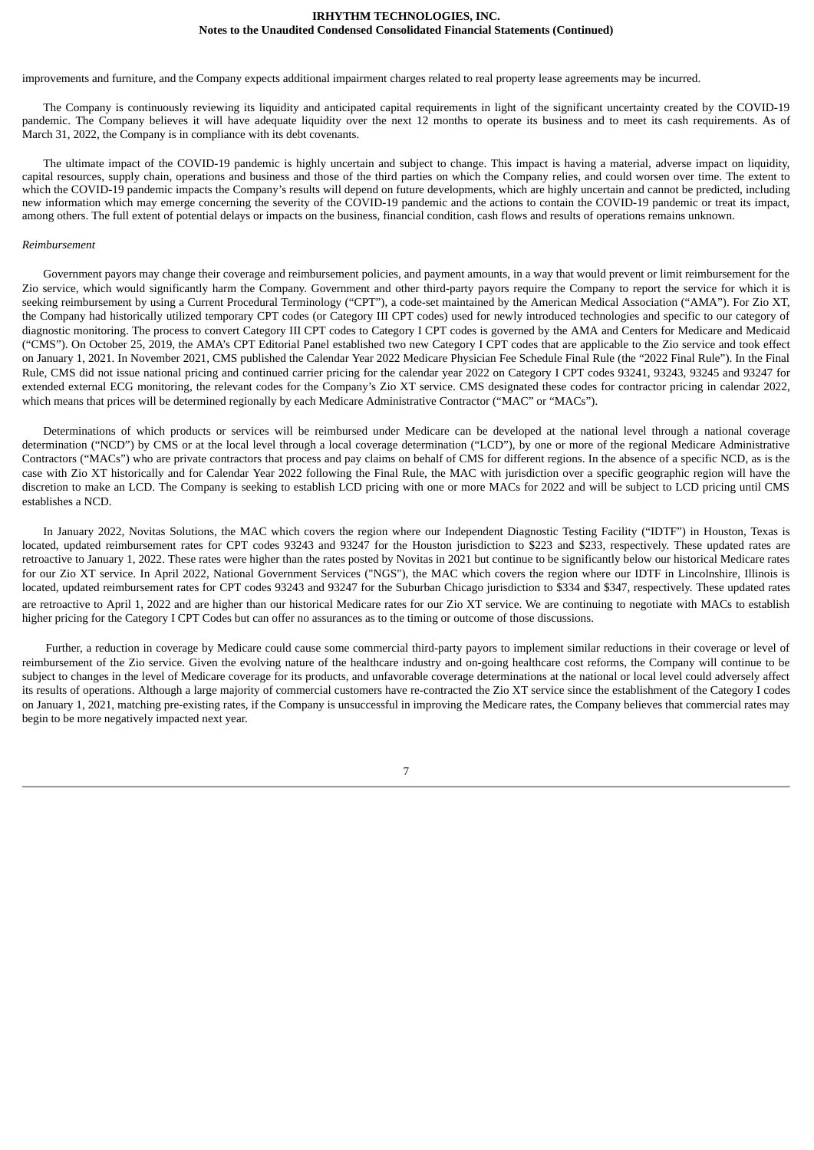improvements and furniture, and the Company expects additional impairment charges related to real property lease agreements may be incurred.

The Company is continuously reviewing its liquidity and anticipated capital requirements in light of the significant uncertainty created by the COVID-19 pandemic. The Company believes it will have adequate liquidity over the next 12 months to operate its business and to meet its cash requirements. As of March 31, 2022, the Company is in compliance with its debt covenants.

The ultimate impact of the COVID-19 pandemic is highly uncertain and subject to change. This impact is having a material, adverse impact on liquidity, capital resources, supply chain, operations and business and those of the third parties on which the Company relies, and could worsen over time. The extent to which the COVID-19 pandemic impacts the Company's results will depend on future developments, which are highly uncertain and cannot be predicted, including new information which may emerge concerning the severity of the COVID-19 pandemic and the actions to contain the COVID-19 pandemic or treat its impact, among others. The full extent of potential delays or impacts on the business, financial condition, cash flows and results of operations remains unknown.

#### *Reimbursement*

Government payors may change their coverage and reimbursement policies, and payment amounts, in a way that would prevent or limit reimbursement for the Zio service, which would significantly harm the Company. Government and other third-party payors require the Company to report the service for which it is seeking reimbursement by using a Current Procedural Terminology ("CPT"), a code-set maintained by the American Medical Association ("AMA"). For Zio XT, the Company had historically utilized temporary CPT codes (or Category III CPT codes) used for newly introduced technologies and specific to our category of diagnostic monitoring. The process to convert Category III CPT codes to Category I CPT codes is governed by the AMA and Centers for Medicare and Medicaid ("CMS"). On October 25, 2019, the AMA's CPT Editorial Panel established two new Category I CPT codes that are applicable to the Zio service and took effect on January 1, 2021. In November 2021, CMS published the Calendar Year 2022 Medicare Physician Fee Schedule Final Rule (the "2022 Final Rule"). In the Final Rule, CMS did not issue national pricing and continued carrier pricing for the calendar year 2022 on Category I CPT codes 93241, 93243, 93245 and 93247 for extended external ECG monitoring, the relevant codes for the Company's Zio XT service. CMS designated these codes for contractor pricing in calendar 2022, which means that prices will be determined regionally by each Medicare Administrative Contractor ("MAC" or "MACs").

Determinations of which products or services will be reimbursed under Medicare can be developed at the national level through a national coverage determination ("NCD") by CMS or at the local level through a local coverage determination ("LCD"), by one or more of the regional Medicare Administrative Contractors ("MACs") who are private contractors that process and pay claims on behalf of CMS for different regions. In the absence of a specific NCD, as is the case with Zio XT historically and for Calendar Year 2022 following the Final Rule, the MAC with jurisdiction over a specific geographic region will have the discretion to make an LCD. The Company is seeking to establish LCD pricing with one or more MACs for 2022 and will be subject to LCD pricing until CMS establishes a NCD.

In January 2022, Novitas Solutions, the MAC which covers the region where our Independent Diagnostic Testing Facility ("IDTF") in Houston, Texas is located, updated reimbursement rates for CPT codes 93243 and 93247 for the Houston jurisdiction to \$223 and \$233, respectively. These updated rates are retroactive to January 1, 2022. These rates were higher than the rates posted by Novitas in 2021 but continue to be significantly below our historical Medicare rates for our Zio XT service. In April 2022, National Government Services ("NGS"), the MAC which covers the region where our IDTF in Lincolnshire, Illinois is located, updated reimbursement rates for CPT codes 93243 and 93247 for the Suburban Chicago jurisdiction to \$334 and \$347, respectively. These updated rates are retroactive to April 1, 2022 and are higher than our historical Medicare rates for our Zio XT service. We are continuing to negotiate with MACs to establish higher pricing for the Category I CPT Codes but can offer no assurances as to the timing or outcome of those discussions.

Further, a reduction in coverage by Medicare could cause some commercial third-party payors to implement similar reductions in their coverage or level of reimbursement of the Zio service. Given the evolving nature of the healthcare industry and on-going healthcare cost reforms, the Company will continue to be subject to changes in the level of Medicare coverage for its products, and unfavorable coverage determinations at the national or local level could adversely affect its results of operations. Although a large majority of commercial customers have re-contracted the Zio XT service since the establishment of the Category I codes on January 1, 2021, matching pre-existing rates, if the Company is unsuccessful in improving the Medicare rates, the Company believes that commercial rates may begin to be more negatively impacted next year.

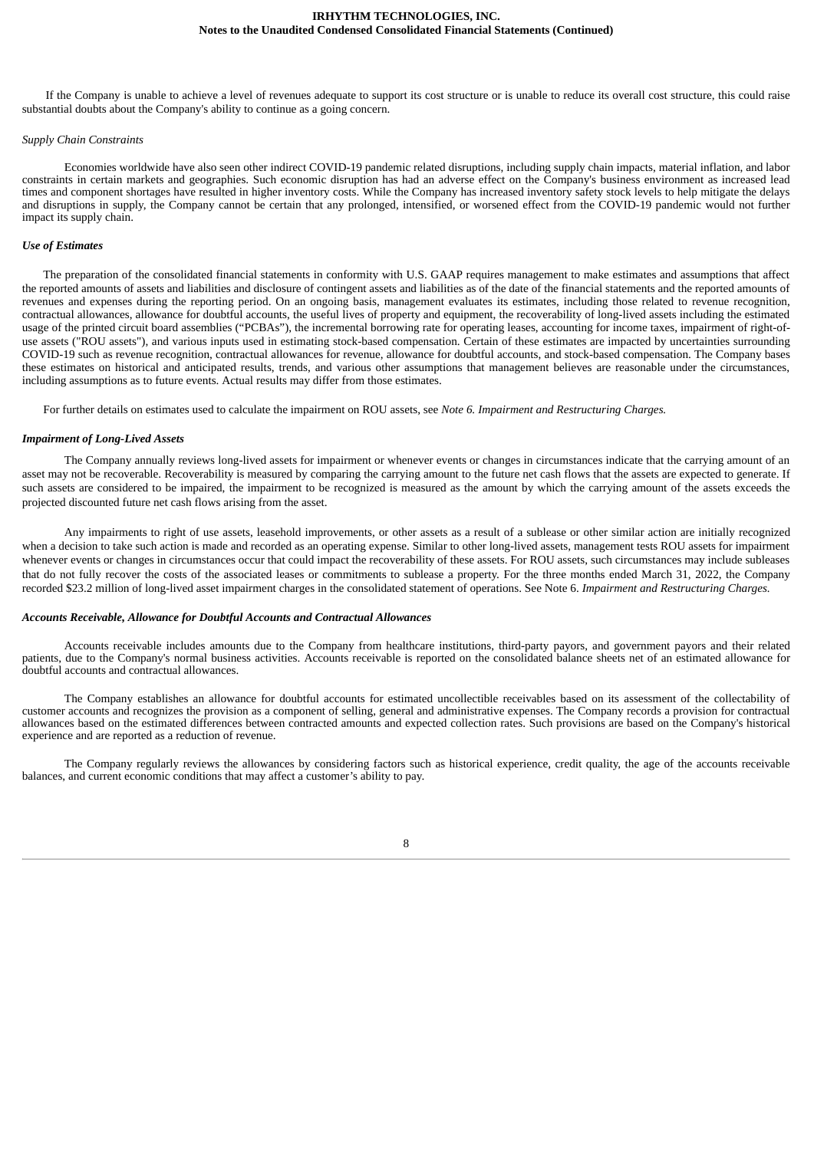If the Company is unable to achieve a level of revenues adequate to support its cost structure or is unable to reduce its overall cost structure, this could raise substantial doubts about the Company's ability to continue as a going concern.

#### *Supply Chain Constraints*

Economies worldwide have also seen other indirect COVID-19 pandemic related disruptions, including supply chain impacts, material inflation, and labor constraints in certain markets and geographies. Such economic disruption has had an adverse effect on the Company's business environment as increased lead times and component shortages have resulted in higher inventory costs. While the Company has increased inventory safety stock levels to help mitigate the delays and disruptions in supply, the Company cannot be certain that any prolonged, intensified, or worsened effect from the COVID-19 pandemic would not further impact its supply chain.

## *Use of Estimates*

The preparation of the consolidated financial statements in conformity with U.S. GAAP requires management to make estimates and assumptions that affect the reported amounts of assets and liabilities and disclosure of contingent assets and liabilities as of the date of the financial statements and the reported amounts of revenues and expenses during the reporting period. On an ongoing basis, management evaluates its estimates, including those related to revenue recognition, contractual allowances, allowance for doubtful accounts, the useful lives of property and equipment, the recoverability of long-lived assets including the estimated usage of the printed circuit board assemblies ("PCBAs"), the incremental borrowing rate for operating leases, accounting for income taxes, impairment of right-ofuse assets ("ROU assets"), and various inputs used in estimating stock-based compensation. Certain of these estimates are impacted by uncertainties surrounding COVID-19 such as revenue recognition, contractual allowances for revenue, allowance for doubtful accounts, and stock-based compensation. The Company bases these estimates on historical and anticipated results, trends, and various other assumptions that management believes are reasonable under the circumstances, including assumptions as to future events. Actual results may differ from those estimates.

For further details on estimates used to calculate the impairment on ROU assets, see *Note 6. Impairment and Restructuring Charges.*

## *Impairment of Long-Lived Assets*

The Company annually reviews long-lived assets for impairment or whenever events or changes in circumstances indicate that the carrying amount of an asset may not be recoverable. Recoverability is measured by comparing the carrying amount to the future net cash flows that the assets are expected to generate. If such assets are considered to be impaired, the impairment to be recognized is measured as the amount by which the carrying amount of the assets exceeds the projected discounted future net cash flows arising from the asset.

Any impairments to right of use assets, leasehold improvements, or other assets as a result of a sublease or other similar action are initially recognized when a decision to take such action is made and recorded as an operating expense. Similar to other long-lived assets, management tests ROU assets for impairment whenever events or changes in circumstances occur that could impact the recoverability of these assets. For ROU assets, such circumstances may include subleases that do not fully recover the costs of the associated leases or commitments to sublease a property. For the three months ended March 31, 2022, the Company recorded \$23.2 million of long-lived asset impairment charges in the consolidated statement of operations. See Note 6. *Impairment and Restructuring Charges.*

## *Accounts Receivable, Allowance for Doubtful Accounts and Contractual Allowances*

Accounts receivable includes amounts due to the Company from healthcare institutions, third-party payors, and government payors and their related patients, due to the Company's normal business activities. Accounts receivable is reported on the consolidated balance sheets net of an estimated allowance for doubtful accounts and contractual allowances.

The Company establishes an allowance for doubtful accounts for estimated uncollectible receivables based on its assessment of the collectability of customer accounts and recognizes the provision as a component of selling, general and administrative expenses. The Company records a provision for contractual allowances based on the estimated differences between contracted amounts and expected collection rates. Such provisions are based on the Company's historical experience and are reported as a reduction of revenue.

The Company regularly reviews the allowances by considering factors such as historical experience, credit quality, the age of the accounts receivable balances, and current economic conditions that may affect a customer's ability to pay.

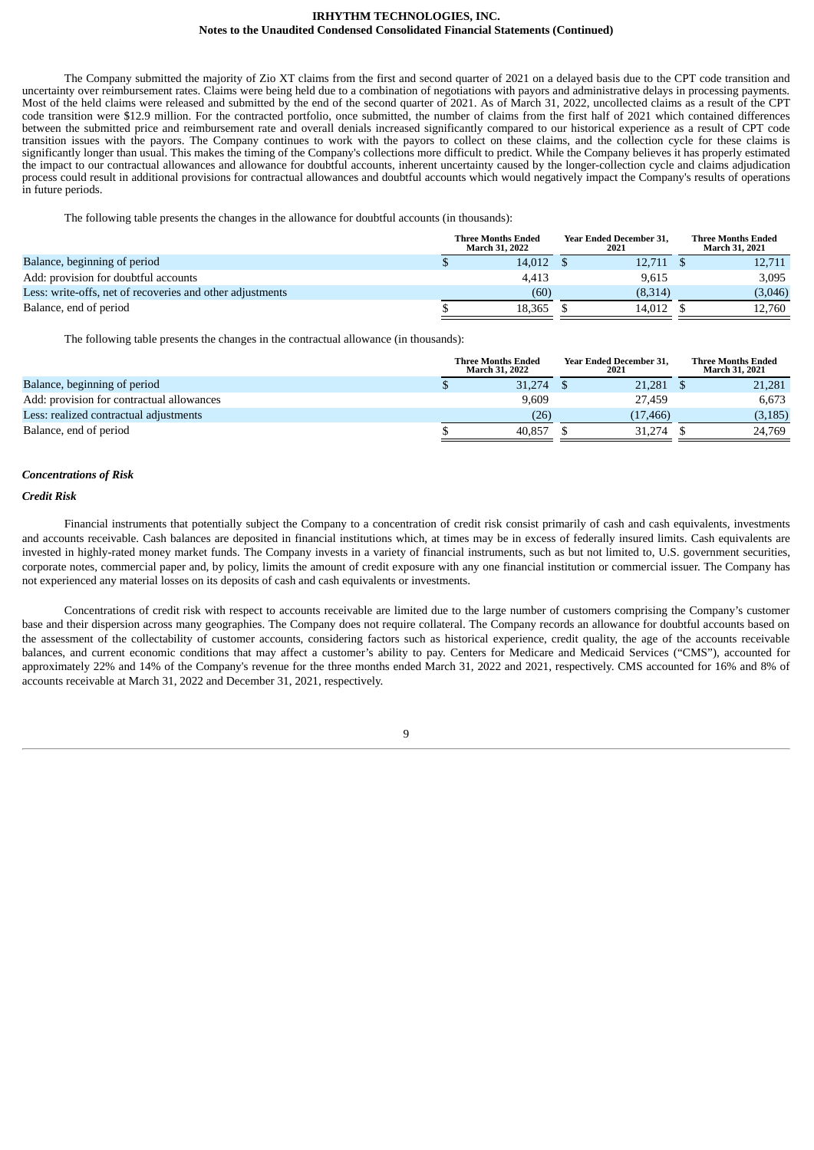The Company submitted the majority of Zio XT claims from the first and second quarter of 2021 on a delayed basis due to the CPT code transition and uncertainty over reimbursement rates. Claims were being held due to a combination of negotiations with payors and administrative delays in processing payments. Most of the held claims were released and submitted by the end of the second quarter of 2021. As of March 31, 2022, uncollected claims as a result of the CPT code transition were \$12.9 million. For the contracted portfolio, once submitted, the number of claims from the first half of 2021 which contained differences between the submitted price and reimbursement rate and overall denials increased significantly compared to our historical experience as a result of CPT code transition issues with the payors. The Company continues to work with the payors to collect on these claims, and the collection cycle for these claims is significantly longer than usual. This makes the timing of the Company's collections more difficult to predict. While the Company believes it has properly estimated the impact to our contractual allowances and allowance for doubtful accounts, inherent uncertainty caused by the longer-collection cycle and claims adjudication process could result in additional provisions for contractual allowances and doubtful accounts which would negatively impact the Company's results of operations in future periods.

The following table presents the changes in the allowance for doubtful accounts (in thousands):

|                                                           | <b>Three Months Ended</b><br><b>March 31, 2022</b> | <b>Year Ended December 31.</b><br>2021 | <b>Three Months Ended</b><br><b>March 31, 2021</b> |
|-----------------------------------------------------------|----------------------------------------------------|----------------------------------------|----------------------------------------------------|
| Balance, beginning of period                              | 14.012                                             | 12.711                                 | 12.711                                             |
| Add: provision for doubtful accounts                      | 4.413                                              | 9,615                                  | 3,095                                              |
| Less: write-offs, net of recoveries and other adjustments | (60)                                               | (8,314)                                | (3,046)                                            |
| Balance, end of period                                    | 18.365                                             | 14.012                                 | 12,760                                             |

The following table presents the changes in the contractual allowance (in thousands):

|                                           | Three Months Ended<br><b>March 31, 2022</b> | <b>Year Ended December 31,</b><br>2021 | Three Months Ended<br><b>March 31, 2021</b> |
|-------------------------------------------|---------------------------------------------|----------------------------------------|---------------------------------------------|
| Balance, beginning of period              | 31,274                                      | 21,281                                 | 21,281                                      |
| Add: provision for contractual allowances | 9.609                                       | 27.459                                 | 6.673                                       |
| Less: realized contractual adjustments    | (26)                                        | (17, 466)                              | (3, 185)                                    |
| Balance, end of period                    | 40.857                                      | 31.274                                 | 24.769                                      |

#### *Concentrations of Risk*

## *Credit Risk*

Financial instruments that potentially subject the Company to a concentration of credit risk consist primarily of cash and cash equivalents, investments and accounts receivable. Cash balances are deposited in financial institutions which, at times may be in excess of federally insured limits. Cash equivalents are invested in highly-rated money market funds. The Company invests in a variety of financial instruments, such as but not limited to, U.S. government securities, corporate notes, commercial paper and, by policy, limits the amount of credit exposure with any one financial institution or commercial issuer. The Company has not experienced any material losses on its deposits of cash and cash equivalents or investments.

Concentrations of credit risk with respect to accounts receivable are limited due to the large number of customers comprising the Company's customer base and their dispersion across many geographies. The Company does not require collateral. The Company records an allowance for doubtful accounts based on the assessment of the collectability of customer accounts, considering factors such as historical experience, credit quality, the age of the accounts receivable balances, and current economic conditions that may affect a customer's ability to pay. Centers for Medicare and Medicaid Services ("CMS"), accounted for approximately 22% and 14% of the Company's revenue for the three months ended March 31, 2022 and 2021, respectively. CMS accounted for 16% and 8% of accounts receivable at March 31, 2022 and December 31, 2021, respectively.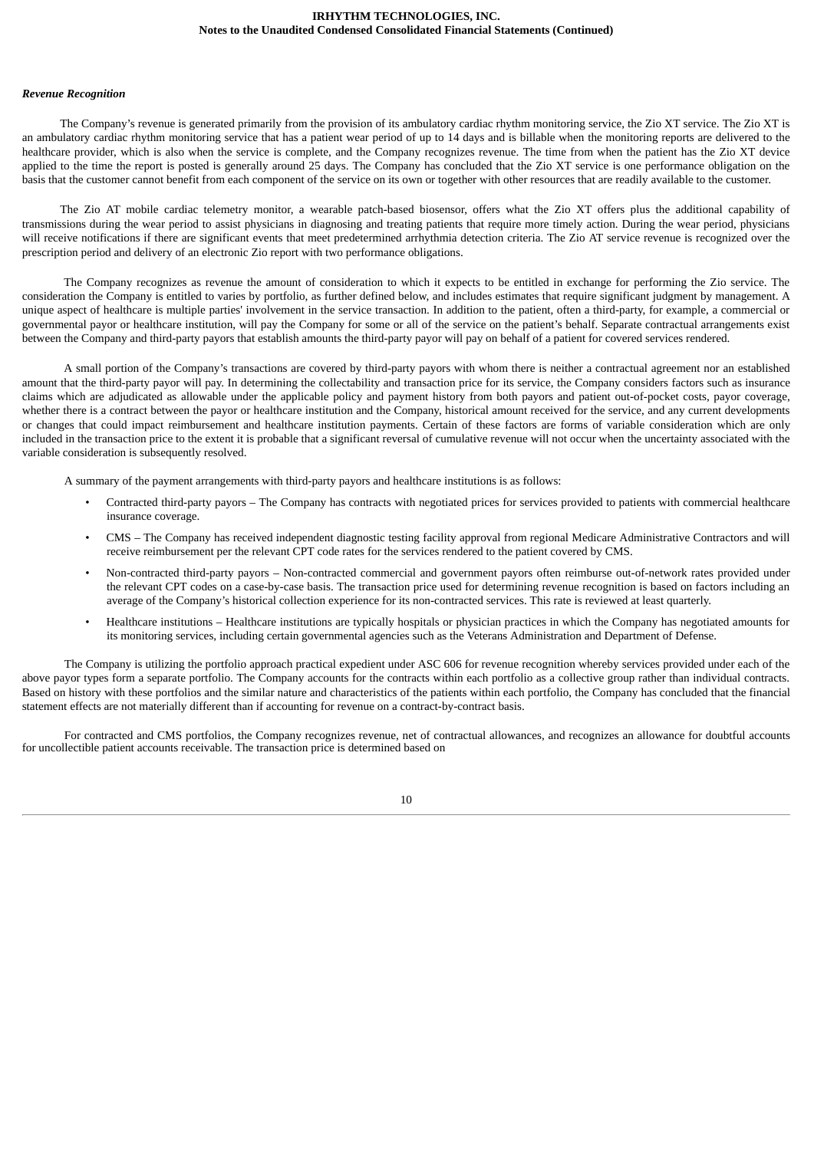#### *Revenue Recognition*

The Company's revenue is generated primarily from the provision of its ambulatory cardiac rhythm monitoring service, the Zio XT service. The Zio XT is an ambulatory cardiac rhythm monitoring service that has a patient wear period of up to 14 days and is billable when the monitoring reports are delivered to the healthcare provider, which is also when the service is complete, and the Company recognizes revenue. The time from when the patient has the Zio XT device applied to the time the report is posted is generally around 25 days. The Company has concluded that the Zio XT service is one performance obligation on the basis that the customer cannot benefit from each component of the service on its own or together with other resources that are readily available to the customer.

The Zio AT mobile cardiac telemetry monitor, a wearable patch-based biosensor, offers what the Zio XT offers plus the additional capability of transmissions during the wear period to assist physicians in diagnosing and treating patients that require more timely action. During the wear period, physicians will receive notifications if there are significant events that meet predetermined arrhythmia detection criteria. The Zio AT service revenue is recognized over the prescription period and delivery of an electronic Zio report with two performance obligations.

The Company recognizes as revenue the amount of consideration to which it expects to be entitled in exchange for performing the Zio service. The consideration the Company is entitled to varies by portfolio, as further defined below, and includes estimates that require significant judgment by management. A unique aspect of healthcare is multiple parties' involvement in the service transaction. In addition to the patient, often a third-party, for example, a commercial or governmental payor or healthcare institution, will pay the Company for some or all of the service on the patient's behalf. Separate contractual arrangements exist between the Company and third-party payors that establish amounts the third-party payor will pay on behalf of a patient for covered services rendered.

A small portion of the Company's transactions are covered by third-party payors with whom there is neither a contractual agreement nor an established amount that the third-party payor will pay. In determining the collectability and transaction price for its service, the Company considers factors such as insurance claims which are adjudicated as allowable under the applicable policy and payment history from both payors and patient out-of-pocket costs, payor coverage, whether there is a contract between the payor or healthcare institution and the Company, historical amount received for the service, and any current developments or changes that could impact reimbursement and healthcare institution payments. Certain of these factors are forms of variable consideration which are only included in the transaction price to the extent it is probable that a significant reversal of cumulative revenue will not occur when the uncertainty associated with the variable consideration is subsequently resolved.

A summary of the payment arrangements with third-party payors and healthcare institutions is as follows:

- Contracted third-party payors The Company has contracts with negotiated prices for services provided to patients with commercial healthcare insurance coverage.
- CMS The Company has received independent diagnostic testing facility approval from regional Medicare Administrative Contractors and will receive reimbursement per the relevant CPT code rates for the services rendered to the patient covered by CMS.
- Non-contracted third-party payors Non-contracted commercial and government payors often reimburse out-of-network rates provided under the relevant CPT codes on a case-by-case basis. The transaction price used for determining revenue recognition is based on factors including an average of the Company's historical collection experience for its non-contracted services. This rate is reviewed at least quarterly.
- Healthcare institutions Healthcare institutions are typically hospitals or physician practices in which the Company has negotiated amounts for its monitoring services, including certain governmental agencies such as the Veterans Administration and Department of Defense.

The Company is utilizing the portfolio approach practical expedient under ASC 606 for revenue recognition whereby services provided under each of the above payor types form a separate portfolio. The Company accounts for the contracts within each portfolio as a collective group rather than individual contracts. Based on history with these portfolios and the similar nature and characteristics of the patients within each portfolio, the Company has concluded that the financial statement effects are not materially different than if accounting for revenue on a contract-by-contract basis.

For contracted and CMS portfolios, the Company recognizes revenue, net of contractual allowances, and recognizes an allowance for doubtful accounts for uncollectible patient accounts receivable. The transaction price is determined based on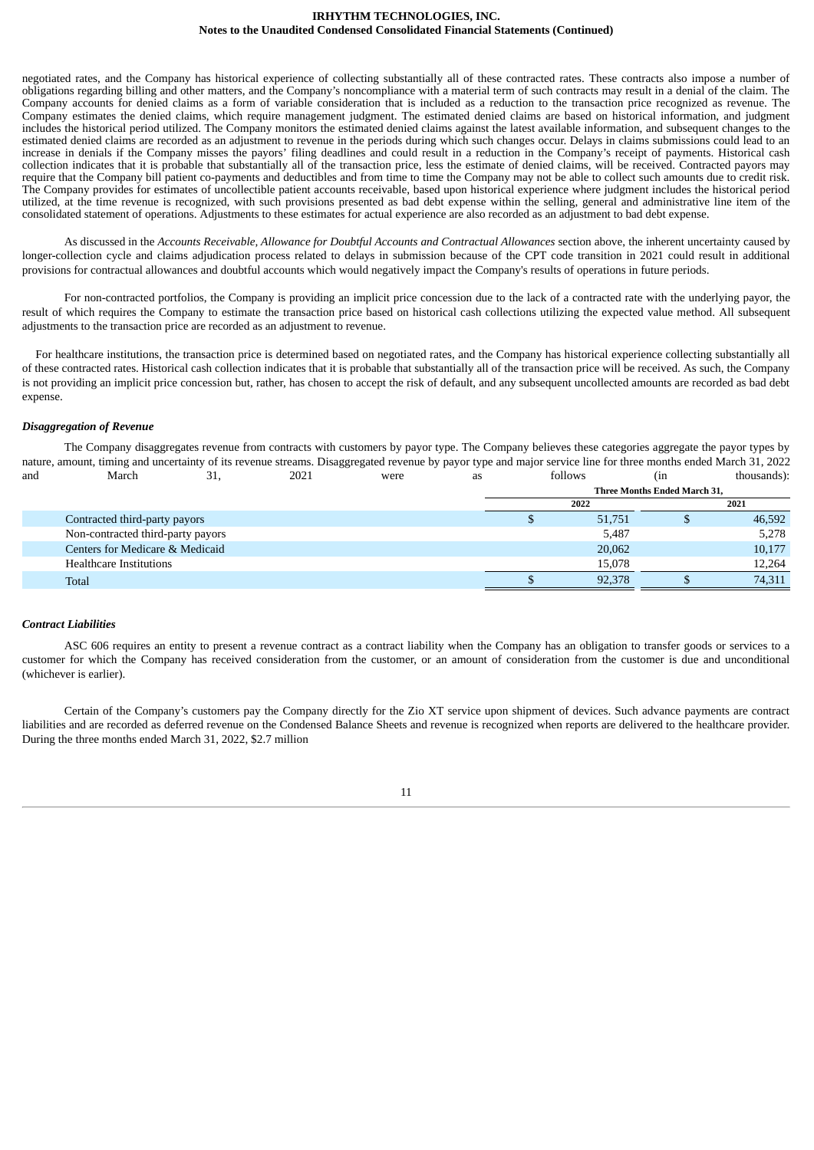negotiated rates, and the Company has historical experience of collecting substantially all of these contracted rates. These contracts also impose a number of obligations regarding billing and other matters, and the Company's noncompliance with a material term of such contracts may result in a denial of the claim. The Company accounts for denied claims as a form of variable consideration that is included as a reduction to the transaction price recognized as revenue. The Company estimates the denied claims, which require management judgment. The estimated denied claims are based on historical information, and judgment includes the historical period utilized. The Company monitors the estimated denied claims against the latest available information, and subsequent changes to the estimated denied claims are recorded as an adjustment to revenue in the periods during which such changes occur. Delays in claims submissions could lead to an increase in denials if the Company misses the payors' filing deadlines and could result in a reduction in the Company's receipt of payments. Historical cash collection indicates that it is probable that substantially all of the transaction price, less the estimate of denied claims, will be received. Contracted payors may require that the Company bill patient co-payments and deductibles and from time to time the Company may not be able to collect such amounts due to credit risk. The Company provides for estimates of uncollectible patient accounts receivable, based upon historical experience where judgment includes the historical period utilized, at the time revenue is recognized, with such provisions presented as bad debt expense within the selling, general and administrative line item of the consolidated statement of operations. Adjustments to these estimates for actual experience are also recorded as an adjustment to bad debt expense.

As discussed in the *Accounts Receivable, Allowance for Doubtful Accounts and Contractual Allowances* section above, the inherent uncertainty caused by longer-collection cycle and claims adjudication process related to delays in submission because of the CPT code transition in 2021 could result in additional provisions for contractual allowances and doubtful accounts which would negatively impact the Company's results of operations in future periods.

For non-contracted portfolios, the Company is providing an implicit price concession due to the lack of a contracted rate with the underlying payor, the result of which requires the Company to estimate the transaction price based on historical cash collections utilizing the expected value method. All subsequent adjustments to the transaction price are recorded as an adjustment to revenue.

For healthcare institutions, the transaction price is determined based on negotiated rates, and the Company has historical experience collecting substantially all of these contracted rates. Historical cash collection indicates that it is probable that substantially all of the transaction price will be received. As such, the Company is not providing an implicit price concession but, rather, has chosen to accept the risk of default, and any subsequent uncollected amounts are recorded as bad debt expense.

## *Disaggregation of Revenue*

The Company disaggregates revenue from contracts with customers by payor type. The Company believes these categories aggregate the payor types by nature, amount, timing and uncertainty of its revenue streams. Disaggregated revenue by payor type and major service line for three months ended March 31, 2022 and March 31, 2021 were as follows (in thousands):

|                                   | Three Months Ended March 31. |  |        |  |  |  |
|-----------------------------------|------------------------------|--|--------|--|--|--|
|                                   | 2022                         |  | 2021   |  |  |  |
| Contracted third-party payors     | 51,751                       |  | 46,592 |  |  |  |
| Non-contracted third-party payors | 5,487                        |  | 5,278  |  |  |  |
| Centers for Medicare & Medicaid   | 20,062                       |  | 10,177 |  |  |  |
| <b>Healthcare Institutions</b>    | 15,078                       |  | 12,264 |  |  |  |
| Total                             | 92,378                       |  | 74.311 |  |  |  |
|                                   |                              |  |        |  |  |  |

## *Contract Liabilities*

ASC 606 requires an entity to present a revenue contract as a contract liability when the Company has an obligation to transfer goods or services to a customer for which the Company has received consideration from the customer, or an amount of consideration from the customer is due and unconditional (whichever is earlier).

Certain of the Company's customers pay the Company directly for the Zio XT service upon shipment of devices. Such advance payments are contract liabilities and are recorded as deferred revenue on the Condensed Balance Sheets and revenue is recognized when reports are delivered to the healthcare provider. During the three months ended March 31, 2022, \$2.7 million

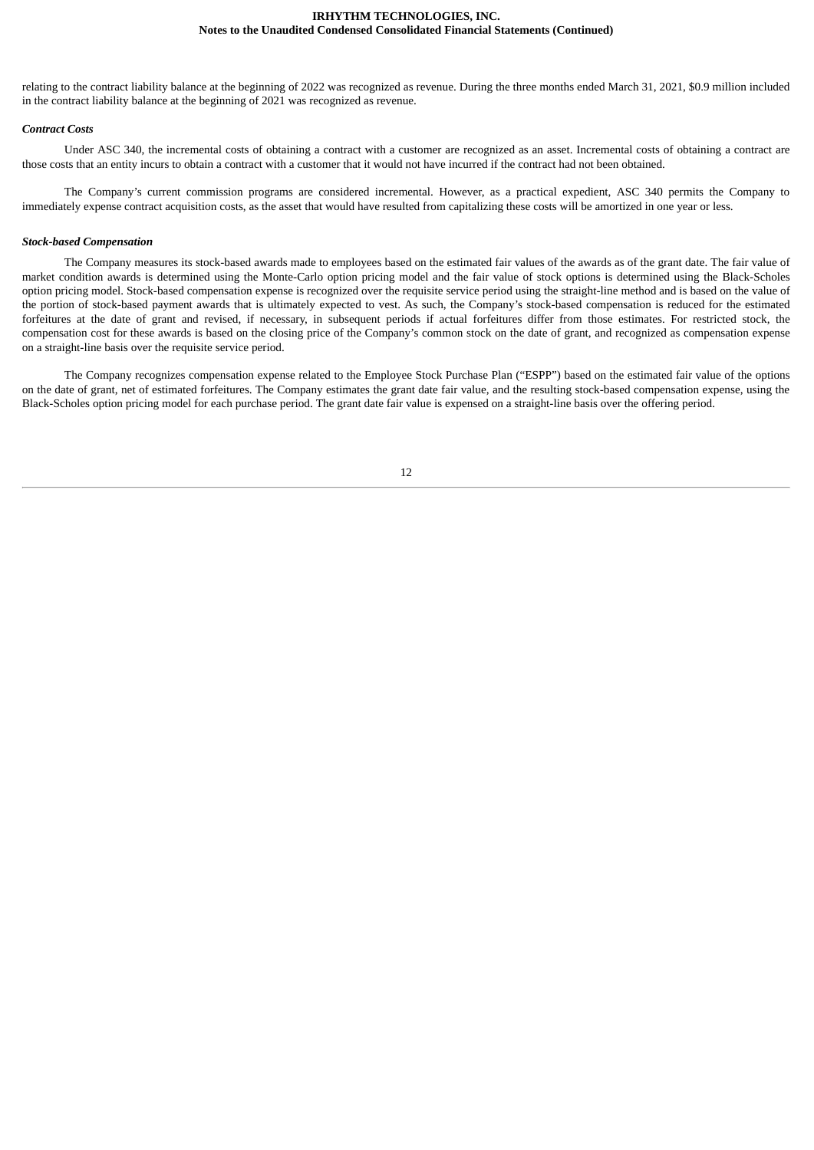relating to the contract liability balance at the beginning of 2022 was recognized as revenue. During the three months ended March 31, 2021, \$0.9 million included in the contract liability balance at the beginning of 2021 was recognized as revenue.

#### *Contract Costs*

Under ASC 340, the incremental costs of obtaining a contract with a customer are recognized as an asset. Incremental costs of obtaining a contract are those costs that an entity incurs to obtain a contract with a customer that it would not have incurred if the contract had not been obtained.

The Company's current commission programs are considered incremental. However, as a practical expedient, ASC 340 permits the Company to immediately expense contract acquisition costs, as the asset that would have resulted from capitalizing these costs will be amortized in one year or less.

#### *Stock-based Compensation*

The Company measures its stock-based awards made to employees based on the estimated fair values of the awards as of the grant date. The fair value of market condition awards is determined using the Monte-Carlo option pricing model and the fair value of stock options is determined using the Black-Scholes option pricing model. Stock-based compensation expense is recognized over the requisite service period using the straight-line method and is based on the value of the portion of stock-based payment awards that is ultimately expected to vest. As such, the Company's stock-based compensation is reduced for the estimated forfeitures at the date of grant and revised, if necessary, in subsequent periods if actual forfeitures differ from those estimates. For restricted stock, the compensation cost for these awards is based on the closing price of the Company's common stock on the date of grant, and recognized as compensation expense on a straight-line basis over the requisite service period.

The Company recognizes compensation expense related to the Employee Stock Purchase Plan ("ESPP") based on the estimated fair value of the options on the date of grant, net of estimated forfeitures. The Company estimates the grant date fair value, and the resulting stock-based compensation expense, using the Black-Scholes option pricing model for each purchase period. The grant date fair value is expensed on a straight-line basis over the offering period.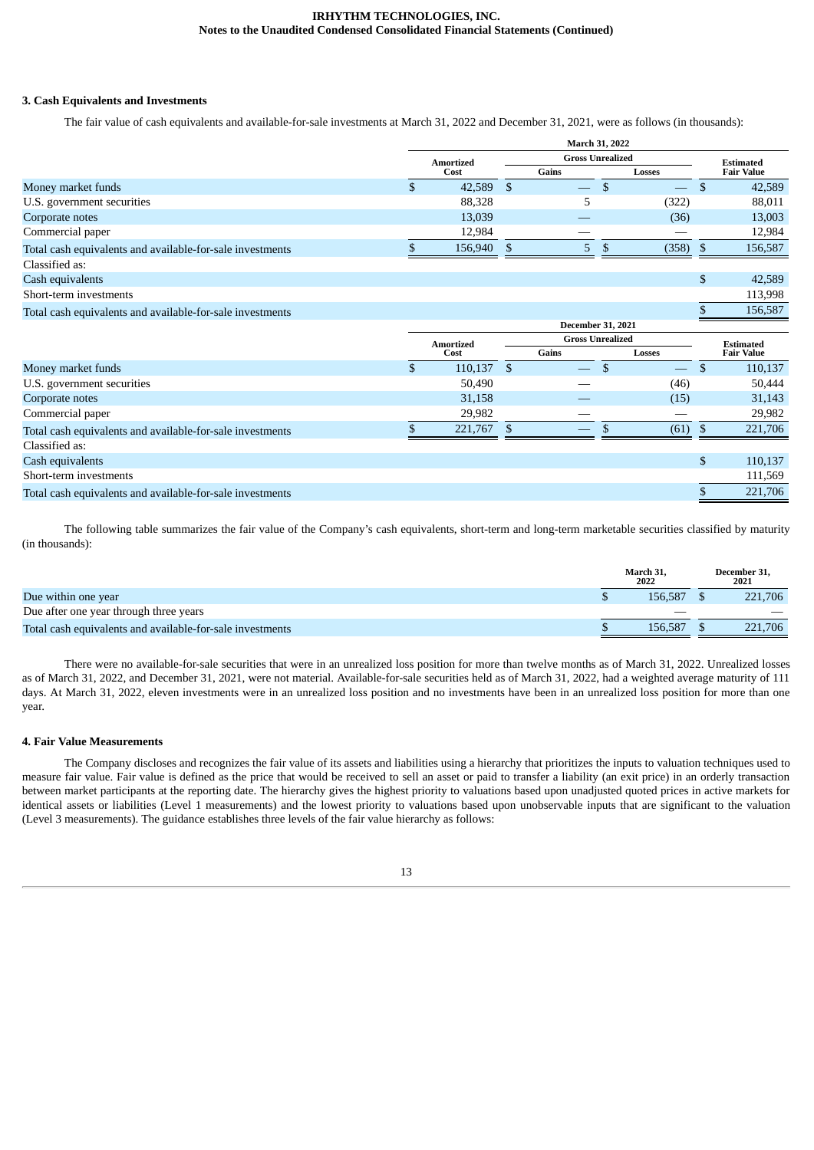## **3. Cash Equivalents and Investments**

The fair value of cash equivalents and available-for-sale investments at March 31, 2022 and December 31, 2021, were as follows (in thousands):

|                                                           |                  |                  |                | March 31, 2022           |        |        |              |                   |  |
|-----------------------------------------------------------|------------------|------------------|----------------|--------------------------|--------|--------|--------------|-------------------|--|
|                                                           | <b>Amortized</b> |                  |                | <b>Gross Unrealized</b>  |        |        |              | <b>Estimated</b>  |  |
|                                                           |                  | Cost             |                | Gains                    | Losses |        |              | <b>Fair Value</b> |  |
| Money market funds                                        | \$               | 42,589           | $\mathfrak{S}$ | $\frac{1}{2}$            | \$     |        | \$           | 42,589            |  |
| U.S. government securities                                |                  | 88,328           |                | 5                        |        | (322)  |              | 88,011            |  |
| Corporate notes                                           |                  | 13,039           |                |                          |        | (36)   |              | 13,003            |  |
| Commercial paper                                          |                  | 12,984           |                |                          |        |        |              | 12,984            |  |
| Total cash equivalents and available-for-sale investments |                  | 156,940          | -S             | 5                        | \$     | (358)  | \$           | 156,587           |  |
| Classified as:                                            |                  |                  |                |                          |        |        |              |                   |  |
| Cash equivalents                                          |                  |                  |                |                          |        |        | \$           | 42,589            |  |
| Short-term investments                                    |                  |                  |                |                          |        |        |              | 113,998           |  |
| Total cash equivalents and available-for-sale investments |                  |                  |                |                          |        |        |              | 156,587           |  |
|                                                           |                  |                  |                | <b>December 31, 2021</b> |        |        |              |                   |  |
|                                                           |                  | <b>Amortized</b> |                | <b>Gross Unrealized</b>  |        |        |              | <b>Estimated</b>  |  |
|                                                           |                  | Cost             |                | Gains                    |        | Losses |              | <b>Fair Value</b> |  |
| Money market funds                                        | \$               | 110,137          | $\mathfrak{S}$ |                          | \$     |        | \$           | 110,137           |  |
| U.S. government securities                                |                  | 50,490           |                |                          |        | (46)   |              | 50,444            |  |
| Corporate notes                                           |                  | 31,158           |                |                          |        | (15)   |              | 31,143            |  |
| Commercial paper                                          |                  | 29,982           |                |                          |        |        |              | 29,982            |  |
| Total cash equivalents and available-for-sale investments | \$               | 221,767          | $\mathfrak{S}$ |                          | \$     | (61)   | <sup>S</sup> | 221,706           |  |
| Classified as:                                            |                  |                  |                |                          |        |        |              |                   |  |

| Cash equivalents                                          | 110.137 |
|-----------------------------------------------------------|---------|
| Short-term investments                                    | 111.569 |
| Total cash equivalents and available-for-sale investments | 221,706 |

The following table summarizes the fair value of the Company's cash equivalents, short-term and long-term marketable securities classified by maturity (in thousands):

|                                                           | March 31.<br>2022 | December 31,<br>2021 |
|-----------------------------------------------------------|-------------------|----------------------|
| Due within one year                                       | 156.587           | 221,706              |
| Due after one year through three years                    | __                |                      |
| Total cash equivalents and available-for-sale investments | 156.587           | 221,706              |

There were no available-for-sale securities that were in an unrealized loss position for more than twelve months as of March 31, 2022. Unrealized losses as of March 31, 2022, and December 31, 2021, were not material. Available-for-sale securities held as of March 31, 2022, had a weighted average maturity of 111 days. At March 31, 2022, eleven investments were in an unrealized loss position and no investments have been in an unrealized loss position for more than one year.

## **4. Fair Value Measurements**

The Company discloses and recognizes the fair value of its assets and liabilities using a hierarchy that prioritizes the inputs to valuation techniques used to measure fair value. Fair value is defined as the price that would be received to sell an asset or paid to transfer a liability (an exit price) in an orderly transaction between market participants at the reporting date. The hierarchy gives the highest priority to valuations based upon unadjusted quoted prices in active markets for identical assets or liabilities (Level 1 measurements) and the lowest priority to valuations based upon unobservable inputs that are significant to the valuation (Level 3 measurements). The guidance establishes three levels of the fair value hierarchy as follows: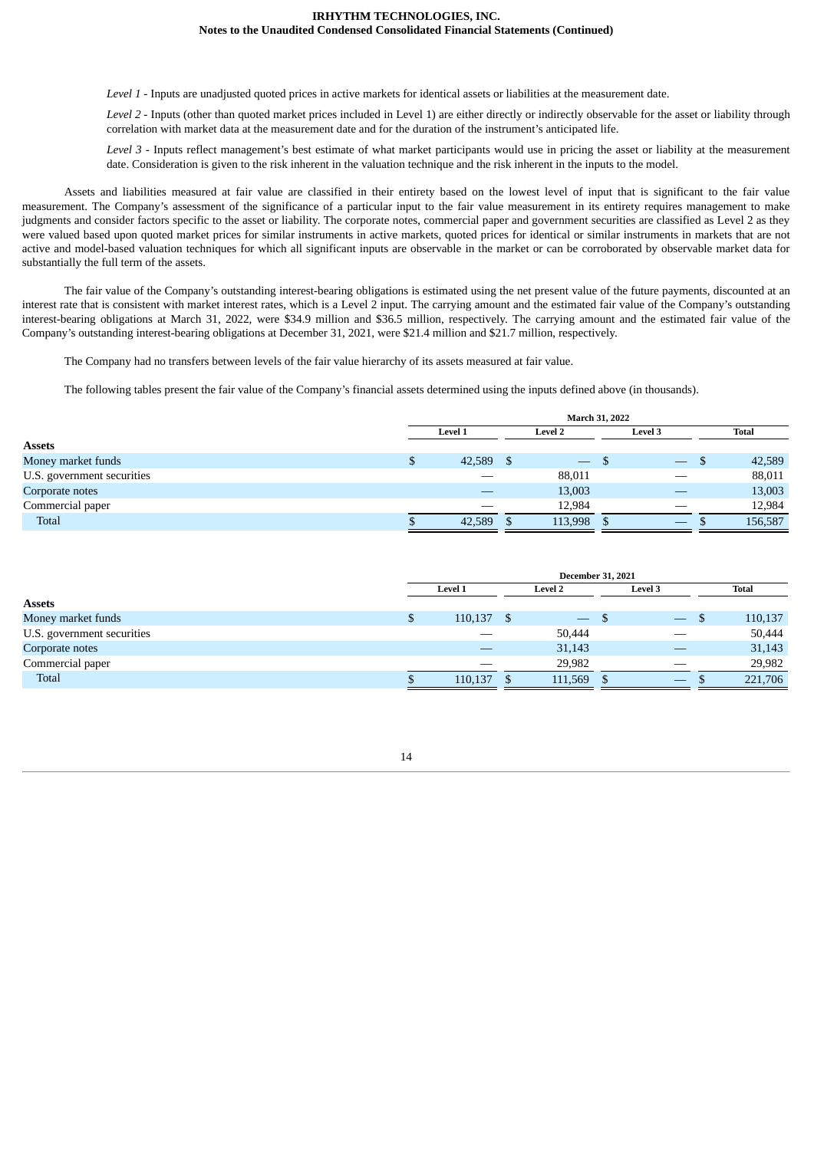*Level 1* - Inputs are unadjusted quoted prices in active markets for identical assets or liabilities at the measurement date.

*Level 2* - Inputs (other than quoted market prices included in Level 1) are either directly or indirectly observable for the asset or liability through correlation with market data at the measurement date and for the duration of the instrument's anticipated life.

*Level 3* - Inputs reflect management's best estimate of what market participants would use in pricing the asset or liability at the measurement date. Consideration is given to the risk inherent in the valuation technique and the risk inherent in the inputs to the model.

Assets and liabilities measured at fair value are classified in their entirety based on the lowest level of input that is significant to the fair value measurement. The Company's assessment of the significance of a particular input to the fair value measurement in its entirety requires management to make judgments and consider factors specific to the asset or liability. The corporate notes, commercial paper and government securities are classified as Level 2 as they were valued based upon quoted market prices for similar instruments in active markets, quoted prices for identical or similar instruments in markets that are not active and model-based valuation techniques for which all significant inputs are observable in the market or can be corroborated by observable market data for substantially the full term of the assets.

The fair value of the Company's outstanding interest-bearing obligations is estimated using the net present value of the future payments, discounted at an interest rate that is consistent with market interest rates, which is a Level 2 input. The carrying amount and the estimated fair value of the Company's outstanding interest-bearing obligations at March 31, 2022, were \$34.9 million and \$36.5 million, respectively. The carrying amount and the estimated fair value of the Company's outstanding interest-bearing obligations at December 31, 2021, were \$21.4 million and \$21.7 million, respectively.

The Company had no transfers between levels of the fair value hierarchy of its assets measured at fair value.

The following tables present the fair value of the Company's financial assets determined using the inputs defined above (in thousands).

|                            |         | <b>March 31, 2022</b> |     |                   |  |                          |      |         |  |  |  |
|----------------------------|---------|-----------------------|-----|-------------------|--|--------------------------|------|---------|--|--|--|
|                            | Level 1 |                       |     | <b>Level 2</b>    |  | <b>Level 3</b>           |      | Total   |  |  |  |
| Assets                     |         |                       |     |                   |  |                          |      |         |  |  |  |
| Money market funds         | J       | 42,589                | - S | $\hspace{0.05cm}$ |  | $\overline{\phantom{m}}$ | - \$ | 42,589  |  |  |  |
| U.S. government securities |         |                       |     | 88,011            |  |                          |      | 88,011  |  |  |  |
| Corporate notes            |         |                       |     | 13,003            |  |                          |      | 13,003  |  |  |  |
| Commercial paper           |         |                       |     | 12,984            |  |                          |      | 12,984  |  |  |  |
| Total                      |         | 42,589                |     | 113,998           |  | $\overline{\phantom{m}}$ |      | 156,587 |  |  |  |

|                            | <b>December 31, 2021</b> |              |  |                          |  |                   |    |              |  |  |
|----------------------------|--------------------------|--------------|--|--------------------------|--|-------------------|----|--------------|--|--|
|                            |                          | Level 1      |  | <b>Level 2</b>           |  | <b>Level 3</b>    |    | <b>Total</b> |  |  |
| <b>Assets</b>              |                          |              |  |                          |  |                   |    |              |  |  |
| Money market funds         | ъ                        | $110,137$ \$ |  | $\overline{\phantom{m}}$ |  | $\qquad \qquad -$ | -8 | 110,137      |  |  |
| U.S. government securities |                          |              |  | 50,444                   |  | $\sim$            |    | 50,444       |  |  |
| Corporate notes            |                          |              |  | 31,143                   |  |                   |    | 31,143       |  |  |
| Commercial paper           |                          |              |  | 29,982                   |  |                   |    | 29,982       |  |  |
| Total                      |                          | 110.137      |  | 111,569                  |  |                   |    | 221,706      |  |  |
|                            |                          |              |  |                          |  |                   |    |              |  |  |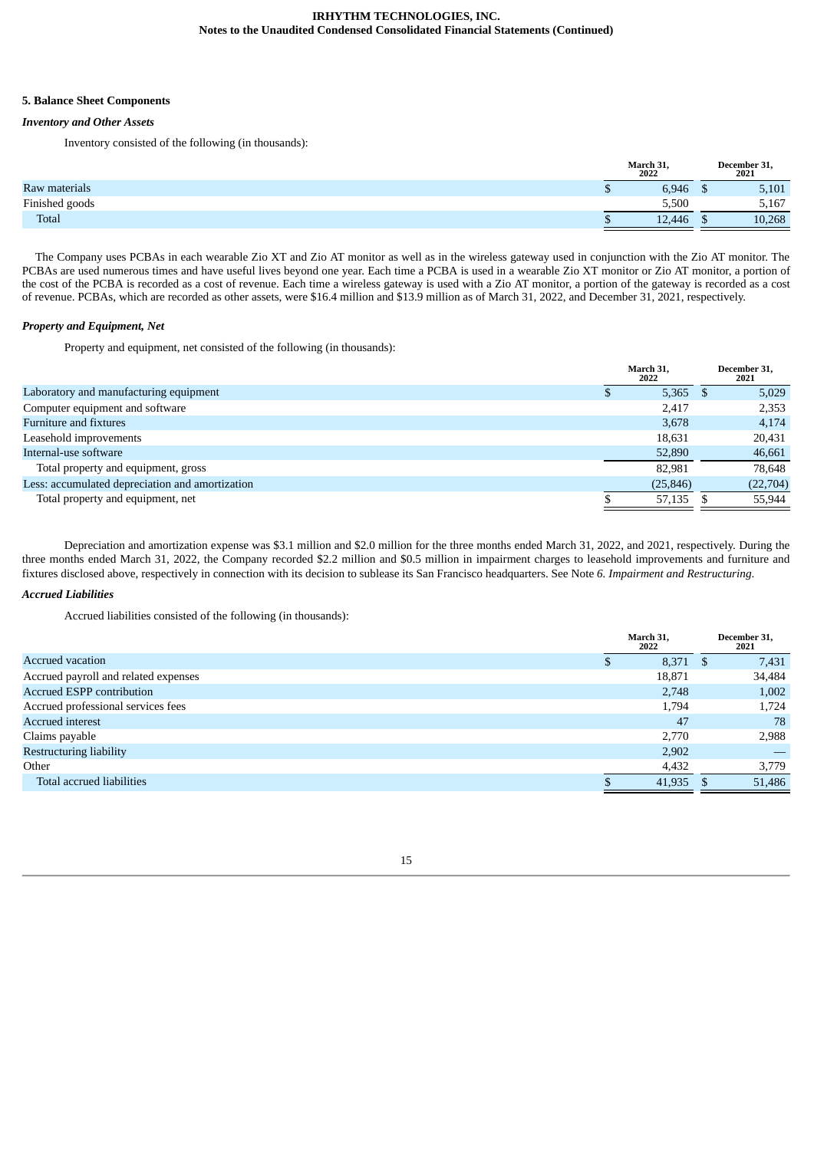## **5. Balance Sheet Components**

## *Inventory and Other Assets*

Inventory consisted of the following (in thousands):

|                |  | March 31,<br>2022 | December 31,<br>2021 |        |  |
|----------------|--|-------------------|----------------------|--------|--|
| Raw materials  |  | 6,946             | ╜                    | 5,101  |  |
| Finished goods |  | 5.500             |                      | 5,167  |  |
| Total          |  | 12,446<br>12      |                      | 10,268 |  |

The Company uses PCBAs in each wearable Zio XT and Zio AT monitor as well as in the wireless gateway used in conjunction with the Zio AT monitor. The PCBAs are used numerous times and have useful lives beyond one year. Each time a PCBA is used in a wearable Zio XT monitor or Zio AT monitor, a portion of the cost of the PCBA is recorded as a cost of revenue. Each time a wireless gateway is used with a Zio AT monitor, a portion of the gateway is recorded as a cost of revenue. PCBAs, which are recorded as other assets, were \$16.4 million and \$13.9 million as of March 31, 2022, and December 31, 2021, respectively.

## *Property and Equipment, Net*

Property and equipment, net consisted of the following (in thousands):

|                                                 | March 31.<br>2022 | December 31,<br>2021 |
|-------------------------------------------------|-------------------|----------------------|
| Laboratory and manufacturing equipment          | 5,365             | 5,029                |
| Computer equipment and software                 | 2,417             | 2,353                |
| Furniture and fixtures                          | 3,678             | 4.174                |
| Leasehold improvements                          | 18,631            | 20,431               |
| Internal-use software                           | 52,890            | 46,661               |
| Total property and equipment, gross             | 82.981            | 78.648               |
| Less: accumulated depreciation and amortization | (25, 846)         | (22,704)             |
| Total property and equipment, net               | 57,135            | 55,944               |
|                                                 |                   |                      |

Depreciation and amortization expense was \$3.1 million and \$2.0 million for the three months ended March 31, 2022, and 2021, respectively. During the three months ended March 31, 2022, the Company recorded \$2.2 million and \$0.5 million in impairment charges to leasehold improvements and furniture and fixtures disclosed above, respectively in connection with its decision to sublease its San Francisco headquarters. See Note *6. Impairment and Restructuring*.

## *Accrued Liabilities*

Accrued liabilities consisted of the following (in thousands):

|                                      | March 31,<br>2022 |     | December 31,<br>2021 |
|--------------------------------------|-------------------|-----|----------------------|
| Accrued vacation                     | 8,371             | - S | 7,431                |
| Accrued payroll and related expenses | 18,871            |     | 34,484               |
| <b>Accrued ESPP contribution</b>     | 2,748             |     | 1,002                |
| Accrued professional services fees   | 1,794             |     | 1,724                |
| Accrued interest                     | 47                |     | 78                   |
| Claims payable                       | 2,770             |     | 2,988                |
| Restructuring liability              | 2,902             |     | $\sim$               |
| Other                                | 4,432             |     | 3,779                |
| Total accrued liabilities            | 41,935            |     | 51,486               |

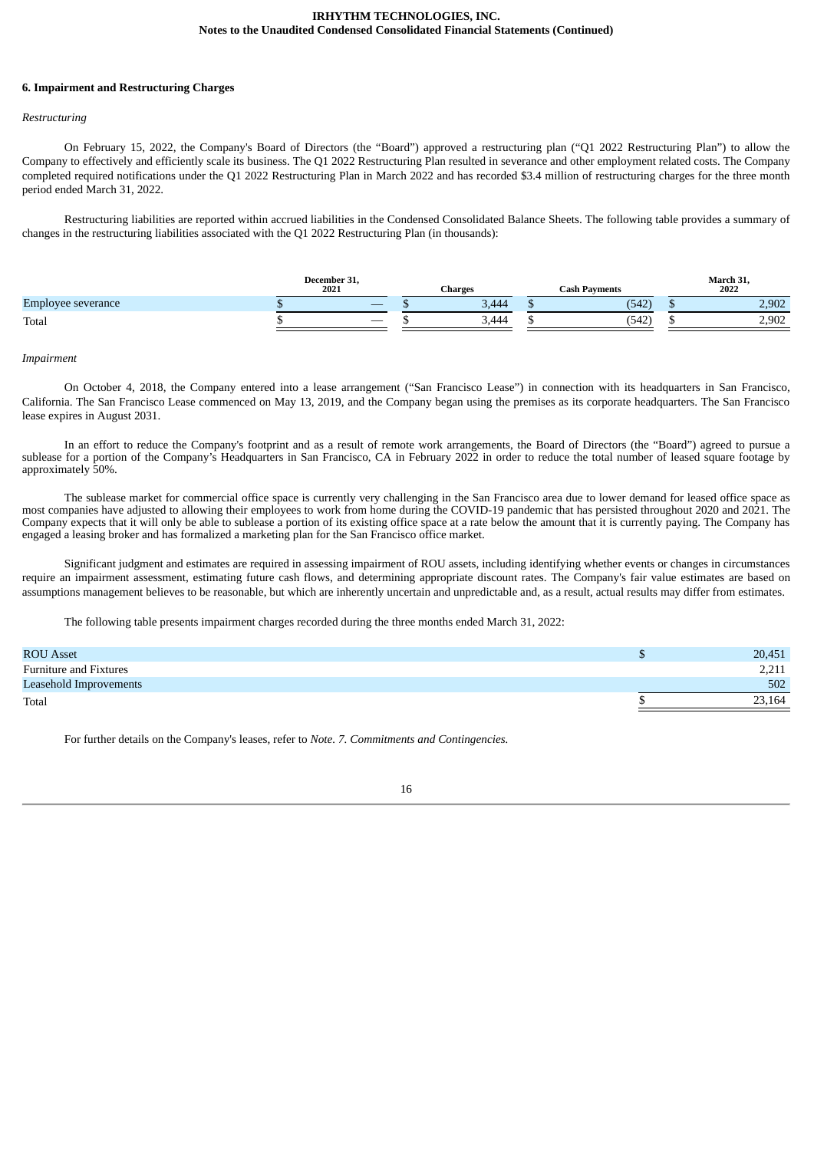#### **6. Impairment and Restructuring Charges**

#### *Restructuring*

On February 15, 2022, the Company's Board of Directors (the "Board") approved a restructuring plan ("Q1 2022 Restructuring Plan") to allow the Company to effectively and efficiently scale its business. The Q1 2022 Restructuring Plan resulted in severance and other employment related costs. The Company completed required notifications under the Q1 2022 Restructuring Plan in March 2022 and has recorded \$3.4 million of restructuring charges for the three month period ended March 31, 2022.

Restructuring liabilities are reported within accrued liabilities in the Condensed Consolidated Balance Sheets. The following table provides a summary of changes in the restructuring liabilities associated with the Q1 2022 Restructuring Plan (in thousands):

|                    | December 31.<br>2021                                                                                                                                               | <b>Charges</b> |       |  | Cash Pavments | March 31,<br>2022 |
|--------------------|--------------------------------------------------------------------------------------------------------------------------------------------------------------------|----------------|-------|--|---------------|-------------------|
| Employee severance | <b>Contract Contract Contract Contract Contract Contract Contract Contract Contract Contract Contract Contract Co</b><br>$\qquad \qquad \overline{\qquad \qquad }$ |                | 3.444 |  | (542)         | 2,902             |
| Total              | $\overline{\phantom{a}}$                                                                                                                                           |                | 3.444 |  | (542)         | 2,902             |

#### *Impairment*

On October 4, 2018, the Company entered into a lease arrangement ("San Francisco Lease") in connection with its headquarters in San Francisco, California. The San Francisco Lease commenced on May 13, 2019, and the Company began using the premises as its corporate headquarters. The San Francisco lease expires in August 2031.

In an effort to reduce the Company's footprint and as a result of remote work arrangements, the Board of Directors (the "Board") agreed to pursue a sublease for a portion of the Company's Headquarters in San Francisco, CA in February 2022 in order to reduce the total number of leased square footage by approximately 50%.

The sublease market for commercial office space is currently very challenging in the San Francisco area due to lower demand for leased office space as most companies have adjusted to allowing their employees to work from home during the COVID-19 pandemic that has persisted throughout 2020 and 2021. The Company expects that it will only be able to sublease a portion of its existing office space at a rate below the amount that it is currently paying. The Company has engaged a leasing broker and has formalized a marketing plan for the San Francisco office market.

Significant judgment and estimates are required in assessing impairment of ROU assets, including identifying whether events or changes in circumstances require an impairment assessment, estimating future cash flows, and determining appropriate discount rates. The Company's fair value estimates are based on assumptions management believes to be reasonable, but which are inherently uncertain and unpredictable and, as a result, actual results may differ from estimates.

The following table presents impairment charges recorded during the three months ended March 31, 2022:

| <b>ROU Asset</b>       | 20,451 |
|------------------------|--------|
| Furniture and Fixtures | 2,211  |
| Leasehold Improvements | 502    |
| <b>Total</b>           | 23,164 |
|                        |        |

For further details on the Company's leases, refer to *Note. 7. Commitments and Contingencies.*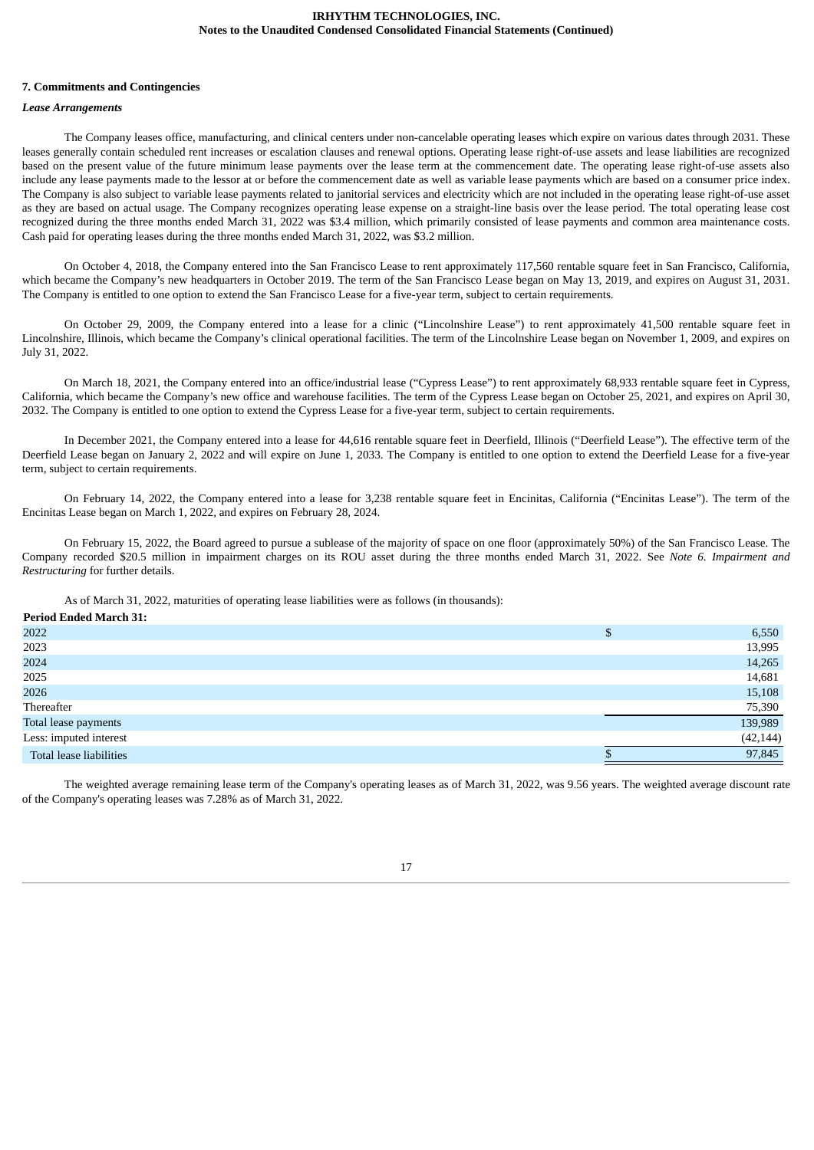#### **7. Commitments and Contingencies**

#### *Lease Arrangements*

The Company leases office, manufacturing, and clinical centers under non-cancelable operating leases which expire on various dates through 2031. These leases generally contain scheduled rent increases or escalation clauses and renewal options. Operating lease right-of-use assets and lease liabilities are recognized based on the present value of the future minimum lease payments over the lease term at the commencement date. The operating lease right-of-use assets also include any lease payments made to the lessor at or before the commencement date as well as variable lease payments which are based on a consumer price index. The Company is also subject to variable lease payments related to janitorial services and electricity which are not included in the operating lease right-of-use asset as they are based on actual usage. The Company recognizes operating lease expense on a straight-line basis over the lease period. The total operating lease cost recognized during the three months ended March 31, 2022 was \$3.4 million, which primarily consisted of lease payments and common area maintenance costs. Cash paid for operating leases during the three months ended March 31, 2022, was \$3.2 million.

On October 4, 2018, the Company entered into the San Francisco Lease to rent approximately 117,560 rentable square feet in San Francisco, California, which became the Company's new headquarters in October 2019. The term of the San Francisco Lease began on May 13, 2019, and expires on August 31, 2031. The Company is entitled to one option to extend the San Francisco Lease for a five-year term, subject to certain requirements.

On October 29, 2009, the Company entered into a lease for a clinic ("Lincolnshire Lease") to rent approximately 41,500 rentable square feet in Lincolnshire, Illinois, which became the Company's clinical operational facilities. The term of the Lincolnshire Lease began on November 1, 2009, and expires on July 31, 2022.

On March 18, 2021, the Company entered into an office/industrial lease ("Cypress Lease") to rent approximately 68,933 rentable square feet in Cypress, California, which became the Company's new office and warehouse facilities. The term of the Cypress Lease began on October 25, 2021, and expires on April 30, 2032. The Company is entitled to one option to extend the Cypress Lease for a five-year term, subject to certain requirements.

In December 2021, the Company entered into a lease for 44,616 rentable square feet in Deerfield, Illinois ("Deerfield Lease"). The effective term of the Deerfield Lease began on January 2, 2022 and will expire on June 1, 2033. The Company is entitled to one option to extend the Deerfield Lease for a five-year term, subject to certain requirements.

On February 14, 2022, the Company entered into a lease for 3,238 rentable square feet in Encinitas, California ("Encinitas Lease"). The term of the Encinitas Lease began on March 1, 2022, and expires on February 28, 2024.

On February 15, 2022, the Board agreed to pursue a sublease of the majority of space on one floor (approximately 50%) of the San Francisco Lease. The Company recorded \$20.5 million in impairment charges on its ROU asset during the three months ended March 31, 2022. See *Note 6. Impairment and Restructuring* for further details.

As of March 31, 2022, maturities of operating lease liabilities were as follows (in thousands):

| <b>Period Ended March 31:</b> |            |
|-------------------------------|------------|
| 2022                          | 6,550<br>S |
| 2023                          | 13,995     |
| 2024                          | 14,265     |
| 2025                          | 14,681     |
| 2026                          | 15,108     |
| Thereafter                    | 75,390     |
| Total lease payments          | 139,989    |
| Less: imputed interest        | (42, 144)  |
| Total lease liabilities       | 97,845     |

The weighted average remaining lease term of the Company's operating leases as of March 31, 2022, was 9.56 years. The weighted average discount rate of the Company's operating leases was 7.28% as of March 31, 2022.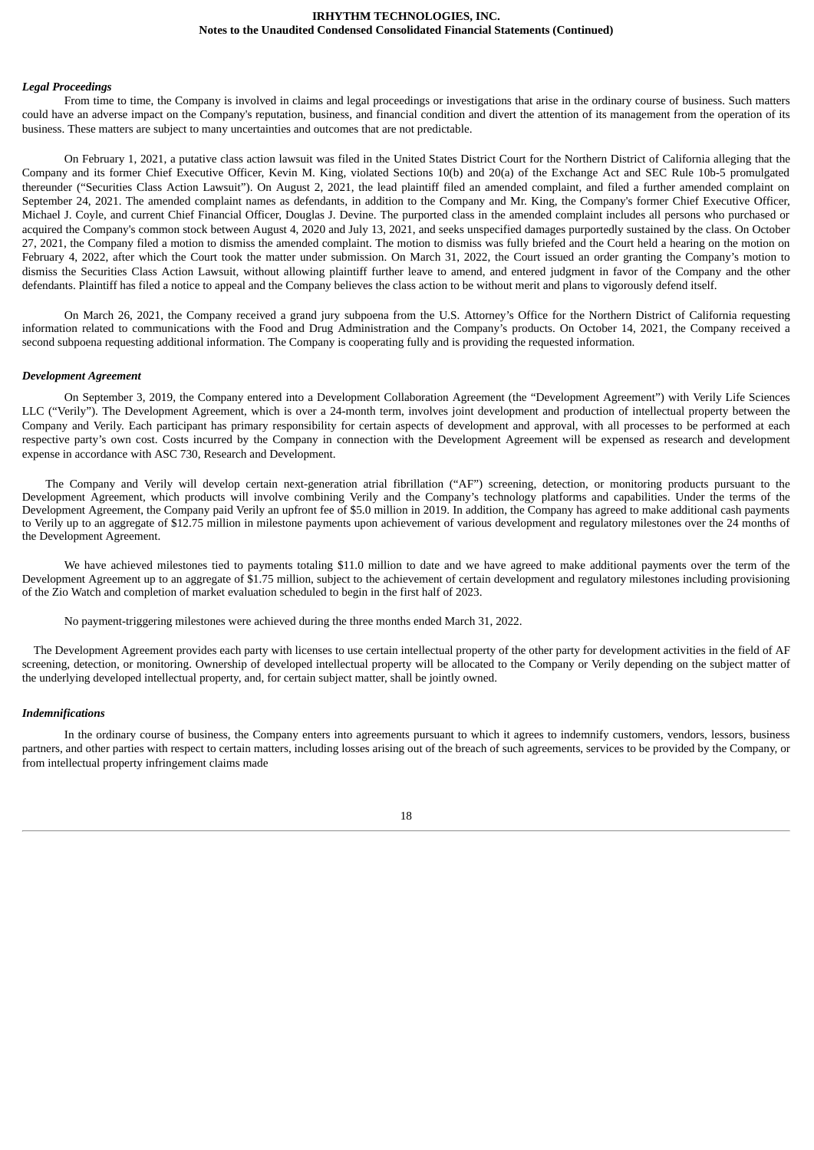## *Legal Proceedings*

From time to time, the Company is involved in claims and legal proceedings or investigations that arise in the ordinary course of business. Such matters could have an adverse impact on the Company's reputation, business, and financial condition and divert the attention of its management from the operation of its business. These matters are subject to many uncertainties and outcomes that are not predictable.

On February 1, 2021, a putative class action lawsuit was filed in the United States District Court for the Northern District of California alleging that the Company and its former Chief Executive Officer, Kevin M. King, violated Sections 10(b) and 20(a) of the Exchange Act and SEC Rule 10b-5 promulgated thereunder ("Securities Class Action Lawsuit"). On August 2, 2021, the lead plaintiff filed an amended complaint, and filed a further amended complaint on September 24, 2021. The amended complaint names as defendants, in addition to the Company and Mr. King, the Company's former Chief Executive Officer, Michael J. Coyle, and current Chief Financial Officer, Douglas J. Devine. The purported class in the amended complaint includes all persons who purchased or acquired the Company's common stock between August 4, 2020 and July 13, 2021, and seeks unspecified damages purportedly sustained by the class. On October 27, 2021, the Company filed a motion to dismiss the amended complaint. The motion to dismiss was fully briefed and the Court held a hearing on the motion on February 4, 2022, after which the Court took the matter under submission. On March 31, 2022, the Court issued an order granting the Company's motion to dismiss the Securities Class Action Lawsuit, without allowing plaintiff further leave to amend, and entered judgment in favor of the Company and the other defendants. Plaintiff has filed a notice to appeal and the Company believes the class action to be without merit and plans to vigorously defend itself.

On March 26, 2021, the Company received a grand jury subpoena from the U.S. Attorney's Office for the Northern District of California requesting information related to communications with the Food and Drug Administration and the Company's products. On October 14, 2021, the Company received a second subpoena requesting additional information. The Company is cooperating fully and is providing the requested information.

#### *Development Agreement*

On September 3, 2019, the Company entered into a Development Collaboration Agreement (the "Development Agreement") with Verily Life Sciences LLC ("Verily"). The Development Agreement, which is over a 24-month term, involves joint development and production of intellectual property between the Company and Verily. Each participant has primary responsibility for certain aspects of development and approval, with all processes to be performed at each respective party's own cost. Costs incurred by the Company in connection with the Development Agreement will be expensed as research and development expense in accordance with ASC 730, Research and Development.

The Company and Verily will develop certain next-generation atrial fibrillation ("AF") screening, detection, or monitoring products pursuant to the Development Agreement, which products will involve combining Verily and the Company's technology platforms and capabilities. Under the terms of the Development Agreement, the Company paid Verily an upfront fee of \$5.0 million in 2019. In addition, the Company has agreed to make additional cash payments to Verily up to an aggregate of \$12.75 million in milestone payments upon achievement of various development and regulatory milestones over the 24 months of the Development Agreement.

We have achieved milestones tied to payments totaling \$11.0 million to date and we have agreed to make additional payments over the term of the Development Agreement up to an aggregate of \$1.75 million, subject to the achievement of certain development and regulatory milestones including provisioning of the Zio Watch and completion of market evaluation scheduled to begin in the first half of 2023.

No payment-triggering milestones were achieved during the three months ended March 31, 2022.

The Development Agreement provides each party with licenses to use certain intellectual property of the other party for development activities in the field of AF screening, detection, or monitoring. Ownership of developed intellectual property will be allocated to the Company or Verily depending on the subject matter of the underlying developed intellectual property, and, for certain subject matter, shall be jointly owned.

## *Indemnifications*

In the ordinary course of business, the Company enters into agreements pursuant to which it agrees to indemnify customers, vendors, lessors, business partners, and other parties with respect to certain matters, including losses arising out of the breach of such agreements, services to be provided by the Company, or from intellectual property infringement claims made

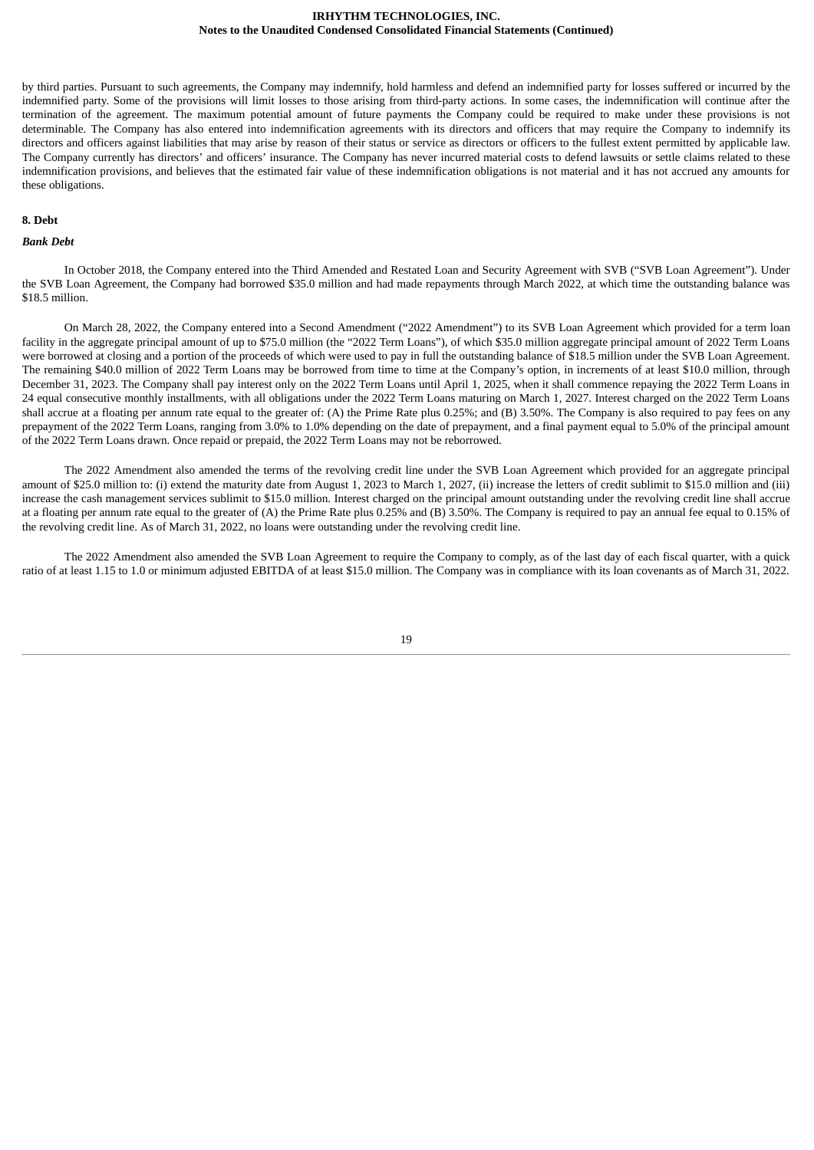by third parties. Pursuant to such agreements, the Company may indemnify, hold harmless and defend an indemnified party for losses suffered or incurred by the indemnified party. Some of the provisions will limit losses to those arising from third-party actions. In some cases, the indemnification will continue after the termination of the agreement. The maximum potential amount of future payments the Company could be required to make under these provisions is not determinable. The Company has also entered into indemnification agreements with its directors and officers that may require the Company to indemnify its directors and officers against liabilities that may arise by reason of their status or service as directors or officers to the fullest extent permitted by applicable law. The Company currently has directors' and officers' insurance. The Company has never incurred material costs to defend lawsuits or settle claims related to these indemnification provisions, and believes that the estimated fair value of these indemnification obligations is not material and it has not accrued any amounts for these obligations.

## **8. Debt**

#### *Bank Debt*

In October 2018, the Company entered into the Third Amended and Restated Loan and Security Agreement with SVB ("SVB Loan Agreement"). Under the SVB Loan Agreement, the Company had borrowed \$35.0 million and had made repayments through March 2022, at which time the outstanding balance was \$18.5 million.

On March 28, 2022, the Company entered into a Second Amendment ("2022 Amendment") to its SVB Loan Agreement which provided for a term loan facility in the aggregate principal amount of up to \$75.0 million (the "2022 Term Loans"), of which \$35.0 million aggregate principal amount of 2022 Term Loans were borrowed at closing and a portion of the proceeds of which were used to pay in full the outstanding balance of \$18.5 million under the SVB Loan Agreement. The remaining \$40.0 million of 2022 Term Loans may be borrowed from time to time at the Company's option, in increments of at least \$10.0 million, through December 31, 2023. The Company shall pay interest only on the 2022 Term Loans until April 1, 2025, when it shall commence repaying the 2022 Term Loans in 24 equal consecutive monthly installments, with all obligations under the 2022 Term Loans maturing on March 1, 2027. Interest charged on the 2022 Term Loans shall accrue at a floating per annum rate equal to the greater of: (A) the Prime Rate plus 0.25%; and (B) 3.50%. The Company is also required to pay fees on any prepayment of the 2022 Term Loans, ranging from 3.0% to 1.0% depending on the date of prepayment, and a final payment equal to 5.0% of the principal amount of the 2022 Term Loans drawn. Once repaid or prepaid, the 2022 Term Loans may not be reborrowed.

The 2022 Amendment also amended the terms of the revolving credit line under the SVB Loan Agreement which provided for an aggregate principal amount of \$25.0 million to: (i) extend the maturity date from August 1, 2023 to March 1, 2027, (ii) increase the letters of credit sublimit to \$15.0 million and (iii) increase the cash management services sublimit to \$15.0 million. Interest charged on the principal amount outstanding under the revolving credit line shall accrue at a floating per annum rate equal to the greater of (A) the Prime Rate plus 0.25% and (B) 3.50%. The Company is required to pay an annual fee equal to 0.15% of the revolving credit line. As of March 31, 2022, no loans were outstanding under the revolving credit line.

The 2022 Amendment also amended the SVB Loan Agreement to require the Company to comply, as of the last day of each fiscal quarter, with a quick ratio of at least 1.15 to 1.0 or minimum adjusted EBITDA of at least \$15.0 million. The Company was in compliance with its loan covenants as of March 31, 2022.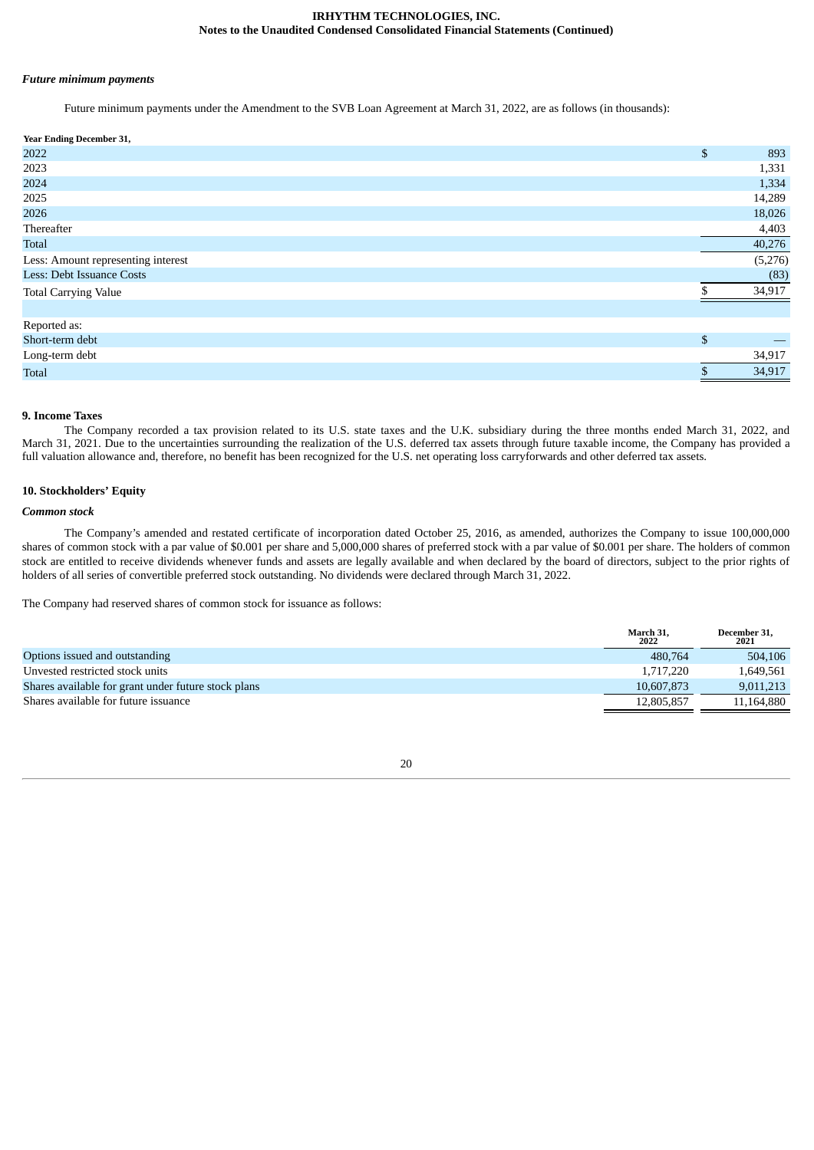### *Future minimum payments*

Future minimum payments under the Amendment to the SVB Loan Agreement at March 31, 2022, are as follows (in thousands):

| <b>Year Ending December 31,</b>    |            |         |
|------------------------------------|------------|---------|
| 2022                               | $\sqrt{2}$ | 893     |
| 2023                               |            | 1,331   |
| 2024                               |            | 1,334   |
| 2025                               |            | 14,289  |
| 2026                               |            | 18,026  |
| Thereafter                         |            | 4,403   |
| <b>Total</b>                       |            | 40,276  |
| Less: Amount representing interest |            | (5,276) |
| Less: Debt Issuance Costs          |            | (83)    |
| <b>Total Carrying Value</b>        | \$         | 34,917  |
|                                    |            |         |
| Reported as:                       |            |         |
| Short-term debt                    | $\$$       |         |
| Long-term debt                     |            | 34,917  |
| <b>Total</b>                       |            | 34,917  |
|                                    |            |         |

#### **9. Income Taxes**

The Company recorded a tax provision related to its U.S. state taxes and the U.K. subsidiary during the three months ended March 31, 2022, and March 31, 2021. Due to the uncertainties surrounding the realization of the U.S. deferred tax assets through future taxable income, the Company has provided a full valuation allowance and, therefore, no benefit has been recognized for the U.S. net operating loss carryforwards and other deferred tax assets.

#### **10. Stockholders' Equity**

#### *Common stock*

The Company's amended and restated certificate of incorporation dated October 25, 2016, as amended, authorizes the Company to issue 100,000,000 shares of common stock with a par value of \$0.001 per share and 5,000,000 shares of preferred stock with a par value of \$0.001 per share. The holders of common stock are entitled to receive dividends whenever funds and assets are legally available and when declared by the board of directors, subject to the prior rights of holders of all series of convertible preferred stock outstanding. No dividends were declared through March 31, 2022.

The Company had reserved shares of common stock for issuance as follows:

|                                                     | March 31.<br>2022 | December 31,<br>2021 |
|-----------------------------------------------------|-------------------|----------------------|
| Options issued and outstanding                      | 480.764           | 504,106              |
| Unvested restricted stock units                     | 1.717.220         | 1.649.561            |
| Shares available for grant under future stock plans | 10.607.873        | 9.011.213            |
| Shares available for future issuance                | 12.805.857        | 11.164.880           |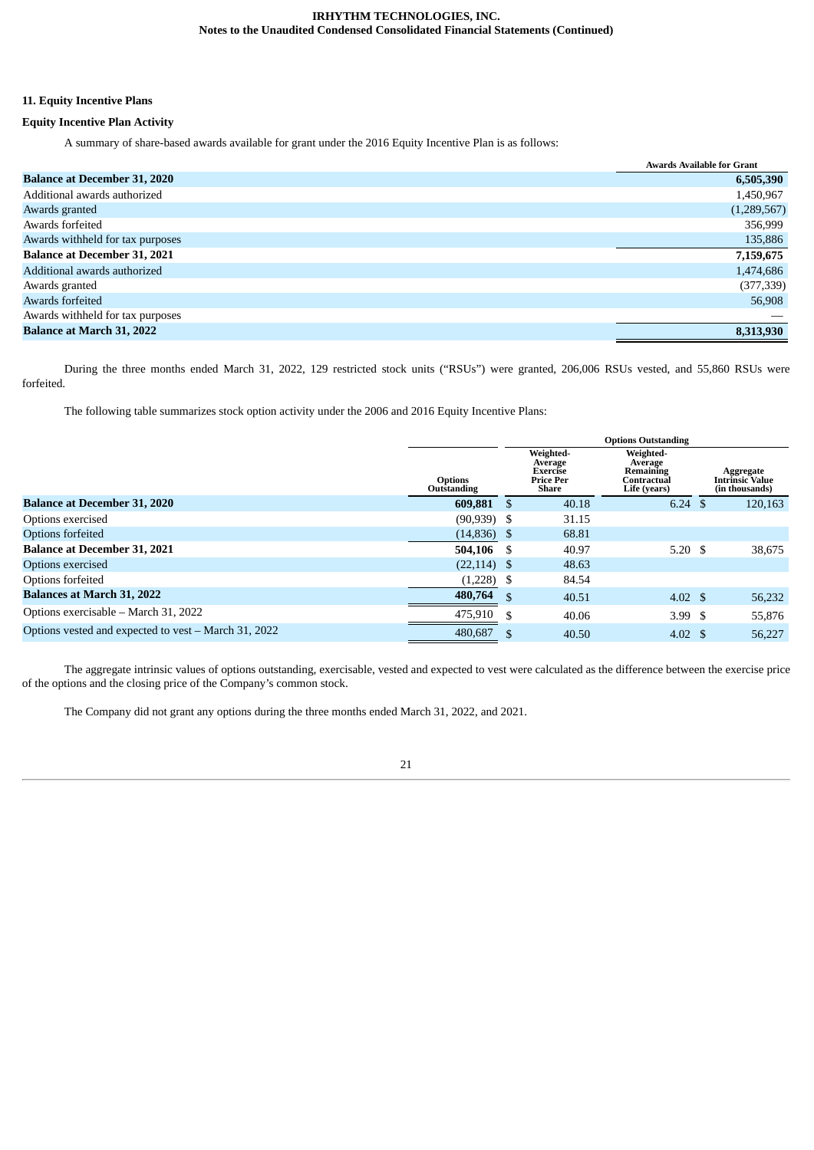## **11. Equity Incentive Plans**

## **Equity Incentive Plan Activity**

A summary of share-based awards available for grant under the 2016 Equity Incentive Plan is as follows:

|                                     | <b>Awards Available for Grant</b> |
|-------------------------------------|-----------------------------------|
| <b>Balance at December 31, 2020</b> | 6,505,390                         |
| Additional awards authorized        | 1,450,967                         |
| Awards granted                      | (1,289,567)                       |
| Awards forfeited                    | 356,999                           |
| Awards withheld for tax purposes    | 135,886                           |
| <b>Balance at December 31, 2021</b> | 7,159,675                         |
| Additional awards authorized        | 1,474,686                         |
| Awards granted                      | (377, 339)                        |
| Awards forfeited                    | 56,908                            |
| Awards withheld for tax purposes    |                                   |
| <b>Balance at March 31, 2022</b>    | 8,313,930                         |

During the three months ended March 31, 2022, 129 restricted stock units ("RSUs") were granted, 206,006 RSUs vested, and 55,860 RSUs were forfeited.

The following table summarizes stock option activity under the 2006 and 2016 Equity Incentive Plans:

|                                                      |                                      | <b>Options Outstanding</b> |                                                        |                                                                  |  |                                                       |
|------------------------------------------------------|--------------------------------------|----------------------------|--------------------------------------------------------|------------------------------------------------------------------|--|-------------------------------------------------------|
|                                                      | <b>Options</b><br><b>Outstanding</b> |                            | Weighted-<br>Average<br>Exercise<br>Price Per<br>Share | Weighted-<br>Average<br>Remaining<br>Contractual<br>Life (years) |  | Aggregate<br><b>Intrinsic Value</b><br>(in thousands) |
| <b>Balance at December 31, 2020</b>                  | 609.881                              | -S                         | 40.18                                                  | $6.24 \text{ } $$                                                |  | 120,163                                               |
| Options exercised                                    | $(90, 939)$ \$                       |                            | 31.15                                                  |                                                                  |  |                                                       |
| Options forfeited                                    | $(14,836)$ \$                        |                            | 68.81                                                  |                                                                  |  |                                                       |
| <b>Balance at December 31, 2021</b>                  | 504,106                              |                            | 40.97                                                  | 5.20 <sup>5</sup>                                                |  | 38,675                                                |
| Options exercised                                    | $(22, 114)$ \$                       |                            | 48.63                                                  |                                                                  |  |                                                       |
| Options forfeited                                    | $(1,228)$ \$                         |                            | 84.54                                                  |                                                                  |  |                                                       |
| <b>Balances at March 31, 2022</b>                    | 480,764                              | -\$                        | 40.51                                                  | 4.02 \$                                                          |  | 56,232                                                |
| Options exercisable - March 31, 2022                 | 475,910                              | -\$                        | 40.06                                                  | 3.99 <sup>5</sup>                                                |  | 55,876                                                |
| Options vested and expected to vest - March 31, 2022 | 480.687                              |                            | 40.50                                                  | $4.02 \text{ } $$                                                |  | 56.227                                                |

The aggregate intrinsic values of options outstanding, exercisable, vested and expected to vest were calculated as the difference between the exercise price of the options and the closing price of the Company's common stock.

The Company did not grant any options during the three months ended March 31, 2022, and 2021.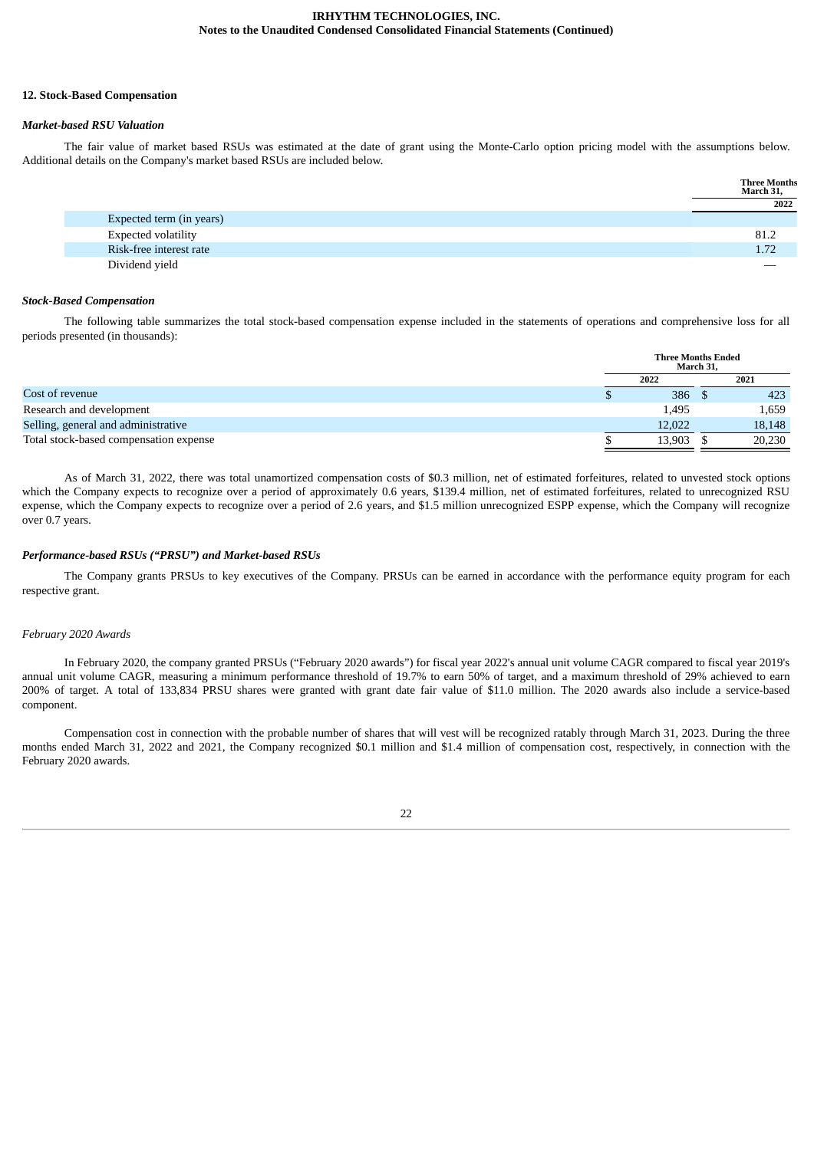## **12. Stock-Based Compensation**

## *Market-based RSU Valuation*

The fair value of market based RSUs was estimated at the date of grant using the Monte-Carlo option pricing model with the assumptions below. Additional details on the Company's market based RSUs are included below.

|                            | <b>Three Months</b><br>March 31,<br>2022 |
|----------------------------|------------------------------------------|
|                            |                                          |
| Expected term (in years)   |                                          |
| <b>Expected volatility</b> | 81.                                      |
| Risk-free interest rate    | 1.72                                     |
| Dividend yield             |                                          |

## *Stock-Based Compensation*

The following table summarizes the total stock-based compensation expense included in the statements of operations and comprehensive loss for all periods presented (in thousands):

|                                        | <b>Three Months Ended</b><br>March 31. |        |  |
|----------------------------------------|----------------------------------------|--------|--|
|                                        | 2022                                   | 2021   |  |
| Cost of revenue                        | 386                                    | 423    |  |
| Research and development               | 1,495                                  | 1,659  |  |
| Selling, general and administrative    | 12,022                                 | 18,148 |  |
| Total stock-based compensation expense | 13,903                                 | 20,230 |  |

As of March 31, 2022, there was total unamortized compensation costs of \$0.3 million, net of estimated forfeitures, related to unvested stock options which the Company expects to recognize over a period of approximately 0.6 years, \$139.4 million, net of estimated forfeitures, related to unrecognized RSU expense, which the Company expects to recognize over a period of 2.6 years, and \$1.5 million unrecognized ESPP expense, which the Company will recognize over 0.7 years.

## *Performance-based RSUs ("PRSU") and Market-based RSUs*

The Company grants PRSUs to key executives of the Company. PRSUs can be earned in accordance with the performance equity program for each respective grant.

## *February 2020 Awards*

In February 2020, the company granted PRSUs ("February 2020 awards") for fiscal year 2022's annual unit volume CAGR compared to fiscal year 2019's annual unit volume CAGR, measuring a minimum performance threshold of 19.7% to earn 50% of target, and a maximum threshold of 29% achieved to earn 200% of target. A total of 133,834 PRSU shares were granted with grant date fair value of \$11.0 million. The 2020 awards also include a service-based component.

Compensation cost in connection with the probable number of shares that will vest will be recognized ratably through March 31, 2023. During the three months ended March 31, 2022 and 2021, the Company recognized \$0.1 million and \$1.4 million of compensation cost, respectively, in connection with the February 2020 awards.

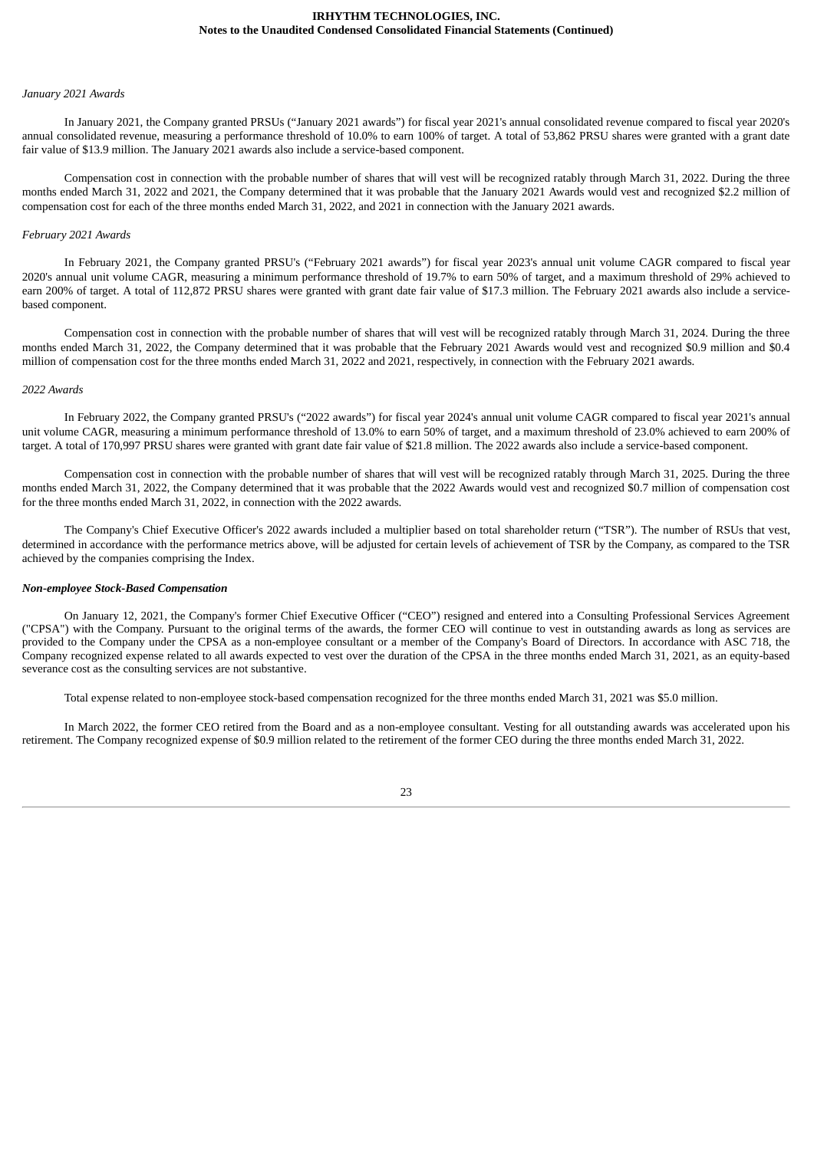#### *January 2021 Awards*

In January 2021, the Company granted PRSUs ("January 2021 awards") for fiscal year 2021's annual consolidated revenue compared to fiscal year 2020's annual consolidated revenue, measuring a performance threshold of 10.0% to earn 100% of target. A total of 53,862 PRSU shares were granted with a grant date fair value of \$13.9 million. The January 2021 awards also include a service-based component.

Compensation cost in connection with the probable number of shares that will vest will be recognized ratably through March 31, 2022. During the three months ended March 31, 2022 and 2021, the Company determined that it was probable that the January 2021 Awards would vest and recognized \$2.2 million of compensation cost for each of the three months ended March 31, 2022, and 2021 in connection with the January 2021 awards.

## *February 2021 Awards*

In February 2021, the Company granted PRSU's ("February 2021 awards") for fiscal year 2023's annual unit volume CAGR compared to fiscal year 2020's annual unit volume CAGR, measuring a minimum performance threshold of 19.7% to earn 50% of target, and a maximum threshold of 29% achieved to earn 200% of target. A total of 112,872 PRSU shares were granted with grant date fair value of \$17.3 million. The February 2021 awards also include a servicebased component.

Compensation cost in connection with the probable number of shares that will vest will be recognized ratably through March 31, 2024. During the three months ended March 31, 2022, the Company determined that it was probable that the February 2021 Awards would vest and recognized \$0.9 million and \$0.4 million of compensation cost for the three months ended March 31, 2022 and 2021, respectively, in connection with the February 2021 awards.

#### *2022 Awards*

In February 2022, the Company granted PRSU's ("2022 awards") for fiscal year 2024's annual unit volume CAGR compared to fiscal year 2021's annual unit volume CAGR, measuring a minimum performance threshold of 13.0% to earn 50% of target, and a maximum threshold of 23.0% achieved to earn 200% of target. A total of 170,997 PRSU shares were granted with grant date fair value of \$21.8 million. The 2022 awards also include a service-based component.

Compensation cost in connection with the probable number of shares that will vest will be recognized ratably through March 31, 2025. During the three months ended March 31, 2022, the Company determined that it was probable that the 2022 Awards would vest and recognized \$0.7 million of compensation cost for the three months ended March 31, 2022, in connection with the 2022 awards.

The Company's Chief Executive Officer's 2022 awards included a multiplier based on total shareholder return ("TSR"). The number of RSUs that vest, determined in accordance with the performance metrics above, will be adjusted for certain levels of achievement of TSR by the Company, as compared to the TSR achieved by the companies comprising the Index.

#### *Non-employee Stock-Based Compensation*

On January 12, 2021, the Company's former Chief Executive Officer ("CEO") resigned and entered into a Consulting Professional Services Agreement ("CPSA") with the Company. Pursuant to the original terms of the awards, the former CEO will continue to vest in outstanding awards as long as services are provided to the Company under the CPSA as a non-employee consultant or a member of the Company's Board of Directors. In accordance with ASC 718, the Company recognized expense related to all awards expected to vest over the duration of the CPSA in the three months ended March 31, 2021, as an equity-based severance cost as the consulting services are not substantive.

Total expense related to non-employee stock-based compensation recognized for the three months ended March 31, 2021 was \$5.0 million.

In March 2022, the former CEO retired from the Board and as a non-employee consultant. Vesting for all outstanding awards was accelerated upon his retirement. The Company recognized expense of \$0.9 million related to the retirement of the former CEO during the three months ended March 31, 2022.

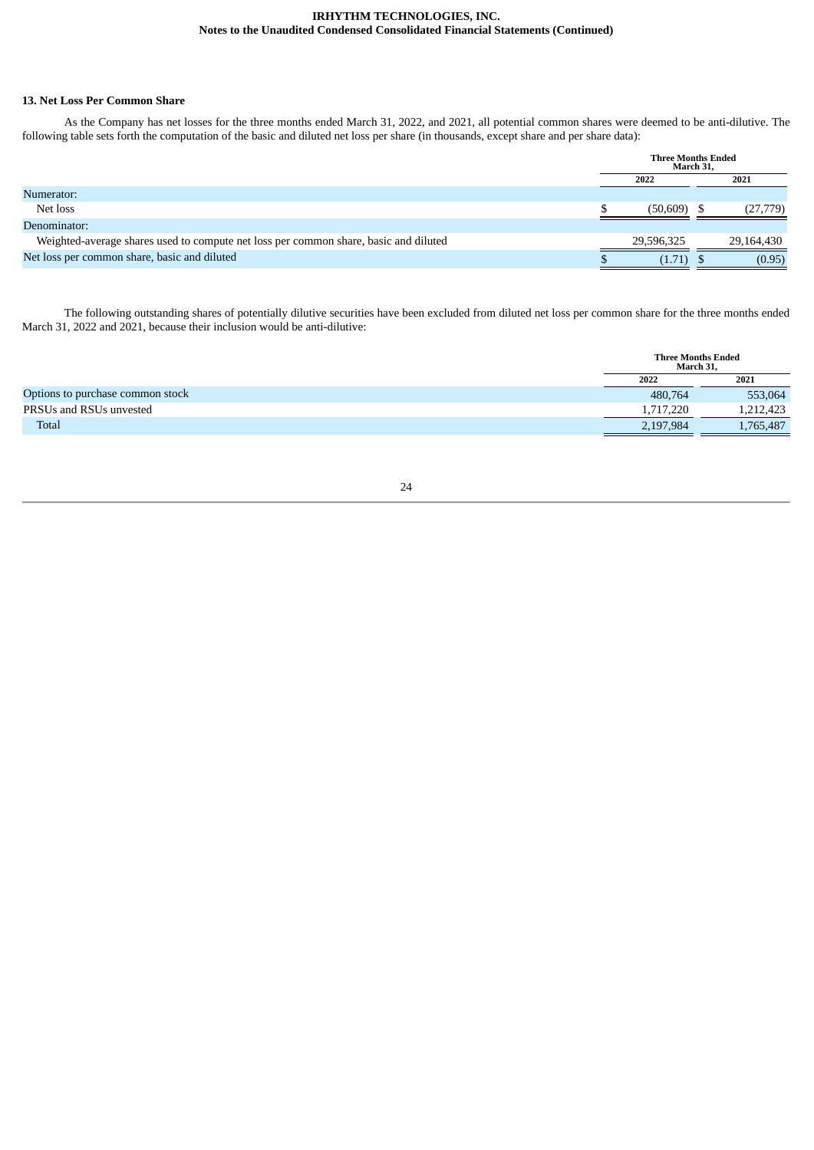## **13. Net Loss Per Common Share**

As the Company has net losses for the three months ended March 31, 2022, and 2021, all potential common shares were deemed to be anti-dilutive. The following table sets forth the computation of the basic and diluted net loss per share (in thousands, except share and per share data):

|                                                                                      | <b>Three Months Ended</b><br>March 31, |            |  |            |  |
|--------------------------------------------------------------------------------------|----------------------------------------|------------|--|------------|--|
|                                                                                      | 2022                                   |            |  | 2021       |  |
| Numerator:                                                                           |                                        |            |  |            |  |
| Net loss                                                                             |                                        | (50,609)   |  | (27,779)   |  |
| Denominator:                                                                         |                                        |            |  |            |  |
| Weighted-average shares used to compute net loss per common share, basic and diluted |                                        | 29,596,325 |  | 29,164,430 |  |
| Net loss per common share, basic and diluted                                         |                                        | (1.71)     |  | (0.95)     |  |

The following outstanding shares of potentially dilutive securities have been excluded from diluted net loss per common share for the three months ended March 31, 2022 and 2021, because their inclusion would be anti-dilutive:

<span id="page-27-0"></span>

|                                  | Three Months Ended<br>March 31. |           |  |
|----------------------------------|---------------------------------|-----------|--|
|                                  | 2022                            | 2021      |  |
| Options to purchase common stock | 480,764                         | 553,064   |  |
| PRSUs and RSUs unvested          | 1.717.220                       | 1.212.423 |  |
| Total                            | 2,197,984                       | 1,765,487 |  |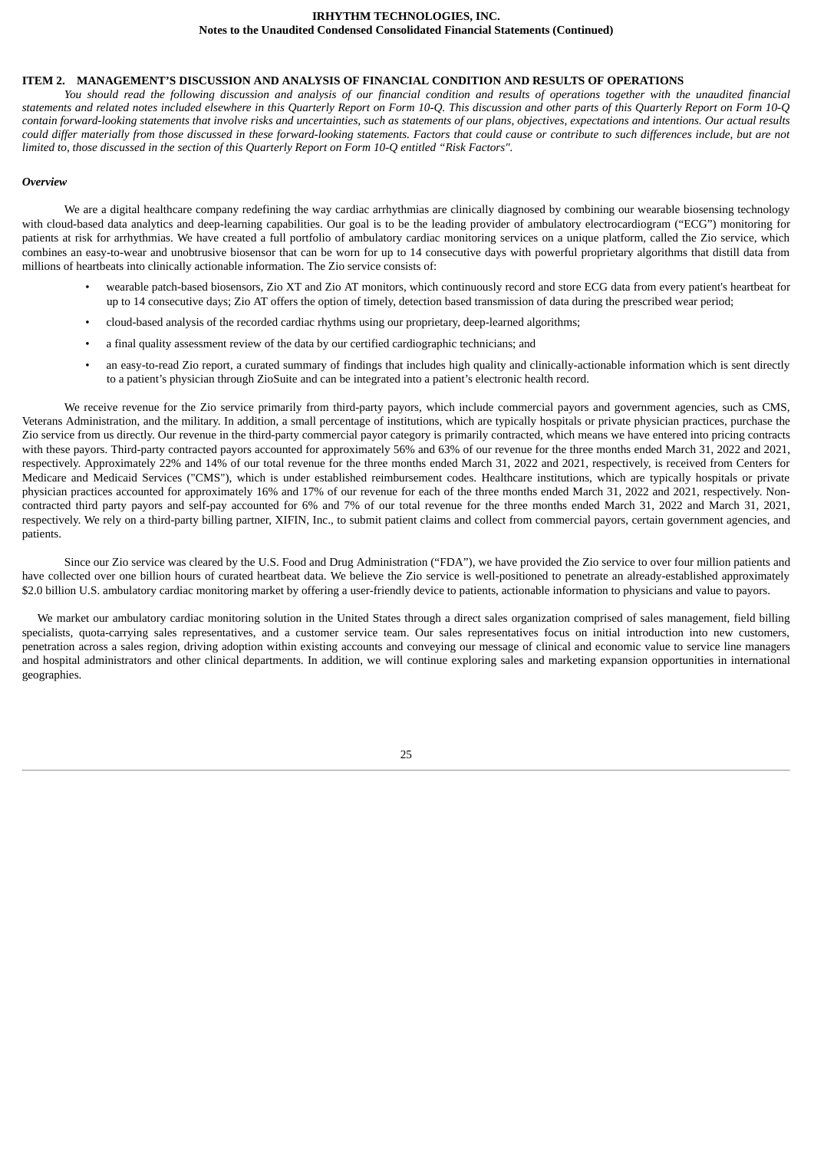## **ITEM 2. MANAGEMENT'S DISCUSSION AND ANALYSIS OF FINANCIAL CONDITION AND RESULTS OF OPERATIONS**

You should read the following discussion and analysis of our financial condition and results of operations together with the unaudited financial statements and related notes included elsewhere in this Quarterly Report on Form 10-Q. This discussion and other parts of this Quarterly Report on Form 10-Q contain forward-looking statements that involve risks and uncertainties, such as statements of our plans, objectives, expectations and intentions. Our actual results could differ materially from those discussed in these forward-looking statements. Factors that could cause or contribute to such differences include, but are not *limited to, those discussed in the section of this Quarterly Report on Form 10-Q entitled "Risk Factors".*

#### *Overview*

We are a digital healthcare company redefining the way cardiac arrhythmias are clinically diagnosed by combining our wearable biosensing technology with cloud-based data analytics and deep-learning capabilities. Our goal is to be the leading provider of ambulatory electrocardiogram ("ECG") monitoring for patients at risk for arrhythmias. We have created a full portfolio of ambulatory cardiac monitoring services on a unique platform, called the Zio service, which combines an easy-to-wear and unobtrusive biosensor that can be worn for up to 14 consecutive days with powerful proprietary algorithms that distill data from millions of heartbeats into clinically actionable information. The Zio service consists of:

- wearable patch-based biosensors, Zio XT and Zio AT monitors, which continuously record and store ECG data from every patient's heartbeat for up to 14 consecutive days; Zio AT offers the option of timely, detection based transmission of data during the prescribed wear period;
- cloud-based analysis of the recorded cardiac rhythms using our proprietary, deep-learned algorithms;
- a final quality assessment review of the data by our certified cardiographic technicians; and
- an easy-to-read Zio report, a curated summary of findings that includes high quality and clinically-actionable information which is sent directly to a patient's physician through ZioSuite and can be integrated into a patient's electronic health record.

We receive revenue for the Zio service primarily from third-party payors, which include commercial payors and government agencies, such as CMS, Veterans Administration, and the military. In addition, a small percentage of institutions, which are typically hospitals or private physician practices, purchase the Zio service from us directly. Our revenue in the third-party commercial payor category is primarily contracted, which means we have entered into pricing contracts with these payors. Third-party contracted payors accounted for approximately 56% and 63% of our revenue for the three months ended March 31, 2022 and 2021, respectively. Approximately 22% and 14% of our total revenue for the three months ended March 31, 2022 and 2021, respectively, is received from Centers for Medicare and Medicaid Services ("CMS"), which is under established reimbursement codes. Healthcare institutions, which are typically hospitals or private physician practices accounted for approximately 16% and 17% of our revenue for each of the three months ended March 31, 2022 and 2021, respectively. Noncontracted third party payors and self-pay accounted for 6% and 7% of our total revenue for the three months ended March 31, 2022 and March 31, 2021, respectively. We rely on a third-party billing partner, XIFIN, Inc., to submit patient claims and collect from commercial payors, certain government agencies, and patients.

Since our Zio service was cleared by the U.S. Food and Drug Administration ("FDA"), we have provided the Zio service to over four million patients and have collected over one billion hours of curated heartbeat data. We believe the Zio service is well-positioned to penetrate an already-established approximately \$2.0 billion U.S. ambulatory cardiac monitoring market by offering a user-friendly device to patients, actionable information to physicians and value to payors.

We market our ambulatory cardiac monitoring solution in the United States through a direct sales organization comprised of sales management, field billing specialists, quota-carrying sales representatives, and a customer service team. Our sales representatives focus on initial introduction into new customers, penetration across a sales region, driving adoption within existing accounts and conveying our message of clinical and economic value to service line managers and hospital administrators and other clinical departments. In addition, we will continue exploring sales and marketing expansion opportunities in international geographies.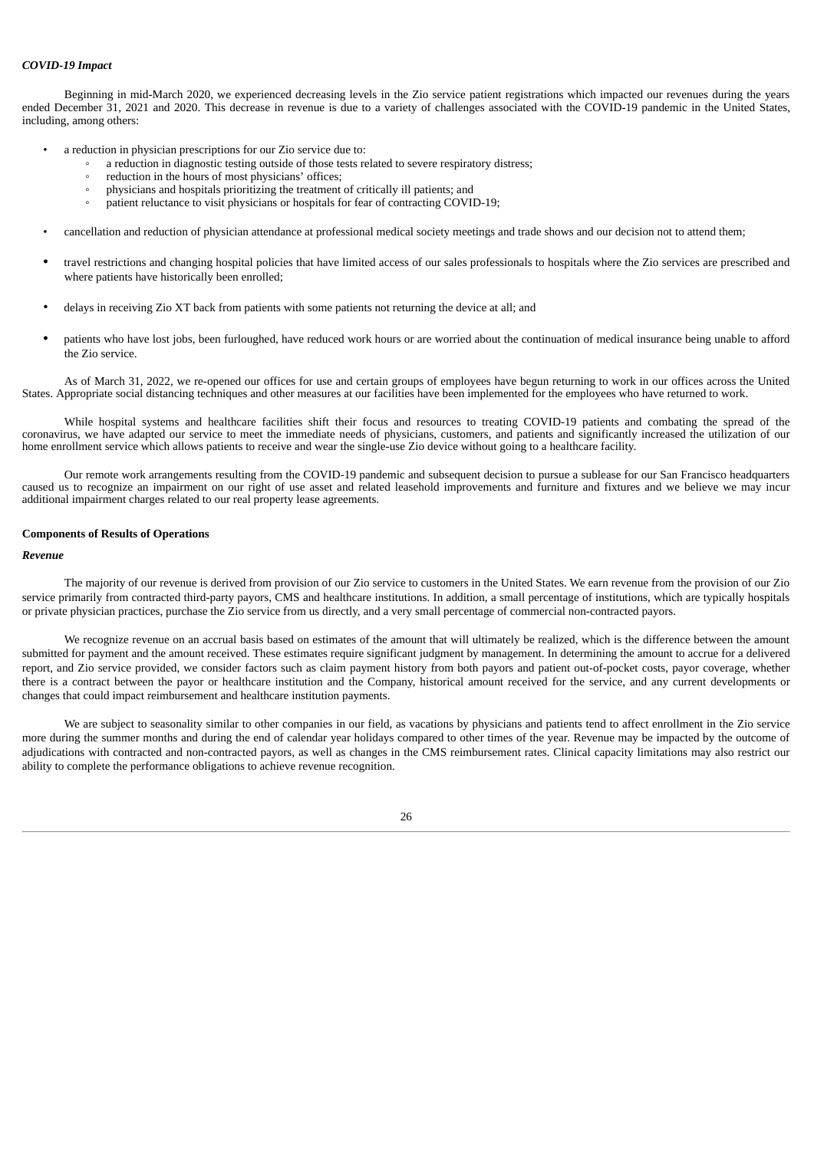## *COVID-19 Impact*

Beginning in mid-March 2020, we experienced decreasing levels in the Zio service patient registrations which impacted our revenues during the years ended December 31, 2021 and 2020. This decrease in revenue is due to a variety of challenges associated with the COVID-19 pandemic in the United States, including, among others:

- a reduction in physician prescriptions for our Zio service due to:
	- a reduction in diagnostic testing outside of those tests related to severe respiratory distress;
		- reduction in the hours of most physicians' offices;
	- physicians and hospitals prioritizing the treatment of critically ill patients; and
	- patient reluctance to visit physicians or hospitals for fear of contracting COVID-19;
- cancellation and reduction of physician attendance at professional medical society meetings and trade shows and our decision not to attend them;
- travel restrictions and changing hospital policies that have limited access of our sales professionals to hospitals where the Zio services are prescribed and where patients have historically been enrolled;
- delays in receiving Zio XT back from patients with some patients not returning the device at all; and
- patients who have lost jobs, been furloughed, have reduced work hours or are worried about the continuation of medical insurance being unable to afford the Zio service.

As of March 31, 2022, we re-opened our offices for use and certain groups of employees have begun returning to work in our offices across the United States. Appropriate social distancing techniques and other measures at our facilities have been implemented for the employees who have returned to work.

While hospital systems and healthcare facilities shift their focus and resources to treating COVID-19 patients and combating the spread of the coronavirus, we have adapted our service to meet the immediate needs of physicians, customers, and patients and significantly increased the utilization of our home enrollment service which allows patients to receive and wear the single-use Zio device without going to a healthcare facility.

Our remote work arrangements resulting from the COVID-19 pandemic and subsequent decision to pursue a sublease for our San Francisco headquarters caused us to recognize an impairment on our right of use asset and related leasehold improvements and furniture and fixtures and we believe we may incur additional impairment charges related to our real property lease agreements.

## **Components of Results of Operations**

#### *Revenue*

The majority of our revenue is derived from provision of our Zio service to customers in the United States. We earn revenue from the provision of our Zio service primarily from contracted third-party payors, CMS and healthcare institutions. In addition, a small percentage of institutions, which are typically hospitals or private physician practices, purchase the Zio service from us directly, and a very small percentage of commercial non-contracted payors.

We recognize revenue on an accrual basis based on estimates of the amount that will ultimately be realized, which is the difference between the amount submitted for payment and the amount received. These estimates require significant judgment by management. In determining the amount to accrue for a delivered report, and Zio service provided, we consider factors such as claim payment history from both payors and patient out-of-pocket costs, payor coverage, whether there is a contract between the payor or healthcare institution and the Company, historical amount received for the service, and any current developments or changes that could impact reimbursement and healthcare institution payments.

We are subject to seasonality similar to other companies in our field, as vacations by physicians and patients tend to affect enrollment in the Zio service more during the summer months and during the end of calendar year holidays compared to other times of the year. Revenue may be impacted by the outcome of adjudications with contracted and non-contracted payors, as well as changes in the CMS reimbursement rates. Clinical capacity limitations may also restrict our ability to complete the performance obligations to achieve revenue recognition.

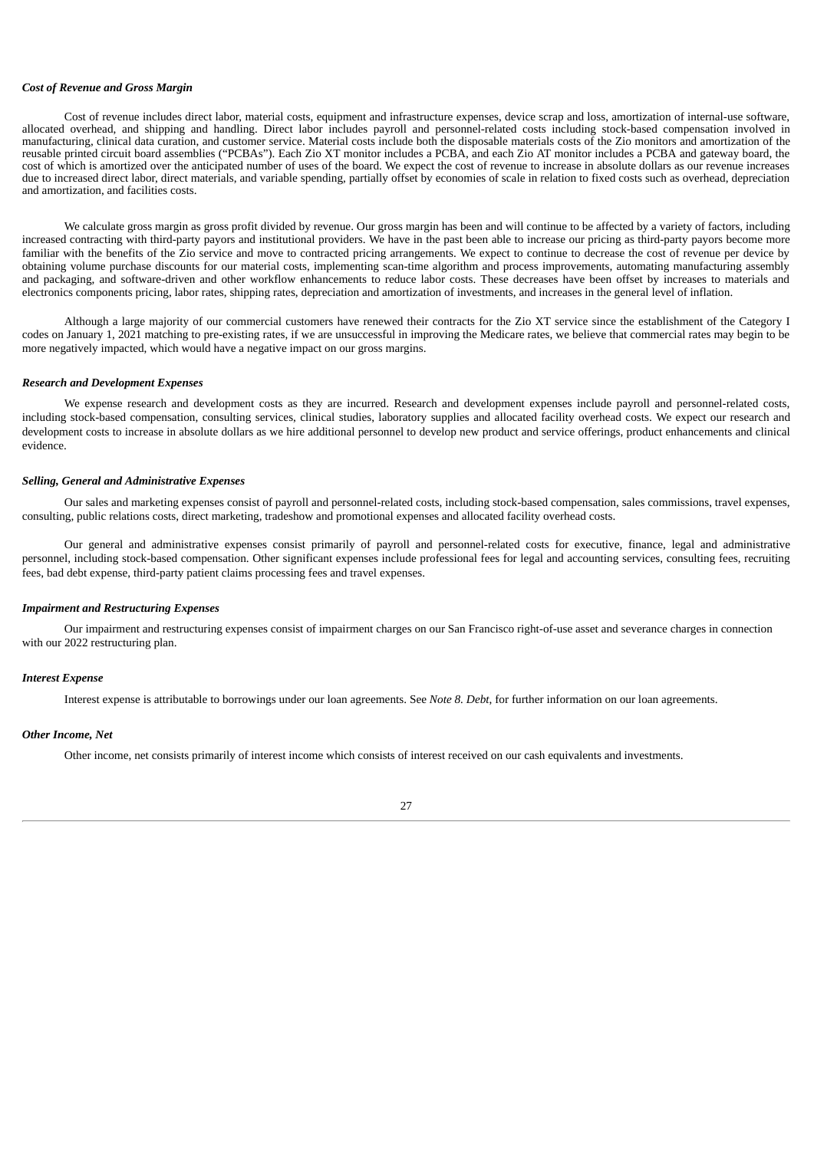#### *Cost of Revenue and Gross Margin*

Cost of revenue includes direct labor, material costs, equipment and infrastructure expenses, device scrap and loss, amortization of internal-use software, allocated overhead, and shipping and handling. Direct labor includes payroll and personnel-related costs including stock-based compensation involved in manufacturing, clinical data curation, and customer service. Material costs include both the disposable materials costs of the Zio monitors and amortization of the reusable printed circuit board assemblies ("PCBAs"). Each Zio XT monitor includes a PCBA, and each Zio AT monitor includes a PCBA and gateway board, the cost of which is amortized over the anticipated number of uses of the board. We expect the cost of revenue to increase in absolute dollars as our revenue increases due to increased direct labor, direct materials, and variable spending, partially offset by economies of scale in relation to fixed costs such as overhead, depreciation and amortization, and facilities costs.

We calculate gross margin as gross profit divided by revenue. Our gross margin has been and will continue to be affected by a variety of factors, including increased contracting with third-party payors and institutional providers. We have in the past been able to increase our pricing as third-party payors become more familiar with the benefits of the Zio service and move to contracted pricing arrangements. We expect to continue to decrease the cost of revenue per device by obtaining volume purchase discounts for our material costs, implementing scan-time algorithm and process improvements, automating manufacturing assembly and packaging, and software-driven and other workflow enhancements to reduce labor costs. These decreases have been offset by increases to materials and electronics components pricing, labor rates, shipping rates, depreciation and amortization of investments, and increases in the general level of inflation.

Although a large majority of our commercial customers have renewed their contracts for the Zio XT service since the establishment of the Category I codes on January 1, 2021 matching to pre-existing rates, if we are unsuccessful in improving the Medicare rates, we believe that commercial rates may begin to be more negatively impacted, which would have a negative impact on our gross margins.

## *Research and Development Expenses*

We expense research and development costs as they are incurred. Research and development expenses include payroll and personnel-related costs, including stock-based compensation, consulting services, clinical studies, laboratory supplies and allocated facility overhead costs. We expect our research and development costs to increase in absolute dollars as we hire additional personnel to develop new product and service offerings, product enhancements and clinical evidence.

#### *Selling, General and Administrative Expenses*

Our sales and marketing expenses consist of payroll and personnel-related costs, including stock-based compensation, sales commissions, travel expenses, consulting, public relations costs, direct marketing, tradeshow and promotional expenses and allocated facility overhead costs.

Our general and administrative expenses consist primarily of payroll and personnel-related costs for executive, finance, legal and administrative personnel, including stock-based compensation. Other significant expenses include professional fees for legal and accounting services, consulting fees, recruiting fees, bad debt expense, third-party patient claims processing fees and travel expenses.

#### *Impairment and Restructuring Expenses*

Our impairment and restructuring expenses consist of impairment charges on our San Francisco right-of-use asset and severance charges in connection with our 2022 restructuring plan.

## *Interest Expense*

Interest expense is attributable to borrowings under our loan agreements. See *Note 8. Debt*, for further information on our loan agreements.

#### *Other Income, Net*

Other income, net consists primarily of interest income which consists of interest received on our cash equivalents and investments.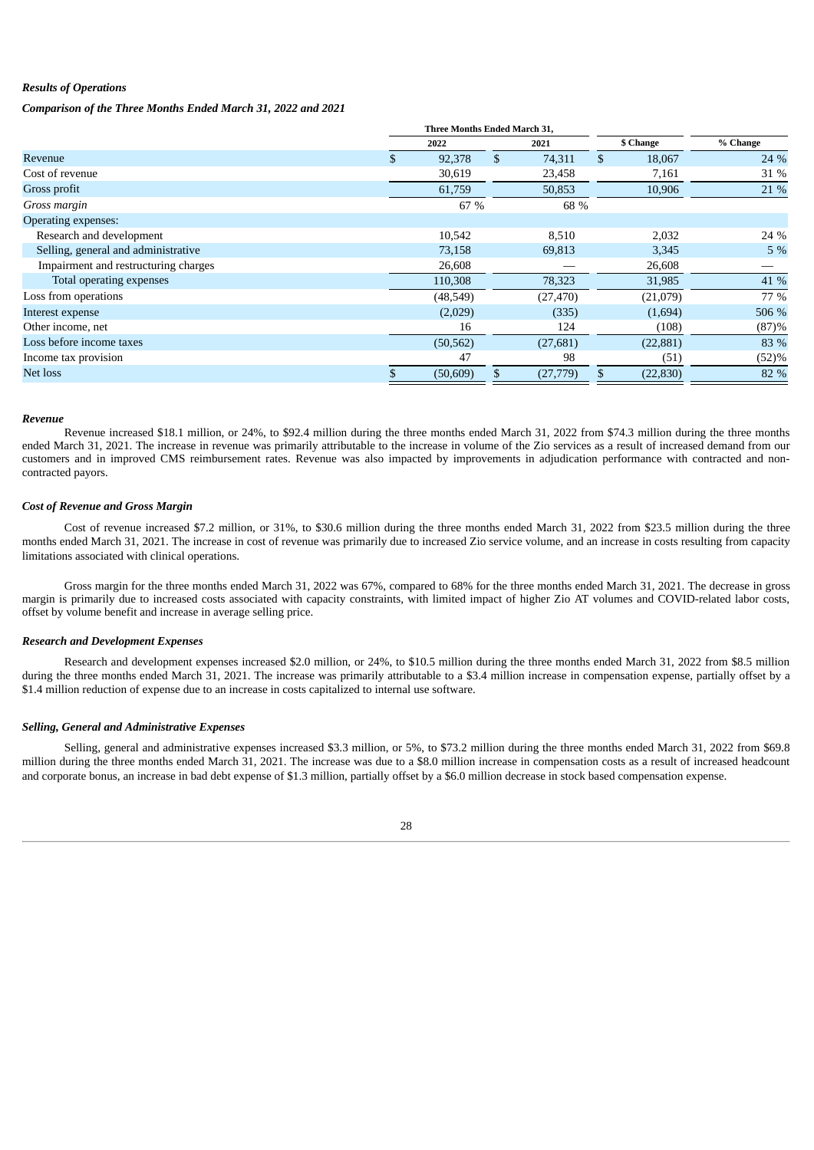#### *Results of Operations*

*Comparison of the Three Months Ended March 31, 2022 and 2021*

| Three Months Ended March 31, |           |    |           |      |           |       |           |          |
|------------------------------|-----------|----|-----------|------|-----------|-------|-----------|----------|
| 2022                         |           |    |           | 2021 |           |       | \$ Change | % Change |
| \$                           | 92,378    | \$ | 74,311    | \$   | 18,067    | 24 %  |           |          |
|                              | 30,619    |    | 23,458    |      | 7,161     | 31 %  |           |          |
|                              | 61,759    |    | 50,853    |      | 10,906    | 21 %  |           |          |
|                              | 67 %      |    | 68 %      |      |           |       |           |          |
|                              |           |    |           |      |           |       |           |          |
|                              | 10,542    |    | 8,510     |      | 2,032     | 24 %  |           |          |
|                              | 73,158    |    | 69,813    |      | 3,345     | 5 %   |           |          |
|                              | 26,608    |    |           |      | 26,608    |       |           |          |
|                              | 110,308   |    | 78,323    |      | 31,985    | 41 %  |           |          |
|                              | (48, 549) |    | (27, 470) |      | (21,079)  | 77 %  |           |          |
|                              | (2,029)   |    | (335)     |      | (1,694)   | 506 % |           |          |
|                              | 16        |    | 124       |      | (108)     | (87)% |           |          |
|                              | (50, 562) |    | (27, 681) |      | (22, 881) | 83 %  |           |          |
|                              | 47        |    | 98        |      | (51)      | (52)% |           |          |
|                              | (50, 609) | \$ | (27, 779) | \$   | (22, 830) | 82 %  |           |          |
|                              |           |    |           |      |           |       |           |          |

#### *Revenue*

Revenue increased \$18.1 million, or 24%, to \$92.4 million during the three months ended March 31, 2022 from \$74.3 million during the three months ended March 31, 2021. The increase in revenue was primarily attributable to the increase in volume of the Zio services as a result of increased demand from our customers and in improved CMS reimbursement rates. Revenue was also impacted by improvements in adjudication performance with contracted and noncontracted payors.

## *Cost of Revenue and Gross Margin*

Cost of revenue increased \$7.2 million, or 31%, to \$30.6 million during the three months ended March 31, 2022 from \$23.5 million during the three months ended March 31, 2021. The increase in cost of revenue was primarily due to increased Zio service volume, and an increase in costs resulting from capacity limitations associated with clinical operations.

Gross margin for the three months ended March 31, 2022 was 67%, compared to 68% for the three months ended March 31, 2021. The decrease in gross margin is primarily due to increased costs associated with capacity constraints, with limited impact of higher Zio AT volumes and COVID-related labor costs, offset by volume benefit and increase in average selling price.

## *Research and Development Expenses*

Research and development expenses increased \$2.0 million, or 24%, to \$10.5 million during the three months ended March 31, 2022 from \$8.5 million during the three months ended March 31, 2021. The increase was primarily attributable to a \$3.4 million increase in compensation expense, partially offset by a \$1.4 million reduction of expense due to an increase in costs capitalized to internal use software.

#### *Selling, General and Administrative Expenses*

Selling, general and administrative expenses increased \$3.3 million, or 5%, to \$73.2 million during the three months ended March 31, 2022 from \$69.8 million during the three months ended March 31, 2021. The increase was due to a \$8.0 million increase in compensation costs as a result of increased headcount and corporate bonus, an increase in bad debt expense of \$1.3 million, partially offset by a \$6.0 million decrease in stock based compensation expense.

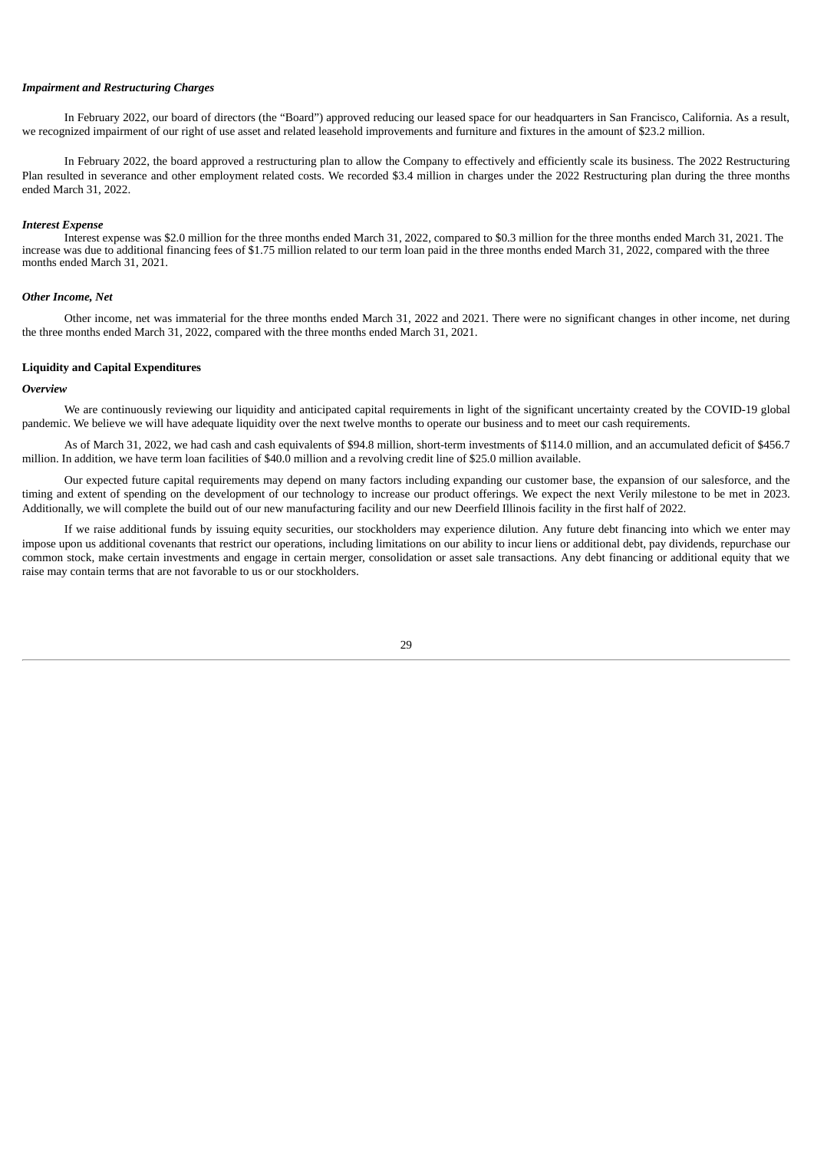#### *Impairment and Restructuring Charges*

In February 2022, our board of directors (the "Board") approved reducing our leased space for our headquarters in San Francisco, California. As a result, we recognized impairment of our right of use asset and related leasehold improvements and furniture and fixtures in the amount of \$23.2 million.

In February 2022, the board approved a restructuring plan to allow the Company to effectively and efficiently scale its business. The 2022 Restructuring Plan resulted in severance and other employment related costs. We recorded \$3.4 million in charges under the 2022 Restructuring plan during the three months ended March 31, 2022.

## *Interest Expense*

Interest expense was \$2.0 million for the three months ended March 31, 2022, compared to \$0.3 million for the three months ended March 31, 2021. The increase was due to additional financing fees of \$1.75 million related to our term loan paid in the three months ended March 31, 2022, compared with the three months ended March 31, 2021.

#### *Other Income, Net*

Other income, net was immaterial for the three months ended March 31, 2022 and 2021. There were no significant changes in other income, net during the three months ended March 31, 2022, compared with the three months ended March 31, 2021.

## **Liquidity and Capital Expenditures**

#### *Overview*

We are continuously reviewing our liquidity and anticipated capital requirements in light of the significant uncertainty created by the COVID-19 global pandemic. We believe we will have adequate liquidity over the next twelve months to operate our business and to meet our cash requirements.

As of March 31, 2022, we had cash and cash equivalents of \$94.8 million, short-term investments of \$114.0 million, and an accumulated deficit of \$456.7 million. In addition, we have term loan facilities of \$40.0 million and a revolving credit line of \$25.0 million available.

Our expected future capital requirements may depend on many factors including expanding our customer base, the expansion of our salesforce, and the timing and extent of spending on the development of our technology to increase our product offerings. We expect the next Verily milestone to be met in 2023. Additionally, we will complete the build out of our new manufacturing facility and our new Deerfield Illinois facility in the first half of 2022.

If we raise additional funds by issuing equity securities, our stockholders may experience dilution. Any future debt financing into which we enter may impose upon us additional covenants that restrict our operations, including limitations on our ability to incur liens or additional debt, pay dividends, repurchase our common stock, make certain investments and engage in certain merger, consolidation or asset sale transactions. Any debt financing or additional equity that we raise may contain terms that are not favorable to us or our stockholders.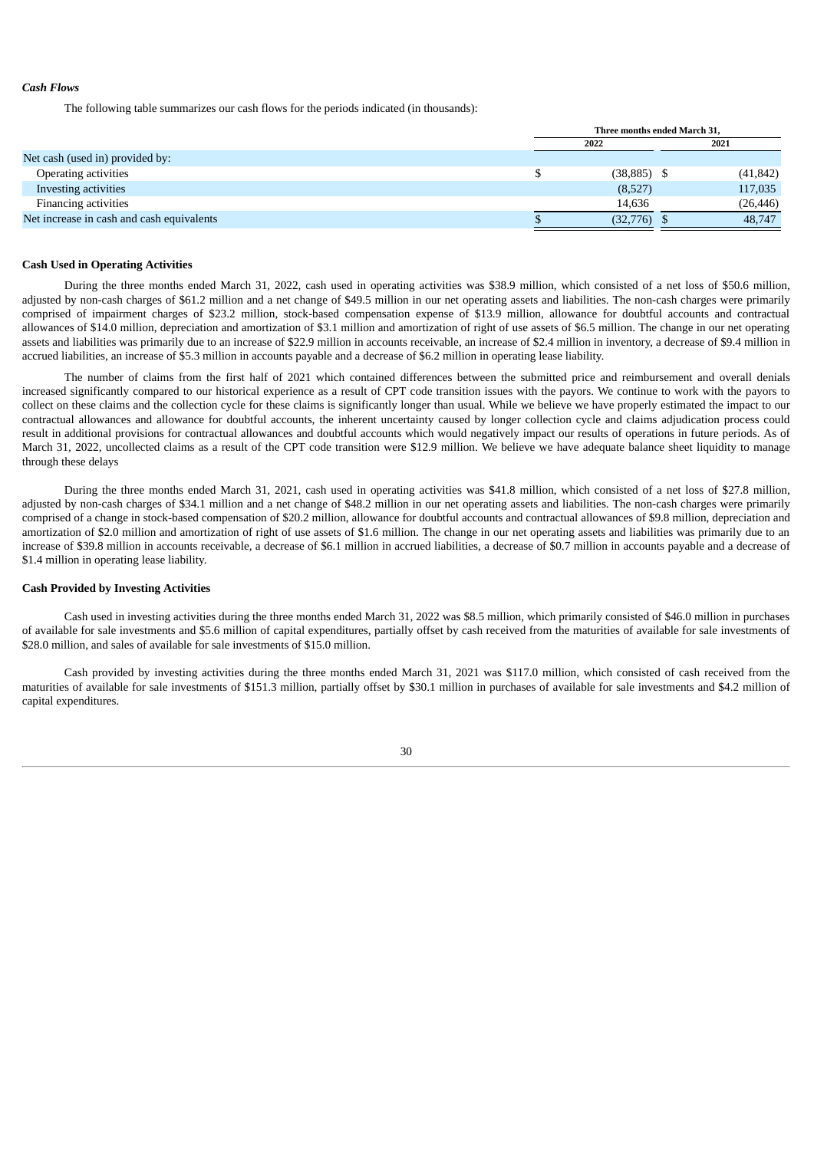## *Cash Flows*

The following table summarizes our cash flows for the periods indicated (in thousands):

|                                           | Three months ended March 31, |      |           |  |  |
|-------------------------------------------|------------------------------|------|-----------|--|--|
|                                           | 2022                         | 2021 |           |  |  |
| Net cash (used in) provided by:           |                              |      |           |  |  |
| <b>Operating activities</b>               | $(38, 885)$ \$               |      | (41, 842) |  |  |
| Investing activities                      | (8,527)                      |      | 117,035   |  |  |
| <b>Financing activities</b>               | 14.636                       |      | (26, 446) |  |  |
| Net increase in cash and cash equivalents | (32,776)                     |      | 48,747    |  |  |

## **Cash Used in Operating Activities**

During the three months ended March 31, 2022, cash used in operating activities was \$38.9 million, which consisted of a net loss of \$50.6 million, adjusted by non-cash charges of \$61.2 million and a net change of \$49.5 million in our net operating assets and liabilities. The non-cash charges were primarily comprised of impairment charges of \$23.2 million, stock-based compensation expense of \$13.9 million, allowance for doubtful accounts and contractual allowances of \$14.0 million, depreciation and amortization of \$3.1 million and amortization of right of use assets of \$6.5 million. The change in our net operating assets and liabilities was primarily due to an increase of \$22.9 million in accounts receivable, an increase of \$2.4 million in inventory, a decrease of \$9.4 million in accrued liabilities, an increase of \$5.3 million in accounts payable and a decrease of \$6.2 million in operating lease liability.

The number of claims from the first half of 2021 which contained differences between the submitted price and reimbursement and overall denials increased significantly compared to our historical experience as a result of CPT code transition issues with the payors. We continue to work with the payors to collect on these claims and the collection cycle for these claims is significantly longer than usual. While we believe we have properly estimated the impact to our contractual allowances and allowance for doubtful accounts, the inherent uncertainty caused by longer collection cycle and claims adjudication process could result in additional provisions for contractual allowances and doubtful accounts which would negatively impact our results of operations in future periods. As of March 31, 2022, uncollected claims as a result of the CPT code transition were \$12.9 million. We believe we have adequate balance sheet liquidity to manage through these delays

During the three months ended March 31, 2021, cash used in operating activities was \$41.8 million, which consisted of a net loss of \$27.8 million, adjusted by non-cash charges of \$34.1 million and a net change of \$48.2 million in our net operating assets and liabilities. The non-cash charges were primarily comprised of a change in stock-based compensation of \$20.2 million, allowance for doubtful accounts and contractual allowances of \$9.8 million, depreciation and amortization of \$2.0 million and amortization of right of use assets of \$1.6 million. The change in our net operating assets and liabilities was primarily due to an increase of \$39.8 million in accounts receivable, a decrease of \$6.1 million in accrued liabilities, a decrease of \$0.7 million in accounts payable and a decrease of \$1.4 million in operating lease liability.

#### **Cash Provided by Investing Activities**

Cash used in investing activities during the three months ended March 31, 2022 was \$8.5 million, which primarily consisted of \$46.0 million in purchases of available for sale investments and \$5.6 million of capital expenditures, partially offset by cash received from the maturities of available for sale investments of \$28.0 million, and sales of available for sale investments of \$15.0 million.

Cash provided by investing activities during the three months ended March 31, 2021 was \$117.0 million, which consisted of cash received from the maturities of available for sale investments of \$151.3 million, partially offset by \$30.1 million in purchases of available for sale investments and \$4.2 million of capital expenditures.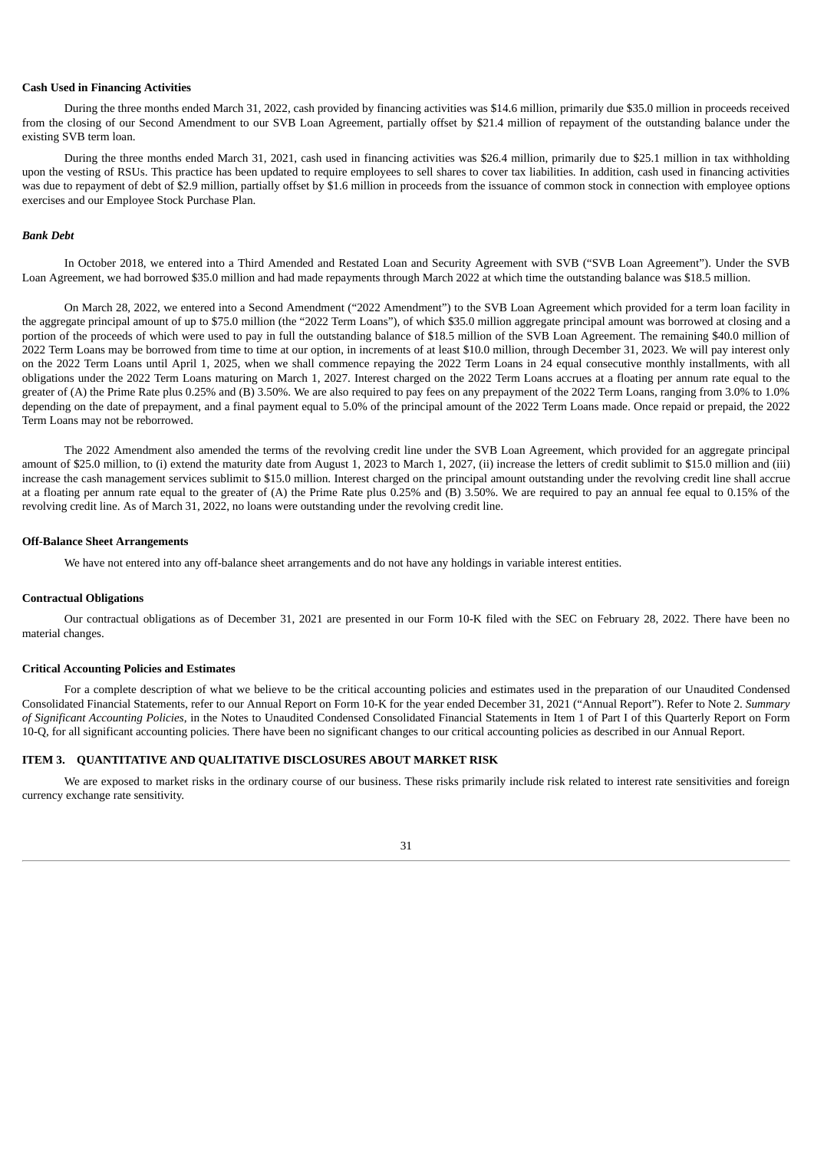#### **Cash Used in Financing Activities**

During the three months ended March 31, 2022, cash provided by financing activities was \$14.6 million, primarily due \$35.0 million in proceeds received from the closing of our Second Amendment to our SVB Loan Agreement, partially offset by \$21.4 million of repayment of the outstanding balance under the existing SVB term loan.

During the three months ended March 31, 2021, cash used in financing activities was \$26.4 million, primarily due to \$25.1 million in tax withholding upon the vesting of RSUs. This practice has been updated to require employees to sell shares to cover tax liabilities. In addition, cash used in financing activities was due to repayment of debt of \$2.9 million, partially offset by \$1.6 million in proceeds from the issuance of common stock in connection with employee options exercises and our Employee Stock Purchase Plan.

#### *Bank Debt*

In October 2018, we entered into a Third Amended and Restated Loan and Security Agreement with SVB ("SVB Loan Agreement"). Under the SVB Loan Agreement, we had borrowed \$35.0 million and had made repayments through March 2022 at which time the outstanding balance was \$18.5 million.

On March 28, 2022, we entered into a Second Amendment ("2022 Amendment") to the SVB Loan Agreement which provided for a term loan facility in the aggregate principal amount of up to \$75.0 million (the "2022 Term Loans"), of which \$35.0 million aggregate principal amount was borrowed at closing and a portion of the proceeds of which were used to pay in full the outstanding balance of \$18.5 million of the SVB Loan Agreement. The remaining \$40.0 million of 2022 Term Loans may be borrowed from time to time at our option, in increments of at least \$10.0 million, through December 31, 2023. We will pay interest only on the 2022 Term Loans until April 1, 2025, when we shall commence repaying the 2022 Term Loans in 24 equal consecutive monthly installments, with all obligations under the 2022 Term Loans maturing on March 1, 2027. Interest charged on the 2022 Term Loans accrues at a floating per annum rate equal to the greater of (A) the Prime Rate plus 0.25% and (B) 3.50%. We are also required to pay fees on any prepayment of the 2022 Term Loans, ranging from 3.0% to 1.0% depending on the date of prepayment, and a final payment equal to 5.0% of the principal amount of the 2022 Term Loans made. Once repaid or prepaid, the 2022 Term Loans may not be reborrowed.

The 2022 Amendment also amended the terms of the revolving credit line under the SVB Loan Agreement, which provided for an aggregate principal amount of \$25.0 million, to (i) extend the maturity date from August 1, 2023 to March 1, 2027, (ii) increase the letters of credit sublimit to \$15.0 million and (iii) increase the cash management services sublimit to \$15.0 million. Interest charged on the principal amount outstanding under the revolving credit line shall accrue at a floating per annum rate equal to the greater of (A) the Prime Rate plus 0.25% and (B) 3.50%. We are required to pay an annual fee equal to 0.15% of the revolving credit line. As of March 31, 2022, no loans were outstanding under the revolving credit line.

#### **Off-Balance Sheet Arrangements**

We have not entered into any off-balance sheet arrangements and do not have any holdings in variable interest entities.

#### **Contractual Obligations**

Our contractual obligations as of December 31, 2021 are presented in our Form 10-K filed with the SEC on February 28, 2022. There have been no material changes.

#### **Critical Accounting Policies and Estimates**

For a complete description of what we believe to be the critical accounting policies and estimates used in the preparation of our Unaudited Condensed Consolidated Financial Statements, refer to our Annual Report on Form 10-K for the year ended December 31, 2021 ("Annual Report"). Refer to Note 2. *Summary of Significant Accounting Policies*, in the Notes to Unaudited Condensed Consolidated Financial Statements in Item 1 of Part I of this Quarterly Report on Form 10-Q, for all significant accounting policies. There have been no significant changes to our critical accounting policies as described in our Annual Report.

## <span id="page-34-0"></span>**ITEM 3. QUANTITATIVE AND QUALITATIVE DISCLOSURES ABOUT MARKET RISK**

We are exposed to market risks in the ordinary course of our business. These risks primarily include risk related to interest rate sensitivities and foreign currency exchange rate sensitivity.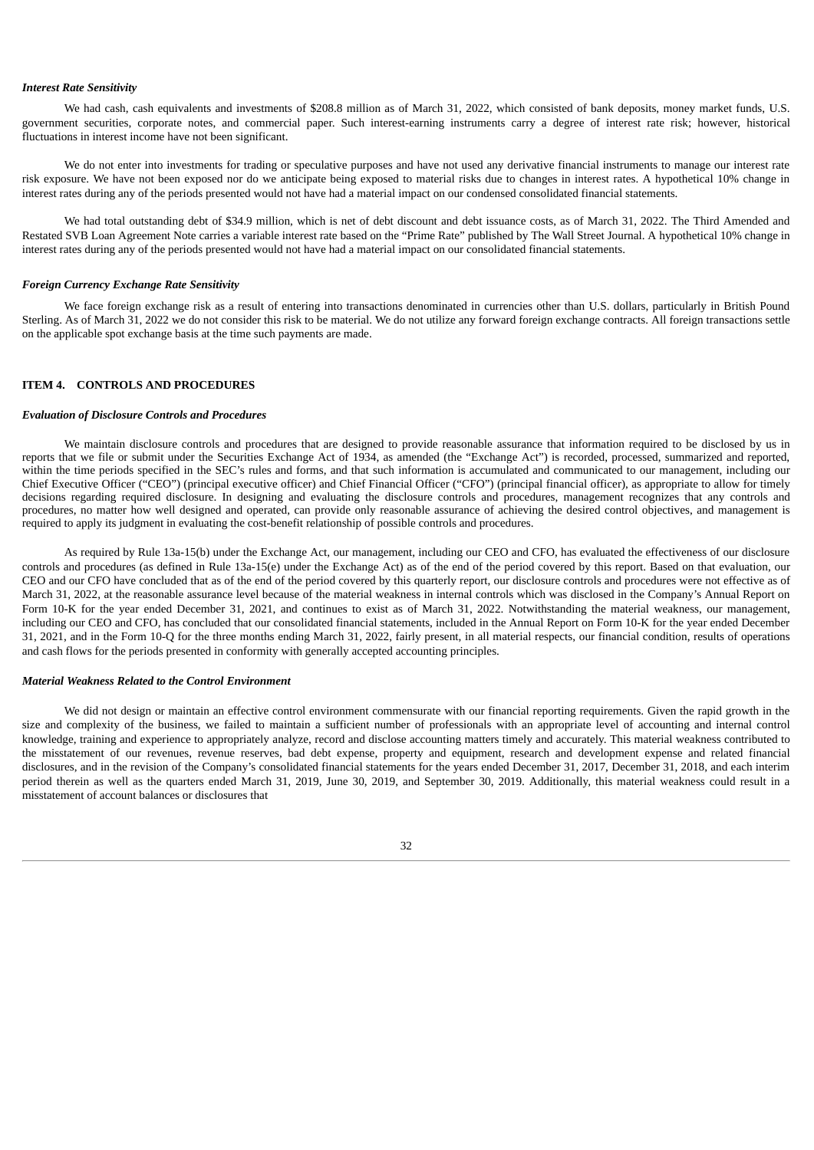#### *Interest Rate Sensitivity*

We had cash, cash equivalents and investments of \$208.8 million as of March 31, 2022, which consisted of bank deposits, money market funds, U.S. government securities, corporate notes, and commercial paper. Such interest-earning instruments carry a degree of interest rate risk; however, historical fluctuations in interest income have not been significant.

We do not enter into investments for trading or speculative purposes and have not used any derivative financial instruments to manage our interest rate risk exposure. We have not been exposed nor do we anticipate being exposed to material risks due to changes in interest rates. A hypothetical 10% change in interest rates during any of the periods presented would not have had a material impact on our condensed consolidated financial statements.

We had total outstanding debt of \$34.9 million, which is net of debt discount and debt issuance costs, as of March 31, 2022. The Third Amended and Restated SVB Loan Agreement Note carries a variable interest rate based on the "Prime Rate" published by The Wall Street Journal. A hypothetical 10% change in interest rates during any of the periods presented would not have had a material impact on our consolidated financial statements.

#### *Foreign Currency Exchange Rate Sensitivity*

We face foreign exchange risk as a result of entering into transactions denominated in currencies other than U.S. dollars, particularly in British Pound Sterling. As of March 31, 2022 we do not consider this risk to be material. We do not utilize any forward foreign exchange contracts. All foreign transactions settle on the applicable spot exchange basis at the time such payments are made.

## <span id="page-35-0"></span>**ITEM 4. CONTROLS AND PROCEDURES**

## *Evaluation of Disclosure Controls and Procedures*

We maintain disclosure controls and procedures that are designed to provide reasonable assurance that information required to be disclosed by us in reports that we file or submit under the Securities Exchange Act of 1934, as amended (the "Exchange Act") is recorded, processed, summarized and reported, within the time periods specified in the SEC's rules and forms, and that such information is accumulated and communicated to our management, including our Chief Executive Officer ("CEO") (principal executive officer) and Chief Financial Officer ("CFO") (principal financial officer), as appropriate to allow for timely decisions regarding required disclosure. In designing and evaluating the disclosure controls and procedures, management recognizes that any controls and procedures, no matter how well designed and operated, can provide only reasonable assurance of achieving the desired control objectives, and management is required to apply its judgment in evaluating the cost-benefit relationship of possible controls and procedures.

As required by Rule 13a-15(b) under the Exchange Act, our management, including our CEO and CFO, has evaluated the effectiveness of our disclosure controls and procedures (as defined in Rule 13a-15(e) under the Exchange Act) as of the end of the period covered by this report. Based on that evaluation, our CEO and our CFO have concluded that as of the end of the period covered by this quarterly report, our disclosure controls and procedures were not effective as of March 31, 2022, at the reasonable assurance level because of the material weakness in internal controls which was disclosed in the Company's Annual Report on Form 10-K for the year ended December 31, 2021, and continues to exist as of March 31, 2022. Notwithstanding the material weakness, our management, including our CEO and CFO, has concluded that our consolidated financial statements, included in the Annual Report on Form 10-K for the year ended December 31, 2021, and in the Form 10-Q for the three months ending March 31, 2022, fairly present, in all material respects, our financial condition, results of operations and cash flows for the periods presented in conformity with generally accepted accounting principles.

#### *Material Weakness Related to the Control Environment*

We did not design or maintain an effective control environment commensurate with our financial reporting requirements. Given the rapid growth in the size and complexity of the business, we failed to maintain a sufficient number of professionals with an appropriate level of accounting and internal control knowledge, training and experience to appropriately analyze, record and disclose accounting matters timely and accurately. This material weakness contributed to the misstatement of our revenues, revenue reserves, bad debt expense, property and equipment, research and development expense and related financial disclosures, and in the revision of the Company's consolidated financial statements for the years ended December 31, 2017, December 31, 2018, and each interim period therein as well as the quarters ended March 31, 2019, June 30, 2019, and September 30, 2019. Additionally, this material weakness could result in a misstatement of account balances or disclosures that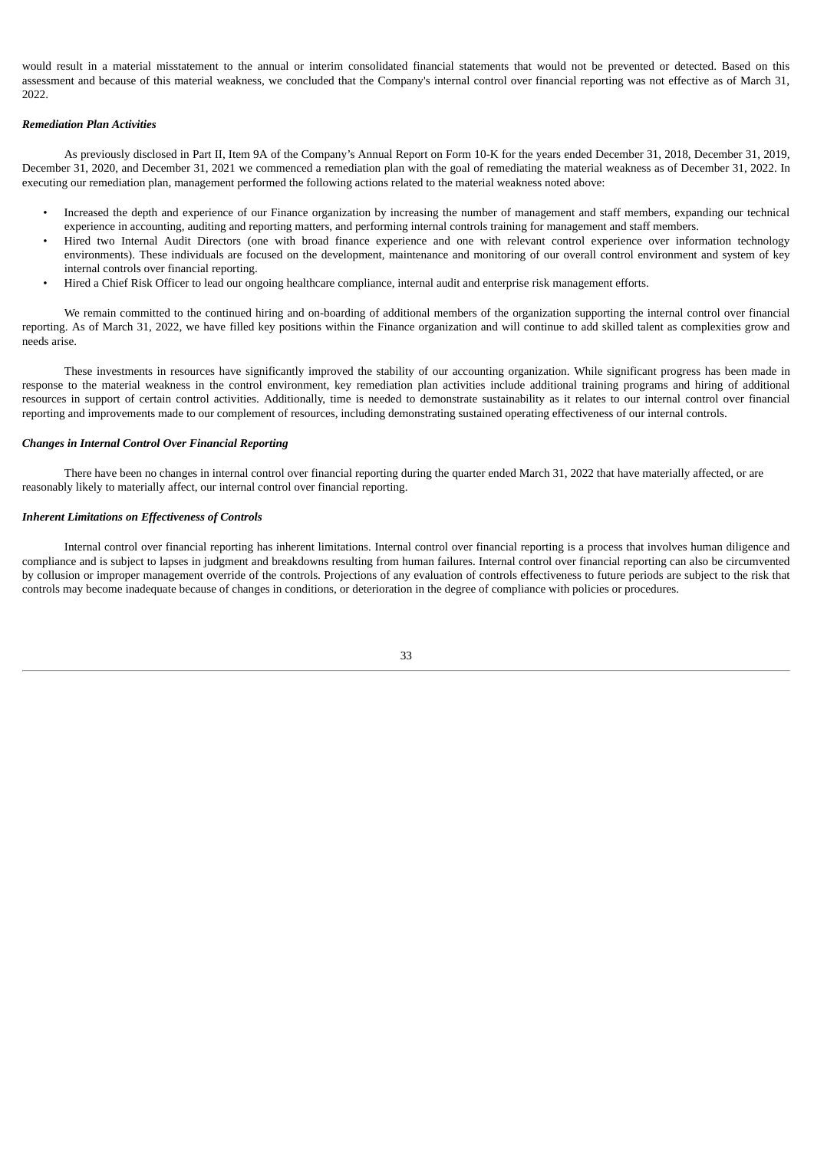would result in a material misstatement to the annual or interim consolidated financial statements that would not be prevented or detected. Based on this assessment and because of this material weakness, we concluded that the Company's internal control over financial reporting was not effective as of March 31, 2022.

### *Remediation Plan Activities*

As previously disclosed in Part II, Item 9A of the Company's Annual Report on Form 10-K for the years ended December 31, 2018, December 31, 2019, December 31, 2020, and December 31, 2021 we commenced a remediation plan with the goal of remediating the material weakness as of December 31, 2022. In executing our remediation plan, management performed the following actions related to the material weakness noted above:

- Increased the depth and experience of our Finance organization by increasing the number of management and staff members, expanding our technical experience in accounting, auditing and reporting matters, and performing internal controls training for management and staff members.
- Hired two Internal Audit Directors (one with broad finance experience and one with relevant control experience over information technology environments). These individuals are focused on the development, maintenance and monitoring of our overall control environment and system of key internal controls over financial reporting.
- Hired a Chief Risk Officer to lead our ongoing healthcare compliance, internal audit and enterprise risk management efforts.

We remain committed to the continued hiring and on-boarding of additional members of the organization supporting the internal control over financial reporting. As of March 31, 2022, we have filled key positions within the Finance organization and will continue to add skilled talent as complexities grow and needs arise.

These investments in resources have significantly improved the stability of our accounting organization. While significant progress has been made in response to the material weakness in the control environment, key remediation plan activities include additional training programs and hiring of additional resources in support of certain control activities. Additionally, time is needed to demonstrate sustainability as it relates to our internal control over financial reporting and improvements made to our complement of resources, including demonstrating sustained operating effectiveness of our internal controls.

#### *Changes in Internal Control Over Financial Reporting*

There have been no changes in internal control over financial reporting during the quarter ended March 31, 2022 that have materially affected, or are reasonably likely to materially affect, our internal control over financial reporting.

# *Inherent Limitations on Effectiveness of Controls*

Internal control over financial reporting has inherent limitations. Internal control over financial reporting is a process that involves human diligence and compliance and is subject to lapses in judgment and breakdowns resulting from human failures. Internal control over financial reporting can also be circumvented by collusion or improper management override of the controls. Projections of any evaluation of controls effectiveness to future periods are subject to the risk that controls may become inadequate because of changes in conditions, or deterioration in the degree of compliance with policies or procedures.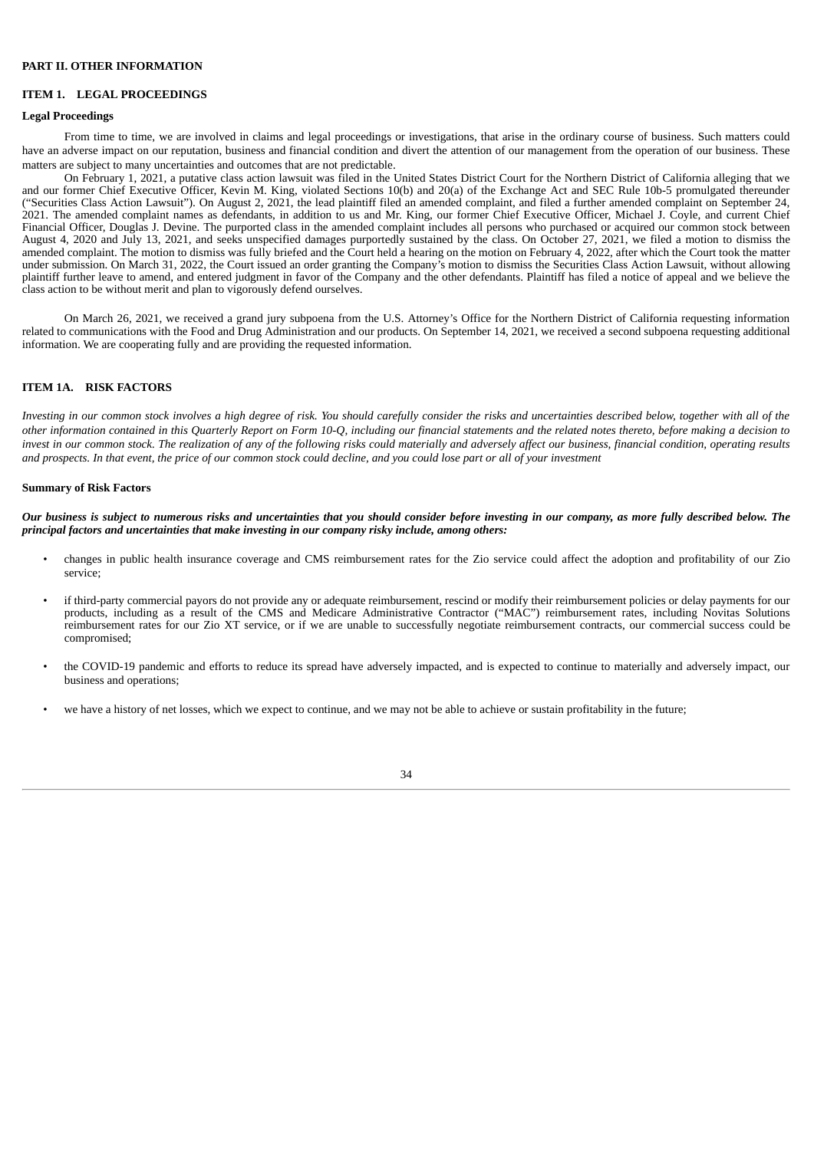# **PART II. OTHER INFORMATION**

#### **ITEM 1. LEGAL PROCEEDINGS**

#### **Legal Proceedings**

From time to time, we are involved in claims and legal proceedings or investigations, that arise in the ordinary course of business. Such matters could have an adverse impact on our reputation, business and financial condition and divert the attention of our management from the operation of our business. These matters are subject to many uncertainties and outcomes that are not predictable.

On February 1, 2021, a putative class action lawsuit was filed in the United States District Court for the Northern District of California alleging that we and our former Chief Executive Officer, Kevin M. King, violated Sections 10(b) and 20(a) of the Exchange Act and SEC Rule 10b-5 promulgated thereunder ("Securities Class Action Lawsuit"). On August 2, 2021, the lead plaintiff filed an amended complaint, and filed a further amended complaint on September 24, 2021. The amended complaint names as defendants, in addition to us and Mr. King, our former Chief Executive Officer, Michael J. Coyle, and current Chief Financial Officer, Douglas J. Devine. The purported class in the amended complaint includes all persons who purchased or acquired our common stock between August 4, 2020 and July 13, 2021, and seeks unspecified damages purportedly sustained by the class. On October 27, 2021, we filed a motion to dismiss the amended complaint. The motion to dismiss was fully briefed and the Court held a hearing on the motion on February 4, 2022, after which the Court took the matter under submission. On March 31, 2022, the Court issued an order granting the Company's motion to dismiss the Securities Class Action Lawsuit, without allowing plaintiff further leave to amend, and entered judgment in favor of the Company and the other defendants. Plaintiff has filed a notice of appeal and we believe the class action to be without merit and plan to vigorously defend ourselves.

On March 26, 2021, we received a grand jury subpoena from the U.S. Attorney's Office for the Northern District of California requesting information related to communications with the Food and Drug Administration and our products. On September 14, 2021, we received a second subpoena requesting additional information. We are cooperating fully and are providing the requested information.

## **ITEM 1A. RISK FACTORS**

Investing in our common stock involves a high degree of risk. You should carefully consider the risks and uncertainties described below, together with all of the other information contained in this Quarterly Report on Form 10-Q, including our financial statements and the related notes thereto, before making a decision to invest in our common stock. The realization of any of the following risks could materially and adversely affect our business, financial condition, operating results and prospects. In that event, the price of our common stock could decline, and you could lose part or all of your investment

#### **Summary of Risk Factors**

Our business is subject to numerous risks and uncertainties that you should consider before investing in our company, as more fully described below. The *principal factors and uncertainties that make investing in our company risky include, among others:*

- changes in public health insurance coverage and CMS reimbursement rates for the Zio service could affect the adoption and profitability of our Zio service;
- if third-party commercial payors do not provide any or adequate reimbursement, rescind or modify their reimbursement policies or delay payments for our products, including as a result of the CMS and Medicare Administrative Contractor ("MAC") reimbursement rates, including Novitas Solutions reimbursement rates for our Zio XT service, or if we are unable to successfully negotiate reimbursement contracts, our commercial success could be compromised;
- the COVID-19 pandemic and efforts to reduce its spread have adversely impacted, and is expected to continue to materially and adversely impact, our business and operations;
- we have a history of net losses, which we expect to continue, and we may not be able to achieve or sustain profitability in the future;

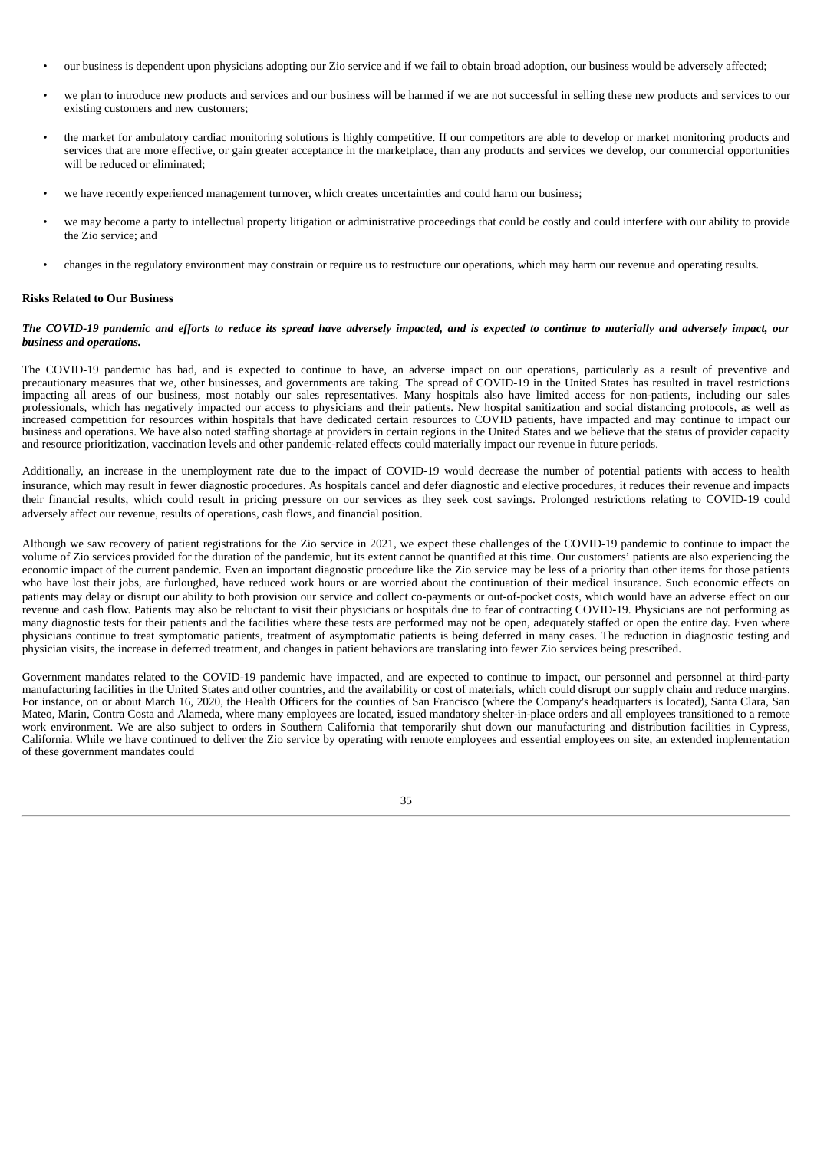- our business is dependent upon physicians adopting our Zio service and if we fail to obtain broad adoption, our business would be adversely affected;
- we plan to introduce new products and services and our business will be harmed if we are not successful in selling these new products and services to our existing customers and new customers;
- the market for ambulatory cardiac monitoring solutions is highly competitive. If our competitors are able to develop or market monitoring products and services that are more effective, or gain greater acceptance in the marketplace, than any products and services we develop, our commercial opportunities will be reduced or eliminated;
- we have recently experienced management turnover, which creates uncertainties and could harm our business;
- we may become a party to intellectual property litigation or administrative proceedings that could be costly and could interfere with our ability to provide the Zio service; and
- changes in the regulatory environment may constrain or require us to restructure our operations, which may harm our revenue and operating results.

#### **Risks Related to Our Business**

#### The COVID-19 pandemic and efforts to reduce its spread have adversely impacted, and is expected to continue to materially and adversely impact, our *business and operations.*

The COVID-19 pandemic has had, and is expected to continue to have, an adverse impact on our operations, particularly as a result of preventive and precautionary measures that we, other businesses, and governments are taking. The spread of COVID-19 in the United States has resulted in travel restrictions impacting all areas of our business, most notably our sales representatives. Many hospitals also have limited access for non-patients, including our sales professionals, which has negatively impacted our access to physicians and their patients. New hospital sanitization and social distancing protocols, as well as increased competition for resources within hospitals that have dedicated certain resources to COVID patients, have impacted and may continue to impact our business and operations. We have also noted staffing shortage at providers in certain regions in the United States and we believe that the status of provider capacity and resource prioritization, vaccination levels and other pandemic-related effects could materially impact our revenue in future periods.

Additionally, an increase in the unemployment rate due to the impact of COVID-19 would decrease the number of potential patients with access to health insurance, which may result in fewer diagnostic procedures. As hospitals cancel and defer diagnostic and elective procedures, it reduces their revenue and impacts their financial results, which could result in pricing pressure on our services as they seek cost savings. Prolonged restrictions relating to COVID-19 could adversely affect our revenue, results of operations, cash flows, and financial position.

Although we saw recovery of patient registrations for the Zio service in 2021, we expect these challenges of the COVID-19 pandemic to continue to impact the volume of Zio services provided for the duration of the pandemic, but its extent cannot be quantified at this time. Our customers' patients are also experiencing the economic impact of the current pandemic. Even an important diagnostic procedure like the Zio service may be less of a priority than other items for those patients who have lost their jobs, are furloughed, have reduced work hours or are worried about the continuation of their medical insurance. Such economic effects on patients may delay or disrupt our ability to both provision our service and collect co-payments or out-of-pocket costs, which would have an adverse effect on our revenue and cash flow. Patients may also be reluctant to visit their physicians or hospitals due to fear of contracting COVID-19. Physicians are not performing as many diagnostic tests for their patients and the facilities where these tests are performed may not be open, adequately staffed or open the entire day. Even where physicians continue to treat symptomatic patients, treatment of asymptomatic patients is being deferred in many cases. The reduction in diagnostic testing and physician visits, the increase in deferred treatment, and changes in patient behaviors are translating into fewer Zio services being prescribed.

Government mandates related to the COVID-19 pandemic have impacted, and are expected to continue to impact, our personnel and personnel at third-party manufacturing facilities in the United States and other countries, and the availability or cost of materials, which could disrupt our supply chain and reduce margins. For instance, on or about March 16, 2020, the Health Officers for the counties of San Francisco (where the Company's headquarters is located), Santa Clara, San Mateo, Marin, Contra Costa and Alameda, where many employees are located, issued mandatory shelter-in-place orders and all employees transitioned to a remote work environment. We are also subject to orders in Southern California that temporarily shut down our manufacturing and distribution facilities in Cypress, California. While we have continued to deliver the Zio service by operating with remote employees and essential employees on site, an extended implementation of these government mandates could

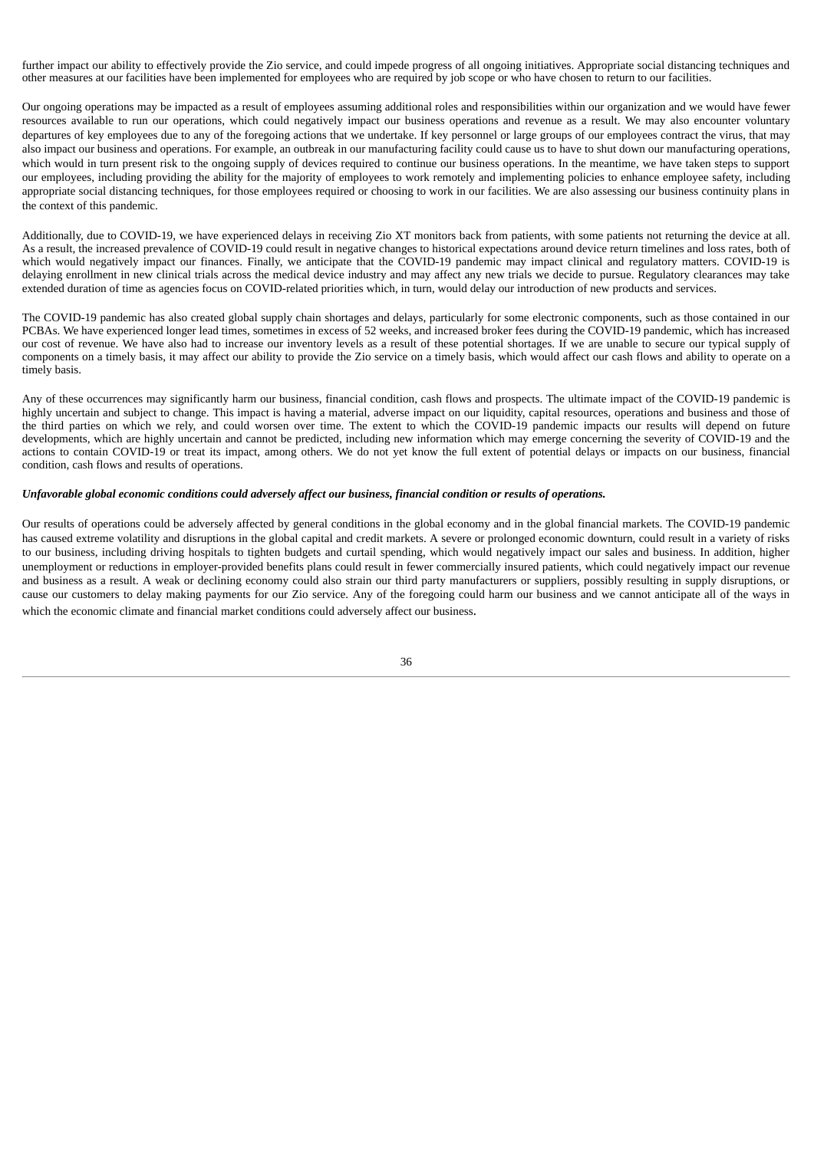further impact our ability to effectively provide the Zio service, and could impede progress of all ongoing initiatives. Appropriate social distancing techniques and other measures at our facilities have been implemented for employees who are required by job scope or who have chosen to return to our facilities.

Our ongoing operations may be impacted as a result of employees assuming additional roles and responsibilities within our organization and we would have fewer resources available to run our operations, which could negatively impact our business operations and revenue as a result. We may also encounter voluntary departures of key employees due to any of the foregoing actions that we undertake. If key personnel or large groups of our employees contract the virus, that may also impact our business and operations. For example, an outbreak in our manufacturing facility could cause us to have to shut down our manufacturing operations, which would in turn present risk to the ongoing supply of devices required to continue our business operations. In the meantime, we have taken steps to support our employees, including providing the ability for the majority of employees to work remotely and implementing policies to enhance employee safety, including appropriate social distancing techniques, for those employees required or choosing to work in our facilities. We are also assessing our business continuity plans in the context of this pandemic.

Additionally, due to COVID-19, we have experienced delays in receiving Zio XT monitors back from patients, with some patients not returning the device at all. As a result, the increased prevalence of COVID-19 could result in negative changes to historical expectations around device return timelines and loss rates, both of which would negatively impact our finances. Finally, we anticipate that the COVID-19 pandemic may impact clinical and regulatory matters. COVID-19 is delaying enrollment in new clinical trials across the medical device industry and may affect any new trials we decide to pursue. Regulatory clearances may take extended duration of time as agencies focus on COVID-related priorities which, in turn, would delay our introduction of new products and services.

The COVID-19 pandemic has also created global supply chain shortages and delays, particularly for some electronic components, such as those contained in our PCBAs. We have experienced longer lead times, sometimes in excess of 52 weeks, and increased broker fees during the COVID-19 pandemic, which has increased our cost of revenue. We have also had to increase our inventory levels as a result of these potential shortages. If we are unable to secure our typical supply of components on a timely basis, it may affect our ability to provide the Zio service on a timely basis, which would affect our cash flows and ability to operate on a timely basis.

Any of these occurrences may significantly harm our business, financial condition, cash flows and prospects. The ultimate impact of the COVID-19 pandemic is highly uncertain and subject to change. This impact is having a material, adverse impact on our liquidity, capital resources, operations and business and those of the third parties on which we rely, and could worsen over time. The extent to which the COVID-19 pandemic impacts our results will depend on future developments, which are highly uncertain and cannot be predicted, including new information which may emerge concerning the severity of COVID-19 and the actions to contain COVID-19 or treat its impact, among others. We do not yet know the full extent of potential delays or impacts on our business, financial condition, cash flows and results of operations.

#### Unfavorable global economic conditions could adversely affect our business, financial condition or results of operations.

Our results of operations could be adversely affected by general conditions in the global economy and in the global financial markets. The COVID-19 pandemic has caused extreme volatility and disruptions in the global capital and credit markets. A severe or prolonged economic downturn, could result in a variety of risks to our business, including driving hospitals to tighten budgets and curtail spending, which would negatively impact our sales and business. In addition, higher unemployment or reductions in employer-provided benefits plans could result in fewer commercially insured patients, which could negatively impact our revenue and business as a result. A weak or declining economy could also strain our third party manufacturers or suppliers, possibly resulting in supply disruptions, or cause our customers to delay making payments for our Zio service. Any of the foregoing could harm our business and we cannot anticipate all of the ways in which the economic climate and financial market conditions could adversely affect our business.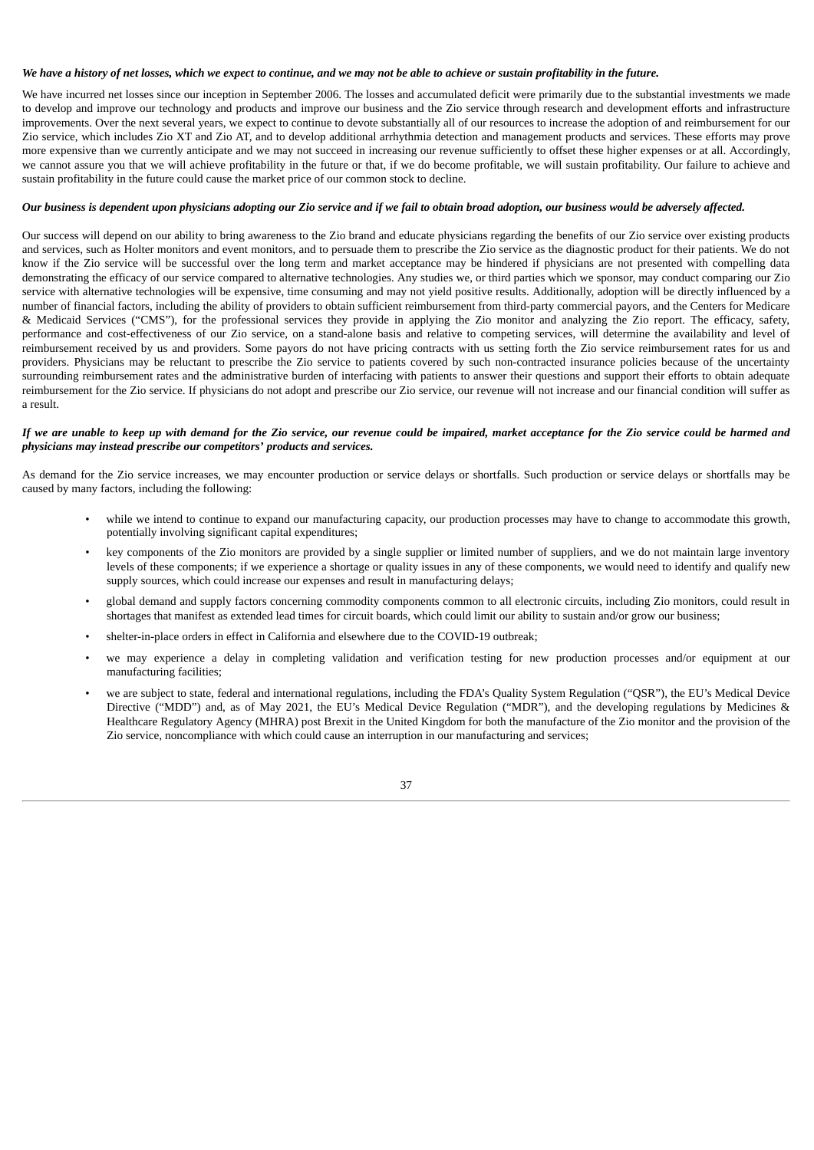### We have a history of net losses, which we expect to continue, and we may not be able to achieve or sustain profitability in the future.

We have incurred net losses since our inception in September 2006. The losses and accumulated deficit were primarily due to the substantial investments we made to develop and improve our technology and products and improve our business and the Zio service through research and development efforts and infrastructure improvements. Over the next several years, we expect to continue to devote substantially all of our resources to increase the adoption of and reimbursement for our Zio service, which includes Zio XT and Zio AT, and to develop additional arrhythmia detection and management products and services. These efforts may prove more expensive than we currently anticipate and we may not succeed in increasing our revenue sufficiently to offset these higher expenses or at all. Accordingly, we cannot assure you that we will achieve profitability in the future or that, if we do become profitable, we will sustain profitability. Our failure to achieve and sustain profitability in the future could cause the market price of our common stock to decline.

# Our business is dependent upon physicians adopting our Zio service and if we fail to obtain broad adoption, our business would be adversely affected.

Our success will depend on our ability to bring awareness to the Zio brand and educate physicians regarding the benefits of our Zio service over existing products and services, such as Holter monitors and event monitors, and to persuade them to prescribe the Zio service as the diagnostic product for their patients. We do not know if the Zio service will be successful over the long term and market acceptance may be hindered if physicians are not presented with compelling data demonstrating the efficacy of our service compared to alternative technologies. Any studies we, or third parties which we sponsor, may conduct comparing our Zio service with alternative technologies will be expensive, time consuming and may not yield positive results. Additionally, adoption will be directly influenced by a number of financial factors, including the ability of providers to obtain sufficient reimbursement from third-party commercial payors, and the Centers for Medicare & Medicaid Services ("CMS"), for the professional services they provide in applying the Zio monitor and analyzing the Zio report. The efficacy, safety, performance and cost-effectiveness of our Zio service, on a stand-alone basis and relative to competing services, will determine the availability and level of reimbursement received by us and providers. Some payors do not have pricing contracts with us setting forth the Zio service reimbursement rates for us and providers. Physicians may be reluctant to prescribe the Zio service to patients covered by such non-contracted insurance policies because of the uncertainty surrounding reimbursement rates and the administrative burden of interfacing with patients to answer their questions and support their efforts to obtain adequate reimbursement for the Zio service. If physicians do not adopt and prescribe our Zio service, our revenue will not increase and our financial condition will suffer as a result.

# If we are unable to keep up with demand for the Zio service, our revenue could be impaired, market acceptance for the Zio service could be harmed and *physicians may instead prescribe our competitors' products and services.*

As demand for the Zio service increases, we may encounter production or service delays or shortfalls. Such production or service delays or shortfalls may be caused by many factors, including the following:

- while we intend to continue to expand our manufacturing capacity, our production processes may have to change to accommodate this growth, potentially involving significant capital expenditures;
- key components of the Zio monitors are provided by a single supplier or limited number of suppliers, and we do not maintain large inventory levels of these components; if we experience a shortage or quality issues in any of these components, we would need to identify and qualify new supply sources, which could increase our expenses and result in manufacturing delays;
- global demand and supply factors concerning commodity components common to all electronic circuits, including Zio monitors, could result in shortages that manifest as extended lead times for circuit boards, which could limit our ability to sustain and/or grow our business;
- shelter-in-place orders in effect in California and elsewhere due to the COVID-19 outbreak;
- we may experience a delay in completing validation and verification testing for new production processes and/or equipment at our manufacturing facilities;
- we are subject to state, federal and international regulations, including the FDA's Quality System Regulation ("QSR"), the EU's Medical Device Directive ("MDD") and, as of May 2021, the EU's Medical Device Regulation ("MDR"), and the developing regulations by Medicines & Healthcare Regulatory Agency (MHRA) post Brexit in the United Kingdom for both the manufacture of the Zio monitor and the provision of the Zio service, noncompliance with which could cause an interruption in our manufacturing and services;

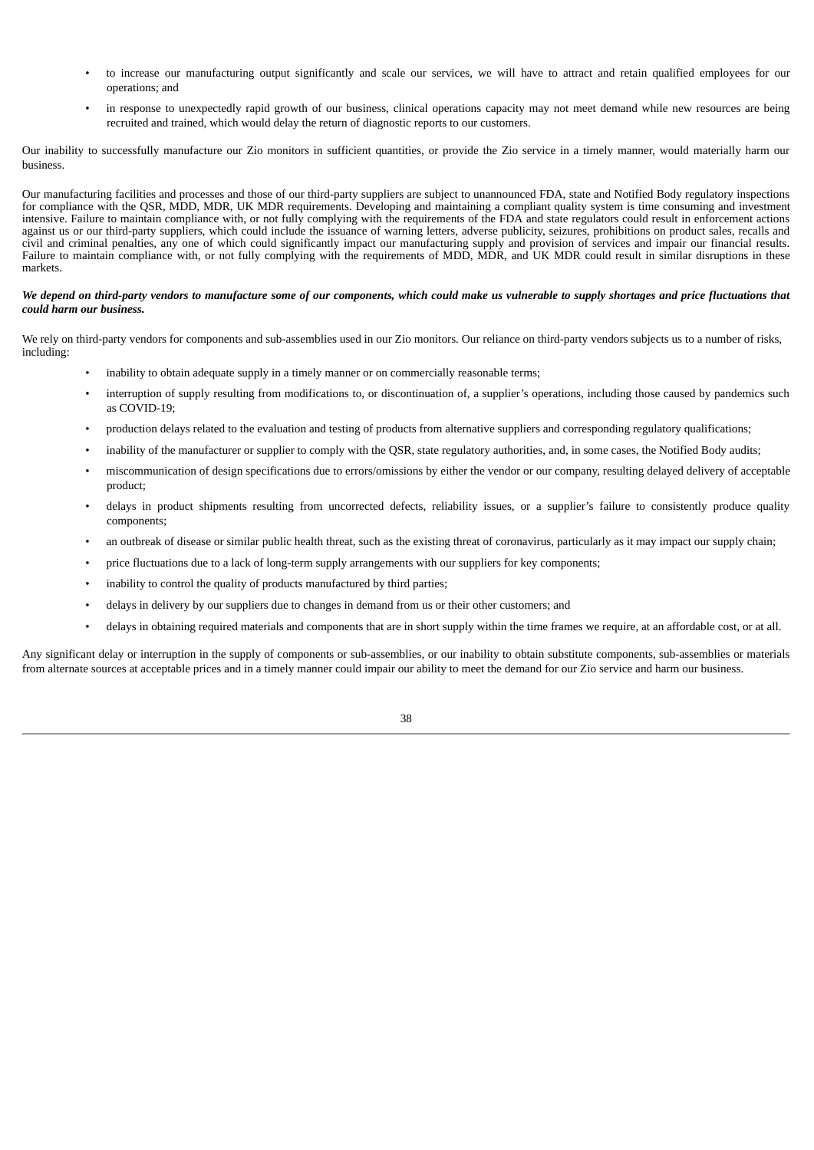- to increase our manufacturing output significantly and scale our services, we will have to attract and retain qualified employees for our operations; and
- in response to unexpectedly rapid growth of our business, clinical operations capacity may not meet demand while new resources are being recruited and trained, which would delay the return of diagnostic reports to our customers.

Our inability to successfully manufacture our Zio monitors in sufficient quantities, or provide the Zio service in a timely manner, would materially harm our business.

Our manufacturing facilities and processes and those of our third-party suppliers are subject to unannounced FDA, state and Notified Body regulatory inspections for compliance with the QSR, MDD, MDR, UK MDR requirements. Developing and maintaining a compliant quality system is time consuming and investment intensive. Failure to maintain compliance with, or not fully complying with the requirements of the FDA and state regulators could result in enforcement actions against us or our third-party suppliers, which could include the issuance of warning letters, adverse publicity, seizures, prohibitions on product sales, recalls and civil and criminal penalties, any one of which could significantly impact our manufacturing supply and provision of services and impair our financial results. Failure to maintain compliance with, or not fully complying with the requirements of MDD, MDR, and UK MDR could result in similar disruptions in these markets.

# We depend on third-party vendors to manufacture some of our components, which could make us vulnerable to supply shortages and price fluctuations that *could harm our business.*

We rely on third-party vendors for components and sub-assemblies used in our Zio monitors. Our reliance on third-party vendors subjects us to a number of risks, including:

- inability to obtain adequate supply in a timely manner or on commercially reasonable terms;
	- interruption of supply resulting from modifications to, or discontinuation of, a supplier's operations, including those caused by pandemics such as COVID-19;
- production delays related to the evaluation and testing of products from alternative suppliers and corresponding regulatory qualifications;
- inability of the manufacturer or supplier to comply with the QSR, state regulatory authorities, and, in some cases, the Notified Body audits;
- miscommunication of design specifications due to errors/omissions by either the vendor or our company, resulting delayed delivery of acceptable product;
- delays in product shipments resulting from uncorrected defects, reliability issues, or a supplier's failure to consistently produce quality components;
- an outbreak of disease or similar public health threat, such as the existing threat of coronavirus, particularly as it may impact our supply chain;
- price fluctuations due to a lack of long-term supply arrangements with our suppliers for key components;
- inability to control the quality of products manufactured by third parties;
- delays in delivery by our suppliers due to changes in demand from us or their other customers; and
- delays in obtaining required materials and components that are in short supply within the time frames we require, at an affordable cost, or at all.

Any significant delay or interruption in the supply of components or sub-assemblies, or our inability to obtain substitute components, sub-assemblies or materials from alternate sources at acceptable prices and in a timely manner could impair our ability to meet the demand for our Zio service and harm our business.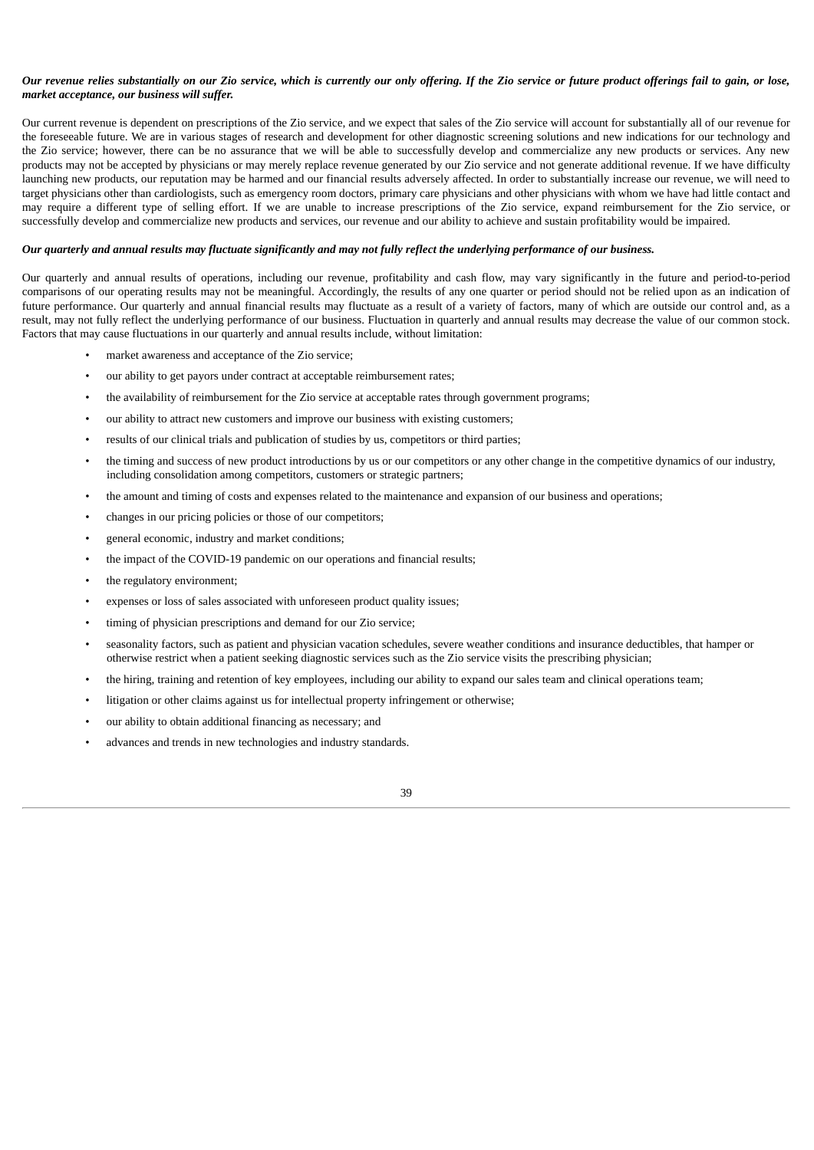# Our revenue relies substantially on our Zio service, which is currently our only offering. If the Zio service or future product offerings fail to gain, or lose, *market acceptance, our business will suffer.*

Our current revenue is dependent on prescriptions of the Zio service, and we expect that sales of the Zio service will account for substantially all of our revenue for the foreseeable future. We are in various stages of research and development for other diagnostic screening solutions and new indications for our technology and the Zio service; however, there can be no assurance that we will be able to successfully develop and commercialize any new products or services. Any new products may not be accepted by physicians or may merely replace revenue generated by our Zio service and not generate additional revenue. If we have difficulty launching new products, our reputation may be harmed and our financial results adversely affected. In order to substantially increase our revenue, we will need to target physicians other than cardiologists, such as emergency room doctors, primary care physicians and other physicians with whom we have had little contact and may require a different type of selling effort. If we are unable to increase prescriptions of the Zio service, expand reimbursement for the Zio service, or successfully develop and commercialize new products and services, our revenue and our ability to achieve and sustain profitability would be impaired.

## Our quarterly and annual results may fluctuate significantly and may not fully reflect the underlying performance of our business.

Our quarterly and annual results of operations, including our revenue, profitability and cash flow, may vary significantly in the future and period-to-period comparisons of our operating results may not be meaningful. Accordingly, the results of any one quarter or period should not be relied upon as an indication of future performance. Our quarterly and annual financial results may fluctuate as a result of a variety of factors, many of which are outside our control and, as a result, may not fully reflect the underlying performance of our business. Fluctuation in quarterly and annual results may decrease the value of our common stock. Factors that may cause fluctuations in our quarterly and annual results include, without limitation:

- market awareness and acceptance of the Zio service;
- our ability to get payors under contract at acceptable reimbursement rates;
- the availability of reimbursement for the Zio service at acceptable rates through government programs;
- our ability to attract new customers and improve our business with existing customers;
- results of our clinical trials and publication of studies by us, competitors or third parties;
- the timing and success of new product introductions by us or our competitors or any other change in the competitive dynamics of our industry, including consolidation among competitors, customers or strategic partners;
- the amount and timing of costs and expenses related to the maintenance and expansion of our business and operations;
- changes in our pricing policies or those of our competitors;
- general economic, industry and market conditions;
- the impact of the COVID-19 pandemic on our operations and financial results;
- the regulatory environment;
- expenses or loss of sales associated with unforeseen product quality issues;
- timing of physician prescriptions and demand for our Zio service;
- seasonality factors, such as patient and physician vacation schedules, severe weather conditions and insurance deductibles, that hamper or otherwise restrict when a patient seeking diagnostic services such as the Zio service visits the prescribing physician;
- the hiring, training and retention of key employees, including our ability to expand our sales team and clinical operations team;
- litigation or other claims against us for intellectual property infringement or otherwise;
- our ability to obtain additional financing as necessary; and
- advances and trends in new technologies and industry standards.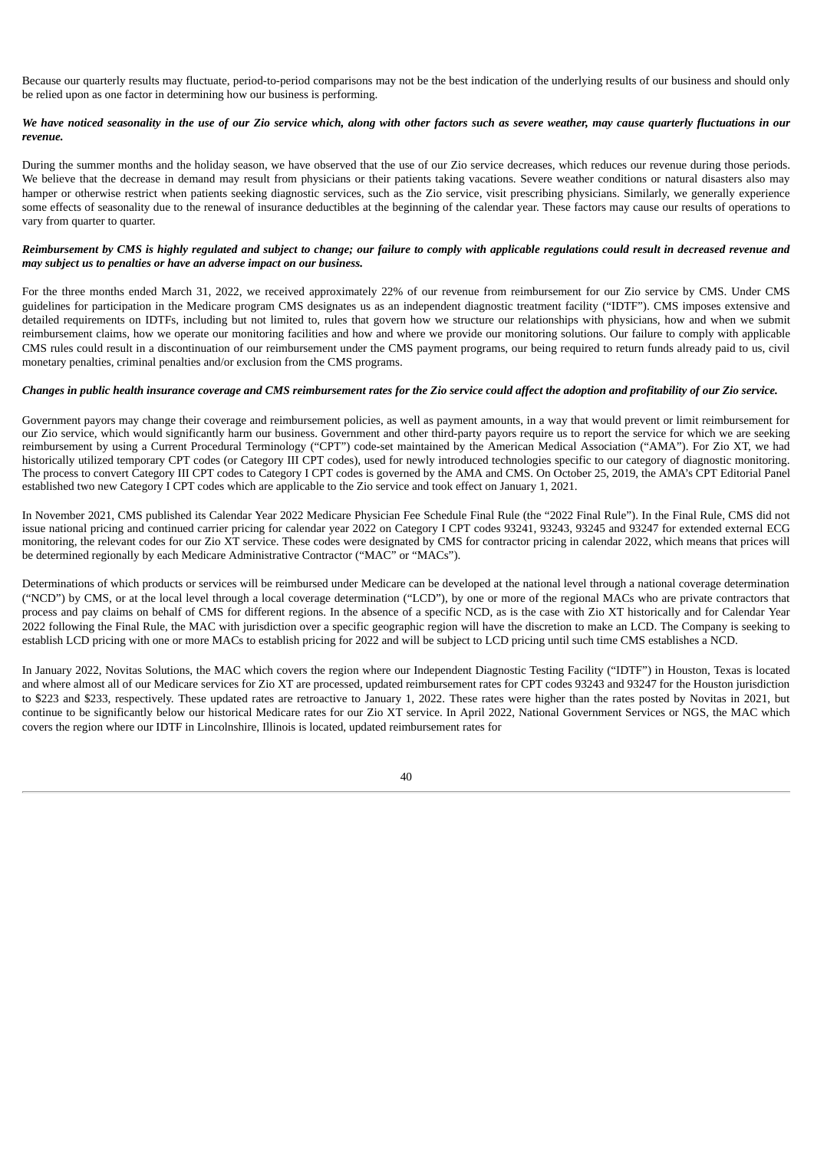Because our quarterly results may fluctuate, period-to-period comparisons may not be the best indication of the underlying results of our business and should only be relied upon as one factor in determining how our business is performing.

## We have noticed seasonality in the use of our Zio service which, along with other factors such as severe weather, may cause quarterly fluctuations in our *revenue.*

During the summer months and the holiday season, we have observed that the use of our Zio service decreases, which reduces our revenue during those periods. We believe that the decrease in demand may result from physicians or their patients taking vacations. Severe weather conditions or natural disasters also may hamper or otherwise restrict when patients seeking diagnostic services, such as the Zio service, visit prescribing physicians. Similarly, we generally experience some effects of seasonality due to the renewal of insurance deductibles at the beginning of the calendar year. These factors may cause our results of operations to vary from quarter to quarter.

## Reimbursement by CMS is highly regulated and subject to change; our failure to comply with applicable regulations could result in decreased revenue and *may subject us to penalties or have an adverse impact on our business.*

For the three months ended March 31, 2022, we received approximately 22% of our revenue from reimbursement for our Zio service by CMS. Under CMS guidelines for participation in the Medicare program CMS designates us as an independent diagnostic treatment facility ("IDTF"). CMS imposes extensive and detailed requirements on IDTFs, including but not limited to, rules that govern how we structure our relationships with physicians, how and when we submit reimbursement claims, how we operate our monitoring facilities and how and where we provide our monitoring solutions. Our failure to comply with applicable CMS rules could result in a discontinuation of our reimbursement under the CMS payment programs, our being required to return funds already paid to us, civil monetary penalties, criminal penalties and/or exclusion from the CMS programs.

### Changes in public health insurance coverage and CMS reimbursement rates for the Zio service could affect the adoption and profitability of our Zio service.

Government payors may change their coverage and reimbursement policies, as well as payment amounts, in a way that would prevent or limit reimbursement for our Zio service, which would significantly harm our business. Government and other third-party payors require us to report the service for which we are seeking reimbursement by using a Current Procedural Terminology ("CPT") code-set maintained by the American Medical Association ("AMA"). For Zio XT, we had historically utilized temporary CPT codes (or Category III CPT codes), used for newly introduced technologies specific to our category of diagnostic monitoring. The process to convert Category III CPT codes to Category I CPT codes is governed by the AMA and CMS. On October 25, 2019, the AMA's CPT Editorial Panel established two new Category I CPT codes which are applicable to the Zio service and took effect on January 1, 2021.

In November 2021, CMS published its Calendar Year 2022 Medicare Physician Fee Schedule Final Rule (the "2022 Final Rule"). In the Final Rule, CMS did not issue national pricing and continued carrier pricing for calendar year 2022 on Category I CPT codes 93241, 93243, 93245 and 93247 for extended external ECG monitoring, the relevant codes for our Zio XT service. These codes were designated by CMS for contractor pricing in calendar 2022, which means that prices will be determined regionally by each Medicare Administrative Contractor ("MAC" or "MACs").

Determinations of which products or services will be reimbursed under Medicare can be developed at the national level through a national coverage determination ("NCD") by CMS, or at the local level through a local coverage determination ("LCD"), by one or more of the regional MACs who are private contractors that process and pay claims on behalf of CMS for different regions. In the absence of a specific NCD, as is the case with Zio XT historically and for Calendar Year 2022 following the Final Rule, the MAC with jurisdiction over a specific geographic region will have the discretion to make an LCD. The Company is seeking to establish LCD pricing with one or more MACs to establish pricing for 2022 and will be subject to LCD pricing until such time CMS establishes a NCD.

In January 2022, Novitas Solutions, the MAC which covers the region where our Independent Diagnostic Testing Facility ("IDTF") in Houston, Texas is located and where almost all of our Medicare services for Zio XT are processed, updated reimbursement rates for CPT codes 93243 and 93247 for the Houston jurisdiction to \$223 and \$233, respectively. These updated rates are retroactive to January 1, 2022. These rates were higher than the rates posted by Novitas in 2021, but continue to be significantly below our historical Medicare rates for our Zio XT service. In April 2022, National Government Services or NGS, the MAC which covers the region where our IDTF in Lincolnshire, Illinois is located, updated reimbursement rates for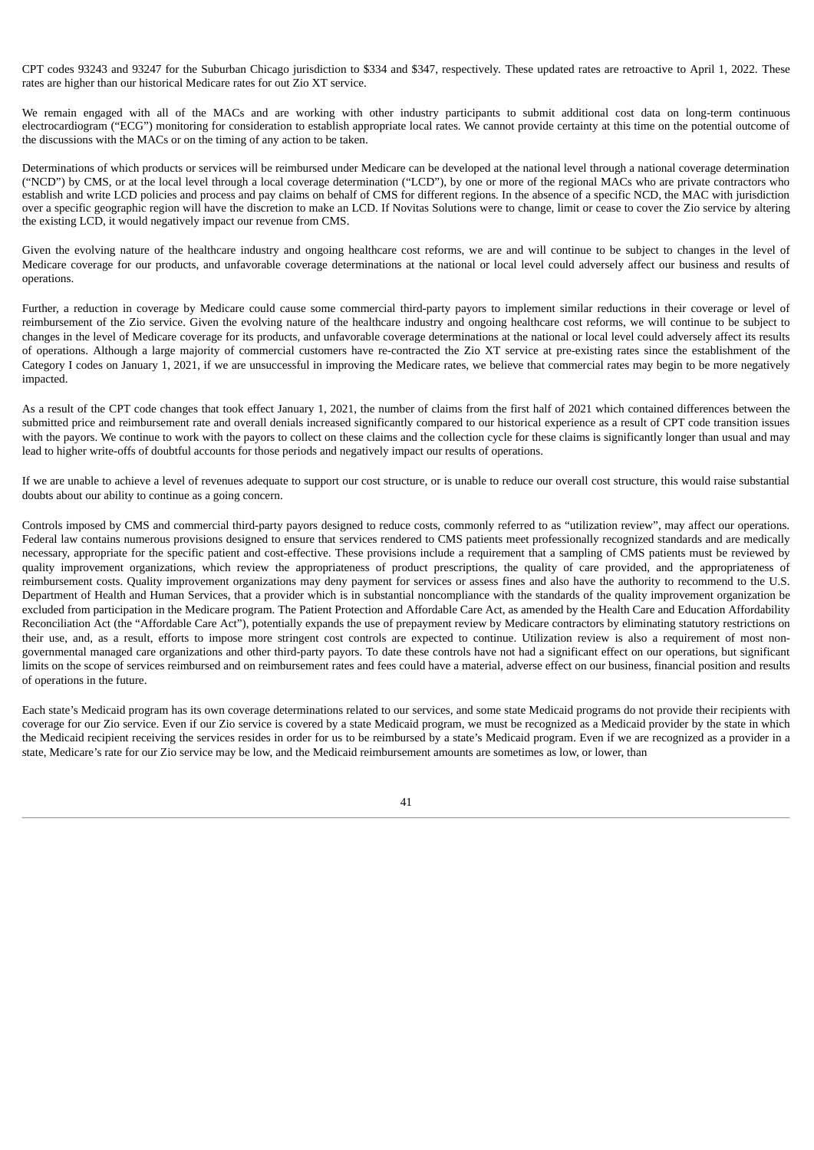CPT codes 93243 and 93247 for the Suburban Chicago jurisdiction to \$334 and \$347, respectively. These updated rates are retroactive to April 1, 2022. These rates are higher than our historical Medicare rates for out Zio XT service.

We remain engaged with all of the MACs and are working with other industry participants to submit additional cost data on long-term continuous electrocardiogram ("ECG") monitoring for consideration to establish appropriate local rates. We cannot provide certainty at this time on the potential outcome of the discussions with the MACs or on the timing of any action to be taken.

Determinations of which products or services will be reimbursed under Medicare can be developed at the national level through a national coverage determination ("NCD") by CMS, or at the local level through a local coverage determination ("LCD"), by one or more of the regional MACs who are private contractors who establish and write LCD policies and process and pay claims on behalf of CMS for different regions. In the absence of a specific NCD, the MAC with jurisdiction over a specific geographic region will have the discretion to make an LCD. If Novitas Solutions were to change, limit or cease to cover the Zio service by altering the existing LCD, it would negatively impact our revenue from CMS.

Given the evolving nature of the healthcare industry and ongoing healthcare cost reforms, we are and will continue to be subject to changes in the level of Medicare coverage for our products, and unfavorable coverage determinations at the national or local level could adversely affect our business and results of operations.

Further, a reduction in coverage by Medicare could cause some commercial third-party payors to implement similar reductions in their coverage or level of reimbursement of the Zio service. Given the evolving nature of the healthcare industry and ongoing healthcare cost reforms, we will continue to be subject to changes in the level of Medicare coverage for its products, and unfavorable coverage determinations at the national or local level could adversely affect its results of operations. Although a large majority of commercial customers have re-contracted the Zio XT service at pre-existing rates since the establishment of the Category I codes on January 1, 2021, if we are unsuccessful in improving the Medicare rates, we believe that commercial rates may begin to be more negatively impacted.

As a result of the CPT code changes that took effect January 1, 2021, the number of claims from the first half of 2021 which contained differences between the submitted price and reimbursement rate and overall denials increased significantly compared to our historical experience as a result of CPT code transition issues with the payors. We continue to work with the payors to collect on these claims and the collection cycle for these claims is significantly longer than usual and may lead to higher write-offs of doubtful accounts for those periods and negatively impact our results of operations.

If we are unable to achieve a level of revenues adequate to support our cost structure, or is unable to reduce our overall cost structure, this would raise substantial doubts about our ability to continue as a going concern.

Controls imposed by CMS and commercial third-party payors designed to reduce costs, commonly referred to as "utilization review", may affect our operations. Federal law contains numerous provisions designed to ensure that services rendered to CMS patients meet professionally recognized standards and are medically necessary, appropriate for the specific patient and cost-effective. These provisions include a requirement that a sampling of CMS patients must be reviewed by quality improvement organizations, which review the appropriateness of product prescriptions, the quality of care provided, and the appropriateness of reimbursement costs. Quality improvement organizations may deny payment for services or assess fines and also have the authority to recommend to the U.S. Department of Health and Human Services, that a provider which is in substantial noncompliance with the standards of the quality improvement organization be excluded from participation in the Medicare program. The Patient Protection and Affordable Care Act, as amended by the Health Care and Education Affordability Reconciliation Act (the "Affordable Care Act"), potentially expands the use of prepayment review by Medicare contractors by eliminating statutory restrictions on their use, and, as a result, efforts to impose more stringent cost controls are expected to continue. Utilization review is also a requirement of most nongovernmental managed care organizations and other third-party payors. To date these controls have not had a significant effect on our operations, but significant limits on the scope of services reimbursed and on reimbursement rates and fees could have a material, adverse effect on our business, financial position and results of operations in the future.

Each state's Medicaid program has its own coverage determinations related to our services, and some state Medicaid programs do not provide their recipients with coverage for our Zio service. Even if our Zio service is covered by a state Medicaid program, we must be recognized as a Medicaid provider by the state in which the Medicaid recipient receiving the services resides in order for us to be reimbursed by a state's Medicaid program. Even if we are recognized as a provider in a state, Medicare's rate for our Zio service may be low, and the Medicaid reimbursement amounts are sometimes as low, or lower, than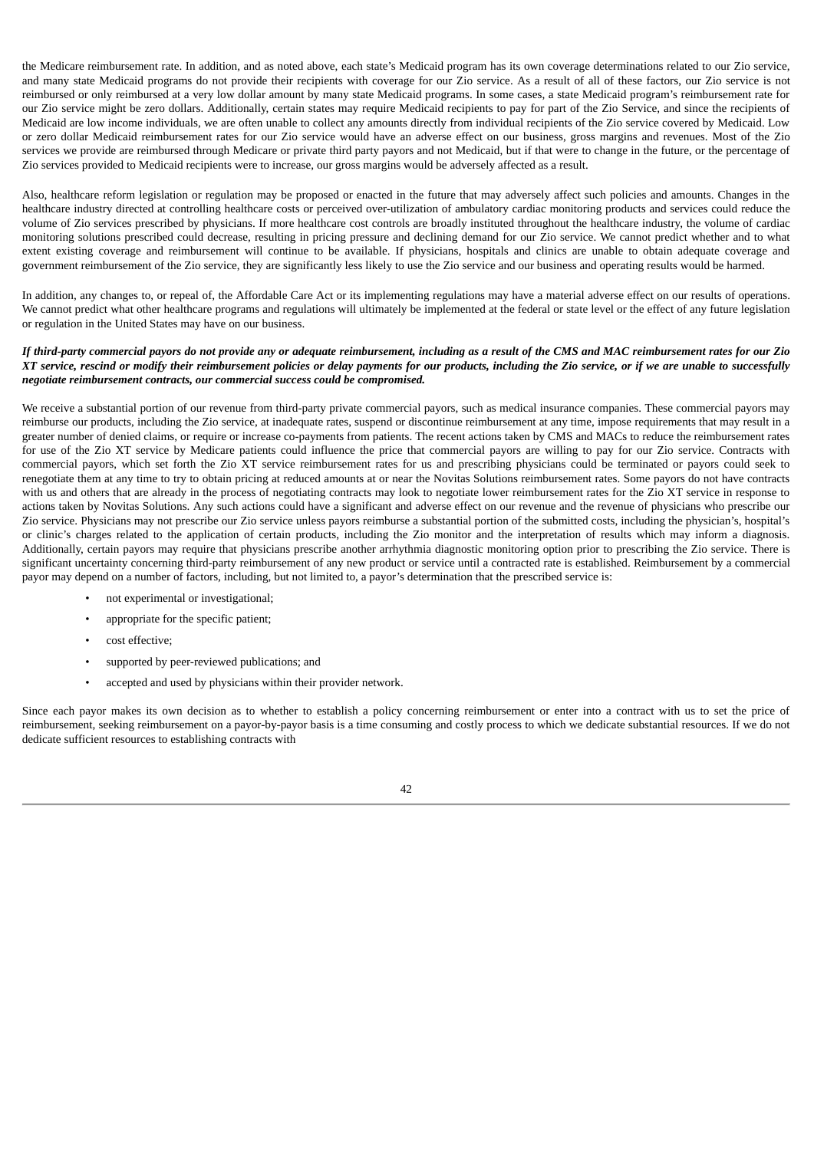the Medicare reimbursement rate. In addition, and as noted above, each state's Medicaid program has its own coverage determinations related to our Zio service, and many state Medicaid programs do not provide their recipients with coverage for our Zio service. As a result of all of these factors, our Zio service is not reimbursed or only reimbursed at a very low dollar amount by many state Medicaid programs. In some cases, a state Medicaid program's reimbursement rate for our Zio service might be zero dollars. Additionally, certain states may require Medicaid recipients to pay for part of the Zio Service, and since the recipients of Medicaid are low income individuals, we are often unable to collect any amounts directly from individual recipients of the Zio service covered by Medicaid. Low or zero dollar Medicaid reimbursement rates for our Zio service would have an adverse effect on our business, gross margins and revenues. Most of the Zio services we provide are reimbursed through Medicare or private third party payors and not Medicaid, but if that were to change in the future, or the percentage of Zio services provided to Medicaid recipients were to increase, our gross margins would be adversely affected as a result.

Also, healthcare reform legislation or regulation may be proposed or enacted in the future that may adversely affect such policies and amounts. Changes in the healthcare industry directed at controlling healthcare costs or perceived over-utilization of ambulatory cardiac monitoring products and services could reduce the volume of Zio services prescribed by physicians. If more healthcare cost controls are broadly instituted throughout the healthcare industry, the volume of cardiac monitoring solutions prescribed could decrease, resulting in pricing pressure and declining demand for our Zio service. We cannot predict whether and to what extent existing coverage and reimbursement will continue to be available. If physicians, hospitals and clinics are unable to obtain adequate coverage and government reimbursement of the Zio service, they are significantly less likely to use the Zio service and our business and operating results would be harmed.

In addition, any changes to, or repeal of, the Affordable Care Act or its implementing regulations may have a material adverse effect on our results of operations. We cannot predict what other healthcare programs and regulations will ultimately be implemented at the federal or state level or the effect of any future legislation or regulation in the United States may have on our business.

# If third-party commercial payors do not provide any or adequate reimbursement, including as a result of the CMS and MAC reimbursement rates for our Zio XT service, rescind or modify their reimbursement policies or delay payments for our products, including the Zio service, or if we are unable to successfully *negotiate reimbursement contracts, our commercial success could be compromised.*

We receive a substantial portion of our revenue from third-party private commercial payors, such as medical insurance companies. These commercial payors may reimburse our products, including the Zio service, at inadequate rates, suspend or discontinue reimbursement at any time, impose requirements that may result in a greater number of denied claims, or require or increase co-payments from patients. The recent actions taken by CMS and MACs to reduce the reimbursement rates for use of the Zio XT service by Medicare patients could influence the price that commercial payors are willing to pay for our Zio service. Contracts with commercial payors, which set forth the Zio XT service reimbursement rates for us and prescribing physicians could be terminated or payors could seek to renegotiate them at any time to try to obtain pricing at reduced amounts at or near the Novitas Solutions reimbursement rates. Some payors do not have contracts with us and others that are already in the process of negotiating contracts may look to negotiate lower reimbursement rates for the Zio XT service in response to actions taken by Novitas Solutions. Any such actions could have a significant and adverse effect on our revenue and the revenue of physicians who prescribe our Zio service. Physicians may not prescribe our Zio service unless payors reimburse a substantial portion of the submitted costs, including the physician's, hospital's or clinic's charges related to the application of certain products, including the Zio monitor and the interpretation of results which may inform a diagnosis. Additionally, certain payors may require that physicians prescribe another arrhythmia diagnostic monitoring option prior to prescribing the Zio service. There is significant uncertainty concerning third-party reimbursement of any new product or service until a contracted rate is established. Reimbursement by a commercial payor may depend on a number of factors, including, but not limited to, a payor's determination that the prescribed service is:

- not experimental or investigational;
- appropriate for the specific patient;
- cost effective;
- supported by peer-reviewed publications; and
- accepted and used by physicians within their provider network.

Since each payor makes its own decision as to whether to establish a policy concerning reimbursement or enter into a contract with us to set the price of reimbursement, seeking reimbursement on a payor-by-payor basis is a time consuming and costly process to which we dedicate substantial resources. If we do not dedicate sufficient resources to establishing contracts with

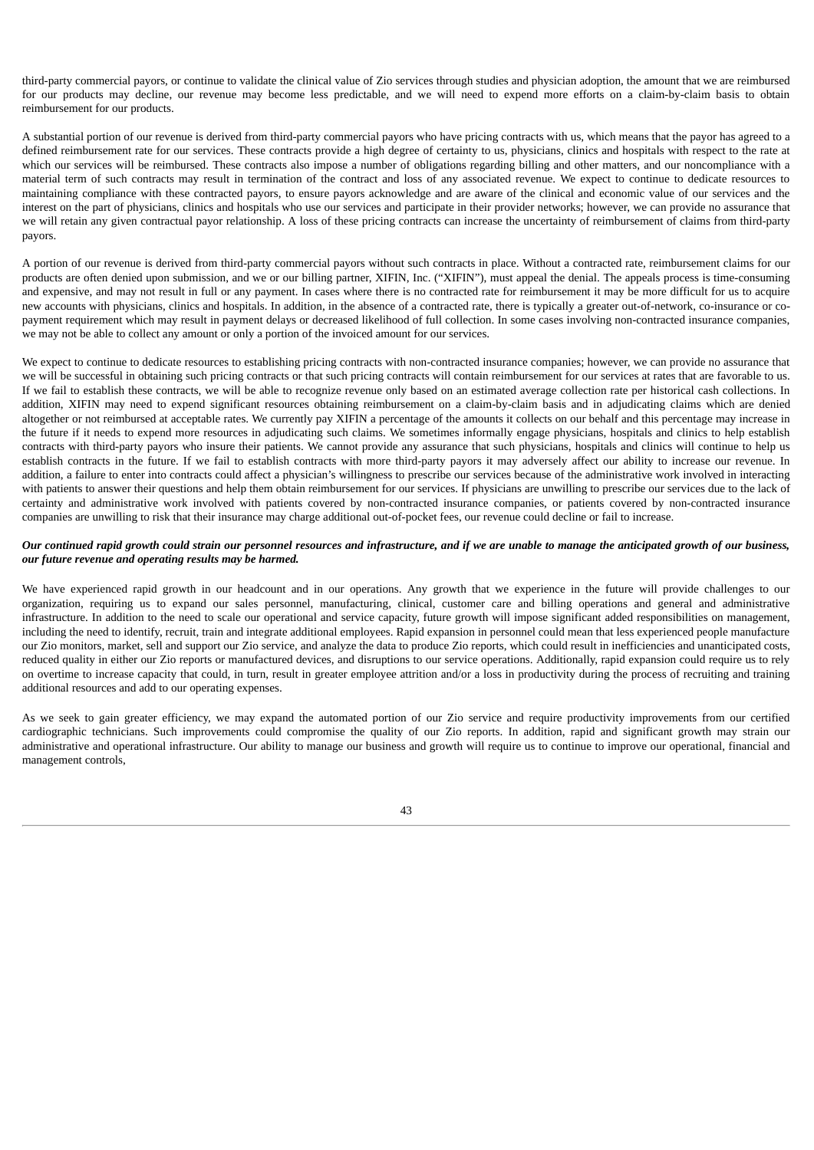third-party commercial payors, or continue to validate the clinical value of Zio services through studies and physician adoption, the amount that we are reimbursed for our products may decline, our revenue may become less predictable, and we will need to expend more efforts on a claim-by-claim basis to obtain reimbursement for our products.

A substantial portion of our revenue is derived from third-party commercial payors who have pricing contracts with us, which means that the payor has agreed to a defined reimbursement rate for our services. These contracts provide a high degree of certainty to us, physicians, clinics and hospitals with respect to the rate at which our services will be reimbursed. These contracts also impose a number of obligations regarding billing and other matters, and our noncompliance with a material term of such contracts may result in termination of the contract and loss of any associated revenue. We expect to continue to dedicate resources to maintaining compliance with these contracted payors, to ensure payors acknowledge and are aware of the clinical and economic value of our services and the interest on the part of physicians, clinics and hospitals who use our services and participate in their provider networks; however, we can provide no assurance that we will retain any given contractual payor relationship. A loss of these pricing contracts can increase the uncertainty of reimbursement of claims from third-party payors.

A portion of our revenue is derived from third-party commercial payors without such contracts in place. Without a contracted rate, reimbursement claims for our products are often denied upon submission, and we or our billing partner, XIFIN, Inc. ("XIFIN"), must appeal the denial. The appeals process is time-consuming and expensive, and may not result in full or any payment. In cases where there is no contracted rate for reimbursement it may be more difficult for us to acquire new accounts with physicians, clinics and hospitals. In addition, in the absence of a contracted rate, there is typically a greater out-of-network, co-insurance or copayment requirement which may result in payment delays or decreased likelihood of full collection. In some cases involving non-contracted insurance companies, we may not be able to collect any amount or only a portion of the invoiced amount for our services.

We expect to continue to dedicate resources to establishing pricing contracts with non-contracted insurance companies; however, we can provide no assurance that we will be successful in obtaining such pricing contracts or that such pricing contracts will contain reimbursement for our services at rates that are favorable to us. If we fail to establish these contracts, we will be able to recognize revenue only based on an estimated average collection rate per historical cash collections. In addition, XIFIN may need to expend significant resources obtaining reimbursement on a claim-by-claim basis and in adjudicating claims which are denied altogether or not reimbursed at acceptable rates. We currently pay XIFIN a percentage of the amounts it collects on our behalf and this percentage may increase in the future if it needs to expend more resources in adjudicating such claims. We sometimes informally engage physicians, hospitals and clinics to help establish contracts with third-party payors who insure their patients. We cannot provide any assurance that such physicians, hospitals and clinics will continue to help us establish contracts in the future. If we fail to establish contracts with more third-party payors it may adversely affect our ability to increase our revenue. In addition, a failure to enter into contracts could affect a physician's willingness to prescribe our services because of the administrative work involved in interacting with patients to answer their questions and help them obtain reimbursement for our services. If physicians are unwilling to prescribe our services due to the lack of certainty and administrative work involved with patients covered by non-contracted insurance companies, or patients covered by non-contracted insurance companies are unwilling to risk that their insurance may charge additional out-of-pocket fees, our revenue could decline or fail to increase.

# Our continued rapid growth could strain our personnel resources and infrastructure, and if we are unable to manage the anticipated growth of our business, *our future revenue and operating results may be harmed.*

We have experienced rapid growth in our headcount and in our operations. Any growth that we experience in the future will provide challenges to our organization, requiring us to expand our sales personnel, manufacturing, clinical, customer care and billing operations and general and administrative infrastructure. In addition to the need to scale our operational and service capacity, future growth will impose significant added responsibilities on management, including the need to identify, recruit, train and integrate additional employees. Rapid expansion in personnel could mean that less experienced people manufacture our Zio monitors, market, sell and support our Zio service, and analyze the data to produce Zio reports, which could result in inefficiencies and unanticipated costs, reduced quality in either our Zio reports or manufactured devices, and disruptions to our service operations. Additionally, rapid expansion could require us to rely on overtime to increase capacity that could, in turn, result in greater employee attrition and/or a loss in productivity during the process of recruiting and training additional resources and add to our operating expenses.

As we seek to gain greater efficiency, we may expand the automated portion of our Zio service and require productivity improvements from our certified cardiographic technicians. Such improvements could compromise the quality of our Zio reports. In addition, rapid and significant growth may strain our administrative and operational infrastructure. Our ability to manage our business and growth will require us to continue to improve our operational, financial and management controls,

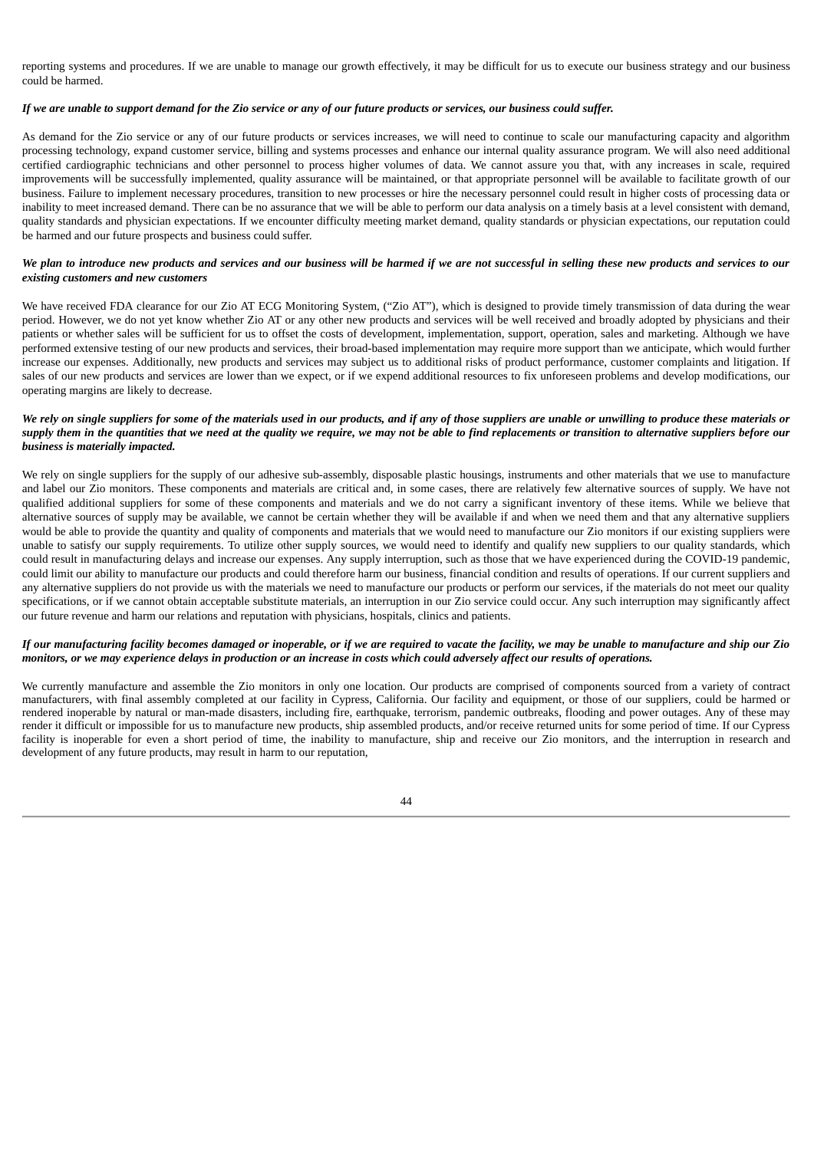reporting systems and procedures. If we are unable to manage our growth effectively, it may be difficult for us to execute our business strategy and our business could be harmed.

### If we are unable to support demand for the Zio service or any of our future products or services, our business could suffer.

As demand for the Zio service or any of our future products or services increases, we will need to continue to scale our manufacturing capacity and algorithm processing technology, expand customer service, billing and systems processes and enhance our internal quality assurance program. We will also need additional certified cardiographic technicians and other personnel to process higher volumes of data. We cannot assure you that, with any increases in scale, required improvements will be successfully implemented, quality assurance will be maintained, or that appropriate personnel will be available to facilitate growth of our business. Failure to implement necessary procedures, transition to new processes or hire the necessary personnel could result in higher costs of processing data or inability to meet increased demand. There can be no assurance that we will be able to perform our data analysis on a timely basis at a level consistent with demand, quality standards and physician expectations. If we encounter difficulty meeting market demand, quality standards or physician expectations, our reputation could be harmed and our future prospects and business could suffer.

### We plan to introduce new products and services and our business will be harmed if we are not successful in selling these new products and services to our *existing customers and new customers*

We have received FDA clearance for our Zio AT ECG Monitoring System, ("Zio AT"), which is designed to provide timely transmission of data during the wear period. However, we do not yet know whether Zio AT or any other new products and services will be well received and broadly adopted by physicians and their patients or whether sales will be sufficient for us to offset the costs of development, implementation, support, operation, sales and marketing. Although we have performed extensive testing of our new products and services, their broad-based implementation may require more support than we anticipate, which would further increase our expenses. Additionally, new products and services may subject us to additional risks of product performance, customer complaints and litigation. If sales of our new products and services are lower than we expect, or if we expend additional resources to fix unforeseen problems and develop modifications, our operating margins are likely to decrease.

# We rely on single suppliers for some of the materials used in our products, and if any of those suppliers are unable or unwilling to produce these materials or supply them in the quantities that we need at the quality we require, we may not be able to find replacements or transition to alternative suppliers before our *business is materially impacted.*

We rely on single suppliers for the supply of our adhesive sub-assembly, disposable plastic housings, instruments and other materials that we use to manufacture and label our Zio monitors. These components and materials are critical and, in some cases, there are relatively few alternative sources of supply. We have not qualified additional suppliers for some of these components and materials and we do not carry a significant inventory of these items. While we believe that alternative sources of supply may be available, we cannot be certain whether they will be available if and when we need them and that any alternative suppliers would be able to provide the quantity and quality of components and materials that we would need to manufacture our Zio monitors if our existing suppliers were unable to satisfy our supply requirements. To utilize other supply sources, we would need to identify and qualify new suppliers to our quality standards, which could result in manufacturing delays and increase our expenses. Any supply interruption, such as those that we have experienced during the COVID-19 pandemic, could limit our ability to manufacture our products and could therefore harm our business, financial condition and results of operations. If our current suppliers and any alternative suppliers do not provide us with the materials we need to manufacture our products or perform our services, if the materials do not meet our quality specifications, or if we cannot obtain acceptable substitute materials, an interruption in our Zio service could occur. Any such interruption may significantly affect our future revenue and harm our relations and reputation with physicians, hospitals, clinics and patients.

### If our manufacturing facility becomes damaged or inoperable, or if we are required to vacate the facility, we may be unable to manufacture and ship our Zio monitors, or we may experience delays in production or an increase in costs which could adversely affect our results of operations.

We currently manufacture and assemble the Zio monitors in only one location. Our products are comprised of components sourced from a variety of contract manufacturers, with final assembly completed at our facility in Cypress, California. Our facility and equipment, or those of our suppliers, could be harmed or rendered inoperable by natural or man-made disasters, including fire, earthquake, terrorism, pandemic outbreaks, flooding and power outages. Any of these may render it difficult or impossible for us to manufacture new products, ship assembled products, and/or receive returned units for some period of time. If our Cypress facility is inoperable for even a short period of time, the inability to manufacture, ship and receive our Zio monitors, and the interruption in research and development of any future products, may result in harm to our reputation,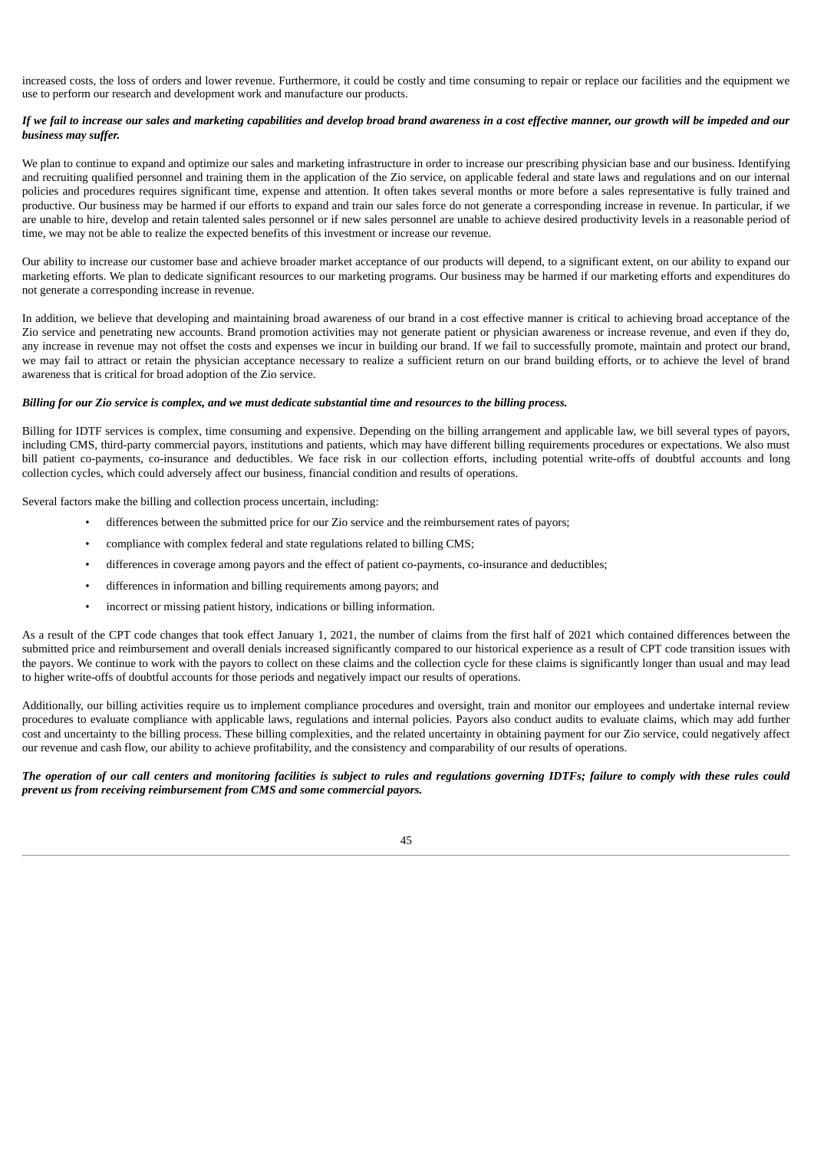increased costs, the loss of orders and lower revenue. Furthermore, it could be costly and time consuming to repair or replace our facilities and the equipment we use to perform our research and development work and manufacture our products.

# If we fail to increase our sales and marketing capabilities and develop broad brand awareness in a cost effective manner, our growth will be impeded and our *business may suffer.*

We plan to continue to expand and optimize our sales and marketing infrastructure in order to increase our prescribing physician base and our business. Identifying and recruiting qualified personnel and training them in the application of the Zio service, on applicable federal and state laws and regulations and on our internal policies and procedures requires significant time, expense and attention. It often takes several months or more before a sales representative is fully trained and productive. Our business may be harmed if our efforts to expand and train our sales force do not generate a corresponding increase in revenue. In particular, if we are unable to hire, develop and retain talented sales personnel or if new sales personnel are unable to achieve desired productivity levels in a reasonable period of time, we may not be able to realize the expected benefits of this investment or increase our revenue.

Our ability to increase our customer base and achieve broader market acceptance of our products will depend, to a significant extent, on our ability to expand our marketing efforts. We plan to dedicate significant resources to our marketing programs. Our business may be harmed if our marketing efforts and expenditures do not generate a corresponding increase in revenue.

In addition, we believe that developing and maintaining broad awareness of our brand in a cost effective manner is critical to achieving broad acceptance of the Zio service and penetrating new accounts. Brand promotion activities may not generate patient or physician awareness or increase revenue, and even if they do, any increase in revenue may not offset the costs and expenses we incur in building our brand. If we fail to successfully promote, maintain and protect our brand, we may fail to attract or retain the physician acceptance necessary to realize a sufficient return on our brand building efforts, or to achieve the level of brand awareness that is critical for broad adoption of the Zio service.

# Billing for our Zio service is complex, and we must dedicate substantial time and resources to the billing process.

Billing for IDTF services is complex, time consuming and expensive. Depending on the billing arrangement and applicable law, we bill several types of payors, including CMS, third-party commercial payors, institutions and patients, which may have different billing requirements procedures or expectations. We also must bill patient co-payments, co-insurance and deductibles. We face risk in our collection efforts, including potential write-offs of doubtful accounts and long collection cycles, which could adversely affect our business, financial condition and results of operations.

Several factors make the billing and collection process uncertain, including:

- differences between the submitted price for our Zio service and the reimbursement rates of payors;
- compliance with complex federal and state regulations related to billing CMS;
- differences in coverage among payors and the effect of patient co-payments, co-insurance and deductibles;
- differences in information and billing requirements among payors; and
- incorrect or missing patient history, indications or billing information.

As a result of the CPT code changes that took effect January 1, 2021, the number of claims from the first half of 2021 which contained differences between the submitted price and reimbursement and overall denials increased significantly compared to our historical experience as a result of CPT code transition issues with the payors. We continue to work with the payors to collect on these claims and the collection cycle for these claims is significantly longer than usual and may lead to higher write-offs of doubtful accounts for those periods and negatively impact our results of operations.

Additionally, our billing activities require us to implement compliance procedures and oversight, train and monitor our employees and undertake internal review procedures to evaluate compliance with applicable laws, regulations and internal policies. Payors also conduct audits to evaluate claims, which may add further cost and uncertainty to the billing process. These billing complexities, and the related uncertainty in obtaining payment for our Zio service, could negatively affect our revenue and cash flow, our ability to achieve profitability, and the consistency and comparability of our results of operations.

### The operation of our call centers and monitoring facilities is subject to rules and regulations governing IDTFs; failure to comply with these rules could *prevent us from receiving reimbursement from CMS and some commercial payors.*

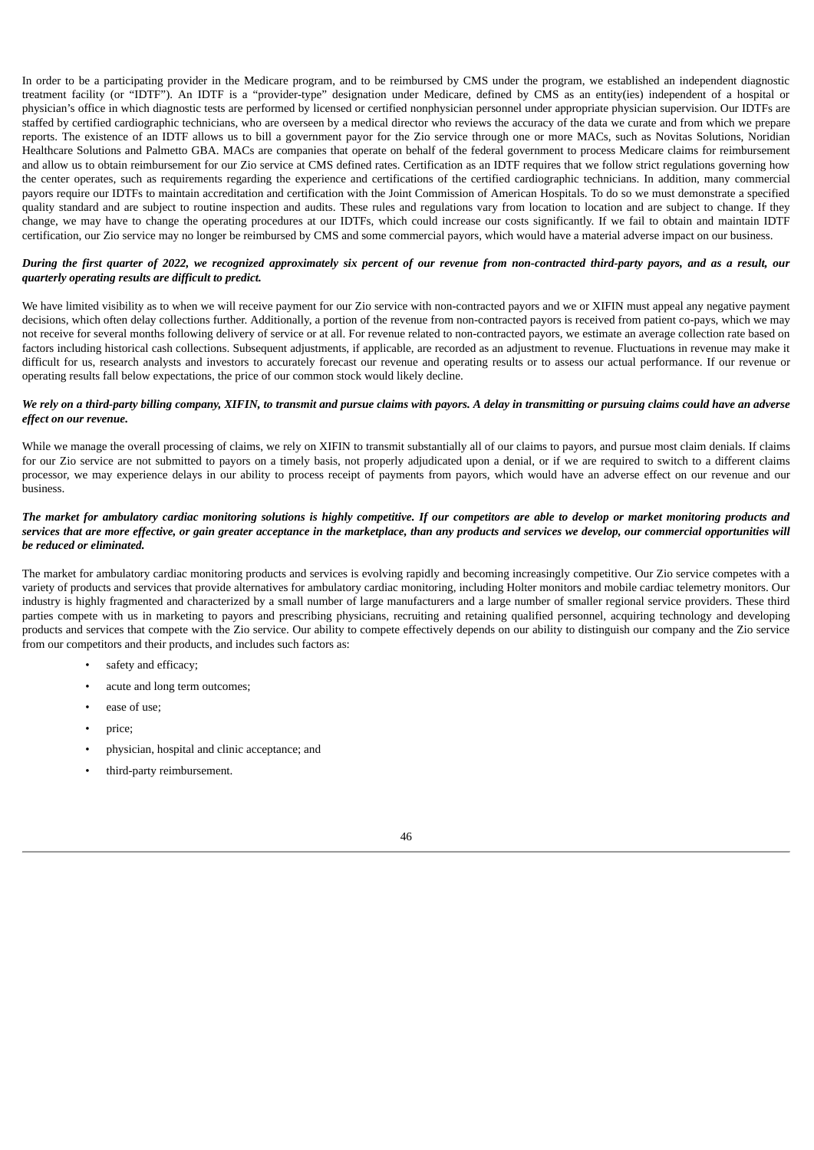In order to be a participating provider in the Medicare program, and to be reimbursed by CMS under the program, we established an independent diagnostic treatment facility (or "IDTF"). An IDTF is a "provider-type" designation under Medicare, defined by CMS as an entity(ies) independent of a hospital or physician's office in which diagnostic tests are performed by licensed or certified nonphysician personnel under appropriate physician supervision. Our IDTFs are staffed by certified cardiographic technicians, who are overseen by a medical director who reviews the accuracy of the data we curate and from which we prepare reports. The existence of an IDTF allows us to bill a government payor for the Zio service through one or more MACs, such as Novitas Solutions, Noridian Healthcare Solutions and Palmetto GBA. MACs are companies that operate on behalf of the federal government to process Medicare claims for reimbursement and allow us to obtain reimbursement for our Zio service at CMS defined rates. Certification as an IDTF requires that we follow strict regulations governing how the center operates, such as requirements regarding the experience and certifications of the certified cardiographic technicians. In addition, many commercial payors require our IDTFs to maintain accreditation and certification with the Joint Commission of American Hospitals. To do so we must demonstrate a specified quality standard and are subject to routine inspection and audits. These rules and regulations vary from location to location and are subject to change. If they change, we may have to change the operating procedures at our IDTFs, which could increase our costs significantly. If we fail to obtain and maintain IDTF certification, our Zio service may no longer be reimbursed by CMS and some commercial payors, which would have a material adverse impact on our business.

# During the first quarter of 2022, we recognized approximately six percent of our revenue from non-contracted third-party payors, and as a result, our *quarterly operating results are difficult to predict.*

We have limited visibility as to when we will receive payment for our Zio service with non-contracted payors and we or XIFIN must appeal any negative payment decisions, which often delay collections further. Additionally, a portion of the revenue from non-contracted payors is received from patient co-pays, which we may not receive for several months following delivery of service or at all. For revenue related to non-contracted payors, we estimate an average collection rate based on factors including historical cash collections. Subsequent adjustments, if applicable, are recorded as an adjustment to revenue. Fluctuations in revenue may make it difficult for us, research analysts and investors to accurately forecast our revenue and operating results or to assess our actual performance. If our revenue or operating results fall below expectations, the price of our common stock would likely decline.

# We rely on a third-party billing company, XIFIN, to transmit and pursue claims with payors. A delay in transmitting or pursuing claims could have an adverse *effect on our revenue.*

While we manage the overall processing of claims, we rely on XIFIN to transmit substantially all of our claims to payors, and pursue most claim denials. If claims for our Zio service are not submitted to payors on a timely basis, not properly adjudicated upon a denial, or if we are required to switch to a different claims processor, we may experience delays in our ability to process receipt of payments from payors, which would have an adverse effect on our revenue and our business.

# The market for ambulatory cardiac monitoring solutions is highly competitive. If our competitors are able to develop or market monitoring products and services that are more effective, or gain greater acceptance in the marketplace, than any products and services we develop, our commercial opportunities will *be reduced or eliminated.*

The market for ambulatory cardiac monitoring products and services is evolving rapidly and becoming increasingly competitive. Our Zio service competes with a variety of products and services that provide alternatives for ambulatory cardiac monitoring, including Holter monitors and mobile cardiac telemetry monitors. Our industry is highly fragmented and characterized by a small number of large manufacturers and a large number of smaller regional service providers. These third parties compete with us in marketing to payors and prescribing physicians, recruiting and retaining qualified personnel, acquiring technology and developing products and services that compete with the Zio service. Our ability to compete effectively depends on our ability to distinguish our company and the Zio service from our competitors and their products, and includes such factors as:

- safety and efficacy;
- acute and long term outcomes;
- ease of use;
- price;
- physician, hospital and clinic acceptance; and
- third-party reimbursement.

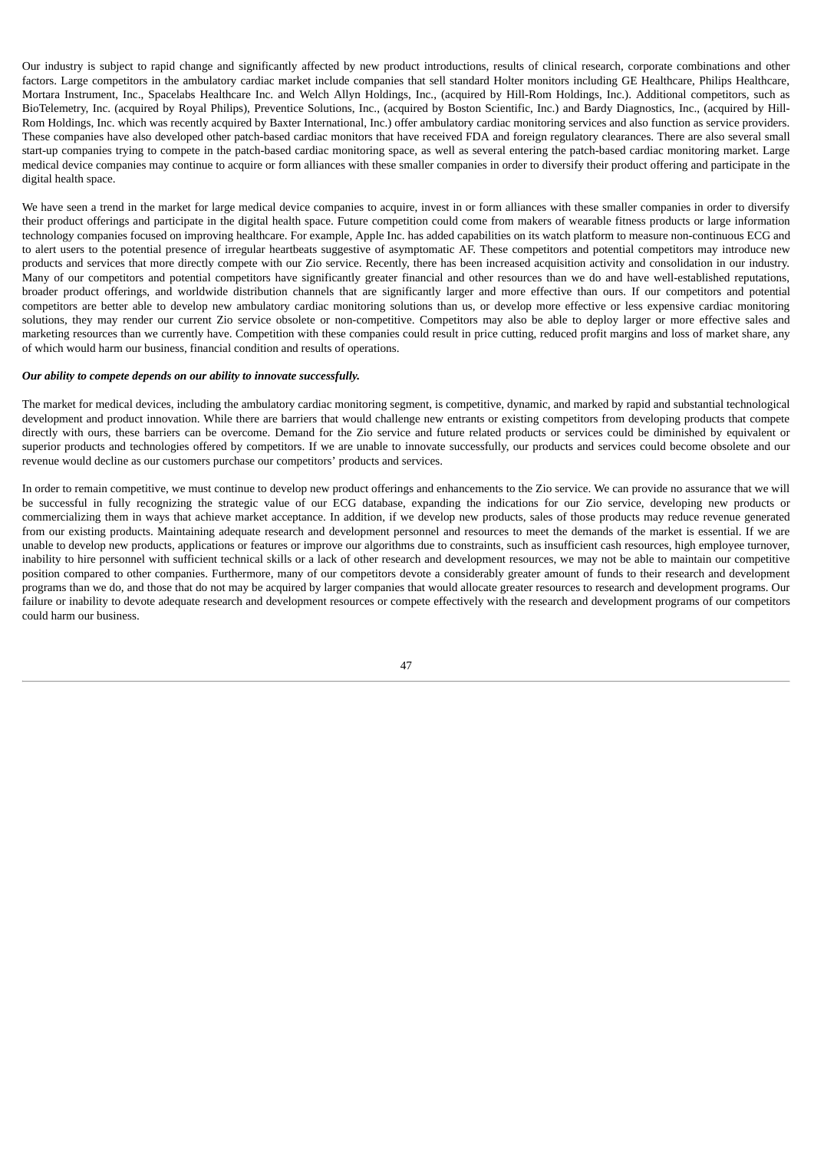Our industry is subject to rapid change and significantly affected by new product introductions, results of clinical research, corporate combinations and other factors. Large competitors in the ambulatory cardiac market include companies that sell standard Holter monitors including GE Healthcare, Philips Healthcare, Mortara Instrument, Inc., Spacelabs Healthcare Inc. and Welch Allyn Holdings, Inc., (acquired by Hill-Rom Holdings, Inc.). Additional competitors, such as BioTelemetry, Inc. (acquired by Royal Philips), Preventice Solutions, Inc., (acquired by Boston Scientific, Inc.) and Bardy Diagnostics, Inc., (acquired by Hill-Rom Holdings, Inc. which was recently acquired by Baxter International, Inc.) offer ambulatory cardiac monitoring services and also function as service providers. These companies have also developed other patch-based cardiac monitors that have received FDA and foreign regulatory clearances. There are also several small start-up companies trying to compete in the patch-based cardiac monitoring space, as well as several entering the patch-based cardiac monitoring market. Large medical device companies may continue to acquire or form alliances with these smaller companies in order to diversify their product offering and participate in the digital health space.

We have seen a trend in the market for large medical device companies to acquire, invest in or form alliances with these smaller companies in order to diversify their product offerings and participate in the digital health space. Future competition could come from makers of wearable fitness products or large information technology companies focused on improving healthcare. For example, Apple Inc. has added capabilities on its watch platform to measure non-continuous ECG and to alert users to the potential presence of irregular heartbeats suggestive of asymptomatic AF. These competitors and potential competitors may introduce new products and services that more directly compete with our Zio service. Recently, there has been increased acquisition activity and consolidation in our industry. Many of our competitors and potential competitors have significantly greater financial and other resources than we do and have well-established reputations, broader product offerings, and worldwide distribution channels that are significantly larger and more effective than ours. If our competitors and potential competitors are better able to develop new ambulatory cardiac monitoring solutions than us, or develop more effective or less expensive cardiac monitoring solutions, they may render our current Zio service obsolete or non-competitive. Competitors may also be able to deploy larger or more effective sales and marketing resources than we currently have. Competition with these companies could result in price cutting, reduced profit margins and loss of market share, any of which would harm our business, financial condition and results of operations.

#### *Our ability to compete depends on our ability to innovate successfully.*

The market for medical devices, including the ambulatory cardiac monitoring segment, is competitive, dynamic, and marked by rapid and substantial technological development and product innovation. While there are barriers that would challenge new entrants or existing competitors from developing products that compete directly with ours, these barriers can be overcome. Demand for the Zio service and future related products or services could be diminished by equivalent or superior products and technologies offered by competitors. If we are unable to innovate successfully, our products and services could become obsolete and our revenue would decline as our customers purchase our competitors' products and services.

In order to remain competitive, we must continue to develop new product offerings and enhancements to the Zio service. We can provide no assurance that we will be successful in fully recognizing the strategic value of our ECG database, expanding the indications for our Zio service, developing new products or commercializing them in ways that achieve market acceptance. In addition, if we develop new products, sales of those products may reduce revenue generated from our existing products. Maintaining adequate research and development personnel and resources to meet the demands of the market is essential. If we are unable to develop new products, applications or features or improve our algorithms due to constraints, such as insufficient cash resources, high employee turnover, inability to hire personnel with sufficient technical skills or a lack of other research and development resources, we may not be able to maintain our competitive position compared to other companies. Furthermore, many of our competitors devote a considerably greater amount of funds to their research and development programs than we do, and those that do not may be acquired by larger companies that would allocate greater resources to research and development programs. Our failure or inability to devote adequate research and development resources or compete effectively with the research and development programs of our competitors could harm our business.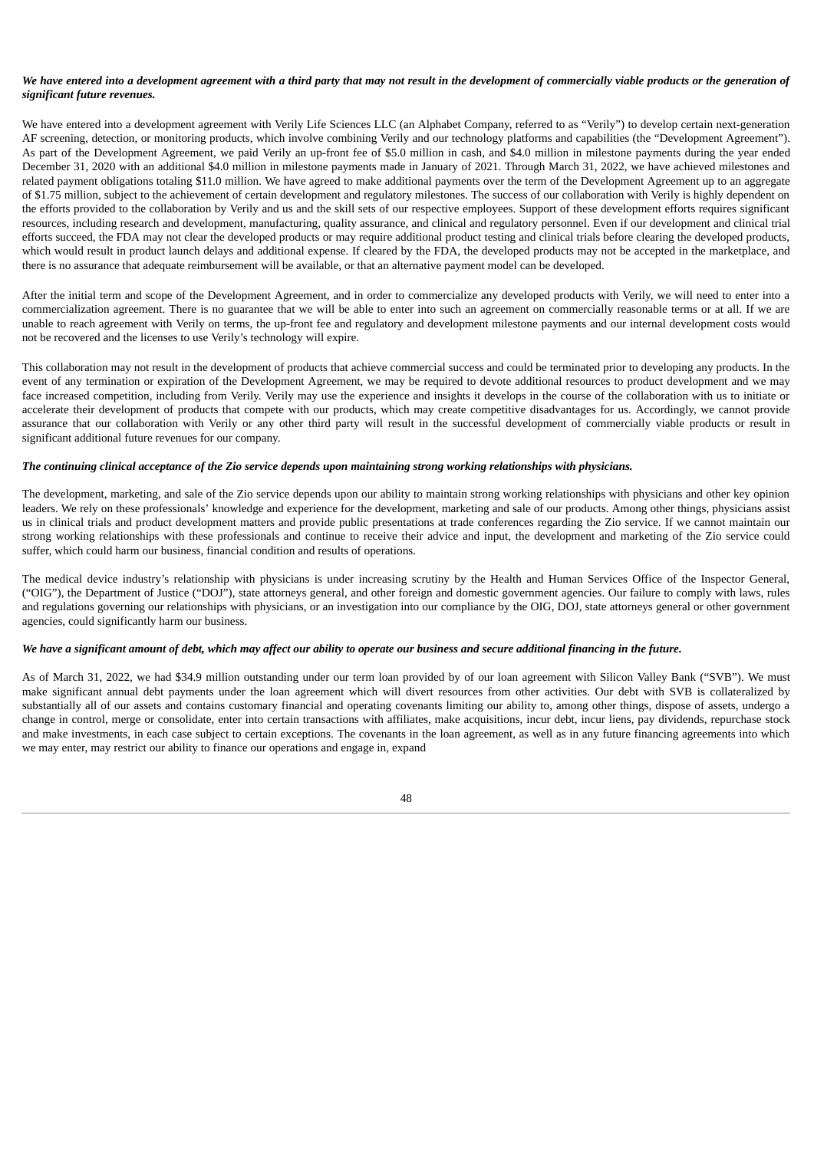# We have entered into a development agreement with a third party that may not result in the development of commercially viable products or the generation of *significant future revenues.*

We have entered into a development agreement with Verily Life Sciences LLC (an Alphabet Company, referred to as "Verily") to develop certain next-generation AF screening, detection, or monitoring products, which involve combining Verily and our technology platforms and capabilities (the "Development Agreement"). As part of the Development Agreement, we paid Verily an up-front fee of \$5.0 million in cash, and \$4.0 million in milestone payments during the year ended December 31, 2020 with an additional \$4.0 million in milestone payments made in January of 2021. Through March 31, 2022, we have achieved milestones and related payment obligations totaling \$11.0 million. We have agreed to make additional payments over the term of the Development Agreement up to an aggregate of \$1.75 million, subject to the achievement of certain development and regulatory milestones. The success of our collaboration with Verily is highly dependent on the efforts provided to the collaboration by Verily and us and the skill sets of our respective employees. Support of these development efforts requires significant resources, including research and development, manufacturing, quality assurance, and clinical and regulatory personnel. Even if our development and clinical trial efforts succeed, the FDA may not clear the developed products or may require additional product testing and clinical trials before clearing the developed products, which would result in product launch delays and additional expense. If cleared by the FDA, the developed products may not be accepted in the marketplace, and there is no assurance that adequate reimbursement will be available, or that an alternative payment model can be developed.

After the initial term and scope of the Development Agreement, and in order to commercialize any developed products with Verily, we will need to enter into a commercialization agreement. There is no guarantee that we will be able to enter into such an agreement on commercially reasonable terms or at all. If we are unable to reach agreement with Verily on terms, the up-front fee and regulatory and development milestone payments and our internal development costs would not be recovered and the licenses to use Verily's technology will expire.

This collaboration may not result in the development of products that achieve commercial success and could be terminated prior to developing any products. In the event of any termination or expiration of the Development Agreement, we may be required to devote additional resources to product development and we may face increased competition, including from Verily. Verily may use the experience and insights it develops in the course of the collaboration with us to initiate or accelerate their development of products that compete with our products, which may create competitive disadvantages for us. Accordingly, we cannot provide assurance that our collaboration with Verily or any other third party will result in the successful development of commercially viable products or result in significant additional future revenues for our company.

### The continuing clinical acceptance of the Zio service depends upon maintaining strong working relationships with physicians.

The development, marketing, and sale of the Zio service depends upon our ability to maintain strong working relationships with physicians and other key opinion leaders. We rely on these professionals' knowledge and experience for the development, marketing and sale of our products. Among other things, physicians assist us in clinical trials and product development matters and provide public presentations at trade conferences regarding the Zio service. If we cannot maintain our strong working relationships with these professionals and continue to receive their advice and input, the development and marketing of the Zio service could suffer, which could harm our business, financial condition and results of operations.

The medical device industry's relationship with physicians is under increasing scrutiny by the Health and Human Services Office of the Inspector General, ("OIG"), the Department of Justice ("DOJ"), state attorneys general, and other foreign and domestic government agencies. Our failure to comply with laws, rules and regulations governing our relationships with physicians, or an investigation into our compliance by the OIG, DOJ, state attorneys general or other government agencies, could significantly harm our business.

# We have a significant amount of debt, which may affect our ability to operate our business and secure additional financing in the future.

As of March 31, 2022, we had \$34.9 million outstanding under our term loan provided by of our loan agreement with Silicon Valley Bank ("SVB"). We must make significant annual debt payments under the loan agreement which will divert resources from other activities. Our debt with SVB is collateralized by substantially all of our assets and contains customary financial and operating covenants limiting our ability to, among other things, dispose of assets, undergo a change in control, merge or consolidate, enter into certain transactions with affiliates, make acquisitions, incur debt, incur liens, pay dividends, repurchase stock and make investments, in each case subject to certain exceptions. The covenants in the loan agreement, as well as in any future financing agreements into which we may enter, may restrict our ability to finance our operations and engage in, expand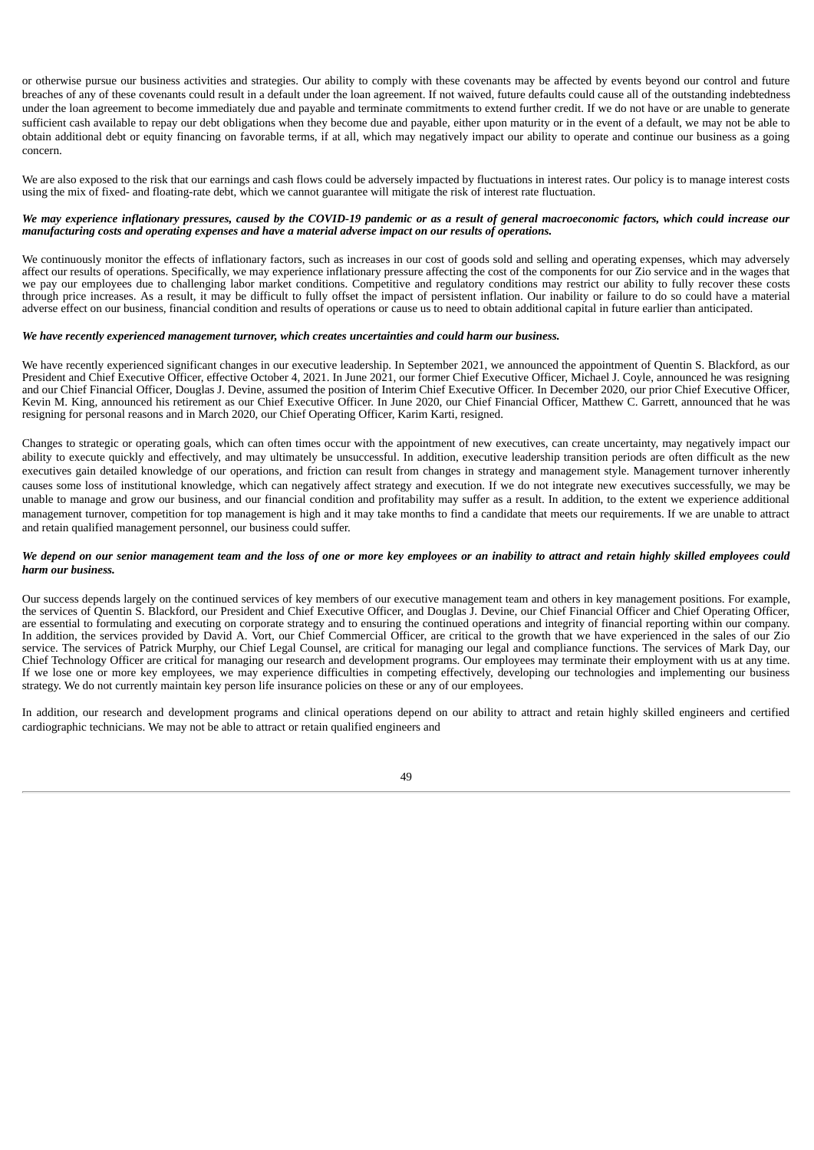or otherwise pursue our business activities and strategies. Our ability to comply with these covenants may be affected by events beyond our control and future breaches of any of these covenants could result in a default under the loan agreement. If not waived, future defaults could cause all of the outstanding indebtedness under the loan agreement to become immediately due and payable and terminate commitments to extend further credit. If we do not have or are unable to generate sufficient cash available to repay our debt obligations when they become due and payable, either upon maturity or in the event of a default, we may not be able to obtain additional debt or equity financing on favorable terms, if at all, which may negatively impact our ability to operate and continue our business as a going concern.

We are also exposed to the risk that our earnings and cash flows could be adversely impacted by fluctuations in interest rates. Our policy is to manage interest costs using the mix of fixed- and floating-rate debt, which we cannot guarantee will mitigate the risk of interest rate fluctuation.

### We may experience inflationary pressures, caused by the COVID-19 pandemic or as a result of general macroeconomic factors, which could increase our *manufacturing costs and operating expenses and have a material adverse impact on our results of operations.*

We continuously monitor the effects of inflationary factors, such as increases in our cost of goods sold and selling and operating expenses, which may adversely affect our results of operations. Specifically, we may experience inflationary pressure affecting the cost of the components for our Zio service and in the wages that we pay our employees due to challenging labor market conditions. Competitive and regulatory conditions may restrict our ability to fully recover these costs through price increases. As a result, it may be difficult to fully offset the impact of persistent inflation. Our inability or failure to do so could have a material adverse effect on our business, financial condition and results of operations or cause us to need to obtain additional capital in future earlier than anticipated.

#### *We have recently experienced management turnover, which creates uncertainties and could harm our business.*

We have recently experienced significant changes in our executive leadership. In September 2021, we announced the appointment of Quentin S. Blackford, as our President and Chief Executive Officer, effective October 4, 2021. In June 2021, our former Chief Executive Officer, Michael J. Coyle, announced he was resigning and our Chief Financial Officer, Douglas J. Devine, assumed the position of Interim Chief Executive Officer. In December 2020, our prior Chief Executive Officer, Kevin M. King, announced his retirement as our Chief Executive Officer. In June 2020, our Chief Financial Officer, Matthew C. Garrett, announced that he was resigning for personal reasons and in March 2020, our Chief Operating Officer, Karim Karti, resigned.

Changes to strategic or operating goals, which can often times occur with the appointment of new executives, can create uncertainty, may negatively impact our ability to execute quickly and effectively, and may ultimately be unsuccessful. In addition, executive leadership transition periods are often difficult as the new executives gain detailed knowledge of our operations, and friction can result from changes in strategy and management style. Management turnover inherently causes some loss of institutional knowledge, which can negatively affect strategy and execution. If we do not integrate new executives successfully, we may be unable to manage and grow our business, and our financial condition and profitability may suffer as a result. In addition, to the extent we experience additional management turnover, competition for top management is high and it may take months to find a candidate that meets our requirements. If we are unable to attract and retain qualified management personnel, our business could suffer.

#### We depend on our senior management team and the loss of one or more key employees or an inability to attract and retain highly skilled employees could *harm our business.*

Our success depends largely on the continued services of key members of our executive management team and others in key management positions. For example, the services of Quentin S. Blackford, our President and Chief Executive Officer, and Douglas J. Devine, our Chief Financial Officer and Chief Operating Officer, are essential to formulating and executing on corporate strategy and to ensuring the continued operations and integrity of financial reporting within our company. In addition, the services provided by David A. Vort, our Chief Commercial Officer, are critical to the growth that we have experienced in the sales of our Zio service. The services of Patrick Murphy, our Chief Legal Counsel, are critical for managing our legal and compliance functions. The services of Mark Day, our Chief Technology Officer are critical for managing our research and development programs. Our employees may terminate their employment with us at any time. If we lose one or more key employees, we may experience difficulties in competing effectively, developing our technologies and implementing our business strategy. We do not currently maintain key person life insurance policies on these or any of our employees.

In addition, our research and development programs and clinical operations depend on our ability to attract and retain highly skilled engineers and certified cardiographic technicians. We may not be able to attract or retain qualified engineers and

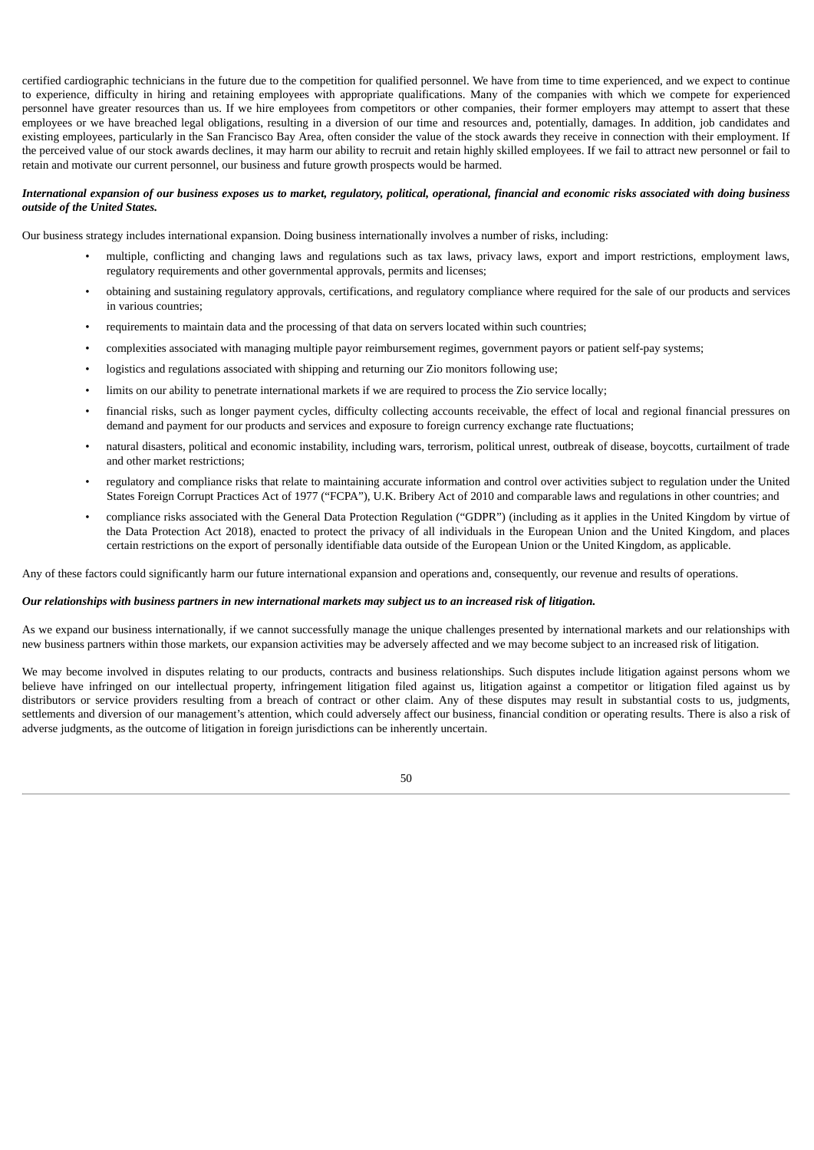certified cardiographic technicians in the future due to the competition for qualified personnel. We have from time to time experienced, and we expect to continue to experience, difficulty in hiring and retaining employees with appropriate qualifications. Many of the companies with which we compete for experienced personnel have greater resources than us. If we hire employees from competitors or other companies, their former employers may attempt to assert that these employees or we have breached legal obligations, resulting in a diversion of our time and resources and, potentially, damages. In addition, job candidates and existing employees, particularly in the San Francisco Bay Area, often consider the value of the stock awards they receive in connection with their employment. If the perceived value of our stock awards declines, it may harm our ability to recruit and retain highly skilled employees. If we fail to attract new personnel or fail to retain and motivate our current personnel, our business and future growth prospects would be harmed.

# International expansion of our business exposes us to market, regulatory, political, operational, financial and economic risks associated with doing business *outside of the United States.*

Our business strategy includes international expansion. Doing business internationally involves a number of risks, including:

- multiple, conflicting and changing laws and regulations such as tax laws, privacy laws, export and import restrictions, employment laws, regulatory requirements and other governmental approvals, permits and licenses;
- obtaining and sustaining regulatory approvals, certifications, and regulatory compliance where required for the sale of our products and services in various countries;
- requirements to maintain data and the processing of that data on servers located within such countries;
- complexities associated with managing multiple payor reimbursement regimes, government payors or patient self-pay systems;
- logistics and regulations associated with shipping and returning our Zio monitors following use;
- limits on our ability to penetrate international markets if we are required to process the Zio service locally;
- financial risks, such as longer payment cycles, difficulty collecting accounts receivable, the effect of local and regional financial pressures on demand and payment for our products and services and exposure to foreign currency exchange rate fluctuations;
- natural disasters, political and economic instability, including wars, terrorism, political unrest, outbreak of disease, boycotts, curtailment of trade and other market restrictions;
- regulatory and compliance risks that relate to maintaining accurate information and control over activities subject to regulation under the United States Foreign Corrupt Practices Act of 1977 ("FCPA"), U.K. Bribery Act of 2010 and comparable laws and regulations in other countries; and
- compliance risks associated with the General Data Protection Regulation ("GDPR") (including as it applies in the United Kingdom by virtue of the Data Protection Act 2018), enacted to protect the privacy of all individuals in the European Union and the United Kingdom, and places certain restrictions on the export of personally identifiable data outside of the European Union or the United Kingdom, as applicable.

Any of these factors could significantly harm our future international expansion and operations and, consequently, our revenue and results of operations.

#### Our relationships with business partners in new international markets may subject us to an increased risk of litigation.

As we expand our business internationally, if we cannot successfully manage the unique challenges presented by international markets and our relationships with new business partners within those markets, our expansion activities may be adversely affected and we may become subject to an increased risk of litigation.

We may become involved in disputes relating to our products, contracts and business relationships. Such disputes include litigation against persons whom we believe have infringed on our intellectual property, infringement litigation filed against us, litigation against a competitor or litigation filed against us by distributors or service providers resulting from a breach of contract or other claim. Any of these disputes may result in substantial costs to us, judgments, settlements and diversion of our management's attention, which could adversely affect our business, financial condition or operating results. There is also a risk of adverse judgments, as the outcome of litigation in foreign jurisdictions can be inherently uncertain.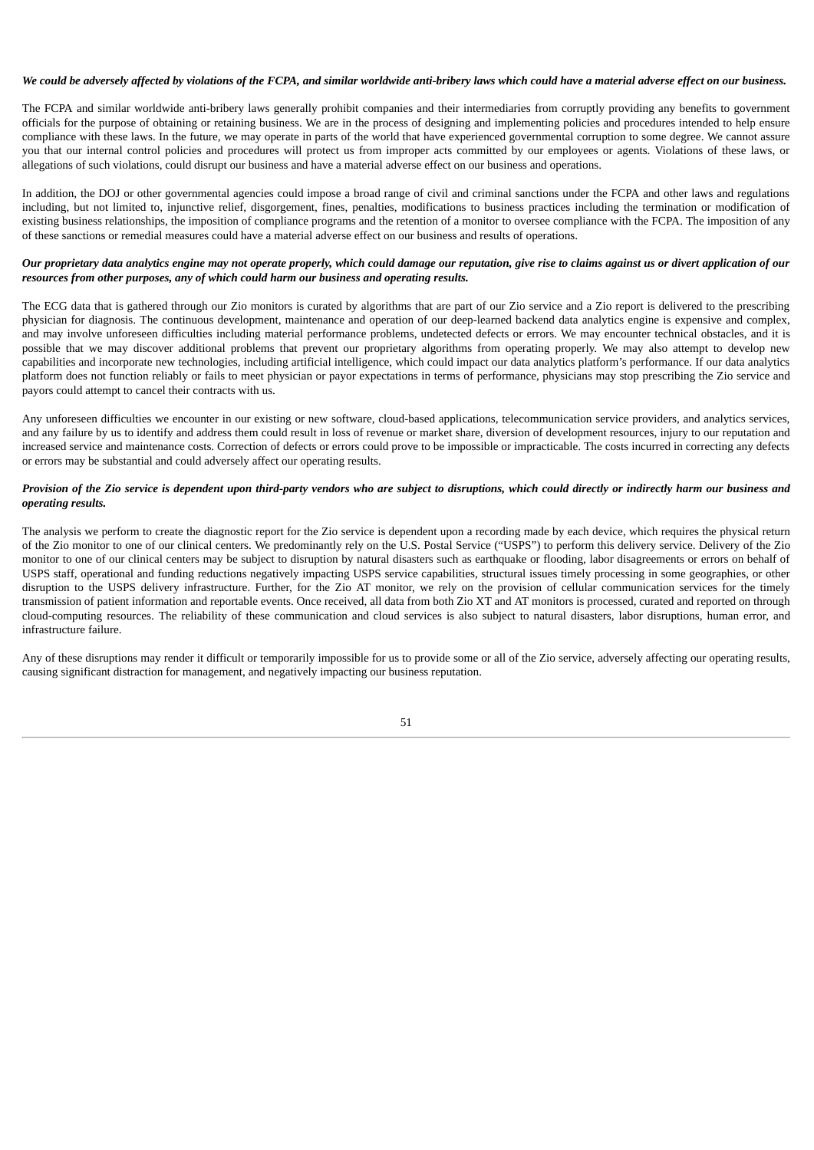### We could be adversely affected by violations of the FCPA, and similar worldwide anti-bribery laws which could have a material adverse effect on our business.

The FCPA and similar worldwide anti-bribery laws generally prohibit companies and their intermediaries from corruptly providing any benefits to government officials for the purpose of obtaining or retaining business. We are in the process of designing and implementing policies and procedures intended to help ensure compliance with these laws. In the future, we may operate in parts of the world that have experienced governmental corruption to some degree. We cannot assure you that our internal control policies and procedures will protect us from improper acts committed by our employees or agents. Violations of these laws, or allegations of such violations, could disrupt our business and have a material adverse effect on our business and operations.

In addition, the DOJ or other governmental agencies could impose a broad range of civil and criminal sanctions under the FCPA and other laws and regulations including, but not limited to, injunctive relief, disgorgement, fines, penalties, modifications to business practices including the termination or modification of existing business relationships, the imposition of compliance programs and the retention of a monitor to oversee compliance with the FCPA. The imposition of any of these sanctions or remedial measures could have a material adverse effect on our business and results of operations.

### Our proprietary data analytics engine may not operate properly, which could damage our reputation, give rise to claims against us or divert application of our *resources from other purposes, any of which could harm our business and operating results.*

The ECG data that is gathered through our Zio monitors is curated by algorithms that are part of our Zio service and a Zio report is delivered to the prescribing physician for diagnosis. The continuous development, maintenance and operation of our deep-learned backend data analytics engine is expensive and complex, and may involve unforeseen difficulties including material performance problems, undetected defects or errors. We may encounter technical obstacles, and it is possible that we may discover additional problems that prevent our proprietary algorithms from operating properly. We may also attempt to develop new capabilities and incorporate new technologies, including artificial intelligence, which could impact our data analytics platform's performance. If our data analytics platform does not function reliably or fails to meet physician or payor expectations in terms of performance, physicians may stop prescribing the Zio service and payors could attempt to cancel their contracts with us.

Any unforeseen difficulties we encounter in our existing or new software, cloud-based applications, telecommunication service providers, and analytics services, and any failure by us to identify and address them could result in loss of revenue or market share, diversion of development resources, injury to our reputation and increased service and maintenance costs. Correction of defects or errors could prove to be impossible or impracticable. The costs incurred in correcting any defects or errors may be substantial and could adversely affect our operating results.

## Provision of the Zio service is dependent upon third-party vendors who are subject to disruptions, which could directly or indirectly harm our business and *operating results.*

The analysis we perform to create the diagnostic report for the Zio service is dependent upon a recording made by each device, which requires the physical return of the Zio monitor to one of our clinical centers. We predominantly rely on the U.S. Postal Service ("USPS") to perform this delivery service. Delivery of the Zio monitor to one of our clinical centers may be subject to disruption by natural disasters such as earthquake or flooding, labor disagreements or errors on behalf of USPS staff, operational and funding reductions negatively impacting USPS service capabilities, structural issues timely processing in some geographies, or other disruption to the USPS delivery infrastructure. Further, for the Zio AT monitor, we rely on the provision of cellular communication services for the timely transmission of patient information and reportable events. Once received, all data from both Zio XT and AT monitors is processed, curated and reported on through cloud-computing resources. The reliability of these communication and cloud services is also subject to natural disasters, labor disruptions, human error, and infrastructure failure.

Any of these disruptions may render it difficult or temporarily impossible for us to provide some or all of the Zio service, adversely affecting our operating results, causing significant distraction for management, and negatively impacting our business reputation.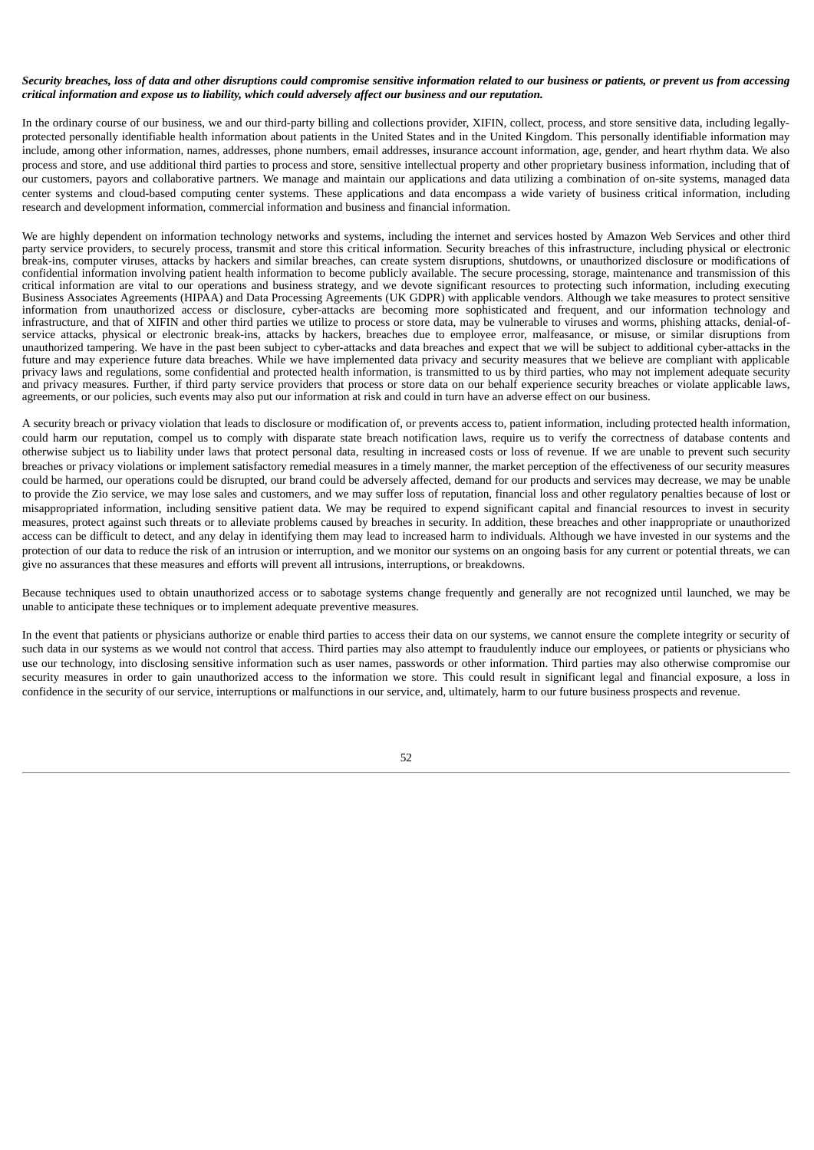## Security breaches, loss of data and other disruptions could compromise sensitive information related to our business or patients, or prevent us from accessing *critical information and expose us to liability, which could adversely affect our business and our reputation.*

In the ordinary course of our business, we and our third-party billing and collections provider, XIFIN, collect, process, and store sensitive data, including legallyprotected personally identifiable health information about patients in the United States and in the United Kingdom. This personally identifiable information may include, among other information, names, addresses, phone numbers, email addresses, insurance account information, age, gender, and heart rhythm data. We also process and store, and use additional third parties to process and store, sensitive intellectual property and other proprietary business information, including that of our customers, payors and collaborative partners. We manage and maintain our applications and data utilizing a combination of on-site systems, managed data center systems and cloud-based computing center systems. These applications and data encompass a wide variety of business critical information, including research and development information, commercial information and business and financial information.

We are highly dependent on information technology networks and systems, including the internet and services hosted by Amazon Web Services and other third party service providers, to securely process, transmit and store this critical information. Security breaches of this infrastructure, including physical or electronic break-ins, computer viruses, attacks by hackers and similar breaches, can create system disruptions, shutdowns, or unauthorized disclosure or modifications of confidential information involving patient health information to become publicly available. The secure processing, storage, maintenance and transmission of this critical information are vital to our operations and business strategy, and we devote significant resources to protecting such information, including executing Business Associates Agreements (HIPAA) and Data Processing Agreements (UK GDPR) with applicable vendors. Although we take measures to protect sensitive information from unauthorized access or disclosure, cyber-attacks are becoming more sophisticated and frequent, and our information technology and infrastructure, and that of XIFIN and other third parties we utilize to process or store data, may be vulnerable to viruses and worms, phishing attacks, denial-ofservice attacks, physical or electronic break-ins, attacks by hackers, breaches due to employee error, malfeasance, or misuse, or similar disruptions from unauthorized tampering. We have in the past been subject to cyber-attacks and data breaches and expect that we will be subject to additional cyber-attacks in the future and may experience future data breaches. While we have implemented data privacy and security measures that we believe are compliant with applicable privacy laws and regulations, some confidential and protected health information, is transmitted to us by third parties, who may not implement adequate security and privacy measures. Further, if third party service providers that process or store data on our behalf experience security breaches or violate applicable laws, agreements, or our policies, such events may also put our information at risk and could in turn have an adverse effect on our business.

A security breach or privacy violation that leads to disclosure or modification of, or prevents access to, patient information, including protected health information, could harm our reputation, compel us to comply with disparate state breach notification laws, require us to verify the correctness of database contents and otherwise subject us to liability under laws that protect personal data, resulting in increased costs or loss of revenue. If we are unable to prevent such security breaches or privacy violations or implement satisfactory remedial measures in a timely manner, the market perception of the effectiveness of our security measures could be harmed, our operations could be disrupted, our brand could be adversely affected, demand for our products and services may decrease, we may be unable to provide the Zio service, we may lose sales and customers, and we may suffer loss of reputation, financial loss and other regulatory penalties because of lost or misappropriated information, including sensitive patient data. We may be required to expend significant capital and financial resources to invest in security measures, protect against such threats or to alleviate problems caused by breaches in security. In addition, these breaches and other inappropriate or unauthorized access can be difficult to detect, and any delay in identifying them may lead to increased harm to individuals. Although we have invested in our systems and the protection of our data to reduce the risk of an intrusion or interruption, and we monitor our systems on an ongoing basis for any current or potential threats, we can give no assurances that these measures and efforts will prevent all intrusions, interruptions, or breakdowns.

Because techniques used to obtain unauthorized access or to sabotage systems change frequently and generally are not recognized until launched, we may be unable to anticipate these techniques or to implement adequate preventive measures.

In the event that patients or physicians authorize or enable third parties to access their data on our systems, we cannot ensure the complete integrity or security of such data in our systems as we would not control that access. Third parties may also attempt to fraudulently induce our employees, or patients or physicians who use our technology, into disclosing sensitive information such as user names, passwords or other information. Third parties may also otherwise compromise our security measures in order to gain unauthorized access to the information we store. This could result in significant legal and financial exposure, a loss in confidence in the security of our service, interruptions or malfunctions in our service, and, ultimately, harm to our future business prospects and revenue.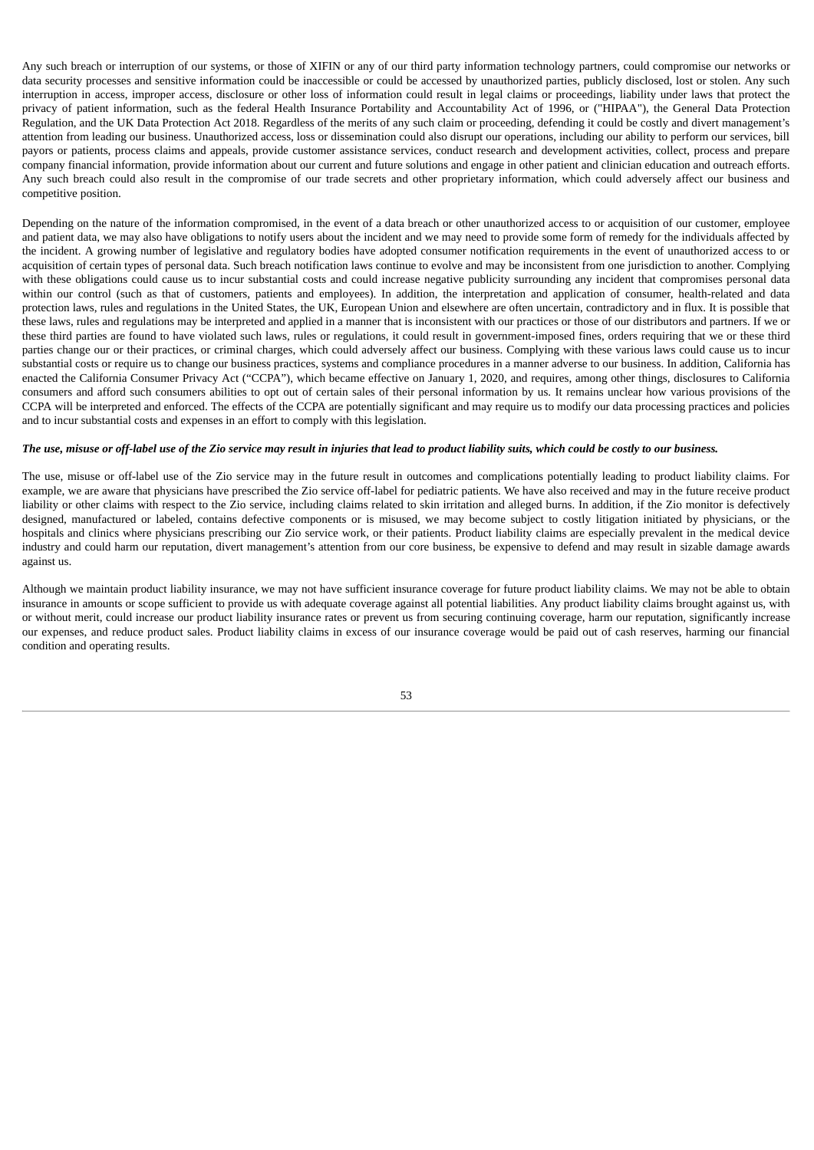Any such breach or interruption of our systems, or those of XIFIN or any of our third party information technology partners, could compromise our networks or data security processes and sensitive information could be inaccessible or could be accessed by unauthorized parties, publicly disclosed, lost or stolen. Any such interruption in access, improper access, disclosure or other loss of information could result in legal claims or proceedings, liability under laws that protect the privacy of patient information, such as the federal Health Insurance Portability and Accountability Act of 1996, or ("HIPAA"), the General Data Protection Regulation, and the UK Data Protection Act 2018. Regardless of the merits of any such claim or proceeding, defending it could be costly and divert management's attention from leading our business. Unauthorized access, loss or dissemination could also disrupt our operations, including our ability to perform our services, bill payors or patients, process claims and appeals, provide customer assistance services, conduct research and development activities, collect, process and prepare company financial information, provide information about our current and future solutions and engage in other patient and clinician education and outreach efforts. Any such breach could also result in the compromise of our trade secrets and other proprietary information, which could adversely affect our business and competitive position.

Depending on the nature of the information compromised, in the event of a data breach or other unauthorized access to or acquisition of our customer, employee and patient data, we may also have obligations to notify users about the incident and we may need to provide some form of remedy for the individuals affected by the incident. A growing number of legislative and regulatory bodies have adopted consumer notification requirements in the event of unauthorized access to or acquisition of certain types of personal data. Such breach notification laws continue to evolve and may be inconsistent from one jurisdiction to another. Complying with these obligations could cause us to incur substantial costs and could increase negative publicity surrounding any incident that compromises personal data within our control (such as that of customers, patients and employees). In addition, the interpretation and application of consumer, health-related and data protection laws, rules and regulations in the United States, the UK, European Union and elsewhere are often uncertain, contradictory and in flux. It is possible that these laws, rules and regulations may be interpreted and applied in a manner that is inconsistent with our practices or those of our distributors and partners. If we or these third parties are found to have violated such laws, rules or regulations, it could result in government-imposed fines, orders requiring that we or these third parties change our or their practices, or criminal charges, which could adversely affect our business. Complying with these various laws could cause us to incur substantial costs or require us to change our business practices, systems and compliance procedures in a manner adverse to our business. In addition, California has enacted the California Consumer Privacy Act ("CCPA"), which became effective on January 1, 2020, and requires, among other things, disclosures to California consumers and afford such consumers abilities to opt out of certain sales of their personal information by us. It remains unclear how various provisions of the CCPA will be interpreted and enforced. The effects of the CCPA are potentially significant and may require us to modify our data processing practices and policies and to incur substantial costs and expenses in an effort to comply with this legislation.

#### The use, misuse or off-label use of the Zio service may result in injuries that lead to product liability suits, which could be costly to our business.

The use, misuse or off-label use of the Zio service may in the future result in outcomes and complications potentially leading to product liability claims. For example, we are aware that physicians have prescribed the Zio service off-label for pediatric patients. We have also received and may in the future receive product liability or other claims with respect to the Zio service, including claims related to skin irritation and alleged burns. In addition, if the Zio monitor is defectively designed, manufactured or labeled, contains defective components or is misused, we may become subject to costly litigation initiated by physicians, or the hospitals and clinics where physicians prescribing our Zio service work, or their patients. Product liability claims are especially prevalent in the medical device industry and could harm our reputation, divert management's attention from our core business, be expensive to defend and may result in sizable damage awards against us.

Although we maintain product liability insurance, we may not have sufficient insurance coverage for future product liability claims. We may not be able to obtain insurance in amounts or scope sufficient to provide us with adequate coverage against all potential liabilities. Any product liability claims brought against us, with or without merit, could increase our product liability insurance rates or prevent us from securing continuing coverage, harm our reputation, significantly increase our expenses, and reduce product sales. Product liability claims in excess of our insurance coverage would be paid out of cash reserves, harming our financial condition and operating results.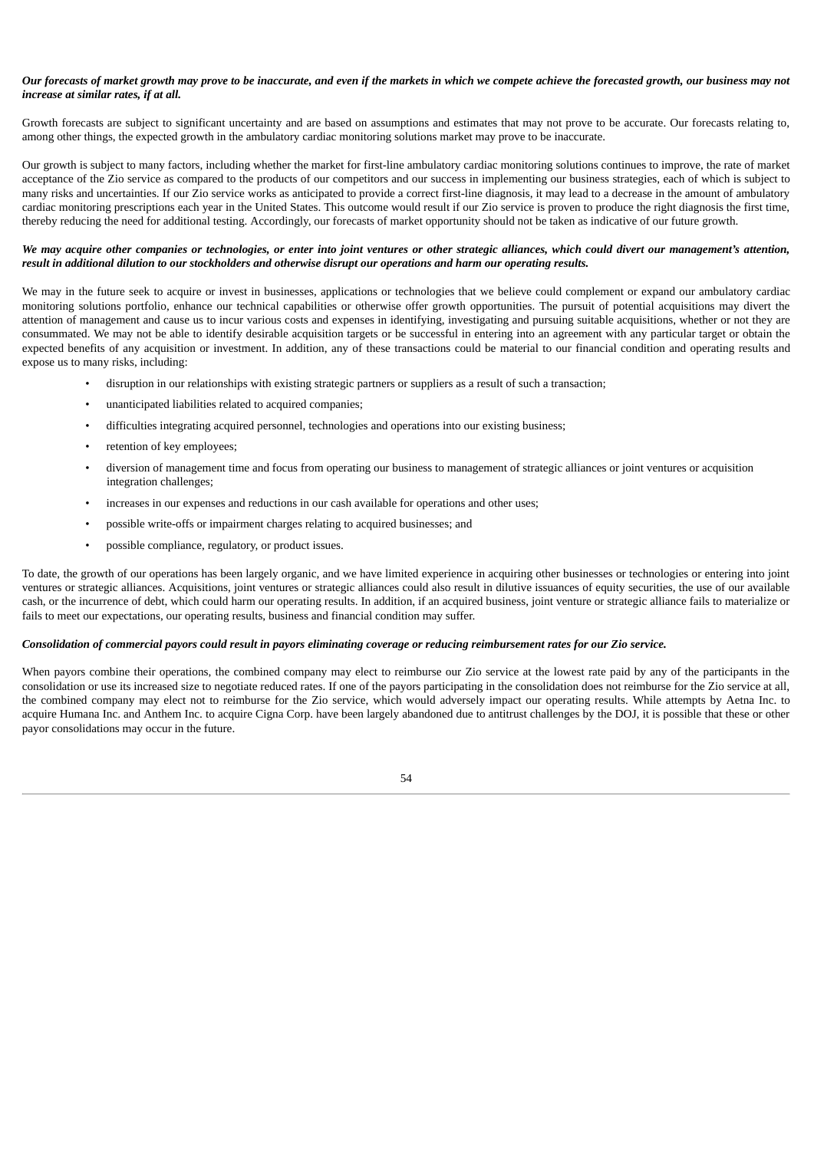# Our forecasts of market growth may prove to be inaccurate, and even if the markets in which we compete achieve the forecasted growth, our business may not *increase at similar rates, if at all.*

Growth forecasts are subject to significant uncertainty and are based on assumptions and estimates that may not prove to be accurate. Our forecasts relating to, among other things, the expected growth in the ambulatory cardiac monitoring solutions market may prove to be inaccurate.

Our growth is subject to many factors, including whether the market for first-line ambulatory cardiac monitoring solutions continues to improve, the rate of market acceptance of the Zio service as compared to the products of our competitors and our success in implementing our business strategies, each of which is subject to many risks and uncertainties. If our Zio service works as anticipated to provide a correct first-line diagnosis, it may lead to a decrease in the amount of ambulatory cardiac monitoring prescriptions each year in the United States. This outcome would result if our Zio service is proven to produce the right diagnosis the first time, thereby reducing the need for additional testing. Accordingly, our forecasts of market opportunity should not be taken as indicative of our future growth.

# We may acquire other companies or technologies, or enter into joint ventures or other strategic alliances, which could divert our manggement's attention, result in additional dilution to our stockholders and otherwise disrupt our operations and harm our operating results.

We may in the future seek to acquire or invest in businesses, applications or technologies that we believe could complement or expand our ambulatory cardiac monitoring solutions portfolio, enhance our technical capabilities or otherwise offer growth opportunities. The pursuit of potential acquisitions may divert the attention of management and cause us to incur various costs and expenses in identifying, investigating and pursuing suitable acquisitions, whether or not they are consummated. We may not be able to identify desirable acquisition targets or be successful in entering into an agreement with any particular target or obtain the expected benefits of any acquisition or investment. In addition, any of these transactions could be material to our financial condition and operating results and expose us to many risks, including:

- disruption in our relationships with existing strategic partners or suppliers as a result of such a transaction;
- unanticipated liabilities related to acquired companies;
- difficulties integrating acquired personnel, technologies and operations into our existing business;
- retention of key employees;
- diversion of management time and focus from operating our business to management of strategic alliances or joint ventures or acquisition integration challenges;
- increases in our expenses and reductions in our cash available for operations and other uses;
- possible write-offs or impairment charges relating to acquired businesses; and
- possible compliance, regulatory, or product issues.

To date, the growth of our operations has been largely organic, and we have limited experience in acquiring other businesses or technologies or entering into joint ventures or strategic alliances. Acquisitions, joint ventures or strategic alliances could also result in dilutive issuances of equity securities, the use of our available cash, or the incurrence of debt, which could harm our operating results. In addition, if an acquired business, joint venture or strategic alliance fails to materialize or fails to meet our expectations, our operating results, business and financial condition may suffer.

### Consolidation of commercial payors could result in payors eliminating coverage or reducing reimbursement rates for our Zio service.

When payors combine their operations, the combined company may elect to reimburse our Zio service at the lowest rate paid by any of the participants in the consolidation or use its increased size to negotiate reduced rates. If one of the payors participating in the consolidation does not reimburse for the Zio service at all, the combined company may elect not to reimburse for the Zio service, which would adversely impact our operating results. While attempts by Aetna Inc. to acquire Humana Inc. and Anthem Inc. to acquire Cigna Corp. have been largely abandoned due to antitrust challenges by the DOJ, it is possible that these or other payor consolidations may occur in the future.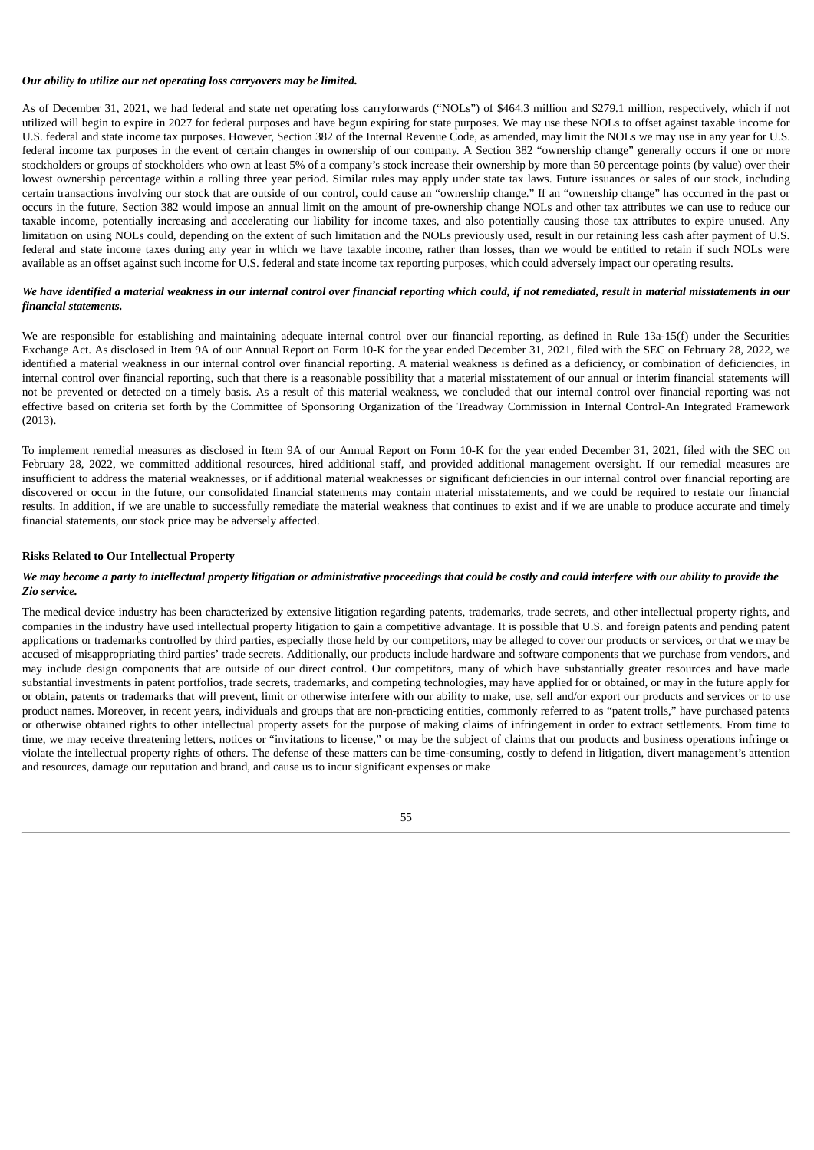#### *Our ability to utilize our net operating loss carryovers may be limited.*

As of December 31, 2021, we had federal and state net operating loss carryforwards ("NOLs") of \$464.3 million and \$279.1 million, respectively, which if not utilized will begin to expire in 2027 for federal purposes and have begun expiring for state purposes. We may use these NOLs to offset against taxable income for U.S. federal and state income tax purposes. However, Section 382 of the Internal Revenue Code, as amended, may limit the NOLs we may use in any year for U.S. federal income tax purposes in the event of certain changes in ownership of our company. A Section 382 "ownership change" generally occurs if one or more stockholders or groups of stockholders who own at least 5% of a company's stock increase their ownership by more than 50 percentage points (by value) over their lowest ownership percentage within a rolling three year period. Similar rules may apply under state tax laws. Future issuances or sales of our stock, including certain transactions involving our stock that are outside of our control, could cause an "ownership change." If an "ownership change" has occurred in the past or occurs in the future, Section 382 would impose an annual limit on the amount of pre-ownership change NOLs and other tax attributes we can use to reduce our taxable income, potentially increasing and accelerating our liability for income taxes, and also potentially causing those tax attributes to expire unused. Any limitation on using NOLs could, depending on the extent of such limitation and the NOLs previously used, result in our retaining less cash after payment of U.S. federal and state income taxes during any year in which we have taxable income, rather than losses, than we would be entitled to retain if such NOLs were available as an offset against such income for U.S. federal and state income tax reporting purposes, which could adversely impact our operating results.

# We have identified a material weakness in our internal control over financial reporting which could, if not remediated, result in material misstatements in our *financial statements.*

We are responsible for establishing and maintaining adequate internal control over our financial reporting, as defined in Rule 13a-15(f) under the Securities Exchange Act. As disclosed in Item 9A of our Annual Report on Form 10-K for the year ended December 31, 2021, filed with the SEC on February 28, 2022, we identified a material weakness in our internal control over financial reporting. A material weakness is defined as a deficiency, or combination of deficiencies, in internal control over financial reporting, such that there is a reasonable possibility that a material misstatement of our annual or interim financial statements will not be prevented or detected on a timely basis. As a result of this material weakness, we concluded that our internal control over financial reporting was not effective based on criteria set forth by the Committee of Sponsoring Organization of the Treadway Commission in Internal Control-An Integrated Framework (2013).

To implement remedial measures as disclosed in Item 9A of our Annual Report on Form 10-K for the year ended December 31, 2021, filed with the SEC on February 28, 2022, we committed additional resources, hired additional staff, and provided additional management oversight. If our remedial measures are insufficient to address the material weaknesses, or if additional material weaknesses or significant deficiencies in our internal control over financial reporting are discovered or occur in the future, our consolidated financial statements may contain material misstatements, and we could be required to restate our financial results. In addition, if we are unable to successfully remediate the material weakness that continues to exist and if we are unable to produce accurate and timely financial statements, our stock price may be adversely affected.

#### **Risks Related to Our Intellectual Property**

## We may become a party to intellectual property litigation or administrative proceedings that could be costly and could interfere with our ability to provide the *Zio service.*

The medical device industry has been characterized by extensive litigation regarding patents, trademarks, trade secrets, and other intellectual property rights, and companies in the industry have used intellectual property litigation to gain a competitive advantage. It is possible that U.S. and foreign patents and pending patent applications or trademarks controlled by third parties, especially those held by our competitors, may be alleged to cover our products or services, or that we may be accused of misappropriating third parties' trade secrets. Additionally, our products include hardware and software components that we purchase from vendors, and may include design components that are outside of our direct control. Our competitors, many of which have substantially greater resources and have made substantial investments in patent portfolios, trade secrets, trademarks, and competing technologies, may have applied for or obtained, or may in the future apply for or obtain, patents or trademarks that will prevent, limit or otherwise interfere with our ability to make, use, sell and/or export our products and services or to use product names. Moreover, in recent years, individuals and groups that are non-practicing entities, commonly referred to as "patent trolls," have purchased patents or otherwise obtained rights to other intellectual property assets for the purpose of making claims of infringement in order to extract settlements. From time to time, we may receive threatening letters, notices or "invitations to license," or may be the subject of claims that our products and business operations infringe or violate the intellectual property rights of others. The defense of these matters can be time-consuming, costly to defend in litigation, divert management's attention and resources, damage our reputation and brand, and cause us to incur significant expenses or make

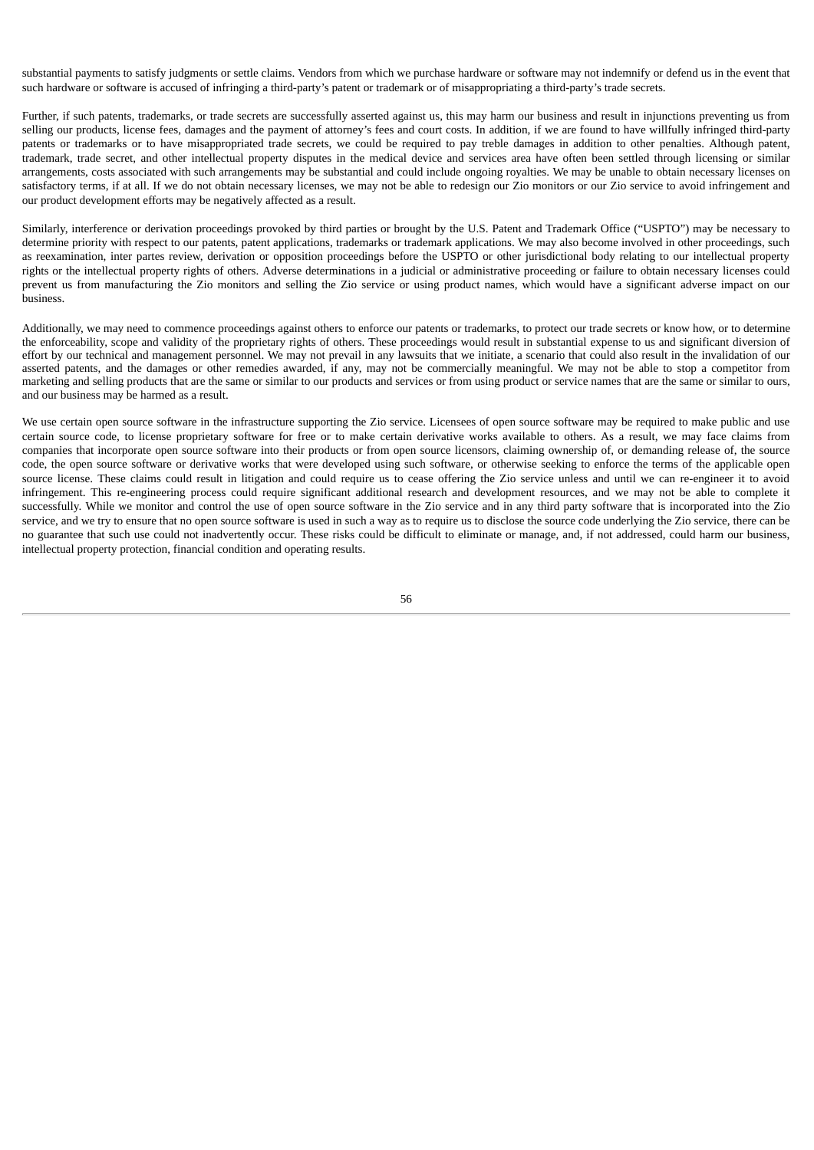substantial payments to satisfy judgments or settle claims. Vendors from which we purchase hardware or software may not indemnify or defend us in the event that such hardware or software is accused of infringing a third-party's patent or trademark or of misappropriating a third-party's trade secrets.

Further, if such patents, trademarks, or trade secrets are successfully asserted against us, this may harm our business and result in injunctions preventing us from selling our products, license fees, damages and the payment of attorney's fees and court costs. In addition, if we are found to have willfully infringed third-party patents or trademarks or to have misappropriated trade secrets, we could be required to pay treble damages in addition to other penalties. Although patent, trademark, trade secret, and other intellectual property disputes in the medical device and services area have often been settled through licensing or similar arrangements, costs associated with such arrangements may be substantial and could include ongoing royalties. We may be unable to obtain necessary licenses on satisfactory terms, if at all. If we do not obtain necessary licenses, we may not be able to redesign our Zio monitors or our Zio service to avoid infringement and our product development efforts may be negatively affected as a result.

Similarly, interference or derivation proceedings provoked by third parties or brought by the U.S. Patent and Trademark Office ("USPTO") may be necessary to determine priority with respect to our patents, patent applications, trademarks or trademark applications. We may also become involved in other proceedings, such as reexamination, inter partes review, derivation or opposition proceedings before the USPTO or other jurisdictional body relating to our intellectual property rights or the intellectual property rights of others. Adverse determinations in a judicial or administrative proceeding or failure to obtain necessary licenses could prevent us from manufacturing the Zio monitors and selling the Zio service or using product names, which would have a significant adverse impact on our business.

Additionally, we may need to commence proceedings against others to enforce our patents or trademarks, to protect our trade secrets or know how, or to determine the enforceability, scope and validity of the proprietary rights of others. These proceedings would result in substantial expense to us and significant diversion of effort by our technical and management personnel. We may not prevail in any lawsuits that we initiate, a scenario that could also result in the invalidation of our asserted patents, and the damages or other remedies awarded, if any, may not be commercially meaningful. We may not be able to stop a competitor from marketing and selling products that are the same or similar to our products and services or from using product or service names that are the same or similar to ours, and our business may be harmed as a result.

We use certain open source software in the infrastructure supporting the Zio service. Licensees of open source software may be required to make public and use certain source code, to license proprietary software for free or to make certain derivative works available to others. As a result, we may face claims from companies that incorporate open source software into their products or from open source licensors, claiming ownership of, or demanding release of, the source code, the open source software or derivative works that were developed using such software, or otherwise seeking to enforce the terms of the applicable open source license. These claims could result in litigation and could require us to cease offering the Zio service unless and until we can re-engineer it to avoid infringement. This re-engineering process could require significant additional research and development resources, and we may not be able to complete it successfully. While we monitor and control the use of open source software in the Zio service and in any third party software that is incorporated into the Zio service, and we try to ensure that no open source software is used in such a way as to require us to disclose the source code underlying the Zio service, there can be no guarantee that such use could not inadvertently occur. These risks could be difficult to eliminate or manage, and, if not addressed, could harm our business, intellectual property protection, financial condition and operating results.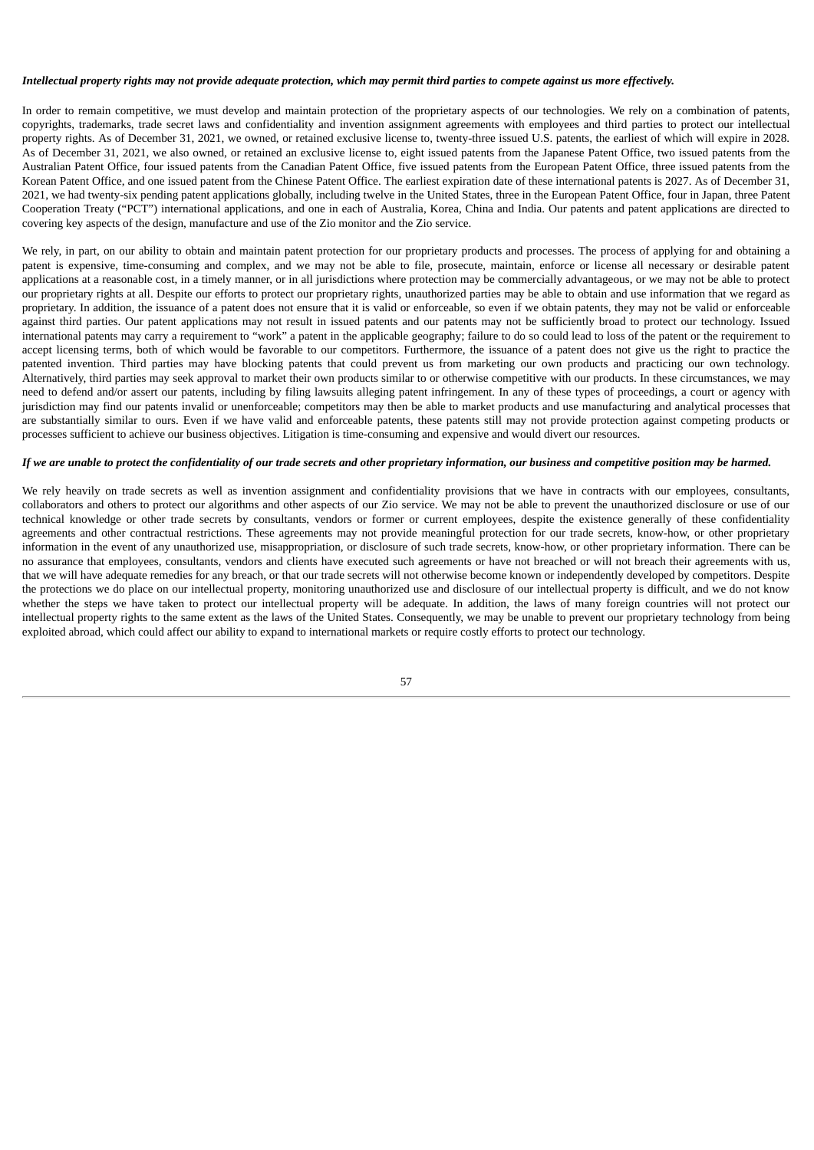### Intellectual property rights may not provide adequate protection, which may permit third parties to compete against us more effectively.

In order to remain competitive, we must develop and maintain protection of the proprietary aspects of our technologies. We rely on a combination of patents, copyrights, trademarks, trade secret laws and confidentiality and invention assignment agreements with employees and third parties to protect our intellectual property rights. As of December 31, 2021, we owned, or retained exclusive license to, twenty-three issued U.S. patents, the earliest of which will expire in 2028. As of December 31, 2021, we also owned, or retained an exclusive license to, eight issued patents from the Japanese Patent Office, two issued patents from the Australian Patent Office, four issued patents from the Canadian Patent Office, five issued patents from the European Patent Office, three issued patents from the Korean Patent Office, and one issued patent from the Chinese Patent Office. The earliest expiration date of these international patents is 2027. As of December 31, 2021, we had twenty-six pending patent applications globally, including twelve in the United States, three in the European Patent Office, four in Japan, three Patent Cooperation Treaty ("PCT") international applications, and one in each of Australia, Korea, China and India. Our patents and patent applications are directed to covering key aspects of the design, manufacture and use of the Zio monitor and the Zio service.

We rely, in part, on our ability to obtain and maintain patent protection for our proprietary products and processes. The process of applying for and obtaining a patent is expensive, time-consuming and complex, and we may not be able to file, prosecute, maintain, enforce or license all necessary or desirable patent applications at a reasonable cost, in a timely manner, or in all jurisdictions where protection may be commercially advantageous, or we may not be able to protect our proprietary rights at all. Despite our efforts to protect our proprietary rights, unauthorized parties may be able to obtain and use information that we regard as proprietary. In addition, the issuance of a patent does not ensure that it is valid or enforceable, so even if we obtain patents, they may not be valid or enforceable against third parties. Our patent applications may not result in issued patents and our patents may not be sufficiently broad to protect our technology. Issued international patents may carry a requirement to "work" a patent in the applicable geography; failure to do so could lead to loss of the patent or the requirement to accept licensing terms, both of which would be favorable to our competitors. Furthermore, the issuance of a patent does not give us the right to practice the patented invention. Third parties may have blocking patents that could prevent us from marketing our own products and practicing our own technology. Alternatively, third parties may seek approval to market their own products similar to or otherwise competitive with our products. In these circumstances, we may need to defend and/or assert our patents, including by filing lawsuits alleging patent infringement. In any of these types of proceedings, a court or agency with jurisdiction may find our patents invalid or unenforceable; competitors may then be able to market products and use manufacturing and analytical processes that are substantially similar to ours. Even if we have valid and enforceable patents, these patents still may not provide protection against competing products or processes sufficient to achieve our business objectives. Litigation is time-consuming and expensive and would divert our resources.

#### If we are unable to protect the confidentiality of our trade secrets and other proprietary information, our business and competitive position may be harmed.

We rely heavily on trade secrets as well as invention assignment and confidentiality provisions that we have in contracts with our employees, consultants, collaborators and others to protect our algorithms and other aspects of our Zio service. We may not be able to prevent the unauthorized disclosure or use of our technical knowledge or other trade secrets by consultants, vendors or former or current employees, despite the existence generally of these confidentiality agreements and other contractual restrictions. These agreements may not provide meaningful protection for our trade secrets, know-how, or other proprietary information in the event of any unauthorized use, misappropriation, or disclosure of such trade secrets, know-how, or other proprietary information. There can be no assurance that employees, consultants, vendors and clients have executed such agreements or have not breached or will not breach their agreements with us, that we will have adequate remedies for any breach, or that our trade secrets will not otherwise become known or independently developed by competitors. Despite the protections we do place on our intellectual property, monitoring unauthorized use and disclosure of our intellectual property is difficult, and we do not know whether the steps we have taken to protect our intellectual property will be adequate. In addition, the laws of many foreign countries will not protect our intellectual property rights to the same extent as the laws of the United States. Consequently, we may be unable to prevent our proprietary technology from being exploited abroad, which could affect our ability to expand to international markets or require costly efforts to protect our technology.

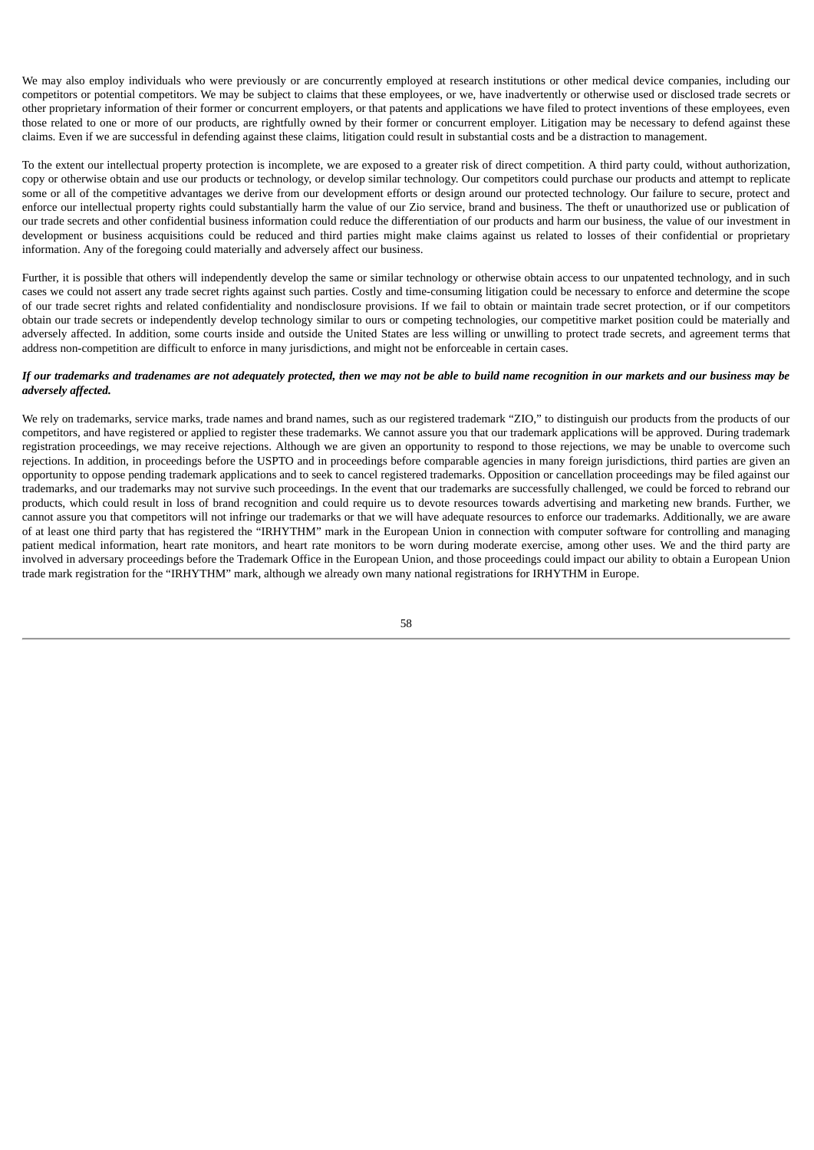We may also employ individuals who were previously or are concurrently employed at research institutions or other medical device companies, including our competitors or potential competitors. We may be subject to claims that these employees, or we, have inadvertently or otherwise used or disclosed trade secrets or other proprietary information of their former or concurrent employers, or that patents and applications we have filed to protect inventions of these employees, even those related to one or more of our products, are rightfully owned by their former or concurrent employer. Litigation may be necessary to defend against these claims. Even if we are successful in defending against these claims, litigation could result in substantial costs and be a distraction to management.

To the extent our intellectual property protection is incomplete, we are exposed to a greater risk of direct competition. A third party could, without authorization, copy or otherwise obtain and use our products or technology, or develop similar technology. Our competitors could purchase our products and attempt to replicate some or all of the competitive advantages we derive from our development efforts or design around our protected technology. Our failure to secure, protect and enforce our intellectual property rights could substantially harm the value of our Zio service, brand and business. The theft or unauthorized use or publication of our trade secrets and other confidential business information could reduce the differentiation of our products and harm our business, the value of our investment in development or business acquisitions could be reduced and third parties might make claims against us related to losses of their confidential or proprietary information. Any of the foregoing could materially and adversely affect our business.

Further, it is possible that others will independently develop the same or similar technology or otherwise obtain access to our unpatented technology, and in such cases we could not assert any trade secret rights against such parties. Costly and time-consuming litigation could be necessary to enforce and determine the scope of our trade secret rights and related confidentiality and nondisclosure provisions. If we fail to obtain or maintain trade secret protection, or if our competitors obtain our trade secrets or independently develop technology similar to ours or competing technologies, our competitive market position could be materially and adversely affected. In addition, some courts inside and outside the United States are less willing or unwilling to protect trade secrets, and agreement terms that address non-competition are difficult to enforce in many jurisdictions, and might not be enforceable in certain cases.

### If our trademarks and tradenames are not adeauately protected, then we may not be able to build name recoanition in our markets and our business may be *adversely affected.*

We rely on trademarks, service marks, trade names and brand names, such as our registered trademark "ZIO," to distinguish our products from the products of our competitors, and have registered or applied to register these trademarks. We cannot assure you that our trademark applications will be approved. During trademark registration proceedings, we may receive rejections. Although we are given an opportunity to respond to those rejections, we may be unable to overcome such rejections. In addition, in proceedings before the USPTO and in proceedings before comparable agencies in many foreign jurisdictions, third parties are given an opportunity to oppose pending trademark applications and to seek to cancel registered trademarks. Opposition or cancellation proceedings may be filed against our trademarks, and our trademarks may not survive such proceedings. In the event that our trademarks are successfully challenged, we could be forced to rebrand our products, which could result in loss of brand recognition and could require us to devote resources towards advertising and marketing new brands. Further, we cannot assure you that competitors will not infringe our trademarks or that we will have adequate resources to enforce our trademarks. Additionally, we are aware of at least one third party that has registered the "IRHYTHM" mark in the European Union in connection with computer software for controlling and managing patient medical information, heart rate monitors, and heart rate monitors to be worn during moderate exercise, among other uses. We and the third party are involved in adversary proceedings before the Trademark Office in the European Union, and those proceedings could impact our ability to obtain a European Union trade mark registration for the "IRHYTHM" mark, although we already own many national registrations for IRHYTHM in Europe.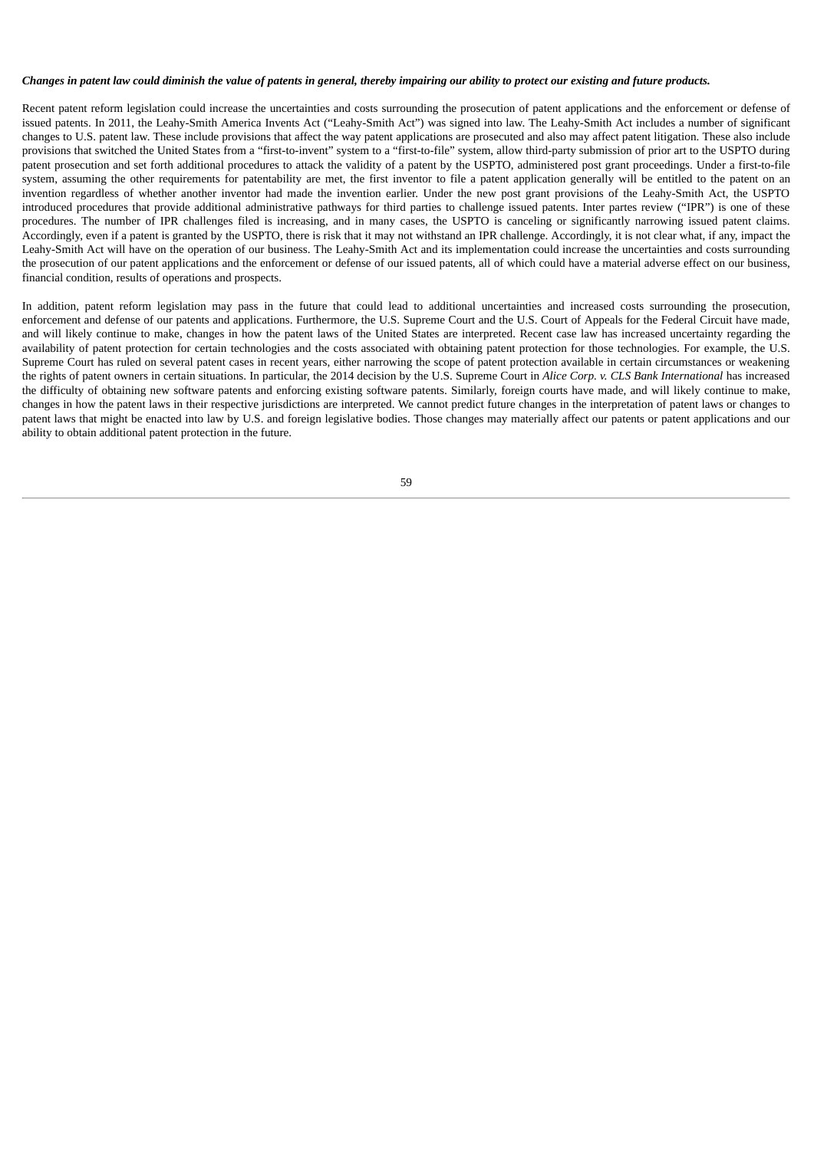### Changes in patent law could diminish the value of patents in general, thereby impairing our ability to protect our existing and future products.

Recent patent reform legislation could increase the uncertainties and costs surrounding the prosecution of patent applications and the enforcement or defense of issued patents. In 2011, the Leahy-Smith America Invents Act ("Leahy-Smith Act") was signed into law. The Leahy-Smith Act includes a number of significant changes to U.S. patent law. These include provisions that affect the way patent applications are prosecuted and also may affect patent litigation. These also include provisions that switched the United States from a "first-to-invent" system to a "first-to-file" system, allow third-party submission of prior art to the USPTO during patent prosecution and set forth additional procedures to attack the validity of a patent by the USPTO, administered post grant proceedings. Under a first-to-file system, assuming the other requirements for patentability are met, the first inventor to file a patent application generally will be entitled to the patent on an invention regardless of whether another inventor had made the invention earlier. Under the new post grant provisions of the Leahy-Smith Act, the USPTO introduced procedures that provide additional administrative pathways for third parties to challenge issued patents. Inter partes review ("IPR") is one of these procedures. The number of IPR challenges filed is increasing, and in many cases, the USPTO is canceling or significantly narrowing issued patent claims. Accordingly, even if a patent is granted by the USPTO, there is risk that it may not withstand an IPR challenge. Accordingly, it is not clear what, if any, impact the Leahy-Smith Act will have on the operation of our business. The Leahy-Smith Act and its implementation could increase the uncertainties and costs surrounding the prosecution of our patent applications and the enforcement or defense of our issued patents, all of which could have a material adverse effect on our business, financial condition, results of operations and prospects.

In addition, patent reform legislation may pass in the future that could lead to additional uncertainties and increased costs surrounding the prosecution, enforcement and defense of our patents and applications. Furthermore, the U.S. Supreme Court and the U.S. Court of Appeals for the Federal Circuit have made, and will likely continue to make, changes in how the patent laws of the United States are interpreted. Recent case law has increased uncertainty regarding the availability of patent protection for certain technologies and the costs associated with obtaining patent protection for those technologies. For example, the U.S. Supreme Court has ruled on several patent cases in recent years, either narrowing the scope of patent protection available in certain circumstances or weakening the rights of patent owners in certain situations. In particular, the 2014 decision by the U.S. Supreme Court in *Alice Corp. v. CLS Bank International* has increased the difficulty of obtaining new software patents and enforcing existing software patents. Similarly, foreign courts have made, and will likely continue to make, changes in how the patent laws in their respective jurisdictions are interpreted. We cannot predict future changes in the interpretation of patent laws or changes to patent laws that might be enacted into law by U.S. and foreign legislative bodies. Those changes may materially affect our patents or patent applications and our ability to obtain additional patent protection in the future.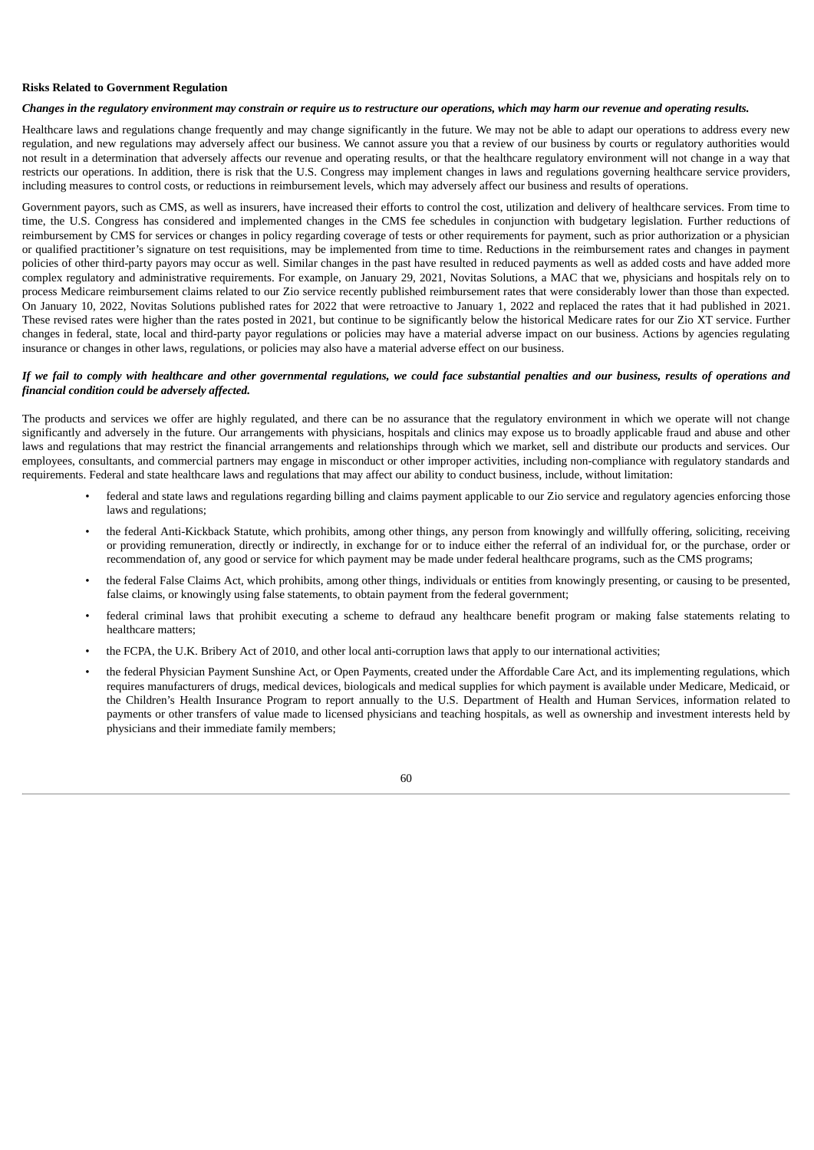### **Risks Related to Government Regulation**

# Changes in the requlatory environment may constrain or require us to restructure our operations, which may harm our revenue and operating results.

Healthcare laws and regulations change frequently and may change significantly in the future. We may not be able to adapt our operations to address every new regulation, and new regulations may adversely affect our business. We cannot assure you that a review of our business by courts or regulatory authorities would not result in a determination that adversely affects our revenue and operating results, or that the healthcare regulatory environment will not change in a way that restricts our operations. In addition, there is risk that the U.S. Congress may implement changes in laws and regulations governing healthcare service providers, including measures to control costs, or reductions in reimbursement levels, which may adversely affect our business and results of operations.

Government payors, such as CMS, as well as insurers, have increased their efforts to control the cost, utilization and delivery of healthcare services. From time to time, the U.S. Congress has considered and implemented changes in the CMS fee schedules in conjunction with budgetary legislation. Further reductions of reimbursement by CMS for services or changes in policy regarding coverage of tests or other requirements for payment, such as prior authorization or a physician or qualified practitioner's signature on test requisitions, may be implemented from time to time. Reductions in the reimbursement rates and changes in payment policies of other third-party payors may occur as well. Similar changes in the past have resulted in reduced payments as well as added costs and have added more complex regulatory and administrative requirements. For example, on January 29, 2021, Novitas Solutions, a MAC that we, physicians and hospitals rely on to process Medicare reimbursement claims related to our Zio service recently published reimbursement rates that were considerably lower than those than expected. On January 10, 2022, Novitas Solutions published rates for 2022 that were retroactive to January 1, 2022 and replaced the rates that it had published in 2021. These revised rates were higher than the rates posted in 2021, but continue to be significantly below the historical Medicare rates for our Zio XT service. Further changes in federal, state, local and third-party payor regulations or policies may have a material adverse impact on our business. Actions by agencies regulating insurance or changes in other laws, regulations, or policies may also have a material adverse effect on our business.

### If we fail to comply with healthcare and other governmental regulations, we could face substantial penalties and our business, results of operations and *financial condition could be adversely affected.*

The products and services we offer are highly regulated, and there can be no assurance that the regulatory environment in which we operate will not change significantly and adversely in the future. Our arrangements with physicians, hospitals and clinics may expose us to broadly applicable fraud and abuse and other laws and regulations that may restrict the financial arrangements and relationships through which we market, sell and distribute our products and services. Our employees, consultants, and commercial partners may engage in misconduct or other improper activities, including non-compliance with regulatory standards and requirements. Federal and state healthcare laws and regulations that may affect our ability to conduct business, include, without limitation:

- federal and state laws and regulations regarding billing and claims payment applicable to our Zio service and regulatory agencies enforcing those laws and regulations;
- the federal Anti-Kickback Statute, which prohibits, among other things, any person from knowingly and willfully offering, soliciting, receiving or providing remuneration, directly or indirectly, in exchange for or to induce either the referral of an individual for, or the purchase, order or recommendation of, any good or service for which payment may be made under federal healthcare programs, such as the CMS programs;
- the federal False Claims Act, which prohibits, among other things, individuals or entities from knowingly presenting, or causing to be presented, false claims, or knowingly using false statements, to obtain payment from the federal government;
- federal criminal laws that prohibit executing a scheme to defraud any healthcare benefit program or making false statements relating to healthcare matters;
- the FCPA, the U.K. Bribery Act of 2010, and other local anti-corruption laws that apply to our international activities;
- the federal Physician Payment Sunshine Act, or Open Payments, created under the Affordable Care Act, and its implementing regulations, which requires manufacturers of drugs, medical devices, biologicals and medical supplies for which payment is available under Medicare, Medicaid, or the Children's Health Insurance Program to report annually to the U.S. Department of Health and Human Services, information related to payments or other transfers of value made to licensed physicians and teaching hospitals, as well as ownership and investment interests held by physicians and their immediate family members;

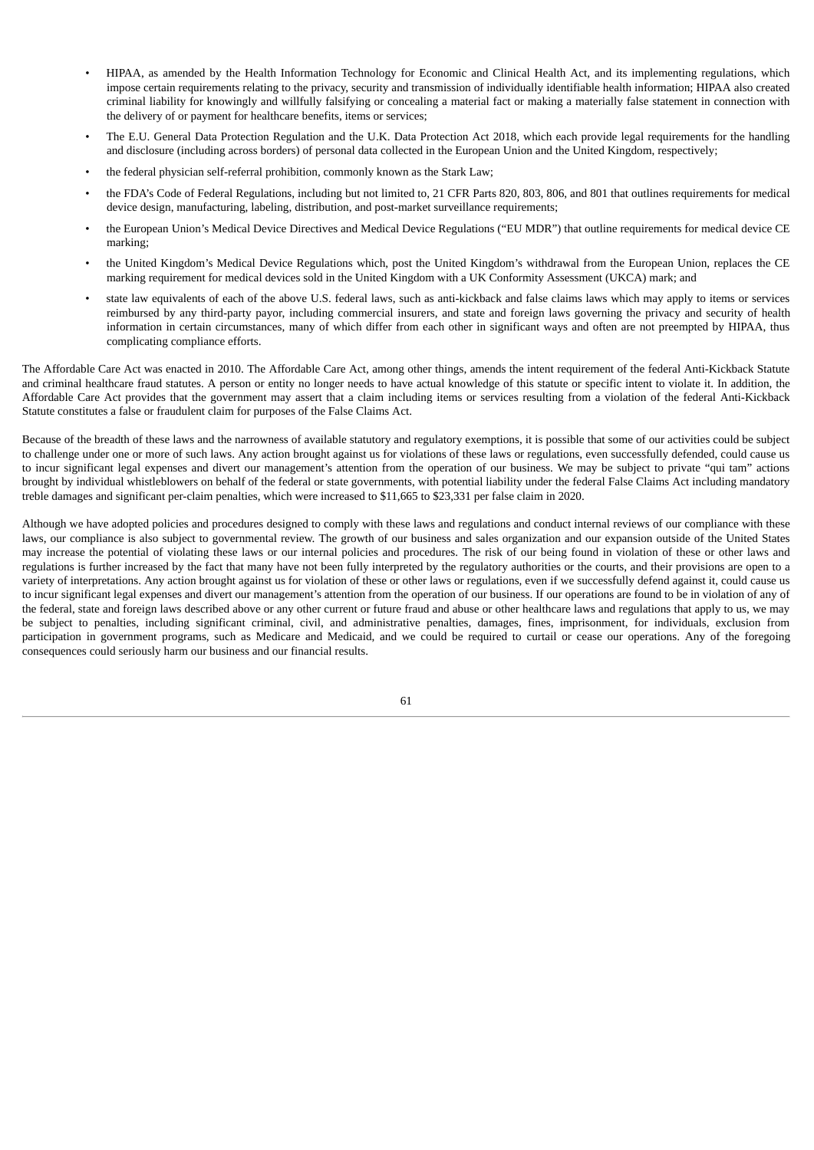- HIPAA, as amended by the Health Information Technology for Economic and Clinical Health Act, and its implementing regulations, which impose certain requirements relating to the privacy, security and transmission of individually identifiable health information; HIPAA also created criminal liability for knowingly and willfully falsifying or concealing a material fact or making a materially false statement in connection with the delivery of or payment for healthcare benefits, items or services;
- The E.U. General Data Protection Regulation and the U.K. Data Protection Act 2018, which each provide legal requirements for the handling and disclosure (including across borders) of personal data collected in the European Union and the United Kingdom, respectively;
- the federal physician self-referral prohibition, commonly known as the Stark Law;
- the FDA's Code of Federal Regulations, including but not limited to, 21 CFR Parts 820, 803, 806, and 801 that outlines requirements for medical device design, manufacturing, labeling, distribution, and post-market surveillance requirements;
- the European Union's Medical Device Directives and Medical Device Regulations ("EU MDR") that outline requirements for medical device CE marking;
- the United Kingdom's Medical Device Regulations which, post the United Kingdom's withdrawal from the European Union, replaces the CE marking requirement for medical devices sold in the United Kingdom with a UK Conformity Assessment (UKCA) mark; and
- state law equivalents of each of the above U.S. federal laws, such as anti-kickback and false claims laws which may apply to items or services reimbursed by any third-party payor, including commercial insurers, and state and foreign laws governing the privacy and security of health information in certain circumstances, many of which differ from each other in significant ways and often are not preempted by HIPAA, thus complicating compliance efforts.

The Affordable Care Act was enacted in 2010. The Affordable Care Act, among other things, amends the intent requirement of the federal Anti-Kickback Statute and criminal healthcare fraud statutes. A person or entity no longer needs to have actual knowledge of this statute or specific intent to violate it. In addition, the Affordable Care Act provides that the government may assert that a claim including items or services resulting from a violation of the federal Anti-Kickback Statute constitutes a false or fraudulent claim for purposes of the False Claims Act.

Because of the breadth of these laws and the narrowness of available statutory and regulatory exemptions, it is possible that some of our activities could be subject to challenge under one or more of such laws. Any action brought against us for violations of these laws or regulations, even successfully defended, could cause us to incur significant legal expenses and divert our management's attention from the operation of our business. We may be subject to private "qui tam" actions brought by individual whistleblowers on behalf of the federal or state governments, with potential liability under the federal False Claims Act including mandatory treble damages and significant per-claim penalties, which were increased to \$11,665 to \$23,331 per false claim in 2020.

Although we have adopted policies and procedures designed to comply with these laws and regulations and conduct internal reviews of our compliance with these laws, our compliance is also subject to governmental review. The growth of our business and sales organization and our expansion outside of the United States may increase the potential of violating these laws or our internal policies and procedures. The risk of our being found in violation of these or other laws and regulations is further increased by the fact that many have not been fully interpreted by the regulatory authorities or the courts, and their provisions are open to a variety of interpretations. Any action brought against us for violation of these or other laws or regulations, even if we successfully defend against it, could cause us to incur significant legal expenses and divert our management's attention from the operation of our business. If our operations are found to be in violation of any of the federal, state and foreign laws described above or any other current or future fraud and abuse or other healthcare laws and regulations that apply to us, we may be subject to penalties, including significant criminal, civil, and administrative penalties, damages, fines, imprisonment, for individuals, exclusion from participation in government programs, such as Medicare and Medicaid, and we could be required to curtail or cease our operations. Any of the foregoing consequences could seriously harm our business and our financial results.

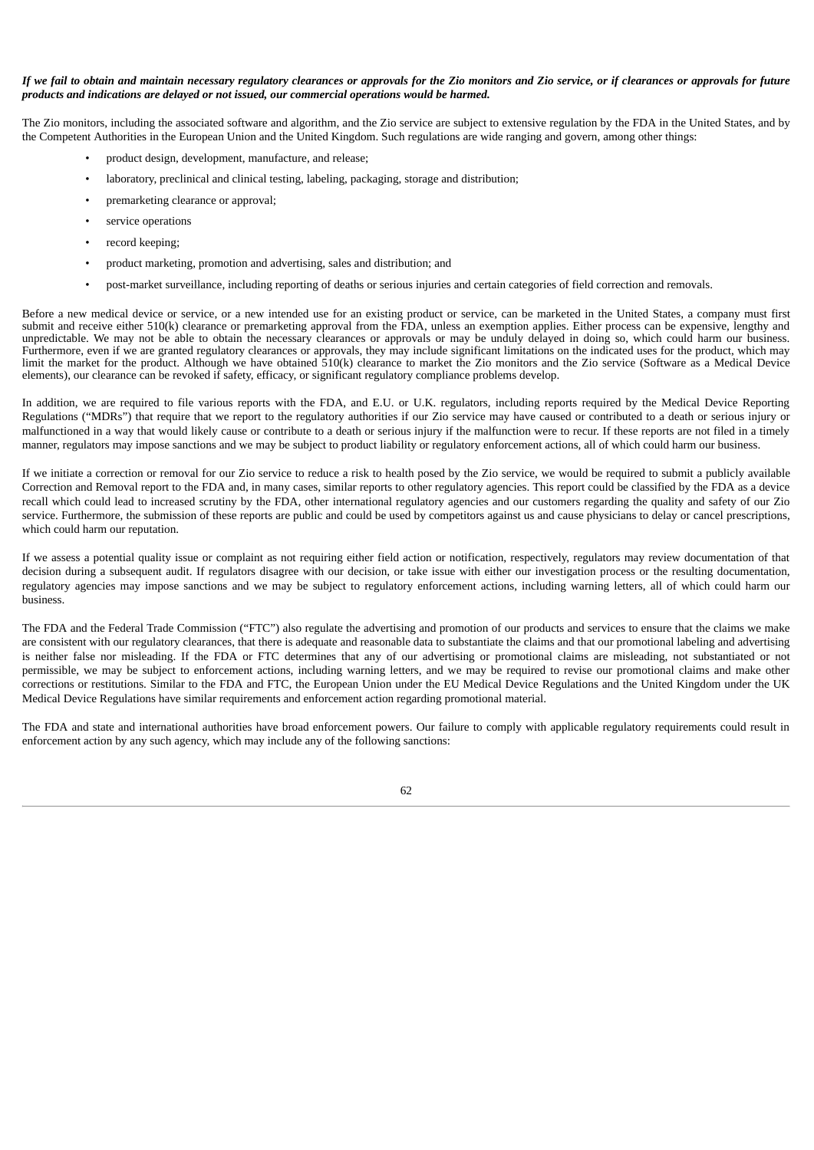## If we fail to obtain and maintain necessary regulatory clearances or approvals for the Zio monitors and Zio service, or if clearances or approvals for future *products and indications are delayed or not issued, our commercial operations would be harmed.*

The Zio monitors, including the associated software and algorithm, and the Zio service are subject to extensive regulation by the FDA in the United States, and by the Competent Authorities in the European Union and the United Kingdom. Such regulations are wide ranging and govern, among other things:

- product design, development, manufacture, and release;
- laboratory, preclinical and clinical testing, labeling, packaging, storage and distribution;
- premarketing clearance or approval;
- service operations
- record keeping;
- product marketing, promotion and advertising, sales and distribution; and
- post-market surveillance, including reporting of deaths or serious injuries and certain categories of field correction and removals.

Before a new medical device or service, or a new intended use for an existing product or service, can be marketed in the United States, a company must first submit and receive either 510(k) clearance or premarketing approval from the FDA, unless an exemption applies. Either process can be expensive, lengthy and unpredictable. We may not be able to obtain the necessary clearances or approvals or may be unduly delayed in doing so, which could harm our business. Furthermore, even if we are granted regulatory clearances or approvals, they may include significant limitations on the indicated uses for the product, which may limit the market for the product. Although we have obtained 510(k) clearance to market the Zio monitors and the Zio service (Software as a Medical Device elements), our clearance can be revoked if safety, efficacy, or significant regulatory compliance problems develop.

In addition, we are required to file various reports with the FDA, and E.U. or U.K. regulators, including reports required by the Medical Device Reporting Regulations ("MDRs") that require that we report to the regulatory authorities if our Zio service may have caused or contributed to a death or serious injury or malfunctioned in a way that would likely cause or contribute to a death or serious injury if the malfunction were to recur. If these reports are not filed in a timely manner, regulators may impose sanctions and we may be subject to product liability or regulatory enforcement actions, all of which could harm our business.

If we initiate a correction or removal for our Zio service to reduce a risk to health posed by the Zio service, we would be required to submit a publicly available Correction and Removal report to the FDA and, in many cases, similar reports to other regulatory agencies. This report could be classified by the FDA as a device recall which could lead to increased scrutiny by the FDA, other international regulatory agencies and our customers regarding the quality and safety of our Zio service. Furthermore, the submission of these reports are public and could be used by competitors against us and cause physicians to delay or cancel prescriptions, which could harm our reputation.

If we assess a potential quality issue or complaint as not requiring either field action or notification, respectively, regulators may review documentation of that decision during a subsequent audit. If regulators disagree with our decision, or take issue with either our investigation process or the resulting documentation, regulatory agencies may impose sanctions and we may be subject to regulatory enforcement actions, including warning letters, all of which could harm our business.

The FDA and the Federal Trade Commission ("FTC") also regulate the advertising and promotion of our products and services to ensure that the claims we make are consistent with our regulatory clearances, that there is adequate and reasonable data to substantiate the claims and that our promotional labeling and advertising is neither false nor misleading. If the FDA or FTC determines that any of our advertising or promotional claims are misleading, not substantiated or not permissible, we may be subject to enforcement actions, including warning letters, and we may be required to revise our promotional claims and make other corrections or restitutions. Similar to the FDA and FTC, the European Union under the EU Medical Device Regulations and the United Kingdom under the UK Medical Device Regulations have similar requirements and enforcement action regarding promotional material.

The FDA and state and international authorities have broad enforcement powers. Our failure to comply with applicable regulatory requirements could result in enforcement action by any such agency, which may include any of the following sanctions:

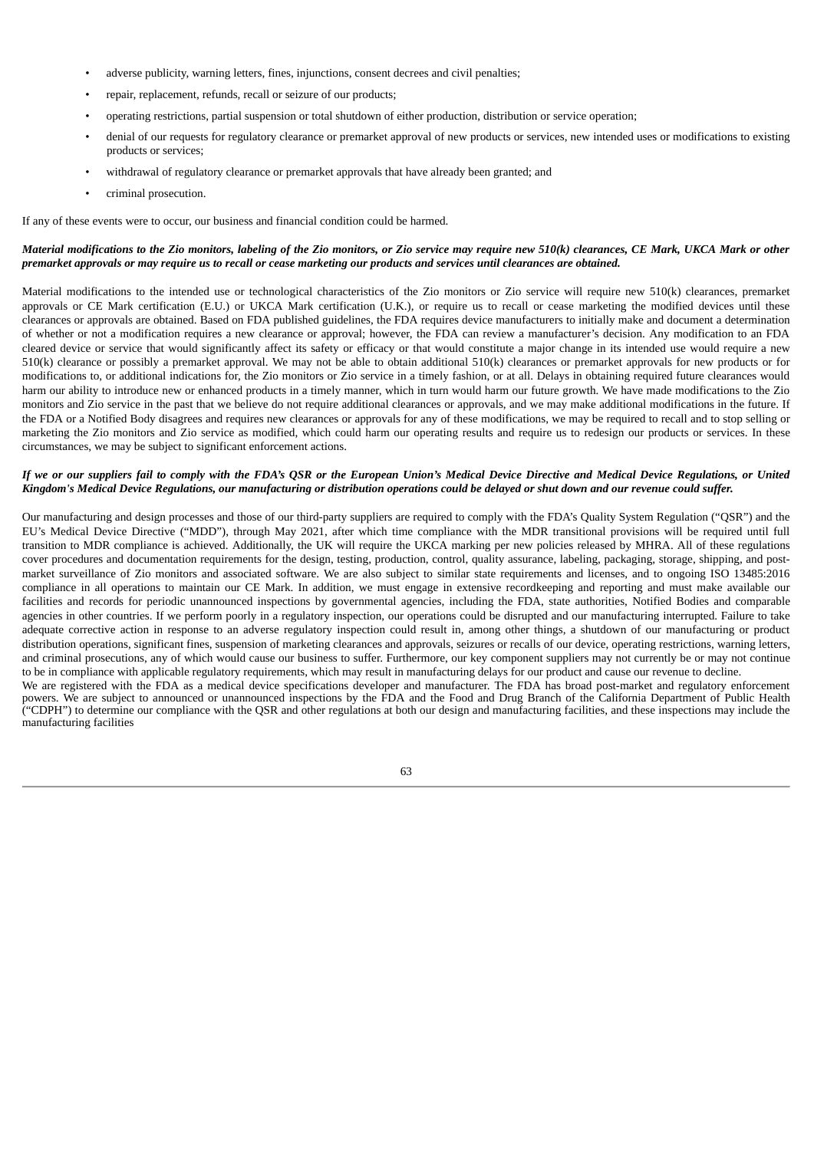- adverse publicity, warning letters, fines, injunctions, consent decrees and civil penalties;
- repair, replacement, refunds, recall or seizure of our products;
- operating restrictions, partial suspension or total shutdown of either production, distribution or service operation;
- denial of our requests for regulatory clearance or premarket approval of new products or services, new intended uses or modifications to existing products or services;
- withdrawal of regulatory clearance or premarket approvals that have already been granted; and
- criminal prosecution.

If any of these events were to occur, our business and financial condition could be harmed.

### Material modifications to the Zio monitors, labeling of the Zio monitors, or Zio service may require new 510(k) clearances, CE Mark, UKCA Mark or other premarket approvals or may require us to recall or cease marketing our products and services until clearances are obtained.

Material modifications to the intended use or technological characteristics of the Zio monitors or Zio service will require new 510(k) clearances, premarket approvals or CE Mark certification (E.U.) or UKCA Mark certification (U.K.), or require us to recall or cease marketing the modified devices until these clearances or approvals are obtained. Based on FDA published guidelines, the FDA requires device manufacturers to initially make and document a determination of whether or not a modification requires a new clearance or approval; however, the FDA can review a manufacturer's decision. Any modification to an FDA cleared device or service that would significantly affect its safety or efficacy or that would constitute a major change in its intended use would require a new 510(k) clearance or possibly a premarket approval. We may not be able to obtain additional 510(k) clearances or premarket approvals for new products or for modifications to, or additional indications for, the Zio monitors or Zio service in a timely fashion, or at all. Delays in obtaining required future clearances would harm our ability to introduce new or enhanced products in a timely manner, which in turn would harm our future growth. We have made modifications to the Zio monitors and Zio service in the past that we believe do not require additional clearances or approvals, and we may make additional modifications in the future. If the FDA or a Notified Body disagrees and requires new clearances or approvals for any of these modifications, we may be required to recall and to stop selling or marketing the Zio monitors and Zio service as modified, which could harm our operating results and require us to redesign our products or services. In these circumstances, we may be subject to significant enforcement actions.

## If we or our suppliers fail to comply with the FDA's QSR or the European Union's Medical Device Directive and Medical Device Regulations, or United Kingdom's Medical Device Regulations, our manufacturing or distribution operations could be delayed or shut down and our revenue could suffer.

Our manufacturing and design processes and those of our third-party suppliers are required to comply with the FDA's Quality System Regulation ("QSR") and the EU's Medical Device Directive ("MDD"), through May 2021, after which time compliance with the MDR transitional provisions will be required until full transition to MDR compliance is achieved. Additionally, the UK will require the UKCA marking per new policies released by MHRA. All of these regulations cover procedures and documentation requirements for the design, testing, production, control, quality assurance, labeling, packaging, storage, shipping, and postmarket surveillance of Zio monitors and associated software. We are also subject to similar state requirements and licenses, and to ongoing ISO 13485:2016 compliance in all operations to maintain our CE Mark. In addition, we must engage in extensive recordkeeping and reporting and must make available our facilities and records for periodic unannounced inspections by governmental agencies, including the FDA, state authorities, Notified Bodies and comparable agencies in other countries. If we perform poorly in a regulatory inspection, our operations could be disrupted and our manufacturing interrupted. Failure to take adequate corrective action in response to an adverse regulatory inspection could result in, among other things, a shutdown of our manufacturing or product distribution operations, significant fines, suspension of marketing clearances and approvals, seizures or recalls of our device, operating restrictions, warning letters, and criminal prosecutions, any of which would cause our business to suffer. Furthermore, our key component suppliers may not currently be or may not continue to be in compliance with applicable regulatory requirements, which may result in manufacturing delays for our product and cause our revenue to decline. We are registered with the FDA as a medical device specifications developer and manufacturer. The FDA has broad post-market and regulatory enforcement powers. We are subject to announced or unannounced inspections by the FDA and the Food and Drug Branch of the California Department of Public Health ("CDPH") to determine our compliance with the QSR and other regulations at both our design and manufacturing facilities, and these inspections may include the manufacturing facilities

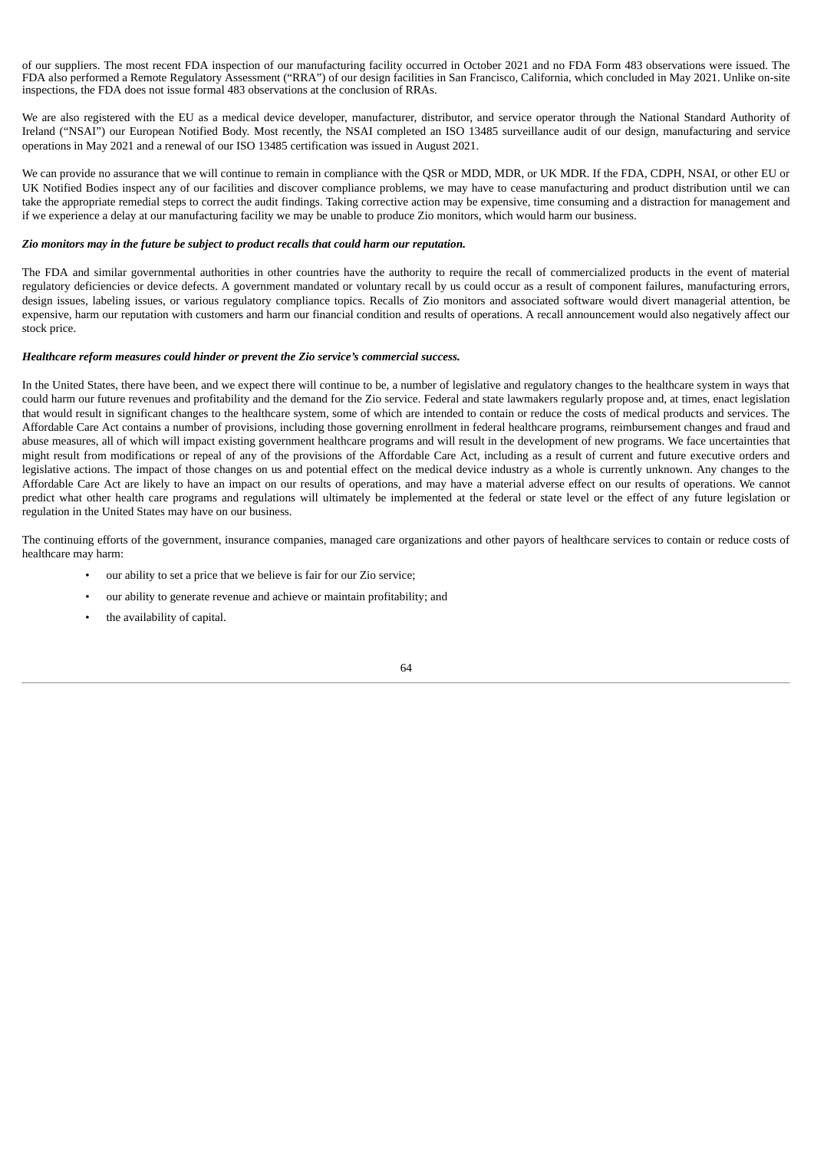of our suppliers. The most recent FDA inspection of our manufacturing facility occurred in October 2021 and no FDA Form 483 observations were issued. The FDA also performed a Remote Regulatory Assessment ("RRA") of our design facilities in San Francisco, California, which concluded in May 2021. Unlike on-site inspections, the FDA does not issue formal 483 observations at the conclusion of RRAs.

We are also registered with the EU as a medical device developer, manufacturer, distributor, and service operator through the National Standard Authority of Ireland ("NSAI") our European Notified Body. Most recently, the NSAI completed an ISO 13485 surveillance audit of our design, manufacturing and service operations in May 2021 and a renewal of our ISO 13485 certification was issued in August 2021.

We can provide no assurance that we will continue to remain in compliance with the QSR or MDD, MDR, or UK MDR. If the FDA, CDPH, NSAI, or other EU or UK Notified Bodies inspect any of our facilities and discover compliance problems, we may have to cease manufacturing and product distribution until we can take the appropriate remedial steps to correct the audit findings. Taking corrective action may be expensive, time consuming and a distraction for management and if we experience a delay at our manufacturing facility we may be unable to produce Zio monitors, which would harm our business.

#### *Zio monitors may in the future be subject to product recalls that could harm our reputation.*

The FDA and similar governmental authorities in other countries have the authority to require the recall of commercialized products in the event of material regulatory deficiencies or device defects. A government mandated or voluntary recall by us could occur as a result of component failures, manufacturing errors, design issues, labeling issues, or various regulatory compliance topics. Recalls of Zio monitors and associated software would divert managerial attention, be expensive, harm our reputation with customers and harm our financial condition and results of operations. A recall announcement would also negatively affect our stock price.

#### *Healthcare reform measures could hinder or prevent the Zio service's commercial success.*

In the United States, there have been, and we expect there will continue to be, a number of legislative and regulatory changes to the healthcare system in ways that could harm our future revenues and profitability and the demand for the Zio service. Federal and state lawmakers regularly propose and, at times, enact legislation that would result in significant changes to the healthcare system, some of which are intended to contain or reduce the costs of medical products and services. The Affordable Care Act contains a number of provisions, including those governing enrollment in federal healthcare programs, reimbursement changes and fraud and abuse measures, all of which will impact existing government healthcare programs and will result in the development of new programs. We face uncertainties that might result from modifications or repeal of any of the provisions of the Affordable Care Act, including as a result of current and future executive orders and legislative actions. The impact of those changes on us and potential effect on the medical device industry as a whole is currently unknown. Any changes to the Affordable Care Act are likely to have an impact on our results of operations, and may have a material adverse effect on our results of operations. We cannot predict what other health care programs and regulations will ultimately be implemented at the federal or state level or the effect of any future legislation or regulation in the United States may have on our business.

The continuing efforts of the government, insurance companies, managed care organizations and other payors of healthcare services to contain or reduce costs of healthcare may harm:

- our ability to set a price that we believe is fair for our Zio service;
- our ability to generate revenue and achieve or maintain profitability; and
- the availability of capital.

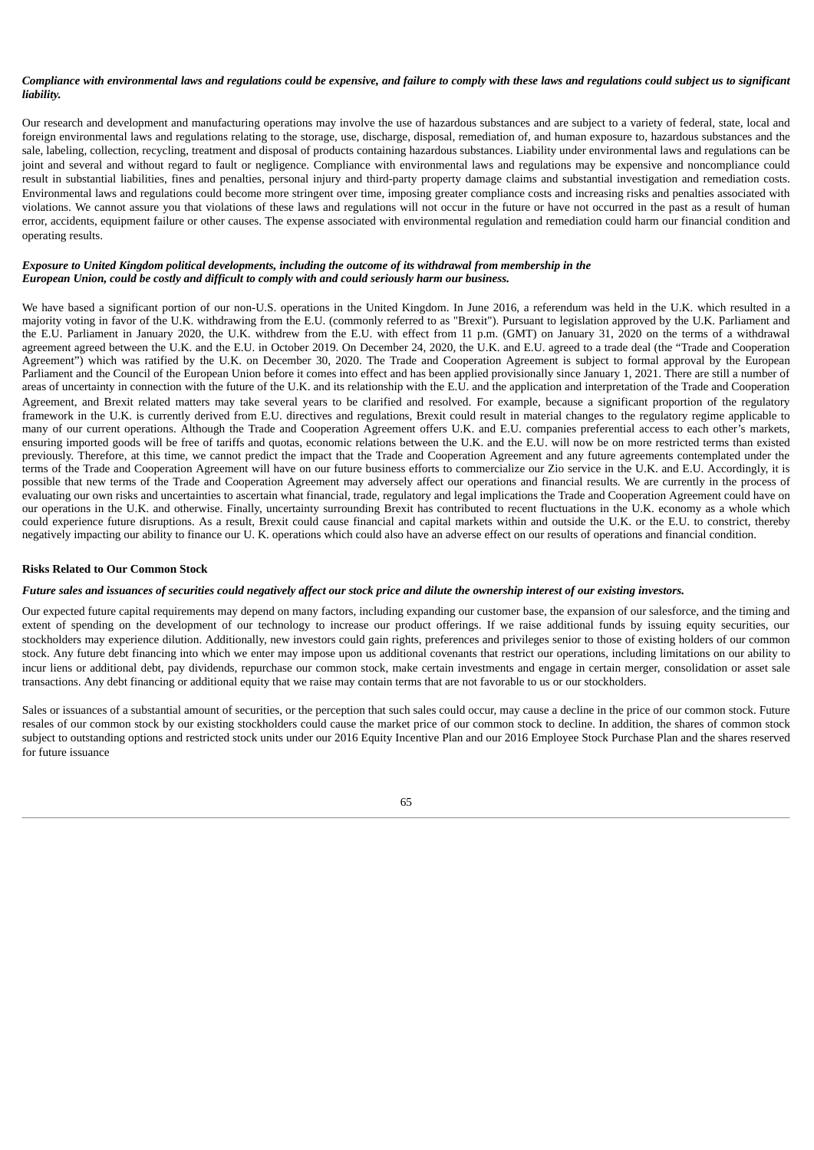## Compliance with environmental laws and regulations could be expensive, and failure to comply with these laws and regulations could subject us to significant *liability.*

Our research and development and manufacturing operations may involve the use of hazardous substances and are subject to a variety of federal, state, local and foreign environmental laws and regulations relating to the storage, use, discharge, disposal, remediation of, and human exposure to, hazardous substances and the sale, labeling, collection, recycling, treatment and disposal of products containing hazardous substances. Liability under environmental laws and regulations can be joint and several and without regard to fault or negligence. Compliance with environmental laws and regulations may be expensive and noncompliance could result in substantial liabilities, fines and penalties, personal injury and third-party property damage claims and substantial investigation and remediation costs. Environmental laws and regulations could become more stringent over time, imposing greater compliance costs and increasing risks and penalties associated with violations. We cannot assure you that violations of these laws and regulations will not occur in the future or have not occurred in the past as a result of human error, accidents, equipment failure or other causes. The expense associated with environmental regulation and remediation could harm our financial condition and operating results.

## Exposure to United Kinadom political developments, includina the outcome of its withdrawal from membership in the *European Union, could be costly and difficult to comply with and could seriously harm our business.*

We have based a significant portion of our non-U.S. operations in the United Kingdom. In June 2016, a referendum was held in the U.K. which resulted in a majority voting in favor of the U.K. withdrawing from the E.U. (commonly referred to as "Brexit"). Pursuant to legislation approved by the U.K. Parliament and the E.U. Parliament in January 2020, the U.K. withdrew from the E.U. with effect from 11 p.m. (GMT) on January 31, 2020 on the terms of a withdrawal agreement agreed between the U.K. and the E.U. in October 2019. On December 24, 2020, the U.K. and E.U. agreed to a trade deal (the "Trade and Cooperation Agreement") which was ratified by the U.K. on December 30, 2020. The Trade and Cooperation Agreement is subject to formal approval by the European Parliament and the Council of the European Union before it comes into effect and has been applied provisionally since January 1, 2021. There are still a number of areas of uncertainty in connection with the future of the U.K. and its relationship with the E.U. and the application and interpretation of the Trade and Cooperation Agreement, and Brexit related matters may take several years to be clarified and resolved. For example, because a significant proportion of the regulatory framework in the U.K. is currently derived from E.U. directives and regulations, Brexit could result in material changes to the regulatory regime applicable to many of our current operations. Although the Trade and Cooperation Agreement offers U.K. and E.U. companies preferential access to each other's markets, ensuring imported goods will be free of tariffs and quotas, economic relations between the U.K. and the E.U. will now be on more restricted terms than existed previously. Therefore, at this time, we cannot predict the impact that the Trade and Cooperation Agreement and any future agreements contemplated under the terms of the Trade and Cooperation Agreement will have on our future business efforts to commercialize our Zio service in the U.K. and E.U. Accordingly, it is possible that new terms of the Trade and Cooperation Agreement may adversely affect our operations and financial results. We are currently in the process of evaluating our own risks and uncertainties to ascertain what financial, trade, regulatory and legal implications the Trade and Cooperation Agreement could have on our operations in the U.K. and otherwise. Finally, uncertainty surrounding Brexit has contributed to recent fluctuations in the U.K. economy as a whole which could experience future disruptions. As a result, Brexit could cause financial and capital markets within and outside the U.K. or the E.U. to constrict, thereby negatively impacting our ability to finance our U. K. operations which could also have an adverse effect on our results of operations and financial condition.

# **Risks Related to Our Common Stock**

# Future sales and issuances of securities could negatively affect our stock price and dilute the ownership interest of our existing investors.

Our expected future capital requirements may depend on many factors, including expanding our customer base, the expansion of our salesforce, and the timing and extent of spending on the development of our technology to increase our product offerings. If we raise additional funds by issuing equity securities, our stockholders may experience dilution. Additionally, new investors could gain rights, preferences and privileges senior to those of existing holders of our common stock. Any future debt financing into which we enter may impose upon us additional covenants that restrict our operations, including limitations on our ability to incur liens or additional debt, pay dividends, repurchase our common stock, make certain investments and engage in certain merger, consolidation or asset sale transactions. Any debt financing or additional equity that we raise may contain terms that are not favorable to us or our stockholders.

Sales or issuances of a substantial amount of securities, or the perception that such sales could occur, may cause a decline in the price of our common stock. Future resales of our common stock by our existing stockholders could cause the market price of our common stock to decline. In addition, the shares of common stock subject to outstanding options and restricted stock units under our 2016 Equity Incentive Plan and our 2016 Employee Stock Purchase Plan and the shares reserved for future issuance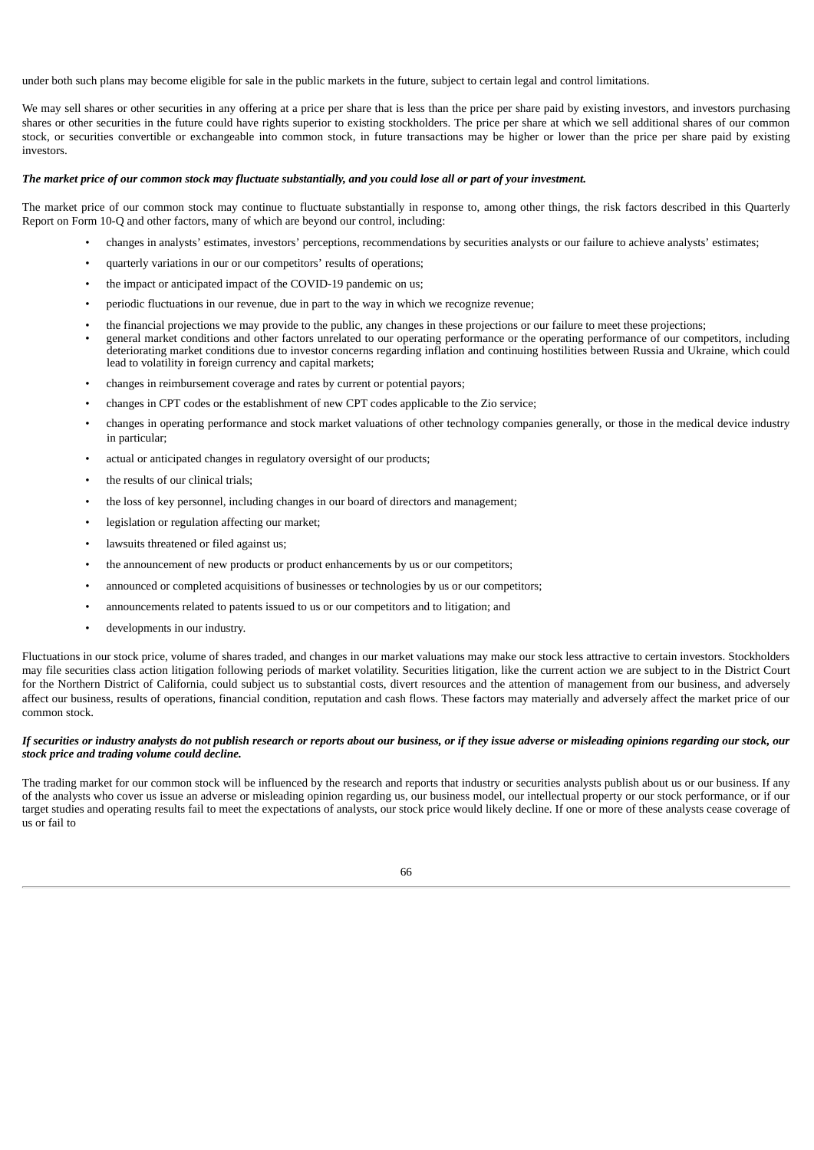under both such plans may become eligible for sale in the public markets in the future, subject to certain legal and control limitations.

We may sell shares or other securities in any offering at a price per share that is less than the price per share paid by existing investors, and investors purchasing shares or other securities in the future could have rights superior to existing stockholders. The price per share at which we sell additional shares of our common stock, or securities convertible or exchangeable into common stock, in future transactions may be higher or lower than the price per share paid by existing investors.

#### The market price of our common stock may fluctuate substantially, and you could lose all or part of your investment.

The market price of our common stock may continue to fluctuate substantially in response to, among other things, the risk factors described in this Quarterly Report on Form 10-Q and other factors, many of which are beyond our control, including:

- changes in analysts' estimates, investors' perceptions, recommendations by securities analysts or our failure to achieve analysts' estimates;
- quarterly variations in our or our competitors' results of operations;
- the impact or anticipated impact of the COVID-19 pandemic on us;
- periodic fluctuations in our revenue, due in part to the way in which we recognize revenue;
- the financial projections we may provide to the public, any changes in these projections or our failure to meet these projections;
- general market conditions and other factors unrelated to our operating performance or the operating performance of our competitors, including deteriorating market conditions due to investor concerns regarding inflation and continuing hostilities between Russia and Ukraine, which could lead to volatility in foreign currency and capital markets;
- changes in reimbursement coverage and rates by current or potential payors;
- changes in CPT codes or the establishment of new CPT codes applicable to the Zio service;
- changes in operating performance and stock market valuations of other technology companies generally, or those in the medical device industry in particular;
- actual or anticipated changes in regulatory oversight of our products;
- the results of our clinical trials;
- the loss of key personnel, including changes in our board of directors and management;
- legislation or regulation affecting our market;
- lawsuits threatened or filed against us;
- the announcement of new products or product enhancements by us or our competitors;
- announced or completed acquisitions of businesses or technologies by us or our competitors;
- announcements related to patents issued to us or our competitors and to litigation; and
- developments in our industry.

Fluctuations in our stock price, volume of shares traded, and changes in our market valuations may make our stock less attractive to certain investors. Stockholders may file securities class action litigation following periods of market volatility. Securities litigation, like the current action we are subject to in the District Court for the Northern District of California, could subject us to substantial costs, divert resources and the attention of management from our business, and adversely affect our business, results of operations, financial condition, reputation and cash flows. These factors may materially and adversely affect the market price of our common stock.

## If securities or industry analysts do not publish research or reports about our business, or if they issue adverse or misleading opinions regarding our stock, our *stock price and trading volume could decline.*

The trading market for our common stock will be influenced by the research and reports that industry or securities analysts publish about us or our business. If any of the analysts who cover us issue an adverse or misleading opinion regarding us, our business model, our intellectual property or our stock performance, or if our target studies and operating results fail to meet the expectations of analysts, our stock price would likely decline. If one or more of these analysts cease coverage of us or fail to

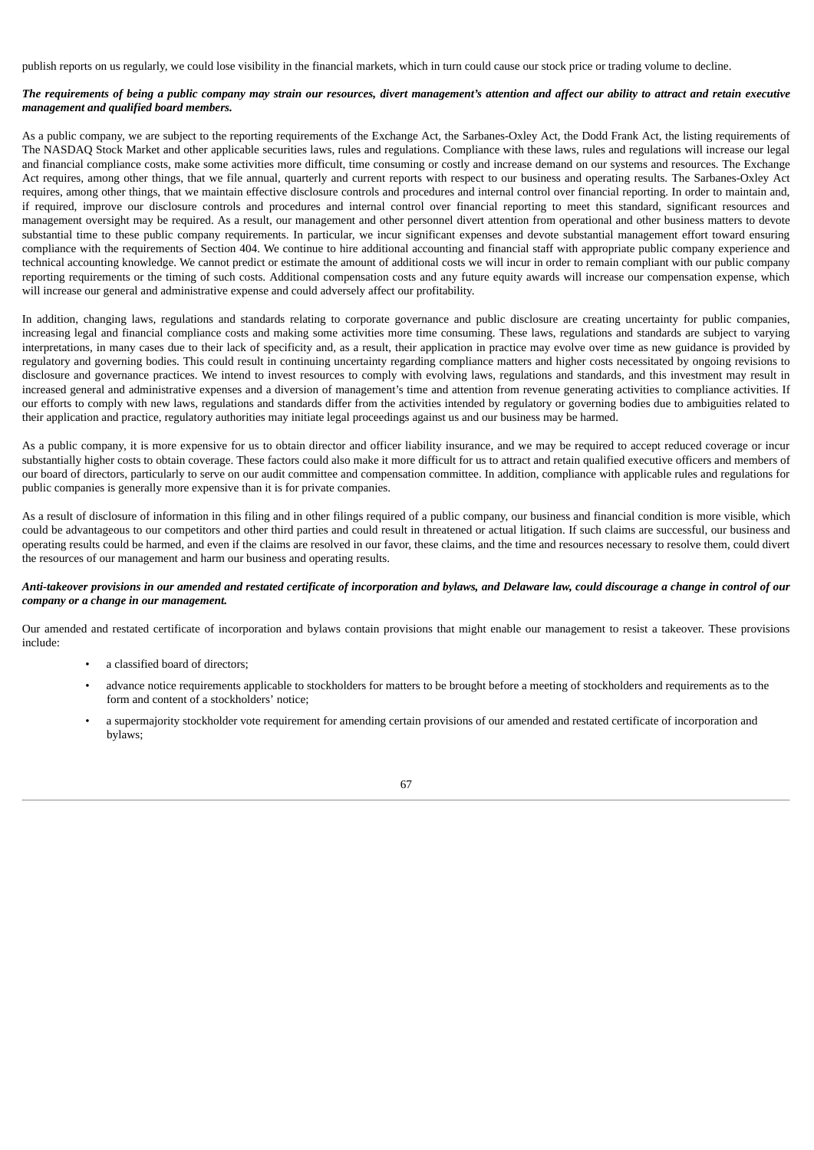publish reports on us regularly, we could lose visibility in the financial markets, which in turn could cause our stock price or trading volume to decline.

#### The requirements of being a public company may strain our resources, divert management's attention and affect our ability to attract and retain executive *management and qualified board members.*

As a public company, we are subject to the reporting requirements of the Exchange Act, the Sarbanes-Oxley Act, the Dodd Frank Act, the listing requirements of The NASDAQ Stock Market and other applicable securities laws, rules and regulations. Compliance with these laws, rules and regulations will increase our legal and financial compliance costs, make some activities more difficult, time consuming or costly and increase demand on our systems and resources. The Exchange Act requires, among other things, that we file annual, quarterly and current reports with respect to our business and operating results. The Sarbanes-Oxley Act requires, among other things, that we maintain effective disclosure controls and procedures and internal control over financial reporting. In order to maintain and, if required, improve our disclosure controls and procedures and internal control over financial reporting to meet this standard, significant resources and management oversight may be required. As a result, our management and other personnel divert attention from operational and other business matters to devote substantial time to these public company requirements. In particular, we incur significant expenses and devote substantial management effort toward ensuring compliance with the requirements of Section 404. We continue to hire additional accounting and financial staff with appropriate public company experience and technical accounting knowledge. We cannot predict or estimate the amount of additional costs we will incur in order to remain compliant with our public company reporting requirements or the timing of such costs. Additional compensation costs and any future equity awards will increase our compensation expense, which will increase our general and administrative expense and could adversely affect our profitability.

In addition, changing laws, regulations and standards relating to corporate governance and public disclosure are creating uncertainty for public companies, increasing legal and financial compliance costs and making some activities more time consuming. These laws, regulations and standards are subject to varying interpretations, in many cases due to their lack of specificity and, as a result, their application in practice may evolve over time as new guidance is provided by regulatory and governing bodies. This could result in continuing uncertainty regarding compliance matters and higher costs necessitated by ongoing revisions to disclosure and governance practices. We intend to invest resources to comply with evolving laws, regulations and standards, and this investment may result in increased general and administrative expenses and a diversion of management's time and attention from revenue generating activities to compliance activities. If our efforts to comply with new laws, regulations and standards differ from the activities intended by regulatory or governing bodies due to ambiguities related to their application and practice, regulatory authorities may initiate legal proceedings against us and our business may be harmed.

As a public company, it is more expensive for us to obtain director and officer liability insurance, and we may be required to accept reduced coverage or incur substantially higher costs to obtain coverage. These factors could also make it more difficult for us to attract and retain qualified executive officers and members of our board of directors, particularly to serve on our audit committee and compensation committee. In addition, compliance with applicable rules and regulations for public companies is generally more expensive than it is for private companies.

As a result of disclosure of information in this filing and in other filings required of a public company, our business and financial condition is more visible, which could be advantageous to our competitors and other third parties and could result in threatened or actual litigation. If such claims are successful, our business and operating results could be harmed, and even if the claims are resolved in our favor, these claims, and the time and resources necessary to resolve them, could divert the resources of our management and harm our business and operating results.

### Anti-takeover provisions in our amended and restated certificate of incorporation and bylaws, and Delaware law, could discourage a change in control of our *company or a change in our management.*

Our amended and restated certificate of incorporation and bylaws contain provisions that might enable our management to resist a takeover. These provisions include:

- a classified board of directors:
- advance notice requirements applicable to stockholders for matters to be brought before a meeting of stockholders and requirements as to the form and content of a stockholders' notice;
- a supermajority stockholder vote requirement for amending certain provisions of our amended and restated certificate of incorporation and bylaws;

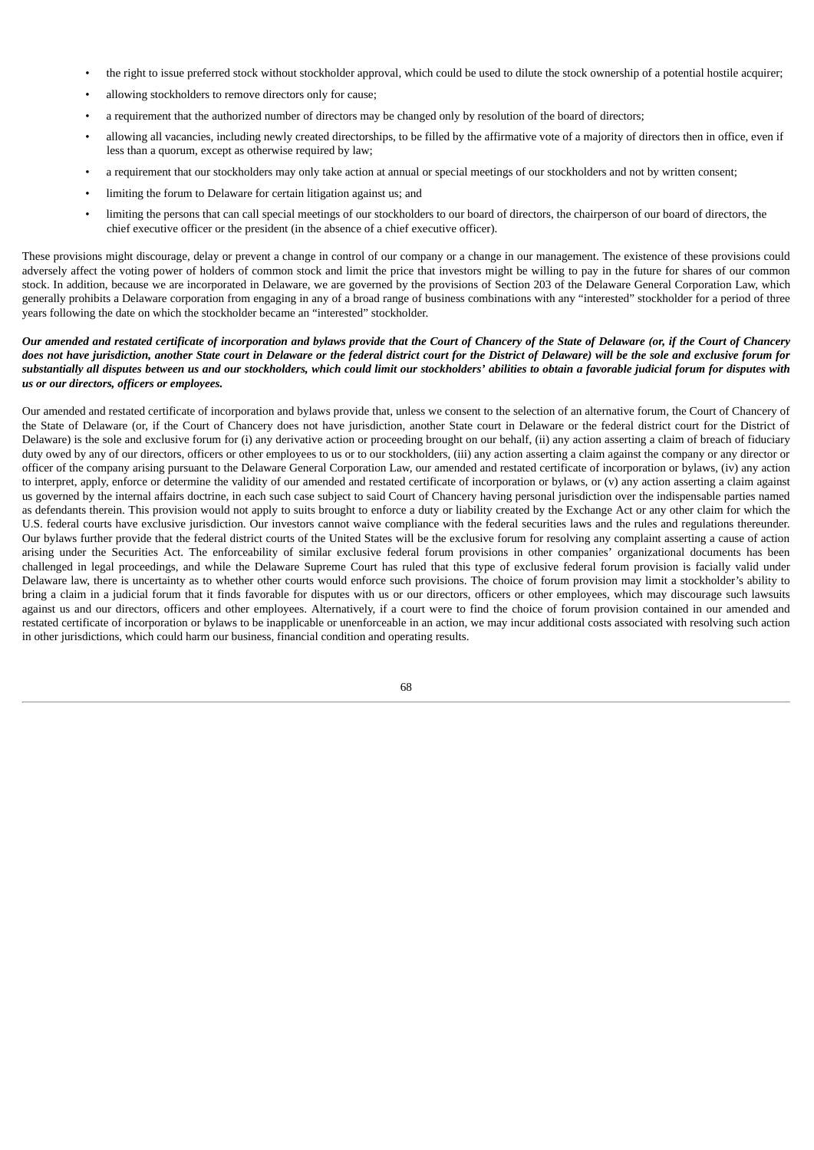- the right to issue preferred stock without stockholder approval, which could be used to dilute the stock ownership of a potential hostile acquirer;
- allowing stockholders to remove directors only for cause;
- a requirement that the authorized number of directors may be changed only by resolution of the board of directors;
- allowing all vacancies, including newly created directorships, to be filled by the affirmative vote of a majority of directors then in office, even if less than a quorum, except as otherwise required by law;
- a requirement that our stockholders may only take action at annual or special meetings of our stockholders and not by written consent;
- limiting the forum to Delaware for certain litigation against us; and
- limiting the persons that can call special meetings of our stockholders to our board of directors, the chairperson of our board of directors, the chief executive officer or the president (in the absence of a chief executive officer).

These provisions might discourage, delay or prevent a change in control of our company or a change in our management. The existence of these provisions could adversely affect the voting power of holders of common stock and limit the price that investors might be willing to pay in the future for shares of our common stock. In addition, because we are incorporated in Delaware, we are governed by the provisions of Section 203 of the Delaware General Corporation Law, which generally prohibits a Delaware corporation from engaging in any of a broad range of business combinations with any "interested" stockholder for a period of three years following the date on which the stockholder became an "interested" stockholder.

# Our amended and restated certificate of incorporation and bylaws provide that the Court of Chancery of the State of Delaware (or, if the Court of Chancery does not have jurisdiction, another State court in Delaware or the federal district court for the District of Delaware) will be the sole and exclusive forum for substantially all disputes between us and our stockholders, which could limit our stockholders' abilities to obtain a favorable judicial forum for disputes with *us or our directors, officers or employees.*

Our amended and restated certificate of incorporation and bylaws provide that, unless we consent to the selection of an alternative forum, the Court of Chancery of the State of Delaware (or, if the Court of Chancery does not have jurisdiction, another State court in Delaware or the federal district court for the District of Delaware) is the sole and exclusive forum for (i) any derivative action or proceeding brought on our behalf, (ii) any action asserting a claim of breach of fiduciary duty owed by any of our directors, officers or other employees to us or to our stockholders, (iii) any action asserting a claim against the company or any director or officer of the company arising pursuant to the Delaware General Corporation Law, our amended and restated certificate of incorporation or bylaws, (iv) any action to interpret, apply, enforce or determine the validity of our amended and restated certificate of incorporation or bylaws, or (v) any action asserting a claim against us governed by the internal affairs doctrine, in each such case subject to said Court of Chancery having personal jurisdiction over the indispensable parties named as defendants therein. This provision would not apply to suits brought to enforce a duty or liability created by the Exchange Act or any other claim for which the U.S. federal courts have exclusive jurisdiction. Our investors cannot waive compliance with the federal securities laws and the rules and regulations thereunder. Our bylaws further provide that the federal district courts of the United States will be the exclusive forum for resolving any complaint asserting a cause of action arising under the Securities Act. The enforceability of similar exclusive federal forum provisions in other companies' organizational documents has been challenged in legal proceedings, and while the Delaware Supreme Court has ruled that this type of exclusive federal forum provision is facially valid under Delaware law, there is uncertainty as to whether other courts would enforce such provisions. The choice of forum provision may limit a stockholder's ability to bring a claim in a judicial forum that it finds favorable for disputes with us or our directors, officers or other employees, which may discourage such lawsuits against us and our directors, officers and other employees. Alternatively, if a court were to find the choice of forum provision contained in our amended and restated certificate of incorporation or bylaws to be inapplicable or unenforceable in an action, we may incur additional costs associated with resolving such action in other jurisdictions, which could harm our business, financial condition and operating results.

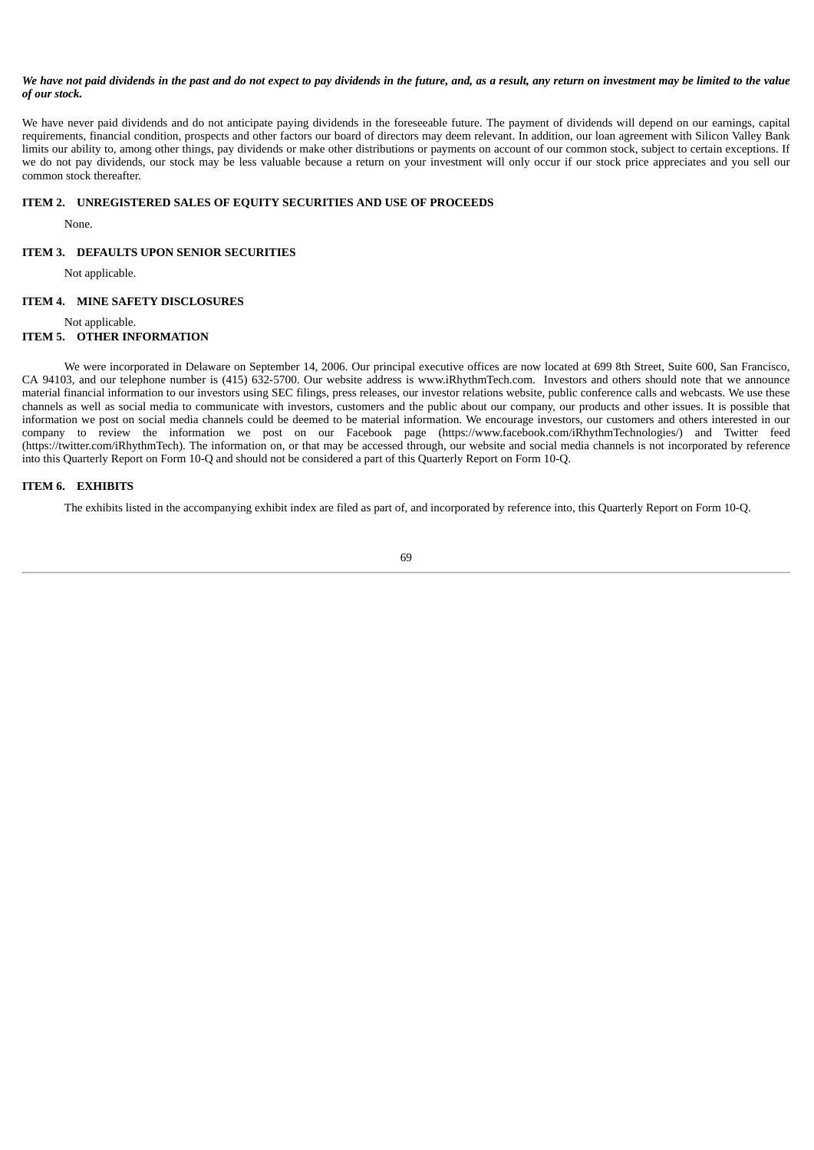### We have not paid dividends in the past and do not expect to pay dividends in the future, and, as a result, any return on investment may be limited to the value *of our stock.*

We have never paid dividends and do not anticipate paying dividends in the foreseeable future. The payment of dividends will depend on our earnings, capital requirements, financial condition, prospects and other factors our board of directors may deem relevant. In addition, our loan agreement with Silicon Valley Bank limits our ability to, among other things, pay dividends or make other distributions or payments on account of our common stock, subject to certain exceptions. If we do not pay dividends, our stock may be less valuable because a return on your investment will only occur if our stock price appreciates and you sell our common stock thereafter.

#### **ITEM 2. UNREGISTERED SALES OF EQUITY SECURITIES AND USE OF PROCEEDS**

None.

#### **ITEM 3. DEFAULTS UPON SENIOR SECURITIES**

Not applicable.

### **ITEM 4. MINE SAFETY DISCLOSURES**

Not applicable.

# **ITEM 5. OTHER INFORMATION**

We were incorporated in Delaware on September 14, 2006. Our principal executive offices are now located at 699 8th Street, Suite 600, San Francisco, CA 94103, and our telephone number is (415) 632-5700. Our website address is www.iRhythmTech.com. Investors and others should note that we announce material financial information to our investors using SEC filings, press releases, our investor relations website, public conference calls and webcasts. We use these channels as well as social media to communicate with investors, customers and the public about our company, our products and other issues. It is possible that information we post on social media channels could be deemed to be material information. We encourage investors, our customers and others interested in our company to review the information we post on our Facebook page (https://www.facebook.com/iRhythmTechnologies/) and Twitter feed (https://twitter.com/iRhythmTech). The information on, or that may be accessed through, our website and social media channels is not incorporated by reference into this Quarterly Report on Form 10-Q and should not be considered a part of this Quarterly Report on Form 10-Q.

## **ITEM 6. EXHIBITS**

The exhibits listed in the accompanying exhibit index are filed as part of, and incorporated by reference into, this Quarterly Report on Form 10-Q.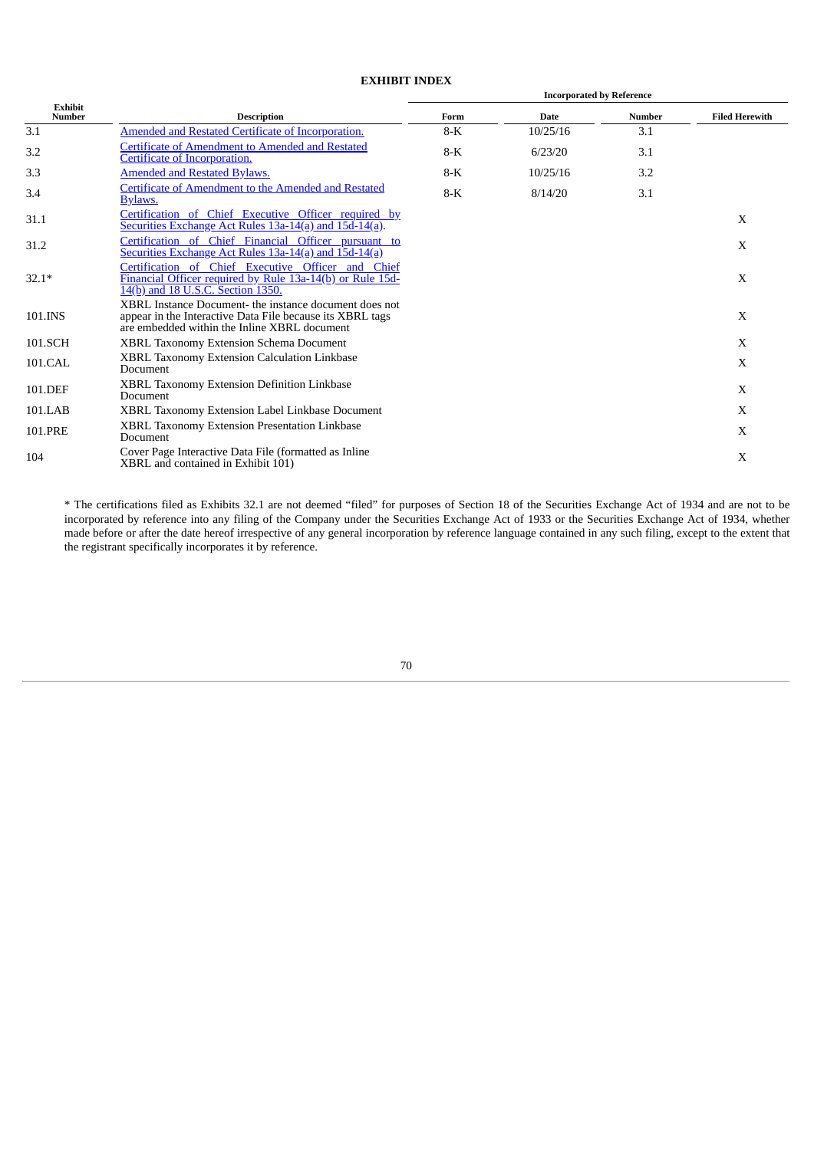# **EXHIBIT INDEX**

|                   |                                                                                                                                                                     | <b>Incorporated by Reference</b> |             |               |                       |
|-------------------|---------------------------------------------------------------------------------------------------------------------------------------------------------------------|----------------------------------|-------------|---------------|-----------------------|
| Exhibit<br>Number | <b>Description</b>                                                                                                                                                  | Form                             | <b>Date</b> | <b>Number</b> | <b>Filed Herewith</b> |
| 3.1               | <b>Amended and Restated Certificate of Incorporation.</b>                                                                                                           | $8-K$                            | 10/25/16    | 3.1           |                       |
| 3.2               | Certificate of Amendment to Amended and Restated<br>Certificate of Incorporation.                                                                                   | $8-K$                            | 6/23/20     | 3.1           |                       |
| 3.3               | <b>Amended and Restated Bylaws.</b>                                                                                                                                 | $8-K$                            | 10/25/16    | 3.2           |                       |
| 3.4               | Certificate of Amendment to the Amended and Restated<br>Bylaws.                                                                                                     | $8-K$                            | 8/14/20     | 3.1           |                       |
| 31.1              | Certification of Chief Executive Officer required by<br>Securities Exchange Act Rules 13a-14(a) and 15d-14(a).                                                      |                                  |             |               | X                     |
| 31.2              | Certification of Chief Financial Officer pursuant to<br>Securities Exchange Act Rules 13a-14(a) and 15d-14(a)                                                       |                                  |             |               | X                     |
| $32.1*$           | Certification of Chief Executive Officer and Chief<br>Financial Officer required by Rule 13a-14(b) or Rule 15d-<br>14(b) and 18 U.S.C. Section 1350.                |                                  |             |               | X                     |
| 101.INS           | XBRL Instance Document- the instance document does not<br>appear in the Interactive Data File because its XBRL tags<br>are embedded within the Inline XBRL document |                                  |             |               | X                     |
| 101.SCH           | XBRL Taxonomy Extension Schema Document                                                                                                                             |                                  |             |               | X                     |
| 101.CAL           | XBRL Taxonomy Extension Calculation Linkbase<br>Document                                                                                                            |                                  |             |               | X                     |
| 101.DEF           | XBRL Taxonomy Extension Definition Linkbase<br>Document                                                                                                             |                                  |             |               | X                     |
| 101.LAB           | XBRL Taxonomy Extension Label Linkbase Document                                                                                                                     |                                  |             |               | X                     |
| 101.PRE           | XBRL Taxonomy Extension Presentation Linkbase<br>Document                                                                                                           |                                  |             |               | X                     |
| 104               | Cover Page Interactive Data File (formatted as Inline<br>XBRL and contained in Exhibit 101)                                                                         |                                  |             |               | X                     |

\* The certifications filed as Exhibits 32.1 are not deemed "filed" for purposes of Section 18 of the Securities Exchange Act of 1934 and are not to be incorporated by reference into any filing of the Company under the Securities Exchange Act of 1933 or the Securities Exchange Act of 1934, whether made before or after the date hereof irrespective of any general incorporation by reference language contained in any such filing, except to the extent that the registrant specifically incorporates it by reference.

70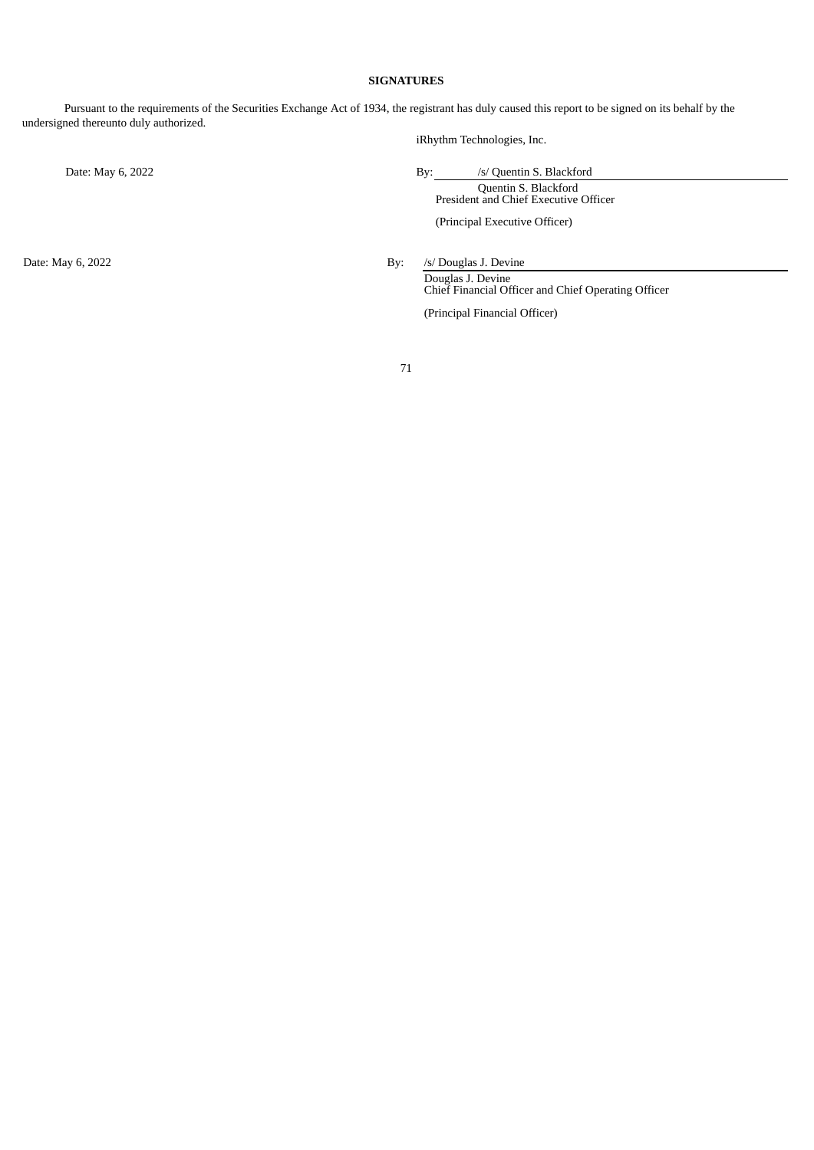#### **SIGNATURES**

Pursuant to the requirements of the Securities Exchange Act of 1934, the registrant has duly caused this report to be signed on its behalf by the undersigned thereunto duly authorized.

iRhythm Technologies, Inc.

Date: May 6, 2022 By: /s/ Quentin S. Blackford

Quentin S. Blackford President and Chief Executive Officer

(Principal Executive Officer)

Date: May 6, 2022 By: /s/ Douglas J. Devine Douglas J. Devine Chief Financial Officer and Chief Operating Officer (Principal Financial Officer)

71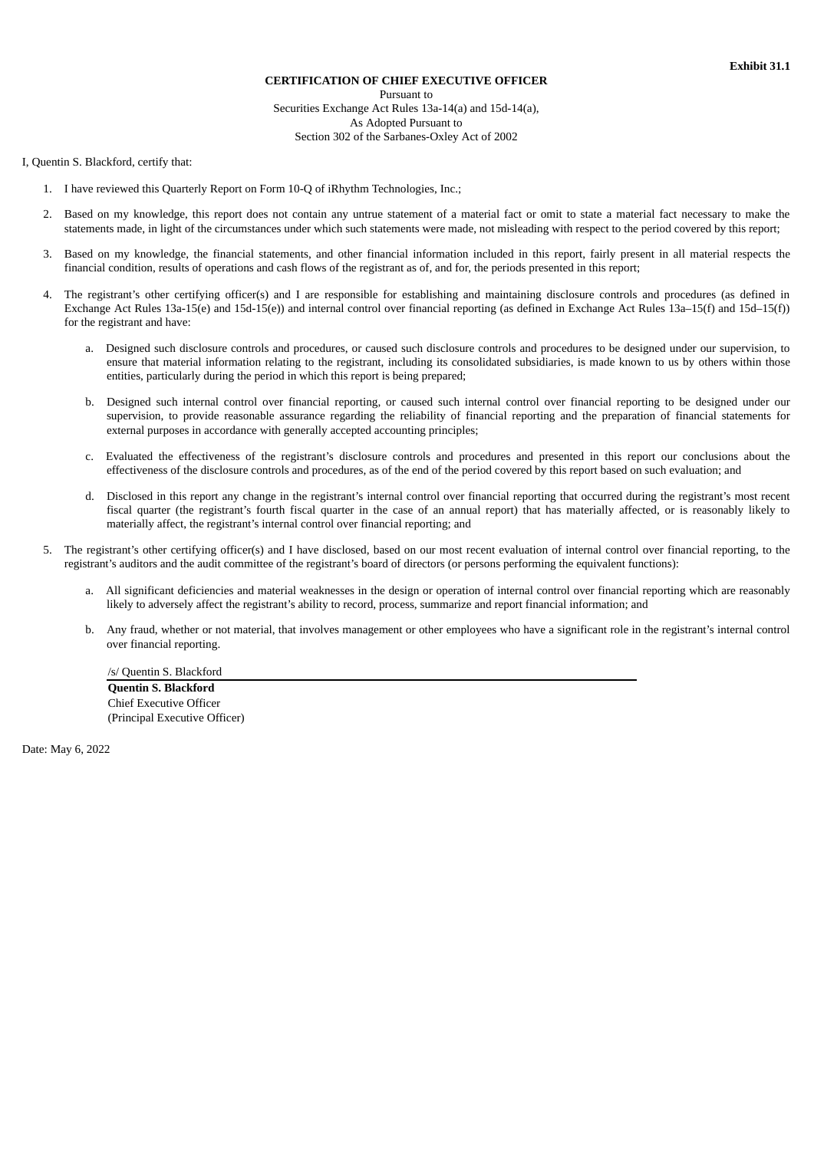# **CERTIFICATION OF CHIEF EXECUTIVE OFFICER**

Pursuant to Securities Exchange Act Rules 13a-14(a) and 15d-14(a), As Adopted Pursuant to Section 302 of the Sarbanes-Oxley Act of 2002

<span id="page-75-0"></span>I, Quentin S. Blackford, certify that:

- 1. I have reviewed this Quarterly Report on Form 10-Q of iRhythm Technologies, Inc.;
- 2. Based on my knowledge, this report does not contain any untrue statement of a material fact or omit to state a material fact necessary to make the statements made, in light of the circumstances under which such statements were made, not misleading with respect to the period covered by this report;
- 3. Based on my knowledge, the financial statements, and other financial information included in this report, fairly present in all material respects the financial condition, results of operations and cash flows of the registrant as of, and for, the periods presented in this report;
- 4. The registrant's other certifying officer(s) and I are responsible for establishing and maintaining disclosure controls and procedures (as defined in Exchange Act Rules 13a-15(e) and 15d-15(e)) and internal control over financial reporting (as defined in Exchange Act Rules 13a–15(f) and 15d–15(f)) for the registrant and have:
	- a. Designed such disclosure controls and procedures, or caused such disclosure controls and procedures to be designed under our supervision, to ensure that material information relating to the registrant, including its consolidated subsidiaries, is made known to us by others within those entities, particularly during the period in which this report is being prepared;
	- b. Designed such internal control over financial reporting, or caused such internal control over financial reporting to be designed under our supervision, to provide reasonable assurance regarding the reliability of financial reporting and the preparation of financial statements for external purposes in accordance with generally accepted accounting principles;
	- c. Evaluated the effectiveness of the registrant's disclosure controls and procedures and presented in this report our conclusions about the effectiveness of the disclosure controls and procedures, as of the end of the period covered by this report based on such evaluation; and
	- d. Disclosed in this report any change in the registrant's internal control over financial reporting that occurred during the registrant's most recent fiscal quarter (the registrant's fourth fiscal quarter in the case of an annual report) that has materially affected, or is reasonably likely to materially affect, the registrant's internal control over financial reporting; and
- 5. The registrant's other certifying officer(s) and I have disclosed, based on our most recent evaluation of internal control over financial reporting, to the registrant's auditors and the audit committee of the registrant's board of directors (or persons performing the equivalent functions):
	- a. All significant deficiencies and material weaknesses in the design or operation of internal control over financial reporting which are reasonably likely to adversely affect the registrant's ability to record, process, summarize and report financial information; and
	- b. Any fraud, whether or not material, that involves management or other employees who have a significant role in the registrant's internal control over financial reporting.

/s/ Quentin S. Blackford **Quentin S. Blackford** Chief Executive Officer (Principal Executive Officer)

Date: May 6, 2022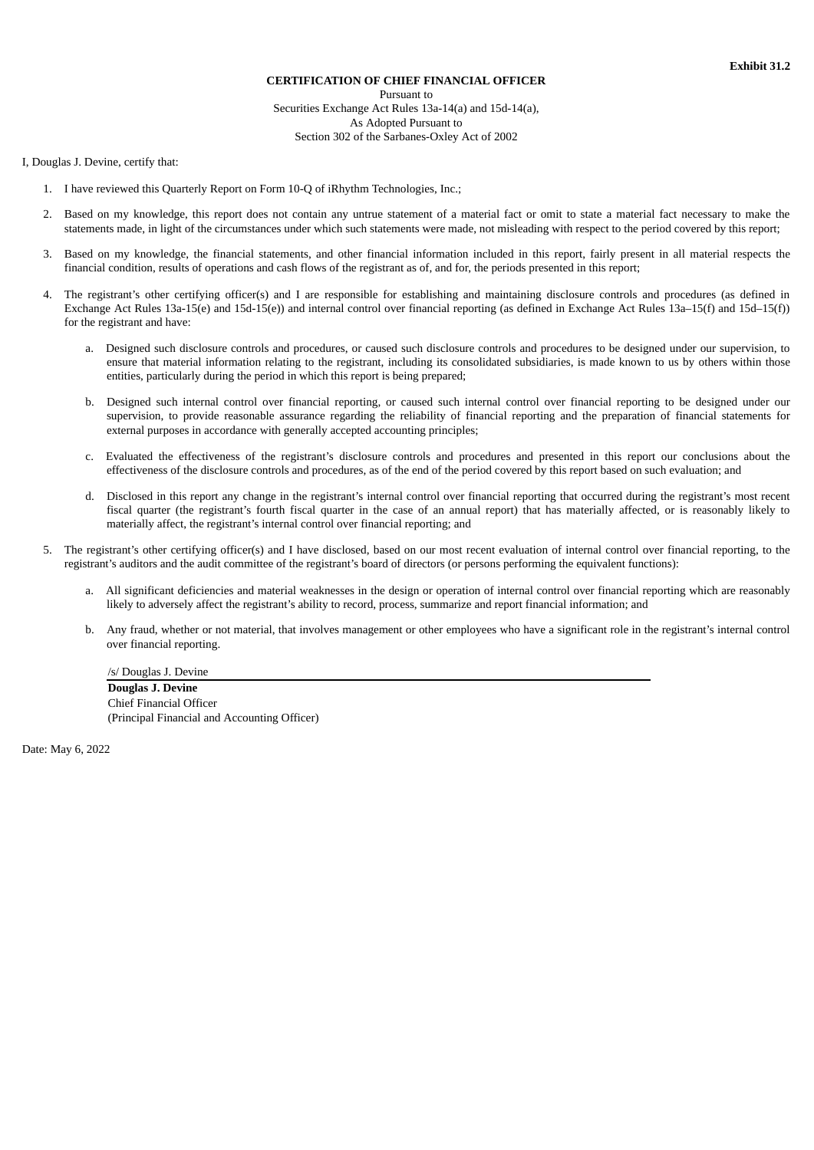## **CERTIFICATION OF CHIEF FINANCIAL OFFICER**

Pursuant to Securities Exchange Act Rules 13a-14(a) and 15d-14(a), As Adopted Pursuant to Section 302 of the Sarbanes-Oxley Act of 2002

<span id="page-76-0"></span>I, Douglas J. Devine, certify that:

- 1. I have reviewed this Quarterly Report on Form 10-Q of iRhythm Technologies, Inc.;
- 2. Based on my knowledge, this report does not contain any untrue statement of a material fact or omit to state a material fact necessary to make the statements made, in light of the circumstances under which such statements were made, not misleading with respect to the period covered by this report;
- 3. Based on my knowledge, the financial statements, and other financial information included in this report, fairly present in all material respects the financial condition, results of operations and cash flows of the registrant as of, and for, the periods presented in this report;
- 4. The registrant's other certifying officer(s) and I are responsible for establishing and maintaining disclosure controls and procedures (as defined in Exchange Act Rules 13a-15(e) and 15d-15(e)) and internal control over financial reporting (as defined in Exchange Act Rules 13a–15(f) and 15d–15(f)) for the registrant and have:
	- a. Designed such disclosure controls and procedures, or caused such disclosure controls and procedures to be designed under our supervision, to ensure that material information relating to the registrant, including its consolidated subsidiaries, is made known to us by others within those entities, particularly during the period in which this report is being prepared;
	- b. Designed such internal control over financial reporting, or caused such internal control over financial reporting to be designed under our supervision, to provide reasonable assurance regarding the reliability of financial reporting and the preparation of financial statements for external purposes in accordance with generally accepted accounting principles;
	- c. Evaluated the effectiveness of the registrant's disclosure controls and procedures and presented in this report our conclusions about the effectiveness of the disclosure controls and procedures, as of the end of the period covered by this report based on such evaluation; and
	- d. Disclosed in this report any change in the registrant's internal control over financial reporting that occurred during the registrant's most recent fiscal quarter (the registrant's fourth fiscal quarter in the case of an annual report) that has materially affected, or is reasonably likely to materially affect, the registrant's internal control over financial reporting; and
- 5. The registrant's other certifying officer(s) and I have disclosed, based on our most recent evaluation of internal control over financial reporting, to the registrant's auditors and the audit committee of the registrant's board of directors (or persons performing the equivalent functions):
	- a. All significant deficiencies and material weaknesses in the design or operation of internal control over financial reporting which are reasonably likely to adversely affect the registrant's ability to record, process, summarize and report financial information; and
	- b. Any fraud, whether or not material, that involves management or other employees who have a significant role in the registrant's internal control over financial reporting.

/s/ Douglas J. Devine **Douglas J. Devine** Chief Financial Officer (Principal Financial and Accounting Officer)

Date: May 6, 2022